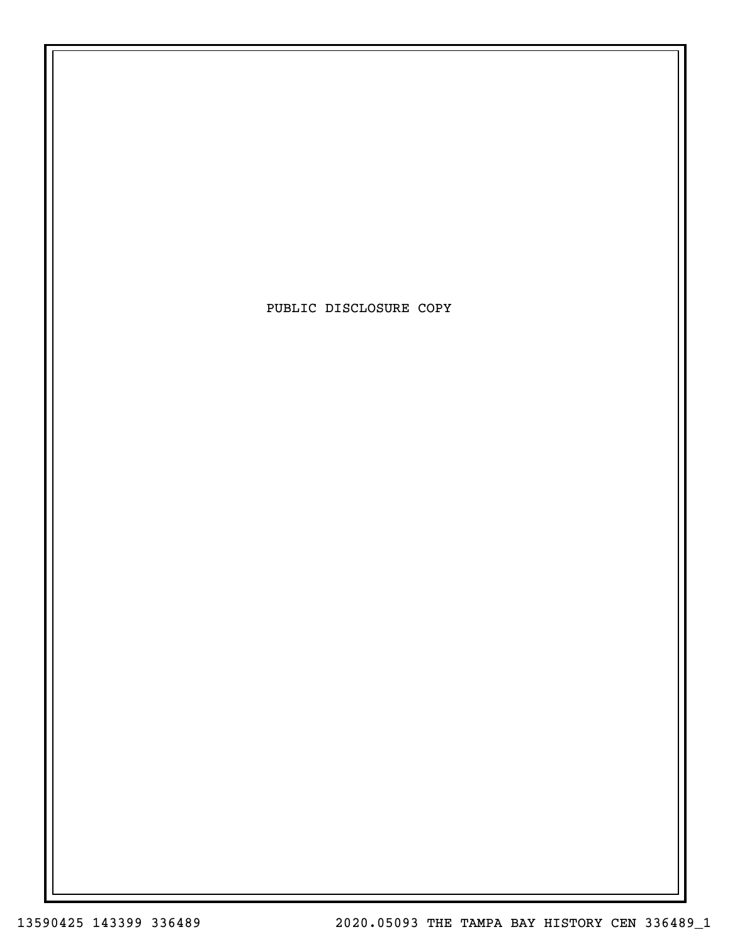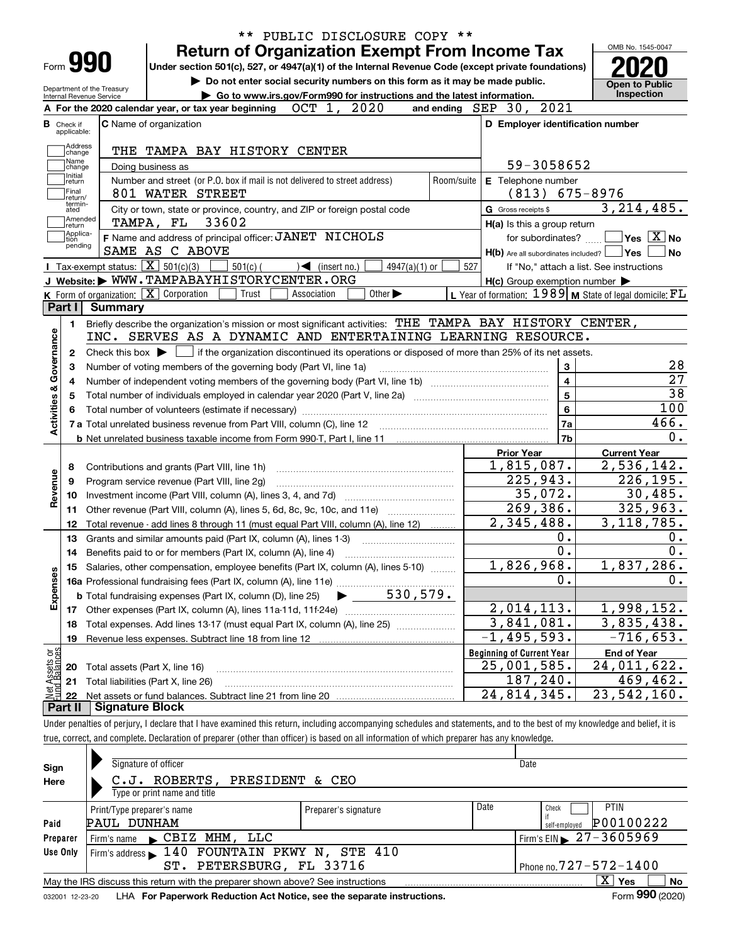|                                                                                  |                          |                            |                                                               | <b>Return of Organization Exempt From Income Tax</b>                                                                                                |                                   |                             |            |     |                     |                                                                                                                    | OMB No. 1545-0047                               |                                                                                                          |
|----------------------------------------------------------------------------------|--------------------------|----------------------------|---------------------------------------------------------------|-----------------------------------------------------------------------------------------------------------------------------------------------------|-----------------------------------|-----------------------------|------------|-----|---------------------|--------------------------------------------------------------------------------------------------------------------|-------------------------------------------------|----------------------------------------------------------------------------------------------------------|
|                                                                                  | Form 990                 |                            |                                                               | Under section 501(c), 527, or 4947(a)(1) of the Internal Revenue Code (except private foundations)                                                  |                                   |                             |            |     |                     |                                                                                                                    |                                                 |                                                                                                          |
|                                                                                  |                          | Department of the Treasury |                                                               | Do not enter social security numbers on this form as it may be made public.                                                                         |                                   |                             |            |     |                     |                                                                                                                    | <b>Open to Public</b>                           |                                                                                                          |
|                                                                                  | Internal Revenue Service |                            |                                                               | Go to www.irs.gov/Form990 for instructions and the latest information.                                                                              |                                   |                             |            |     |                     |                                                                                                                    | Inspection                                      |                                                                                                          |
|                                                                                  |                          |                            |                                                               | A For the 2020 calendar year, or tax year beginning                                                                                                 | OCT 1, 2020                       |                             |            |     |                     | and ending SEP 30, 2021                                                                                            |                                                 |                                                                                                          |
| в                                                                                | Check if<br>applicable:  |                            | C Name of organization                                        |                                                                                                                                                     |                                   |                             |            |     |                     | D Employer identification number                                                                                   |                                                 |                                                                                                          |
|                                                                                  | Address                  |                            |                                                               |                                                                                                                                                     |                                   |                             |            |     |                     |                                                                                                                    |                                                 |                                                                                                          |
|                                                                                  | change<br>Name           |                            |                                                               | THE TAMPA BAY HISTORY CENTER                                                                                                                        |                                   |                             |            |     |                     |                                                                                                                    |                                                 |                                                                                                          |
|                                                                                  | change<br>Initial        |                            | Doing business as                                             |                                                                                                                                                     |                                   |                             |            |     |                     | 59-3058652                                                                                                         |                                                 |                                                                                                          |
|                                                                                  | return<br>Final          |                            |                                                               | Number and street (or P.O. box if mail is not delivered to street address)                                                                          |                                   |                             | Room/suite |     |                     | E Telephone number                                                                                                 |                                                 |                                                                                                          |
|                                                                                  | return/<br>termin-       |                            | 801 WATER STREET                                              |                                                                                                                                                     |                                   |                             |            |     |                     | $(813)$ 675-8976                                                                                                   |                                                 |                                                                                                          |
|                                                                                  | ated<br> Amended         |                            |                                                               | City or town, state or province, country, and ZIP or foreign postal code                                                                            |                                   |                             |            |     | G Gross receipts \$ |                                                                                                                    | 3,214,485.                                      |                                                                                                          |
|                                                                                  | return<br>Applica-       |                            | TAMPA, FL 33602                                               |                                                                                                                                                     |                                   |                             |            |     |                     | H(a) Is this a group return                                                                                        |                                                 |                                                                                                          |
|                                                                                  | tion<br>pending          |                            | SAME AS C ABOVE                                               | F Name and address of principal officer: JANET NICHOLS                                                                                              |                                   |                             |            |     |                     | for subordinates?                                                                                                  | $\overline{\ }$ Yes $\overline{\phantom{X}}$ No |                                                                                                          |
|                                                                                  |                          |                            | <b>I</b> Tax-exempt status: $\overline{\mathbf{X}}$ 501(c)(3) |                                                                                                                                                     |                                   |                             |            |     |                     | $H(b)$ Are all subordinates included? $\Box$ Yes                                                                   |                                                 | No                                                                                                       |
|                                                                                  |                          |                            |                                                               | $501(c)$ (<br>J Website: WWW.TAMPABAYHISTORYCENTER.ORG                                                                                              | $\sqrt{\frac{1}{1}}$ (insert no.) | $4947(a)(1)$ or             |            | 527 |                     | If "No," attach a list. See instructions                                                                           |                                                 |                                                                                                          |
|                                                                                  |                          |                            | K Form of organization: $\boxed{\mathbf{X}}$ Corporation      | Trust                                                                                                                                               | Association                       | Other $\blacktriangleright$ |            |     |                     | $H(c)$ Group exemption number $\blacktriangleright$<br>L Year of formation: $1989$ M State of legal domicile: $FL$ |                                                 |                                                                                                          |
|                                                                                  | Part I                   | <b>Summary</b>             |                                                               |                                                                                                                                                     |                                   |                             |            |     |                     |                                                                                                                    |                                                 |                                                                                                          |
|                                                                                  |                          |                            |                                                               | Briefly describe the organization's mission or most significant activities: THE TAMPA BAY HISTORY CENTER,                                           |                                   |                             |            |     |                     |                                                                                                                    |                                                 |                                                                                                          |
|                                                                                  | 1.                       |                            |                                                               | INC. SERVES AS A DYNAMIC AND ENTERTAINING LEARNING RESOURCE.                                                                                        |                                   |                             |            |     |                     |                                                                                                                    |                                                 |                                                                                                          |
|                                                                                  |                          |                            |                                                               |                                                                                                                                                     |                                   |                             |            |     |                     |                                                                                                                    |                                                 |                                                                                                          |
|                                                                                  |                          |                            |                                                               |                                                                                                                                                     |                                   |                             |            |     |                     |                                                                                                                    |                                                 |                                                                                                          |
|                                                                                  | 2                        |                            |                                                               | Check this box $\blacktriangleright$ $\blacksquare$ if the organization discontinued its operations or disposed of more than 25% of its net assets. |                                   |                             |            |     |                     |                                                                                                                    |                                                 |                                                                                                          |
|                                                                                  | З                        |                            |                                                               | Number of voting members of the governing body (Part VI, line 1a)                                                                                   |                                   |                             |            |     |                     | $\mathbf{3}$                                                                                                       |                                                 |                                                                                                          |
|                                                                                  |                          |                            |                                                               |                                                                                                                                                     |                                   |                             |            |     |                     | $\overline{4}$                                                                                                     |                                                 |                                                                                                          |
|                                                                                  |                          |                            |                                                               |                                                                                                                                                     |                                   |                             |            |     |                     | $\overline{5}$                                                                                                     |                                                 |                                                                                                          |
|                                                                                  |                          |                            |                                                               |                                                                                                                                                     |                                   |                             |            |     |                     | $6\phantom{a}$                                                                                                     |                                                 |                                                                                                          |
|                                                                                  |                          |                            |                                                               |                                                                                                                                                     |                                   |                             |            |     |                     | 7a                                                                                                                 |                                                 |                                                                                                          |
|                                                                                  |                          |                            |                                                               |                                                                                                                                                     |                                   |                             |            |     |                     | 7b                                                                                                                 |                                                 |                                                                                                          |
|                                                                                  |                          |                            |                                                               |                                                                                                                                                     |                                   |                             |            |     | <b>Prior Year</b>   |                                                                                                                    | <b>Current Year</b>                             |                                                                                                          |
|                                                                                  | 8                        |                            |                                                               | Contributions and grants (Part VIII, line 1h)                                                                                                       |                                   |                             |            |     |                     | 1,815,087.                                                                                                         | 2,536,142.                                      |                                                                                                          |
|                                                                                  | 9                        |                            |                                                               | Program service revenue (Part VIII, line 2g)                                                                                                        |                                   |                             |            |     |                     | 225,943.                                                                                                           | 226, 195.                                       |                                                                                                          |
|                                                                                  | 10                       |                            |                                                               |                                                                                                                                                     |                                   |                             |            |     |                     | 35,072.                                                                                                            |                                                 |                                                                                                          |
|                                                                                  | 11                       |                            |                                                               | Other revenue (Part VIII, column (A), lines 5, 6d, 8c, 9c, 10c, and 11e)                                                                            |                                   |                             |            |     |                     | 269,386.                                                                                                           | 325,963.                                        |                                                                                                          |
|                                                                                  | 12                       |                            |                                                               | Total revenue - add lines 8 through 11 (must equal Part VIII, column (A), line 12)                                                                  |                                   |                             |            |     |                     | 2,345,488.                                                                                                         | 3, 118, 785.                                    |                                                                                                          |
|                                                                                  | 13                       |                            |                                                               | Grants and similar amounts paid (Part IX, column (A), lines 1-3)                                                                                    |                                   |                             |            |     |                     | 0.                                                                                                                 |                                                 |                                                                                                          |
|                                                                                  | 14                       |                            |                                                               | Benefits paid to or for members (Part IX, column (A), line 4)                                                                                       |                                   |                             |            |     |                     | $\overline{0}$ .                                                                                                   |                                                 |                                                                                                          |
|                                                                                  |                          |                            |                                                               | 15 Salaries, other compensation, employee benefits (Part IX, column (A), lines 5-10)                                                                |                                   |                             |            |     |                     | 1,826,968.                                                                                                         | 1,837,286.                                      |                                                                                                          |
|                                                                                  |                          |                            |                                                               |                                                                                                                                                     |                                   |                             |            |     |                     | 0.                                                                                                                 |                                                 |                                                                                                          |
|                                                                                  |                          |                            |                                                               |                                                                                                                                                     |                                   |                             |            |     |                     |                                                                                                                    |                                                 |                                                                                                          |
|                                                                                  |                          |                            |                                                               |                                                                                                                                                     |                                   |                             |            |     |                     | 2,014,113.                                                                                                         | 1,998,152.                                      |                                                                                                          |
|                                                                                  | 18                       |                            |                                                               | Total expenses. Add lines 13-17 (must equal Part IX, column (A), line 25)                                                                           |                                   |                             |            |     |                     | 3,841,081.                                                                                                         | 3,835,438.                                      |                                                                                                          |
|                                                                                  | 19                       |                            |                                                               | Revenue less expenses. Subtract line 18 from line 12                                                                                                |                                   |                             |            |     |                     | $-1, 495, 593.$                                                                                                    | $-716,653.$                                     |                                                                                                          |
|                                                                                  |                          |                            |                                                               |                                                                                                                                                     |                                   |                             |            |     |                     | <b>Beginning of Current Year</b>                                                                                   | <b>End of Year</b>                              |                                                                                                          |
|                                                                                  | 20                       |                            | Total assets (Part X, line 16)                                |                                                                                                                                                     |                                   |                             |            |     |                     | 25,001,585.                                                                                                        | 24,011,622.                                     | 28<br>$\overline{27}$<br>$\overline{38}$<br>100<br>466.<br>$\overline{0}$ .<br>30,485.<br>0.<br>0.<br>0. |
| Activities & Governance<br>Revenue<br>Expenses<br>Net Assets or<br>Fund Balances | 21<br>22                 |                            | Total liabilities (Part X, line 26)                           |                                                                                                                                                     |                                   |                             |            |     |                     | 187,240.<br>24,814,345.                                                                                            | 469, 462.<br>23,542,160.                        |                                                                                                          |

| Sign<br>Here | Signature of officer<br>C.J. ROBERTS, PRESIDENT & CEO<br>Type or print name and title                   |      |                                                    | Date                                      |  |  |  |  |
|--------------|---------------------------------------------------------------------------------------------------------|------|----------------------------------------------------|-------------------------------------------|--|--|--|--|
| Paid         | Print/Type preparer's name<br>PAUL DUNHAM                                                               | Date | <b>PTIN</b><br>Check<br>P00100222<br>self-emploved |                                           |  |  |  |  |
| Preparer     | Firm's name CBIZ MHM, LLC                                                                               |      |                                                    | Firm's EIN $\geq 27 - 3605969$            |  |  |  |  |
| Use Only     | Firm's address 140 FOUNTAIN PKWY N, STE 410<br>Phone no. $727 - 572 - 1400$<br>ST. PETERSBURG, FL 33716 |      |                                                    |                                           |  |  |  |  |
|              | May the IRS discuss this return with the preparer shown above? See instructions                         |      |                                                    | $X \vert Y$ es<br>No                      |  |  |  |  |
|              |                                                                                                         |      |                                                    | $000$ $(000)$<br>$\overline{\phantom{0}}$ |  |  |  |  |

true, correct, and complete. Declaration of preparer (other than officer) is based on all information of which preparer has any knowledge.

032001 12-23-20 LHA **For Paperwork Reduction Act Notice, see the separate instructions.** Form 990 (2020)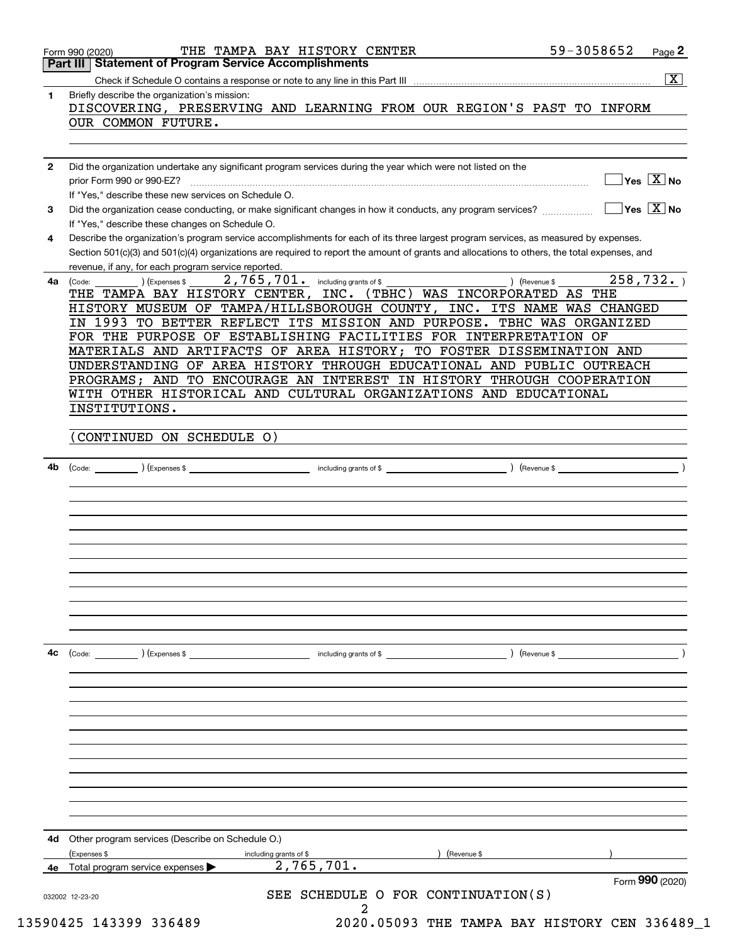|              | 59-3058652<br>THE TAMPA BAY HISTORY CENTER<br>Page 2<br>Form 990 (2020)<br><b>Part III Statement of Program Service Accomplishments</b>                                                                                                                                                                                                     |
|--------------|---------------------------------------------------------------------------------------------------------------------------------------------------------------------------------------------------------------------------------------------------------------------------------------------------------------------------------------------|
|              | $\overline{\mathbf{x}}$                                                                                                                                                                                                                                                                                                                     |
| $\mathbf{1}$ | Briefly describe the organization's mission:<br>DISCOVERING, PRESERVING AND LEARNING FROM OUR REGION'S PAST TO INFORM                                                                                                                                                                                                                       |
|              | OUR COMMON FUTURE.                                                                                                                                                                                                                                                                                                                          |
|              |                                                                                                                                                                                                                                                                                                                                             |
| 2            | Did the organization undertake any significant program services during the year which were not listed on the<br>$\overline{\mathsf{Yes} \mathbb{X}}$ No<br>prior Form 990 or 990-EZ?                                                                                                                                                        |
| 3            | If "Yes," describe these new services on Schedule O.<br>$\overline{\ }$ Yes $\overline{\phantom{X}}$ No<br>Did the organization cease conducting, or make significant changes in how it conducts, any program services?                                                                                                                     |
|              | If "Yes," describe these changes on Schedule O.                                                                                                                                                                                                                                                                                             |
| 4            | Describe the organization's program service accomplishments for each of its three largest program services, as measured by expenses.<br>Section 501(c)(3) and 501(c)(4) organizations are required to report the amount of grants and allocations to others, the total expenses, and<br>revenue, if any, for each program service reported. |
| 4a           | 258,732.<br>2,765,701. including grants of \$<br>) (Revenue \$<br>) (Expenses \$<br>(Code:                                                                                                                                                                                                                                                  |
|              | THE TAMPA BAY HISTORY CENTER, INC. (TBHC) WAS INCORPORATED AS THE<br>HISTORY MUSEUM OF TAMPA/HILLSBOROUGH COUNTY, INC. ITS NAME WAS CHANGED                                                                                                                                                                                                 |
|              | IN 1993 TO BETTER REFLECT ITS MISSION AND PURPOSE. TBHC WAS ORGANIZED<br>FOR THE PURPOSE OF ESTABLISHING FACILITIES FOR INTERPRETATION OF                                                                                                                                                                                                   |
|              | MATERIALS AND ARTIFACTS OF AREA HISTORY; TO FOSTER DISSEMINATION AND                                                                                                                                                                                                                                                                        |
|              | UNDERSTANDING OF AREA HISTORY THROUGH EDUCATIONAL AND PUBLIC OUTREACH                                                                                                                                                                                                                                                                       |
|              | PROGRAMS; AND TO ENCOURAGE AN INTEREST IN HISTORY THROUGH COOPERATION<br>WITH OTHER HISTORICAL AND CULTURAL ORGANIZATIONS AND EDUCATIONAL                                                                                                                                                                                                   |
|              | INSTITUTIONS.                                                                                                                                                                                                                                                                                                                               |
|              | CONTINUED ON SCHEDULE O)                                                                                                                                                                                                                                                                                                                    |
| 4b           |                                                                                                                                                                                                                                                                                                                                             |
|              |                                                                                                                                                                                                                                                                                                                                             |
|              |                                                                                                                                                                                                                                                                                                                                             |
|              |                                                                                                                                                                                                                                                                                                                                             |
|              |                                                                                                                                                                                                                                                                                                                                             |
|              |                                                                                                                                                                                                                                                                                                                                             |
|              |                                                                                                                                                                                                                                                                                                                                             |
|              |                                                                                                                                                                                                                                                                                                                                             |
|              |                                                                                                                                                                                                                                                                                                                                             |
|              |                                                                                                                                                                                                                                                                                                                                             |
| 4c           | (Code:<br>(Expenses \$<br>including grants of \$<br>) (Revenue \$                                                                                                                                                                                                                                                                           |
|              |                                                                                                                                                                                                                                                                                                                                             |
|              |                                                                                                                                                                                                                                                                                                                                             |
|              |                                                                                                                                                                                                                                                                                                                                             |
|              |                                                                                                                                                                                                                                                                                                                                             |
|              |                                                                                                                                                                                                                                                                                                                                             |
|              |                                                                                                                                                                                                                                                                                                                                             |
| 4d           | Other program services (Describe on Schedule O.)                                                                                                                                                                                                                                                                                            |
|              | (Expenses \$<br>(Revenue \$<br>including grants of \$<br>2,765,701.                                                                                                                                                                                                                                                                         |
| 4e           | Total program service expenses<br>Form 990 (2020)                                                                                                                                                                                                                                                                                           |
|              | SEE SCHEDULE O FOR CONTINUATION(S)<br>032002 12-23-20<br>2                                                                                                                                                                                                                                                                                  |
|              | 13590425 143399 336489<br>2020.05093 THE TAMPA BAY HISTORY CEN 336489_1                                                                                                                                                                                                                                                                     |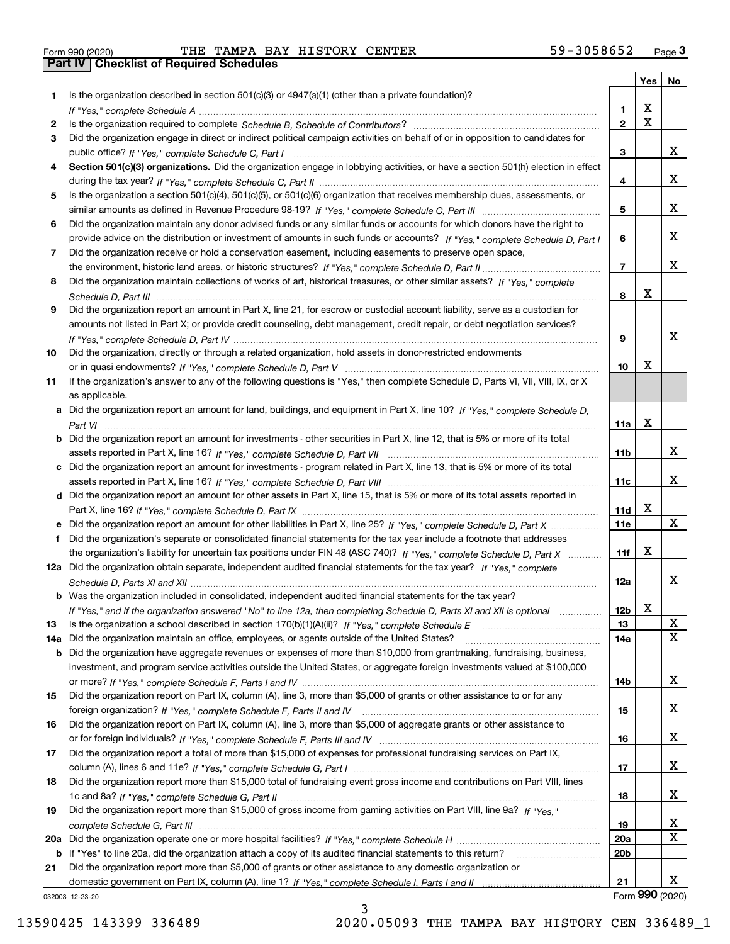|  | Form 990 (2020) |  |
|--|-----------------|--|

Form 990 (2020) THE TAMPA BAY HISTORY CENTER 59-3058652 <sub>Page</sub> 3<br>**Part IV | Checklist of Required Schedules** 

|     |                                                                                                                                       |                 | Yes         | No              |
|-----|---------------------------------------------------------------------------------------------------------------------------------------|-----------------|-------------|-----------------|
| 1.  | Is the organization described in section $501(c)(3)$ or $4947(a)(1)$ (other than a private foundation)?                               |                 |             |                 |
|     |                                                                                                                                       | 1.              | X           |                 |
| 2   |                                                                                                                                       | $\overline{2}$  | $\mathbf X$ |                 |
| 3   | Did the organization engage in direct or indirect political campaign activities on behalf of or in opposition to candidates for       |                 |             | x               |
|     |                                                                                                                                       | 3               |             |                 |
| 4   | Section 501(c)(3) organizations. Did the organization engage in lobbying activities, or have a section 501(h) election in effect      | 4               |             | x               |
| 5   | Is the organization a section 501(c)(4), 501(c)(5), or 501(c)(6) organization that receives membership dues, assessments, or          |                 |             |                 |
|     |                                                                                                                                       | 5               |             | x               |
| 6   | Did the organization maintain any donor advised funds or any similar funds or accounts for which donors have the right to             |                 |             |                 |
|     | provide advice on the distribution or investment of amounts in such funds or accounts? If "Yes," complete Schedule D, Part I          | 6               |             | x               |
| 7   | Did the organization receive or hold a conservation easement, including easements to preserve open space,                             |                 |             |                 |
|     |                                                                                                                                       | $\overline{7}$  |             | x               |
| 8   | Did the organization maintain collections of works of art, historical treasures, or other similar assets? If "Yes," complete          |                 |             |                 |
|     |                                                                                                                                       | 8               | X           |                 |
| 9   | Did the organization report an amount in Part X, line 21, for escrow or custodial account liability, serve as a custodian for         |                 |             |                 |
|     | amounts not listed in Part X; or provide credit counseling, debt management, credit repair, or debt negotiation services?             |                 |             |                 |
|     |                                                                                                                                       | 9               |             | x               |
| 10  | Did the organization, directly or through a related organization, hold assets in donor-restricted endowments                          |                 |             |                 |
|     |                                                                                                                                       | 10              | X           |                 |
| 11  | If the organization's answer to any of the following questions is "Yes," then complete Schedule D, Parts VI, VIII, VIII, IX, or X     |                 |             |                 |
|     | as applicable.                                                                                                                        |                 |             |                 |
|     | a Did the organization report an amount for land, buildings, and equipment in Part X, line 10? If "Yes," complete Schedule D,         | 11a             | X           |                 |
|     | <b>b</b> Did the organization report an amount for investments - other securities in Part X, line 12, that is 5% or more of its total |                 |             |                 |
|     |                                                                                                                                       | 11 <sub>b</sub> |             | x               |
|     | c Did the organization report an amount for investments - program related in Part X, line 13, that is 5% or more of its total         |                 |             |                 |
|     |                                                                                                                                       | 11c             |             | x               |
|     | d Did the organization report an amount for other assets in Part X, line 15, that is 5% or more of its total assets reported in       |                 |             |                 |
|     |                                                                                                                                       | 11d             | X           |                 |
|     |                                                                                                                                       | <b>11e</b>      |             | X               |
|     | Did the organization's separate or consolidated financial statements for the tax year include a footnote that addresses               |                 |             |                 |
|     | the organization's liability for uncertain tax positions under FIN 48 (ASC 740)? If "Yes," complete Schedule D, Part X                | 11f             | X           |                 |
|     | 12a Did the organization obtain separate, independent audited financial statements for the tax year? If "Yes," complete               |                 |             |                 |
|     |                                                                                                                                       | 12a             |             | x               |
|     | <b>b</b> Was the organization included in consolidated, independent audited financial statements for the tax year?                    |                 | X           |                 |
| 13  | If "Yes," and if the organization answered "No" to line 12a, then completing Schedule D, Parts XI and XII is optional metallion       | 12b<br>13       |             | X               |
| 14a | Did the organization maintain an office, employees, or agents outside of the United States?                                           | 14a             |             | X               |
|     | <b>b</b> Did the organization have aggregate revenues or expenses of more than \$10,000 from grantmaking, fundraising, business,      |                 |             |                 |
|     | investment, and program service activities outside the United States, or aggregate foreign investments valued at \$100,000            |                 |             |                 |
|     |                                                                                                                                       | 14b             |             | x               |
| 15  | Did the organization report on Part IX, column (A), line 3, more than \$5,000 of grants or other assistance to or for any             |                 |             |                 |
|     |                                                                                                                                       | 15              |             | x               |
| 16  | Did the organization report on Part IX, column (A), line 3, more than \$5,000 of aggregate grants or other assistance to              |                 |             |                 |
|     |                                                                                                                                       | 16              |             | x               |
| 17  | Did the organization report a total of more than \$15,000 of expenses for professional fundraising services on Part IX,               |                 |             |                 |
|     |                                                                                                                                       | 17              |             | x               |
| 18  | Did the organization report more than \$15,000 total of fundraising event gross income and contributions on Part VIII, lines          |                 |             |                 |
|     |                                                                                                                                       | 18              |             | x               |
| 19  | Did the organization report more than \$15,000 of gross income from gaming activities on Part VIII, line 9a? If "Yes."                |                 |             | x               |
|     |                                                                                                                                       | 19<br>20a       |             | X               |
|     | b If "Yes" to line 20a, did the organization attach a copy of its audited financial statements to this return?                        | 20 <sub>b</sub> |             |                 |
| 21  | Did the organization report more than \$5,000 of grants or other assistance to any domestic organization or                           |                 |             |                 |
|     |                                                                                                                                       | 21              |             | x               |
|     | 032003 12-23-20                                                                                                                       |                 |             | Form 990 (2020) |

3

032003 12-23-20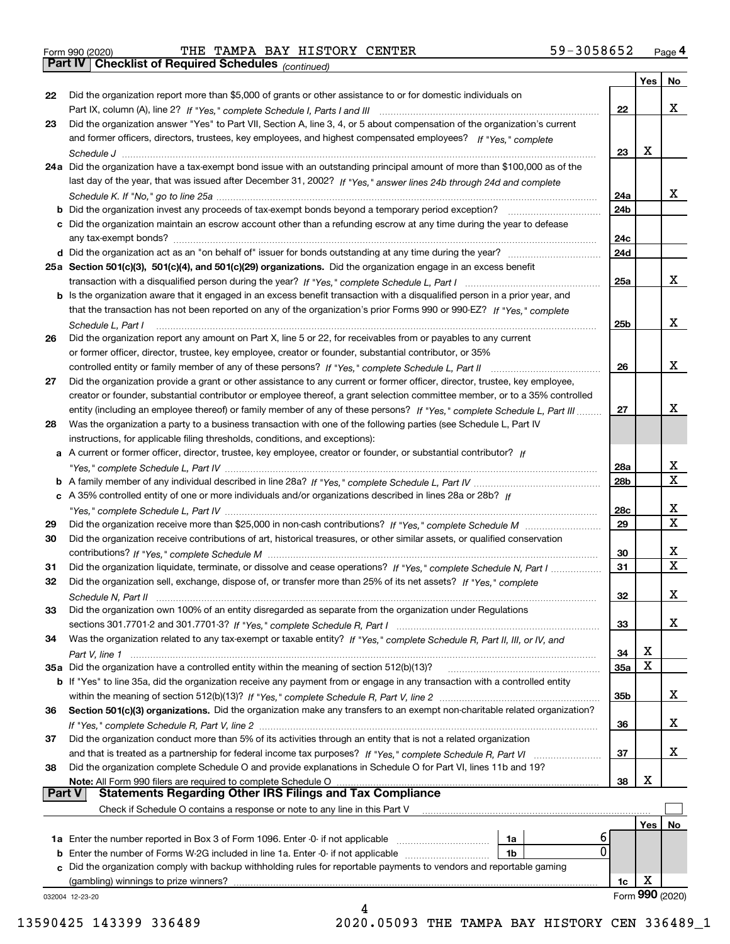Form 990 (2020) THE TAMPA BAY HISTORY CENTER 59-3058652 <sub>Page</sub> 4<br>**Part IV | Checklist of Required Schedules** <sub>(continued)</sub>

*(continued)*

|               |                                                                                                                              |                        | Yes | No.             |
|---------------|------------------------------------------------------------------------------------------------------------------------------|------------------------|-----|-----------------|
| 22            | Did the organization report more than \$5,000 of grants or other assistance to or for domestic individuals on                |                        |     |                 |
|               |                                                                                                                              | 22                     |     | x               |
| 23            | Did the organization answer "Yes" to Part VII, Section A, line 3, 4, or 5 about compensation of the organization's current   |                        |     |                 |
|               | and former officers, directors, trustees, key employees, and highest compensated employees? If "Yes," complete               |                        |     |                 |
|               |                                                                                                                              | 23                     | х   |                 |
|               | 24a Did the organization have a tax-exempt bond issue with an outstanding principal amount of more than \$100,000 as of the  |                        |     |                 |
|               | last day of the year, that was issued after December 31, 2002? If "Yes," answer lines 24b through 24d and complete           |                        |     |                 |
|               |                                                                                                                              | 24a                    |     | x               |
|               |                                                                                                                              | 24 <sub>b</sub>        |     |                 |
|               | c Did the organization maintain an escrow account other than a refunding escrow at any time during the year to defease       |                        |     |                 |
|               |                                                                                                                              | 24c                    |     |                 |
|               |                                                                                                                              | 24d                    |     |                 |
|               | 25a Section 501(c)(3), 501(c)(4), and 501(c)(29) organizations. Did the organization engage in an excess benefit             |                        |     |                 |
|               |                                                                                                                              | 25a                    |     | x               |
|               | b Is the organization aware that it engaged in an excess benefit transaction with a disqualified person in a prior year, and |                        |     |                 |
|               | that the transaction has not been reported on any of the organization's prior Forms 990 or 990-EZ? If "Yes," complete        |                        |     |                 |
|               | Schedule L, Part I                                                                                                           | 25 <sub>b</sub>        |     | x               |
| 26            | Did the organization report any amount on Part X, line 5 or 22, for receivables from or payables to any current              |                        |     |                 |
|               | or former officer, director, trustee, key employee, creator or founder, substantial contributor, or 35%                      |                        |     |                 |
|               | controlled entity or family member of any of these persons? If "Yes," complete Schedule L, Part II                           | 26                     |     | x               |
| 27            | Did the organization provide a grant or other assistance to any current or former officer, director, trustee, key employee,  |                        |     |                 |
|               | creator or founder, substantial contributor or employee thereof, a grant selection committee member, or to a 35% controlled  |                        |     | x               |
|               | entity (including an employee thereof) or family member of any of these persons? If "Yes," complete Schedule L, Part III     | 27                     |     |                 |
| 28            | Was the organization a party to a business transaction with one of the following parties (see Schedule L, Part IV            |                        |     |                 |
|               | instructions, for applicable filing thresholds, conditions, and exceptions):                                                 |                        |     |                 |
|               | a A current or former officer, director, trustee, key employee, creator or founder, or substantial contributor? If           |                        |     | х               |
|               |                                                                                                                              | 28a<br>28 <sub>b</sub> |     | x               |
|               | c A 35% controlled entity of one or more individuals and/or organizations described in lines 28a or 28b? If                  |                        |     |                 |
|               |                                                                                                                              | 28c                    |     | х               |
| 29            |                                                                                                                              | 29                     |     | X               |
| 30            | Did the organization receive contributions of art, historical treasures, or other similar assets, or qualified conservation  |                        |     |                 |
|               |                                                                                                                              | 30                     |     | х               |
| 31            | Did the organization liquidate, terminate, or dissolve and cease operations? If "Yes," complete Schedule N, Part I           | 31                     |     | X.              |
| 32            | Did the organization sell, exchange, dispose of, or transfer more than 25% of its net assets? If "Yes," complete             |                        |     |                 |
|               | Schedule N. Part II                                                                                                          | 32                     |     | х               |
| 33            | Did the organization own 100% of an entity disregarded as separate from the organization under Regulations                   |                        |     |                 |
|               |                                                                                                                              | 33                     |     | x               |
| 34            | Was the organization related to any tax-exempt or taxable entity? If "Yes," complete Schedule R, Part II, III, or IV, and    |                        |     |                 |
|               |                                                                                                                              | 34                     | х   |                 |
|               | 35a Did the organization have a controlled entity within the meaning of section 512(b)(13)?                                  | <b>35a</b>             | х   |                 |
|               | b If "Yes" to line 35a, did the organization receive any payment from or engage in any transaction with a controlled entity  |                        |     |                 |
|               |                                                                                                                              | 35b                    |     | x               |
| 36            | Section 501(c)(3) organizations. Did the organization make any transfers to an exempt non-charitable related organization?   |                        |     |                 |
|               |                                                                                                                              | 36                     |     | X.              |
| 37            | Did the organization conduct more than 5% of its activities through an entity that is not a related organization             |                        |     |                 |
|               | and that is treated as a partnership for federal income tax purposes? If "Yes," complete Schedule R, Part VI                 | 37                     |     | X.              |
| 38            | Did the organization complete Schedule O and provide explanations in Schedule O for Part VI, lines 11b and 19?               |                        |     |                 |
|               | Note: All Form 990 filers are required to complete Schedule O                                                                | 38                     | х   |                 |
| <b>Part V</b> | <b>Statements Regarding Other IRS Filings and Tax Compliance</b>                                                             |                        |     |                 |
|               | Check if Schedule O contains a response or note to any line in this Part V                                                   |                        |     |                 |
|               |                                                                                                                              |                        | Yes | No              |
|               | ь<br><b>1a</b> Enter the number reported in Box 3 of Form 1096. Enter -0- if not applicable<br>1a                            |                        |     |                 |
|               | 0<br><b>b</b> Enter the number of Forms W-2G included in line 1a. Enter -0- if not applicable<br>1b                          |                        |     |                 |
|               | c Did the organization comply with backup withholding rules for reportable payments to vendors and reportable gaming         |                        |     |                 |
|               | (gambling) winnings to prize winners?                                                                                        | 1c                     | х   |                 |
|               | 032004 12-23-20                                                                                                              |                        |     | Form 990 (2020) |
|               | Δ                                                                                                                            |                        |     |                 |

 <sup>13590425 143399 336489 2020.05093</sup> THE TAMPA BAY HISTORY CEN 336489\_1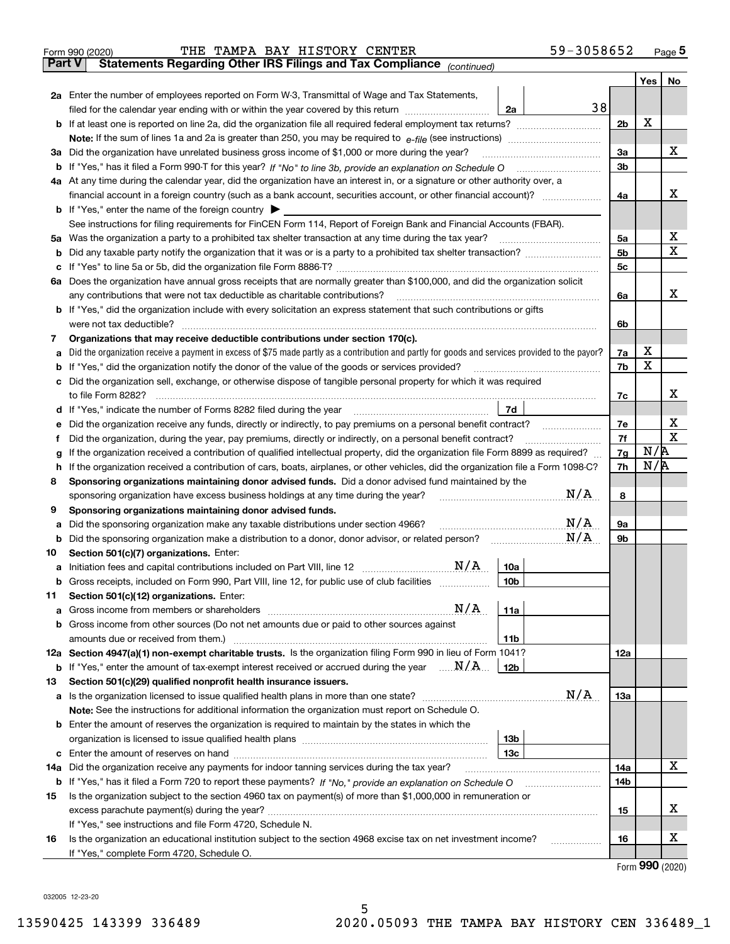|               | 59-3058652<br>THE TAMPA BAY HISTORY CENTER<br>Form 990 (2020)                                                                                                                                                                              |          |     | Page $5$    |
|---------------|--------------------------------------------------------------------------------------------------------------------------------------------------------------------------------------------------------------------------------------------|----------|-----|-------------|
| <b>Part V</b> | Statements Regarding Other IRS Filings and Tax Compliance (continued)                                                                                                                                                                      |          |     |             |
|               |                                                                                                                                                                                                                                            |          | Yes | No          |
|               | 2a Enter the number of employees reported on Form W-3, Transmittal of Wage and Tax Statements,                                                                                                                                             |          |     |             |
|               | 38<br>filed for the calendar year ending with or within the year covered by this return <i>manumumumum</i><br>2a                                                                                                                           |          |     |             |
|               | <b>b</b> If at least one is reported on line 2a, did the organization file all required federal employment tax returns?                                                                                                                    | 2b       | х   |             |
|               |                                                                                                                                                                                                                                            |          |     |             |
|               | 3a Did the organization have unrelated business gross income of \$1,000 or more during the year?                                                                                                                                           | За       |     | х           |
|               | <b>b</b> If "Yes," has it filed a Form 990-T for this year? If "No" to line 3b, provide an explanation on Schedule O                                                                                                                       | 3b       |     |             |
|               | 4a At any time during the calendar year, did the organization have an interest in, or a signature or other authority over, a                                                                                                               |          |     |             |
|               | financial account in a foreign country (such as a bank account, securities account, or other financial account)?                                                                                                                           | 4a       |     | х           |
|               | <b>b</b> If "Yes," enter the name of the foreign country $\triangleright$                                                                                                                                                                  |          |     |             |
|               | See instructions for filing requirements for FinCEN Form 114, Report of Foreign Bank and Financial Accounts (FBAR).                                                                                                                        |          |     |             |
| 5а            | Was the organization a party to a prohibited tax shelter transaction at any time during the tax year?                                                                                                                                      | 5a       |     | х           |
| b             |                                                                                                                                                                                                                                            | 5b       |     | х           |
| с             | If "Yes" to line 5a or 5b, did the organization file Form 8886-T?                                                                                                                                                                          | 5с       |     |             |
|               | 6a Does the organization have annual gross receipts that are normally greater than \$100,000, and did the organization solicit                                                                                                             |          |     |             |
|               | any contributions that were not tax deductible as charitable contributions?                                                                                                                                                                | 6a       |     | х           |
|               | <b>b</b> If "Yes," did the organization include with every solicitation an express statement that such contributions or gifts                                                                                                              |          |     |             |
|               | were not tax deductible?                                                                                                                                                                                                                   | 6b       |     |             |
| 7             | Organizations that may receive deductible contributions under section 170(c).                                                                                                                                                              |          |     |             |
| а             | Did the organization receive a payment in excess of \$75 made partly as a contribution and partly for goods and services provided to the payor?                                                                                            | 7a       | х   |             |
| b             | If "Yes," did the organization notify the donor of the value of the goods or services provided?                                                                                                                                            | 7b       | x   |             |
| с             | Did the organization sell, exchange, or otherwise dispose of tangible personal property for which it was required                                                                                                                          |          |     | х           |
|               | to file Form 8282?                                                                                                                                                                                                                         | 7c       |     |             |
|               | d If "Yes," indicate the number of Forms 8282 filed during the year<br>7d                                                                                                                                                                  |          |     | х           |
| е             | Did the organization receive any funds, directly or indirectly, to pay premiums on a personal benefit contract?                                                                                                                            | 7е<br>7f |     | $\mathbf X$ |
| f             | Did the organization, during the year, pay premiums, directly or indirectly, on a personal benefit contract?                                                                                                                               |          | N/R |             |
| g             | If the organization received a contribution of qualified intellectual property, did the organization file Form 8899 as required?                                                                                                           | 7g<br>7h | N/R |             |
| h<br>8        | If the organization received a contribution of cars, boats, airplanes, or other vehicles, did the organization file a Form 1098-C?<br>Sponsoring organizations maintaining donor advised funds. Did a donor advised fund maintained by the |          |     |             |
|               | N/A<br>sponsoring organization have excess business holdings at any time during the year?                                                                                                                                                  | 8        |     |             |
| 9             | Sponsoring organizations maintaining donor advised funds.                                                                                                                                                                                  |          |     |             |
| а             | N/A<br>Did the sponsoring organization make any taxable distributions under section 4966?                                                                                                                                                  | 9а       |     |             |
| b             | N/A<br>Did the sponsoring organization make a distribution to a donor, donor advisor, or related person?                                                                                                                                   | 9b       |     |             |
| 10            | Section 501(c)(7) organizations. Enter:                                                                                                                                                                                                    |          |     |             |
| а             | N/A<br>10a<br>Initiation fees and capital contributions included on Part VIII, line 12                                                                                                                                                     |          |     |             |
|               | 10 <sub>b</sub><br><b>b</b> Gross receipts, included on Form 990, Part VIII, line 12, for public use of club facilities                                                                                                                    |          |     |             |
| 11            | Section 501(c)(12) organizations. Enter:                                                                                                                                                                                                   |          |     |             |
| a             | N/A<br>11a                                                                                                                                                                                                                                 |          |     |             |
| b             | Gross income from other sources (Do not net amounts due or paid to other sources against                                                                                                                                                   |          |     |             |
|               | 11 <sub>b</sub>                                                                                                                                                                                                                            |          |     |             |
|               | 12a Section 4947(a)(1) non-exempt charitable trusts. Is the organization filing Form 990 in lieu of Form 1041?                                                                                                                             | 12a      |     |             |
|               | <b>b</b> If "Yes," enter the amount of tax-exempt interest received or accrued during the year $\ldots$ $N/A$<br>12b                                                                                                                       |          |     |             |
| 13            | Section 501(c)(29) qualified nonprofit health insurance issuers.                                                                                                                                                                           |          |     |             |
| а             |                                                                                                                                                                                                                                            | 13a      |     |             |
|               | Note: See the instructions for additional information the organization must report on Schedule O.                                                                                                                                          |          |     |             |
| b             | Enter the amount of reserves the organization is required to maintain by the states in which the                                                                                                                                           |          |     |             |
|               | 13b                                                                                                                                                                                                                                        |          |     |             |
| с             | 13с                                                                                                                                                                                                                                        |          |     |             |
| 14a           | Did the organization receive any payments for indoor tanning services during the tax year?                                                                                                                                                 | 14a      |     | Χ           |
|               |                                                                                                                                                                                                                                            | 14b      |     |             |
| 15            | Is the organization subject to the section 4960 tax on payment(s) of more than \$1,000,000 in remuneration or                                                                                                                              |          |     |             |
|               |                                                                                                                                                                                                                                            | 15       |     | х           |
|               | If "Yes," see instructions and file Form 4720, Schedule N.                                                                                                                                                                                 |          |     |             |
| 16            | Is the organization an educational institution subject to the section 4968 excise tax on net investment income?<br>.                                                                                                                       | 16       |     | х           |
|               | If "Yes," complete Form 4720, Schedule O.                                                                                                                                                                                                  |          |     |             |

5

Form (2020) **990**

032005 12-23-20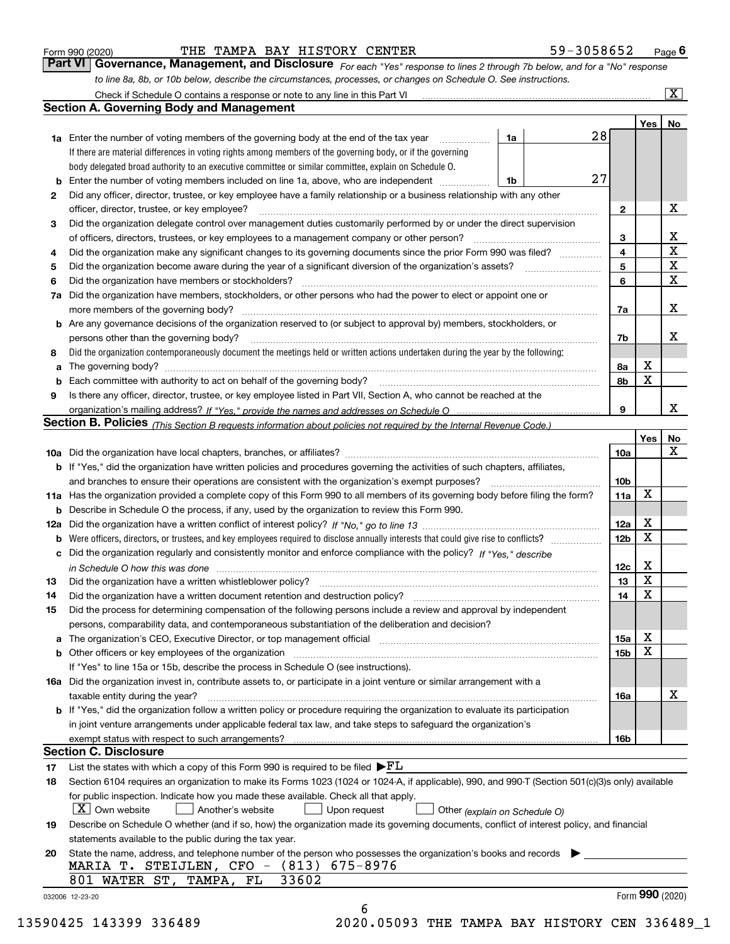|  | Form 990 (2020) |  |
|--|-----------------|--|
|  |                 |  |

THE TAMPA BAY HISTORY CENTER 59-3058652

*For each "Yes" response to lines 2 through 7b below, and for a "No" response to line 8a, 8b, or 10b below, describe the circumstances, processes, or changes on Schedule O. See instructions.* Form 990 (2020) **CONFIGUTE TRE TAMPA BAY HISTORY CENTER 1994 1994 1996 1996 1996 1996 1996 1997 1996 1997 199**<br>**Part VI Governance, Management, and Disclosure** *For each "Yes" response to lines 2 through 7b below, and* 

|     | Check if Schedule O contains a response or note to any line in this Part VI                                                                                           |          |    |                 |     | $\overline{\mathbf{x}}$ |  |  |  |  |  |
|-----|-----------------------------------------------------------------------------------------------------------------------------------------------------------------------|----------|----|-----------------|-----|-------------------------|--|--|--|--|--|
|     | Section A. Governing Body and Management                                                                                                                              |          |    |                 |     |                         |  |  |  |  |  |
|     |                                                                                                                                                                       |          |    |                 | Yes | No                      |  |  |  |  |  |
|     | <b>1a</b> Enter the number of voting members of the governing body at the end of the tax year                                                                         | 1a       | 28 |                 |     |                         |  |  |  |  |  |
|     | If there are material differences in voting rights among members of the governing body, or if the governing                                                           |          |    |                 |     |                         |  |  |  |  |  |
|     | body delegated broad authority to an executive committee or similar committee, explain on Schedule O.                                                                 |          |    |                 |     |                         |  |  |  |  |  |
| b   | Enter the number of voting members included on line 1a, above, who are independent                                                                                    | 27<br>1b |    |                 |     |                         |  |  |  |  |  |
| 2   | Did any officer, director, trustee, or key employee have a family relationship or a business relationship with any other                                              |          |    |                 |     |                         |  |  |  |  |  |
|     | officer, director, trustee, or key employee?                                                                                                                          |          |    | $\mathbf{2}$    |     | X                       |  |  |  |  |  |
| 3   | Did the organization delegate control over management duties customarily performed by or under the direct supervision                                                 |          |    |                 |     |                         |  |  |  |  |  |
|     | of officers, directors, trustees, or key employees to a management company or other person?                                                                           |          |    |                 |     |                         |  |  |  |  |  |
| 4   | Did the organization make any significant changes to its governing documents since the prior Form 990 was filed?                                                      |          |    | 4               |     | $\mathbf X$             |  |  |  |  |  |
| 5   | Did the organization become aware during the year of a significant diversion of the organization's assets?                                                            |          |    | 5               |     | X                       |  |  |  |  |  |
| 6   | Did the organization have members or stockholders?                                                                                                                    |          |    | 6               |     | X                       |  |  |  |  |  |
| 7a  | Did the organization have members, stockholders, or other persons who had the power to elect or appoint one or                                                        |          |    |                 |     |                         |  |  |  |  |  |
|     | more members of the governing body?                                                                                                                                   |          |    | 7a              |     | x                       |  |  |  |  |  |
|     | <b>b</b> Are any governance decisions of the organization reserved to (or subject to approval by) members, stockholders, or                                           |          |    |                 |     |                         |  |  |  |  |  |
|     | persons other than the governing body?                                                                                                                                |          |    | 7b              |     | x                       |  |  |  |  |  |
| 8   | Did the organization contemporaneously document the meetings held or written actions undertaken during the year by the following:                                     |          |    |                 |     |                         |  |  |  |  |  |
| a   |                                                                                                                                                                       |          |    | 8a              | X   |                         |  |  |  |  |  |
| b   | Each committee with authority to act on behalf of the governing body?                                                                                                 |          |    | 8b              | X   |                         |  |  |  |  |  |
| 9   | Is there any officer, director, trustee, or key employee listed in Part VII, Section A, who cannot be reached at the                                                  |          |    |                 |     |                         |  |  |  |  |  |
|     |                                                                                                                                                                       |          |    | 9               |     | x                       |  |  |  |  |  |
|     | Section B. Policies <sub>(This Section B requests information about policies not required by the Internal Revenue Code.)</sub>                                        |          |    |                 |     |                         |  |  |  |  |  |
|     |                                                                                                                                                                       |          |    |                 | Yes | No                      |  |  |  |  |  |
|     |                                                                                                                                                                       |          |    | 10a             |     | x                       |  |  |  |  |  |
|     | <b>b</b> If "Yes," did the organization have written policies and procedures governing the activities of such chapters, affiliates,                                   |          |    |                 |     |                         |  |  |  |  |  |
|     | and branches to ensure their operations are consistent with the organization's exempt purposes?                                                                       |          |    | 10b             |     |                         |  |  |  |  |  |
|     | 11a Has the organization provided a complete copy of this Form 990 to all members of its governing body before filing the form?                                       |          |    | 11a             | X   |                         |  |  |  |  |  |
| b   | Describe in Schedule O the process, if any, used by the organization to review this Form 990.                                                                         |          |    |                 |     |                         |  |  |  |  |  |
| 12a |                                                                                                                                                                       |          |    | 12a             | X   |                         |  |  |  |  |  |
| b   | Were officers, directors, or trustees, and key employees required to disclose annually interests that could give rise to conflicts?                                   |          |    | 12 <sub>b</sub> | X   |                         |  |  |  |  |  |
| с   | Did the organization regularly and consistently monitor and enforce compliance with the policy? If "Yes." describe                                                    |          |    |                 |     |                         |  |  |  |  |  |
|     | in Schedule O how this was done with the control of the state of the control of the state of the state of the s                                                       |          |    | 12c             | X   |                         |  |  |  |  |  |
| 13  | Did the organization have a written whistleblower policy?                                                                                                             |          |    | 13              | X   |                         |  |  |  |  |  |
| 14  | Did the organization have a written document retention and destruction policy?                                                                                        |          |    | 14              | X   |                         |  |  |  |  |  |
| 15  | Did the process for determining compensation of the following persons include a review and approval by independent                                                    |          |    |                 |     |                         |  |  |  |  |  |
|     | persons, comparability data, and contemporaneous substantiation of the deliberation and decision?                                                                     |          |    |                 |     |                         |  |  |  |  |  |
| a   | The organization's CEO, Executive Director, or top management official manufactured content of the organization's CEO, Executive Director, or top management official |          |    | 15a             | Χ   |                         |  |  |  |  |  |
|     | <b>b</b> Other officers or key employees of the organization                                                                                                          |          |    | 15 <sub>b</sub> | X   |                         |  |  |  |  |  |
|     | If "Yes" to line 15a or 15b, describe the process in Schedule O (see instructions).                                                                                   |          |    |                 |     |                         |  |  |  |  |  |
|     | 16a Did the organization invest in, contribute assets to, or participate in a joint venture or similar arrangement with a                                             |          |    |                 |     |                         |  |  |  |  |  |
|     | taxable entity during the year?                                                                                                                                       |          |    | 16a             |     | х                       |  |  |  |  |  |
|     | b If "Yes," did the organization follow a written policy or procedure requiring the organization to evaluate its participation                                        |          |    |                 |     |                         |  |  |  |  |  |
|     | in joint venture arrangements under applicable federal tax law, and take steps to safeguard the organization's                                                        |          |    |                 |     |                         |  |  |  |  |  |
|     | exempt status with respect to such arrangements?                                                                                                                      |          |    | 16b             |     |                         |  |  |  |  |  |
|     | Section C. Disclosure                                                                                                                                                 |          |    |                 |     |                         |  |  |  |  |  |
| 17  | List the states with which a copy of this Form 990 is required to be filed $\blacktriangleright$ FL                                                                   |          |    |                 |     |                         |  |  |  |  |  |
| 18  | Section 6104 requires an organization to make its Forms 1023 (1024 or 1024-A, if applicable), 990, and 990-T (Section 501(c)(3)s only) available                      |          |    |                 |     |                         |  |  |  |  |  |
|     | for public inspection. Indicate how you made these available. Check all that apply.                                                                                   |          |    |                 |     |                         |  |  |  |  |  |
|     | $X$ Own website<br>Another's website<br>Upon request<br>Other (explain on Schedule O)                                                                                 |          |    |                 |     |                         |  |  |  |  |  |
| 19  | Describe on Schedule O whether (and if so, how) the organization made its governing documents, conflict of interest policy, and financial                             |          |    |                 |     |                         |  |  |  |  |  |
|     | statements available to the public during the tax year.                                                                                                               |          |    |                 |     |                         |  |  |  |  |  |
| 20  | State the name, address, and telephone number of the person who possesses the organization's books and records                                                        |          |    |                 |     |                         |  |  |  |  |  |
|     | MARIA T. STEIJLEN, CFO - (813) 675-8976                                                                                                                               |          |    |                 |     |                         |  |  |  |  |  |
|     | 33602<br>801 WATER ST,<br>TAMPA, FL                                                                                                                                   |          |    |                 |     |                         |  |  |  |  |  |
|     | 032006 12-23-20                                                                                                                                                       |          |    |                 |     | Form 990 (2020)         |  |  |  |  |  |
|     | 6                                                                                                                                                                     |          |    |                 |     |                         |  |  |  |  |  |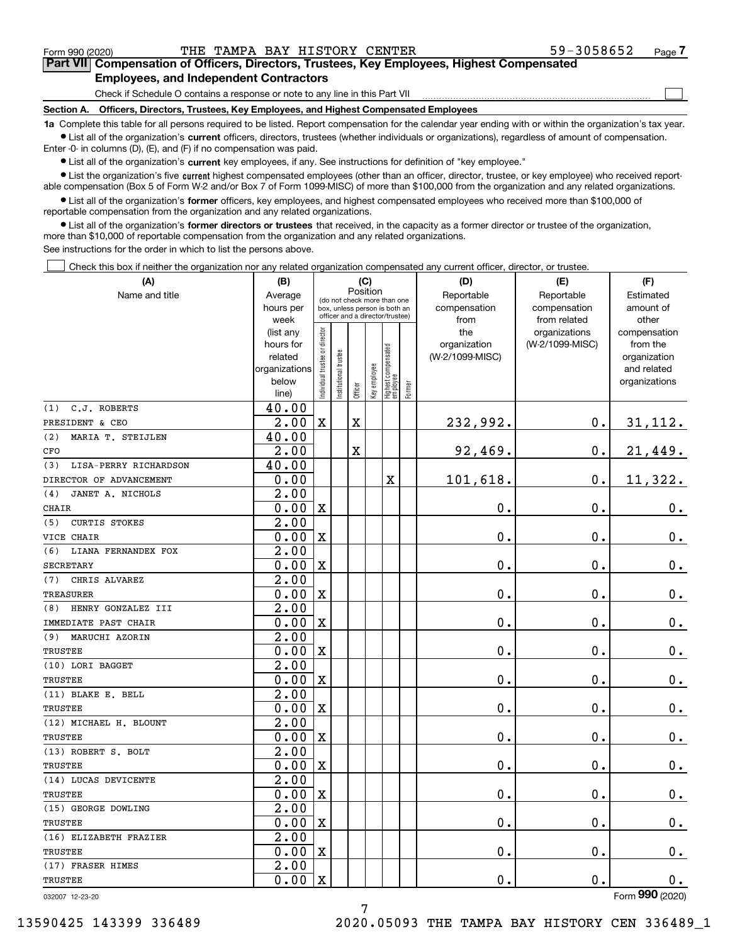Form 990 (2020) Page THE TAMPA BAY HISTORY CENTER 59-3058652

 $\mathcal{L}^{\text{max}}$ 

# **7Part VII Compensation of Officers, Directors, Trustees, Key Employees, Highest Compensated Employees, and Independent Contractors**

Check if Schedule O contains a response or note to any line in this Part VII

**Section A. Officers, Directors, Trustees, Key Employees, and Highest Compensated Employees**

**1a**  Complete this table for all persons required to be listed. Report compensation for the calendar year ending with or within the organization's tax year. **•** List all of the organization's current officers, directors, trustees (whether individuals or organizations), regardless of amount of compensation.

Enter -0- in columns (D), (E), and (F) if no compensation was paid.

 $\bullet$  List all of the organization's  $\,$ current key employees, if any. See instructions for definition of "key employee."

**•** List the organization's five current highest compensated employees (other than an officer, director, trustee, or key employee) who received reportable compensation (Box 5 of Form W-2 and/or Box 7 of Form 1099-MISC) of more than \$100,000 from the organization and any related organizations.

**•** List all of the organization's former officers, key employees, and highest compensated employees who received more than \$100,000 of reportable compensation from the organization and any related organizations.

**former directors or trustees**  ¥ List all of the organization's that received, in the capacity as a former director or trustee of the organization, more than \$10,000 of reportable compensation from the organization and any related organizations.

See instructions for the order in which to list the persons above.

Check this box if neither the organization nor any related organization compensated any current officer, director, or trustee.  $\mathcal{L}^{\text{max}}$ 

| (A)                          | (B)                    | (C)                                     |                      |             |              |                                                                  |        | (D)                             | (E)             | (F)                      |  |  |  |
|------------------------------|------------------------|-----------------------------------------|----------------------|-------------|--------------|------------------------------------------------------------------|--------|---------------------------------|-----------------|--------------------------|--|--|--|
| Name and title               | Average                | Position<br>(do not check more than one |                      |             |              |                                                                  |        | Reportable                      | Reportable      | Estimated                |  |  |  |
|                              | hours per              |                                         |                      |             |              | box, unless person is both an<br>officer and a director/trustee) |        | compensation                    | compensation    | amount of                |  |  |  |
|                              | week                   |                                         |                      |             |              |                                                                  |        | from                            | from related    | other                    |  |  |  |
|                              | (list any<br>hours for |                                         |                      |             |              |                                                                  |        | the                             | organizations   | compensation<br>from the |  |  |  |
|                              | related                |                                         |                      |             |              |                                                                  |        | organization<br>(W-2/1099-MISC) | (W-2/1099-MISC) | organization             |  |  |  |
|                              | organizations          |                                         |                      |             |              |                                                                  |        |                                 |                 | and related              |  |  |  |
|                              | below                  |                                         |                      |             |              |                                                                  |        |                                 |                 | organizations            |  |  |  |
|                              | line)                  | ndividual trustee or director           | nstitutional trustee | Officer     | Key employee | Highest compensated<br>  employee                                | Former |                                 |                 |                          |  |  |  |
| C.J. ROBERTS<br>(1)          | 40.00                  |                                         |                      |             |              |                                                                  |        |                                 |                 |                          |  |  |  |
| PRESIDENT & CEO              | 2.00                   | $\mathbf X$                             |                      | $\mathbf X$ |              |                                                                  |        | 232,992.                        | $\mathbf 0$ .   | 31,112.                  |  |  |  |
| (2)<br>MARIA T. STEIJLEN     | 40.00                  |                                         |                      |             |              |                                                                  |        |                                 |                 |                          |  |  |  |
| CFO                          | 2.00                   |                                         |                      | X           |              |                                                                  |        | 92,469.                         | $\mathbf 0$ .   | 21,449.                  |  |  |  |
| LISA-PERRY RICHARDSON<br>(3) | 40.00                  |                                         |                      |             |              |                                                                  |        |                                 |                 |                          |  |  |  |
| DIRECTOR OF ADVANCEMENT      | 0.00                   |                                         |                      |             |              | $\mathbf X$                                                      |        | 101,618.                        | $\mathbf 0$ .   | 11,322.                  |  |  |  |
| JANET A. NICHOLS<br>(4)      | 2.00                   |                                         |                      |             |              |                                                                  |        |                                 |                 |                          |  |  |  |
| <b>CHAIR</b>                 | 0.00                   | $\mathbf x$                             |                      |             |              |                                                                  |        | 0.                              | $\mathbf 0$ .   | $0_{\cdot}$              |  |  |  |
| <b>CURTIS STOKES</b><br>(5)  | $\overline{2.00}$      |                                         |                      |             |              |                                                                  |        |                                 |                 |                          |  |  |  |
| VICE CHAIR                   | 0.00                   | X                                       |                      |             |              |                                                                  |        | 0.                              | $\mathbf 0$ .   | $0_{.}$                  |  |  |  |
| (6)<br>LIANA FERNANDEX FOX   | 2.00                   |                                         |                      |             |              |                                                                  |        |                                 |                 |                          |  |  |  |
| <b>SECRETARY</b>             | 0.00                   | X                                       |                      |             |              |                                                                  |        | 0.                              | $\mathbf 0$ .   | $\mathbf 0$ .            |  |  |  |
| CHRIS ALVAREZ<br>(7)         | 2.00                   |                                         |                      |             |              |                                                                  |        |                                 |                 |                          |  |  |  |
| <b>TREASURER</b>             | 0.00                   | $\mathbf X$                             |                      |             |              |                                                                  |        | 0.                              | 0.              | $0_{.}$                  |  |  |  |
| HENRY GONZALEZ III<br>(8)    | 2.00                   |                                         |                      |             |              |                                                                  |        |                                 |                 |                          |  |  |  |
| IMMEDIATE PAST CHAIR         | 0.00                   | $\mathbf X$                             |                      |             |              |                                                                  |        | 0.                              | $\mathbf 0$ .   | 0.                       |  |  |  |
| (9) MARUCHI AZORIN           | 2.00                   |                                         |                      |             |              |                                                                  |        |                                 |                 |                          |  |  |  |
| TRUSTEE                      | 0.00                   | $\mathbf X$                             |                      |             |              |                                                                  |        | 0.                              | $\mathbf 0$ .   | $\mathbf 0$ .            |  |  |  |
| (10) LORI BAGGET             | 2.00                   |                                         |                      |             |              |                                                                  |        |                                 |                 |                          |  |  |  |
| TRUSTEE                      | 0.00                   | $\mathbf X$                             |                      |             |              |                                                                  |        | 0.                              | $\mathbf 0$ .   | $\mathbf 0$ .            |  |  |  |
| (11) BLAKE E. BELL           | 2.00                   |                                         |                      |             |              |                                                                  |        |                                 |                 |                          |  |  |  |
| <b>TRUSTEE</b>               | 0.00                   | $\mathbf X$                             |                      |             |              |                                                                  |        | 0.                              | $\mathbf 0$ .   | $0_{.}$                  |  |  |  |
| (12) MICHAEL H. BLOUNT       | 2.00                   |                                         |                      |             |              |                                                                  |        |                                 |                 |                          |  |  |  |
| TRUSTEE                      | 0.00                   | $\mathbf X$                             |                      |             |              |                                                                  |        | 0.                              | $\mathbf 0$ .   | $\mathbf 0$ .            |  |  |  |
| (13) ROBERT S. BOLT          | 2.00                   |                                         |                      |             |              |                                                                  |        |                                 |                 |                          |  |  |  |
| TRUSTEE                      | 0.00                   | $\mathbf X$                             |                      |             |              |                                                                  |        | 0.                              | $\mathbf 0$ .   | $\mathbf 0$ .            |  |  |  |
| (14) LUCAS DEVICENTE         | 2.00                   |                                         |                      |             |              |                                                                  |        |                                 |                 |                          |  |  |  |
| TRUSTEE                      | 0.00                   | $\overline{\mathbf{X}}$                 |                      |             |              |                                                                  |        | 0.                              | $\mathbf{0}$ .  | 0.                       |  |  |  |
| (15) GEORGE DOWLING          | 2.00                   |                                         |                      |             |              |                                                                  |        |                                 |                 |                          |  |  |  |
| TRUSTEE                      | 0.00                   | $\mathbf x$                             |                      |             |              |                                                                  |        | 0.                              | Ο.              | 0.                       |  |  |  |
| (16) ELIZABETH FRAZIER       | 2.00                   |                                         |                      |             |              |                                                                  |        |                                 |                 |                          |  |  |  |
| TRUSTEE                      | 0.00                   | $\mathbf X$                             |                      |             |              |                                                                  |        | 0.                              | $\mathbf 0$ .   | 0.                       |  |  |  |
| (17) FRASER HIMES            | 2.00                   |                                         |                      |             |              |                                                                  |        |                                 |                 |                          |  |  |  |
| TRUSTEE                      | 0.00                   | $\mathbf X$                             |                      |             |              |                                                                  |        | 0.                              | 0.              | $0_{.}$                  |  |  |  |

032007 12-23-20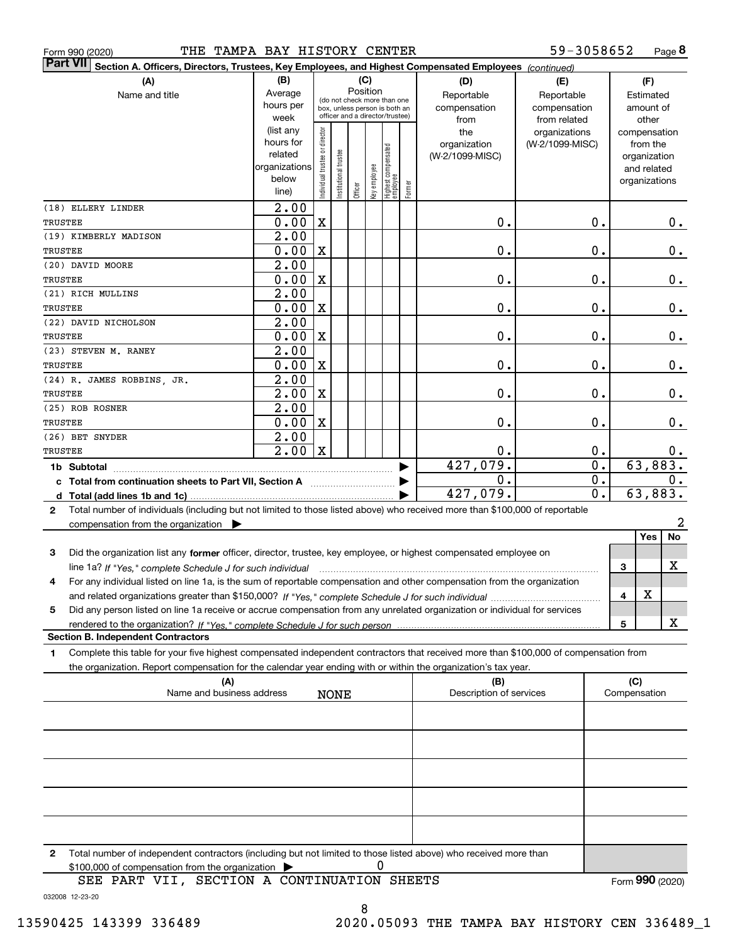|  | Form 990 (2020) |
|--|-----------------|
|  |                 |

| <b>Part VII</b><br>Section A. Officers, Directors, Trustees, Key Employees, and Highest Compensated Employees (continued)                 |                        |                                |                       |         |                                         |                                  |        |                         |                                  |              |                          |       |  |
|-------------------------------------------------------------------------------------------------------------------------------------------|------------------------|--------------------------------|-----------------------|---------|-----------------------------------------|----------------------------------|--------|-------------------------|----------------------------------|--------------|--------------------------|-------|--|
| (A)                                                                                                                                       | (B)                    | (C)                            |                       |         |                                         |                                  |        | (D)                     | (E)                              |              | (F)                      |       |  |
| Name and title                                                                                                                            | Average                |                                |                       |         | Position<br>(do not check more than one |                                  |        | Reportable              | Reportable                       |              | Estimated                |       |  |
|                                                                                                                                           | hours per              |                                |                       |         |                                         | box, unless person is both an    |        | compensation            | compensation                     |              | amount of                |       |  |
|                                                                                                                                           | week                   |                                |                       |         |                                         | officer and a director/trustee)  |        | from                    | from related                     |              | other                    |       |  |
|                                                                                                                                           | (list any<br>hours for |                                |                       |         |                                         |                                  |        | the<br>organization     | organizations<br>(W-2/1099-MISC) |              | compensation<br>from the |       |  |
|                                                                                                                                           | related                |                                |                       |         |                                         |                                  |        | (W-2/1099-MISC)         |                                  |              | organization             |       |  |
|                                                                                                                                           | organizations          |                                |                       |         |                                         |                                  |        |                         |                                  |              | and related              |       |  |
|                                                                                                                                           | below                  | Individual trustee or director | Institutional trustee |         | Key employee                            | Highest compensated<br> employee | Former |                         |                                  |              | organizations            |       |  |
|                                                                                                                                           | line)                  |                                |                       | Officer |                                         |                                  |        |                         |                                  |              |                          |       |  |
| (18) ELLERY LINDER                                                                                                                        | 2.00                   |                                |                       |         |                                         |                                  |        |                         |                                  |              |                          |       |  |
| TRUSTEE                                                                                                                                   | 0.00                   | X                              |                       |         |                                         |                                  |        | 0.                      | Ο.                               |              |                          | 0.    |  |
| (19) KIMBERLY MADISON                                                                                                                     | 2.00                   |                                |                       |         |                                         |                                  |        |                         |                                  |              |                          |       |  |
| TRUSTEE                                                                                                                                   | 0.00                   | X                              |                       |         |                                         |                                  |        | 0.                      | Ο.                               |              |                          | 0.    |  |
| (20) DAVID MOORE                                                                                                                          | 2.00                   |                                |                       |         |                                         |                                  |        |                         |                                  |              |                          |       |  |
| TRUSTEE                                                                                                                                   | 0.00                   | X                              |                       |         |                                         |                                  |        | 0.                      | Ο.                               |              |                          | 0.    |  |
| (21) RICH MULLINS                                                                                                                         | 2.00<br>0.00           |                                |                       |         |                                         |                                  |        | 0.                      |                                  |              |                          |       |  |
| TRUSTEE<br>(22) DAVID NICHOLSON                                                                                                           | 2.00                   | X                              |                       |         |                                         |                                  |        |                         | Ο.                               |              |                          | 0.    |  |
| <b>TRUSTEE</b>                                                                                                                            | 0.00                   | X                              |                       |         |                                         |                                  |        | 0.                      | Ο.                               |              |                          | 0.    |  |
| (23) STEVEN M. RANEY                                                                                                                      | 2.00                   |                                |                       |         |                                         |                                  |        |                         |                                  |              |                          |       |  |
| TRUSTEE                                                                                                                                   | 0.00                   | X                              |                       |         |                                         |                                  |        | 0.                      | Ο.                               |              |                          | 0.    |  |
| (24) R. JAMES ROBBINS, JR.                                                                                                                | 2.00                   |                                |                       |         |                                         |                                  |        |                         |                                  |              |                          |       |  |
| TRUSTEE                                                                                                                                   | 2.00                   | X                              |                       |         |                                         |                                  |        | 0.                      | Ο.                               |              |                          | $0$ . |  |
| (25) ROB ROSNER                                                                                                                           | 2.00                   |                                |                       |         |                                         |                                  |        |                         |                                  |              |                          |       |  |
| TRUSTEE                                                                                                                                   | 0.00                   | X                              |                       |         |                                         |                                  |        | 0.                      | 0.                               |              |                          | $0$ . |  |
| (26) BET SNYDER                                                                                                                           | 2.00                   |                                |                       |         |                                         |                                  |        |                         |                                  |              |                          |       |  |
| TRUSTEE                                                                                                                                   | 2.00                   | $\mathbf X$                    |                       |         |                                         |                                  |        | ο.                      | 0.                               |              |                          | υ.    |  |
| 1b Subtotal                                                                                                                               |                        |                                |                       |         |                                         |                                  |        | 427,079.                | $\mathbf 0$ .                    |              | 63,883.                  |       |  |
| c Total from continuation sheets to Part VII, Section A                                                                                   |                        |                                |                       |         |                                         |                                  |        | О.                      | $\mathbf 0$ .                    |              |                          | 0.    |  |
|                                                                                                                                           |                        |                                |                       |         |                                         |                                  |        | 427,079.                | 0.                               |              | 63,883.                  |       |  |
| Total number of individuals (including but not limited to those listed above) who received more than \$100,000 of reportable<br>2         |                        |                                |                       |         |                                         |                                  |        |                         |                                  |              |                          |       |  |
| compensation from the organization $\blacktriangleright$                                                                                  |                        |                                |                       |         |                                         |                                  |        |                         |                                  |              |                          | 2     |  |
|                                                                                                                                           |                        |                                |                       |         |                                         |                                  |        |                         |                                  |              | Yes                      | No    |  |
| Did the organization list any former officer, director, trustee, key employee, or highest compensated employee on<br>3                    |                        |                                |                       |         |                                         |                                  |        |                         |                                  |              |                          |       |  |
| line 1a? If "Yes," complete Schedule J for such individual                                                                                |                        |                                |                       |         |                                         |                                  |        |                         |                                  | 3            |                          | х     |  |
| For any individual listed on line 1a, is the sum of reportable compensation and other compensation from the organization<br>4             |                        |                                |                       |         |                                         |                                  |        |                         |                                  |              |                          |       |  |
|                                                                                                                                           |                        |                                |                       |         |                                         |                                  |        |                         |                                  | 4            | x                        |       |  |
| Did any person listed on line 1a receive or accrue compensation from any unrelated organization or individual for services<br>5           |                        |                                |                       |         |                                         |                                  |        |                         |                                  |              |                          |       |  |
|                                                                                                                                           |                        |                                |                       |         |                                         |                                  |        |                         |                                  | 5            |                          | x     |  |
| <b>Section B. Independent Contractors</b>                                                                                                 |                        |                                |                       |         |                                         |                                  |        |                         |                                  |              |                          |       |  |
| Complete this table for your five highest compensated independent contractors that received more than \$100,000 of compensation from<br>1 |                        |                                |                       |         |                                         |                                  |        |                         |                                  |              |                          |       |  |
| the organization. Report compensation for the calendar year ending with or within the organization's tax year.                            |                        |                                |                       |         |                                         |                                  |        |                         |                                  |              |                          |       |  |
| (A)                                                                                                                                       |                        |                                |                       |         |                                         |                                  |        | (B)                     |                                  | (C)          |                          |       |  |
| Name and business address                                                                                                                 |                        |                                | <b>NONE</b>           |         |                                         |                                  |        | Description of services |                                  | Compensation |                          |       |  |
|                                                                                                                                           |                        |                                |                       |         |                                         |                                  |        |                         |                                  |              |                          |       |  |
|                                                                                                                                           |                        |                                |                       |         |                                         |                                  |        |                         |                                  |              |                          |       |  |
|                                                                                                                                           |                        |                                |                       |         |                                         |                                  |        |                         |                                  |              |                          |       |  |
|                                                                                                                                           |                        |                                |                       |         |                                         |                                  |        |                         |                                  |              |                          |       |  |
|                                                                                                                                           |                        |                                |                       |         |                                         |                                  |        |                         |                                  |              |                          |       |  |
|                                                                                                                                           |                        |                                |                       |         |                                         |                                  |        |                         |                                  |              |                          |       |  |
|                                                                                                                                           |                        |                                |                       |         |                                         |                                  |        |                         |                                  |              |                          |       |  |
|                                                                                                                                           |                        |                                |                       |         |                                         |                                  |        |                         |                                  |              |                          |       |  |
|                                                                                                                                           |                        |                                |                       |         |                                         |                                  |        |                         |                                  |              |                          |       |  |

**2**Total number of independent contractors (including but not limited to those listed above) who received more than \$100,000 of compensation from the organization 0

032008 12-23-20 SEE PART VII, SECTION A CONTINUATION SHEETS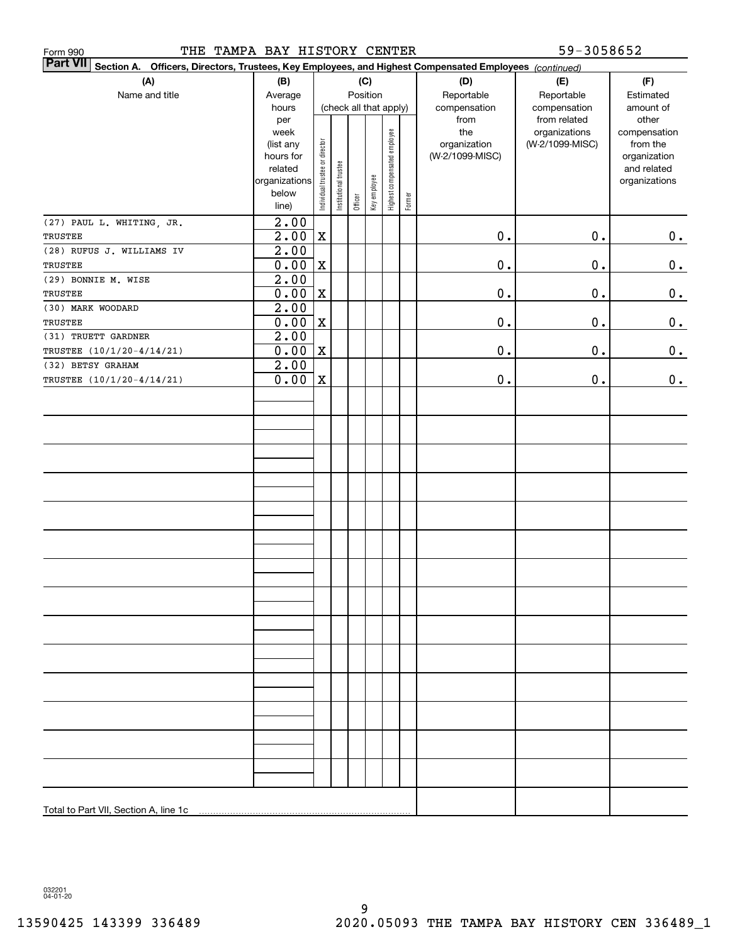| THE TAMPA BAY HISTORY CENTER<br>Form 990                                                                                  |                        |                                |                       |         |                        |                              |        |                 | 59-3058652                    |                    |
|---------------------------------------------------------------------------------------------------------------------------|------------------------|--------------------------------|-----------------------|---------|------------------------|------------------------------|--------|-----------------|-------------------------------|--------------------|
| <b>Part VII</b><br>Section A. Officers, Directors, Trustees, Key Employees, and Highest Compensated Employees (continued) |                        |                                |                       |         |                        |                              |        |                 |                               |                    |
| (A)                                                                                                                       | (B)                    |                                |                       |         | (C)                    |                              |        | (D)             | (E)                           | (F)                |
| Name and title                                                                                                            | Average                |                                |                       |         | Position               |                              |        | Reportable      | Reportable                    | Estimated          |
|                                                                                                                           | hours                  |                                |                       |         | (check all that apply) |                              |        | compensation    | compensation                  | amount of<br>other |
|                                                                                                                           | per<br>week            |                                |                       |         |                        |                              |        | from<br>the     | from related<br>organizations | compensation       |
|                                                                                                                           | (list any              |                                |                       |         |                        |                              |        | organization    | (W-2/1099-MISC)               | from the           |
|                                                                                                                           | hours for              |                                |                       |         |                        |                              |        | (W-2/1099-MISC) |                               | organization       |
|                                                                                                                           | related                |                                |                       |         |                        |                              |        |                 |                               | and related        |
|                                                                                                                           | organizations<br>below |                                |                       |         |                        |                              |        |                 |                               | organizations      |
|                                                                                                                           | line)                  | Individual trustee or director | Institutional trustee | Officer | Key employee           | Highest compensated employee | Former |                 |                               |                    |
| (27) PAUL L. WHITING, JR.                                                                                                 | 2.00                   |                                |                       |         |                        |                              |        |                 |                               |                    |
| TRUSTEE                                                                                                                   | 2.00                   | $\mathbf X$                    |                       |         |                        |                              |        | $\mathbf 0$ .   | 0.                            | 0.                 |
| (28) RUFUS J. WILLIAMS IV                                                                                                 | 2.00                   |                                |                       |         |                        |                              |        |                 |                               |                    |
| TRUSTEE                                                                                                                   | 0.00                   | X                              |                       |         |                        |                              |        | $\mathbf 0$ .   | 0.                            | $0_{\cdot}$        |
| (29) BONNIE M. WISE                                                                                                       | 2.00                   |                                |                       |         |                        |                              |        |                 |                               |                    |
| TRUSTEE                                                                                                                   | 0.00                   | X                              |                       |         |                        |                              |        | $\mathbf 0$ .   | 0.                            | $\mathbf 0$ .      |
| (30) MARK WOODARD                                                                                                         | 2.00                   |                                |                       |         |                        |                              |        |                 |                               |                    |
| TRUSTEE                                                                                                                   | 0.00                   | $\mathbf X$                    |                       |         |                        |                              |        | $\mathbf 0$ .   | 0.                            | $\mathbf 0$ .      |
| (31) TRUETT GARDNER                                                                                                       | 2.00                   |                                |                       |         |                        |                              |        |                 |                               |                    |
| TRUSTEE (10/1/20-4/14/21)<br>(32) BETSY GRAHAM                                                                            | 0.00<br>2.00           | $\mathbf X$                    |                       |         |                        |                              |        | $\mathbf 0$ .   | 0.                            | 0.                 |
| TRUSTEE (10/1/20-4/14/21)                                                                                                 | 0.00                   | $\mathbf X$                    |                       |         |                        |                              |        | $0$ .           | 0.                            | 0.                 |
|                                                                                                                           |                        |                                |                       |         |                        |                              |        |                 |                               |                    |
|                                                                                                                           |                        |                                |                       |         |                        |                              |        |                 |                               |                    |
|                                                                                                                           |                        |                                |                       |         |                        |                              |        |                 |                               |                    |
|                                                                                                                           |                        |                                |                       |         |                        |                              |        |                 |                               |                    |
|                                                                                                                           |                        |                                |                       |         |                        |                              |        |                 |                               |                    |
|                                                                                                                           |                        |                                |                       |         |                        |                              |        |                 |                               |                    |
|                                                                                                                           |                        |                                |                       |         |                        |                              |        |                 |                               |                    |
|                                                                                                                           |                        |                                |                       |         |                        |                              |        |                 |                               |                    |
|                                                                                                                           |                        |                                |                       |         |                        |                              |        |                 |                               |                    |
|                                                                                                                           |                        |                                |                       |         |                        |                              |        |                 |                               |                    |
|                                                                                                                           |                        |                                |                       |         |                        |                              |        |                 |                               |                    |
|                                                                                                                           |                        |                                |                       |         |                        |                              |        |                 |                               |                    |
|                                                                                                                           |                        |                                |                       |         |                        |                              |        |                 |                               |                    |
|                                                                                                                           |                        |                                |                       |         |                        |                              |        |                 |                               |                    |
|                                                                                                                           |                        |                                |                       |         |                        |                              |        |                 |                               |                    |
|                                                                                                                           |                        |                                |                       |         |                        |                              |        |                 |                               |                    |
|                                                                                                                           |                        |                                |                       |         |                        |                              |        |                 |                               |                    |
|                                                                                                                           |                        |                                |                       |         |                        |                              |        |                 |                               |                    |
|                                                                                                                           |                        |                                |                       |         |                        |                              |        |                 |                               |                    |
|                                                                                                                           |                        |                                |                       |         |                        |                              |        |                 |                               |                    |
|                                                                                                                           |                        |                                |                       |         |                        |                              |        |                 |                               |                    |
|                                                                                                                           |                        |                                |                       |         |                        |                              |        |                 |                               |                    |
|                                                                                                                           |                        |                                |                       |         |                        |                              |        |                 |                               |                    |
|                                                                                                                           |                        |                                |                       |         |                        |                              |        |                 |                               |                    |
|                                                                                                                           |                        |                                |                       |         |                        |                              |        |                 |                               |                    |
|                                                                                                                           |                        |                                |                       |         |                        |                              |        |                 |                               |                    |
|                                                                                                                           |                        |                                |                       |         |                        |                              |        |                 |                               |                    |

032201 04-01-20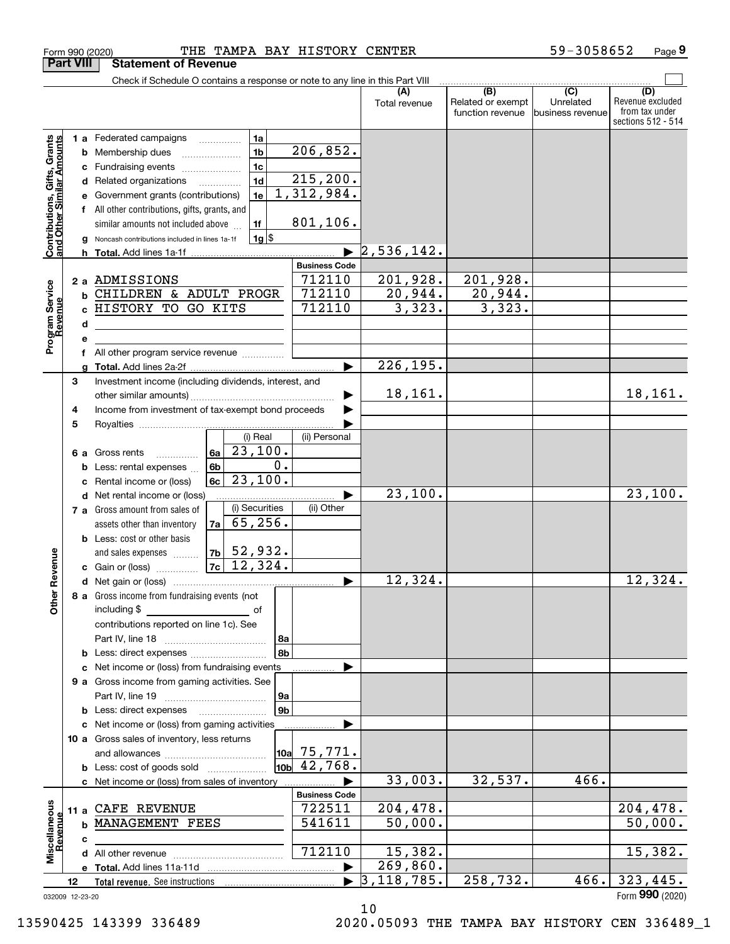|                                                                                         | <b>Part VIII</b> | <b>Statement of Revenue</b>                                                                                                                                                                                                                                                                                                                                                                                               |                                                                                              |                                   |                                              |                                                 |                                           |
|-----------------------------------------------------------------------------------------|------------------|---------------------------------------------------------------------------------------------------------------------------------------------------------------------------------------------------------------------------------------------------------------------------------------------------------------------------------------------------------------------------------------------------------------------------|----------------------------------------------------------------------------------------------|-----------------------------------|----------------------------------------------|-------------------------------------------------|-------------------------------------------|
|                                                                                         |                  | Check if Schedule O contains a response or note to any line in this Part VIII                                                                                                                                                                                                                                                                                                                                             |                                                                                              |                                   |                                              |                                                 |                                           |
|                                                                                         |                  |                                                                                                                                                                                                                                                                                                                                                                                                                           |                                                                                              | (A)<br>Total revenue              | (B)<br>Related or exempt<br>function revenue | $\overline{C}$<br>Unrelated<br>business revenue | (D)<br>Revenue excluded<br>from tax under |
| Contributions, Gifts, Grants<br>and Other Similar Amounts<br>Program Service<br>Revenue | c<br>d<br>е<br>f | 1a<br>1 a Federated campaigns<br>1 <sub>b</sub><br><b>b</b> Membership dues<br>1 <sub>c</sub><br>Fundraising events<br>1 <sub>d</sub><br>Related organizations<br>1e<br>Government grants (contributions)<br>All other contributions, gifts, grants, and<br>1f<br>similar amounts not included above<br>$1g$ \$<br>Noncash contributions included in lines 1a-1f<br>2 a ADMISSIONS<br><b>b CHILDREN &amp; ADULT PROGR</b> | 206, 852.<br>215, 200.<br>1,312,984.<br>801,106.<br><b>Business Code</b><br>712110<br>712110 | 2,536,142.<br>201,928.<br>20,944. | 201,928.<br>20,944.                          |                                                 | sections 512 - 514                        |
|                                                                                         |                  | c HISTORY TO GO KITS                                                                                                                                                                                                                                                                                                                                                                                                      | 712110                                                                                       | 3,323.                            | 3,323.                                       |                                                 |                                           |
|                                                                                         | d                |                                                                                                                                                                                                                                                                                                                                                                                                                           |                                                                                              |                                   |                                              |                                                 |                                           |
|                                                                                         | е                |                                                                                                                                                                                                                                                                                                                                                                                                                           |                                                                                              |                                   |                                              |                                                 |                                           |
|                                                                                         | f                | All other program service revenue <i>mimimini</i>                                                                                                                                                                                                                                                                                                                                                                         |                                                                                              |                                   |                                              |                                                 |                                           |
|                                                                                         |                  |                                                                                                                                                                                                                                                                                                                                                                                                                           | ▶                                                                                            | 226, 195.                         |                                              |                                                 |                                           |
|                                                                                         | 3<br>4           | Investment income (including dividends, interest, and<br>Income from investment of tax-exempt bond proceeds                                                                                                                                                                                                                                                                                                               |                                                                                              | 18,161.                           |                                              |                                                 | 18,161.                                   |
|                                                                                         | 5                |                                                                                                                                                                                                                                                                                                                                                                                                                           |                                                                                              |                                   |                                              |                                                 |                                           |
|                                                                                         | 6а<br>b<br>c     | (i) Real<br>$\overline{23,100}$ .<br>6a<br>Gross rents<br>0.<br>6b<br>Less: rental expenses<br>23,100.<br>6c<br>Rental income or (loss)                                                                                                                                                                                                                                                                                   | (ii) Personal                                                                                |                                   |                                              |                                                 |                                           |
|                                                                                         |                  | d Net rental income or (loss)                                                                                                                                                                                                                                                                                                                                                                                             |                                                                                              | 23,100.                           |                                              |                                                 | 23,100.                                   |
| Revenue                                                                                 |                  | (i) Securities<br>7 a Gross amount from sales of<br>65, 256.<br>7a  <br>assets other than inventory<br><b>b</b> Less: cost or other basis<br>$ 7b $ 52,932.<br>and sales expenses<br>$7c$ 12, 324.<br>c Gain or (loss)                                                                                                                                                                                                    | (ii) Other                                                                                   |                                   |                                              |                                                 |                                           |
|                                                                                         |                  |                                                                                                                                                                                                                                                                                                                                                                                                                           | ▶                                                                                            | 12,324.                           |                                              |                                                 | 12,324.                                   |
| <b>Other</b>                                                                            |                  | 8 a Gross income from fundraising events (not<br>including \$<br>contributions reported on line 1c). See<br>8a<br>8b                                                                                                                                                                                                                                                                                                      |                                                                                              |                                   |                                              |                                                 |                                           |
|                                                                                         |                  | <b>b</b> Less: direct expenses <i>managered</i> b<br>c Net income or (loss) from fundraising events                                                                                                                                                                                                                                                                                                                       |                                                                                              |                                   |                                              |                                                 |                                           |
|                                                                                         |                  | 9 a Gross income from gaming activities. See<br>9а                                                                                                                                                                                                                                                                                                                                                                        |                                                                                              |                                   |                                              |                                                 |                                           |
|                                                                                         |                  | 9 <sub>b</sub><br><b>b</b> Less: direct expenses <b>manually</b>                                                                                                                                                                                                                                                                                                                                                          |                                                                                              |                                   |                                              |                                                 |                                           |
|                                                                                         |                  | c Net income or (loss) from gaming activities<br>10 a Gross sales of inventory, less returns                                                                                                                                                                                                                                                                                                                              |                                                                                              |                                   |                                              |                                                 |                                           |
|                                                                                         |                  | <b>b</b> Less: cost of goods sold                                                                                                                                                                                                                                                                                                                                                                                         | $\vert$ 10a 75,771.<br>$10b$ 42,768.                                                         |                                   |                                              |                                                 |                                           |
|                                                                                         |                  | c Net income or (loss) from sales of inventory                                                                                                                                                                                                                                                                                                                                                                            |                                                                                              | 33,003.                           | 32,537.                                      | 466.                                            |                                           |
|                                                                                         |                  |                                                                                                                                                                                                                                                                                                                                                                                                                           | <b>Business Code</b>                                                                         |                                   |                                              |                                                 |                                           |
|                                                                                         |                  | 11 a CAFE REVENUE                                                                                                                                                                                                                                                                                                                                                                                                         | 722511                                                                                       | 204,478.                          |                                              |                                                 | 204,478.                                  |
| Revenue                                                                                 |                  | <b>b MANAGEMENT FEES</b>                                                                                                                                                                                                                                                                                                                                                                                                  | 541611                                                                                       | 50,000.                           |                                              |                                                 | 50,000.                                   |
| Miscellaneous                                                                           | c                |                                                                                                                                                                                                                                                                                                                                                                                                                           | 712110                                                                                       | 15,382.                           |                                              |                                                 | 15,382.                                   |
|                                                                                         |                  |                                                                                                                                                                                                                                                                                                                                                                                                                           |                                                                                              | 269,860.                          |                                              |                                                 |                                           |
|                                                                                         | 12               |                                                                                                                                                                                                                                                                                                                                                                                                                           |                                                                                              | 3, 118, 785.                      | 258,732.                                     | 466.                                            | 323,445.                                  |
|                                                                                         | 032009 12-23-20  |                                                                                                                                                                                                                                                                                                                                                                                                                           |                                                                                              |                                   |                                              |                                                 | Form 990 (2020)                           |

Form 990 (2020) 'I'HE' 'I'AMPA BAY HIS'I'ORY CENTER 59-3058652 Page

THE TAMPA BAY HISTORY CENTER 59-3058652

**9**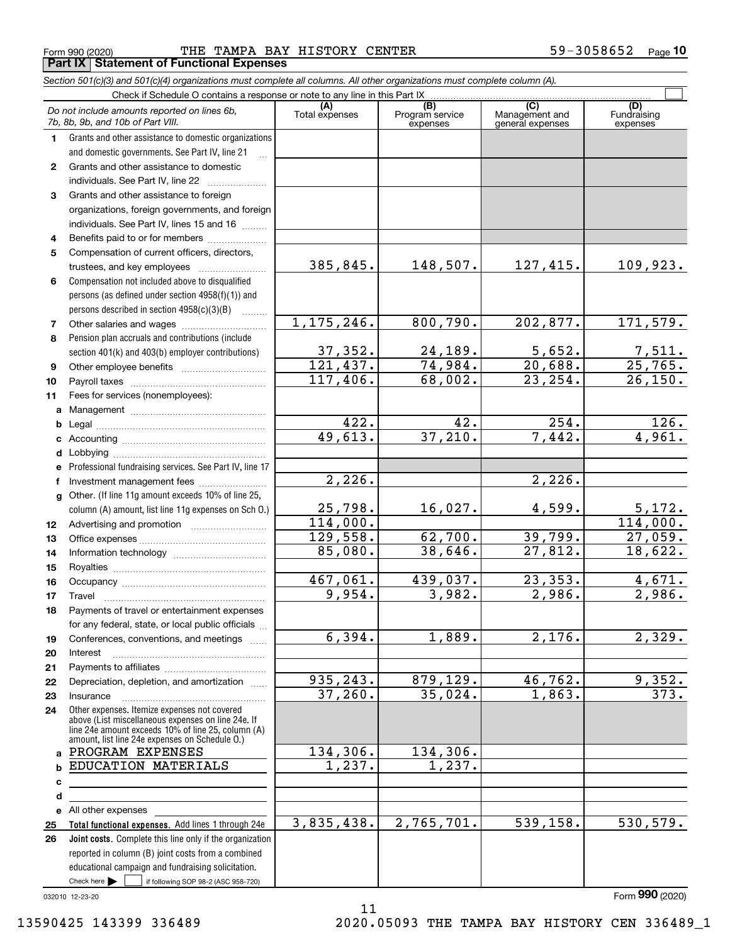Form 990 (2020) Page THE TAMPA BAY HISTORY CENTER 59-3058652 **Part IX Statement of Functional Expenses**

|                  | Section 501(c)(3) and 501(c)(4) organizations must complete all columns. All other organizations must complete column (A).                                                                                 |                       |                                    |                                           |                                |
|------------------|------------------------------------------------------------------------------------------------------------------------------------------------------------------------------------------------------------|-----------------------|------------------------------------|-------------------------------------------|--------------------------------|
|                  | Check if Schedule O contains a response or note to any line in this Part IX.                                                                                                                               |                       |                                    |                                           |                                |
|                  | Do not include amounts reported on lines 6b,<br>7b, 8b, 9b, and 10b of Part VIII.                                                                                                                          | (A)<br>Total expenses | (B)<br>Program service<br>expenses | (C)<br>Management and<br>general expenses | (D)<br>Fundraising<br>expenses |
| 1.               | Grants and other assistance to domestic organizations                                                                                                                                                      |                       |                                    |                                           |                                |
|                  | and domestic governments. See Part IV, line 21                                                                                                                                                             |                       |                                    |                                           |                                |
| $\mathbf{2}$     | Grants and other assistance to domestic                                                                                                                                                                    |                       |                                    |                                           |                                |
|                  | individuals. See Part IV, line 22                                                                                                                                                                          |                       |                                    |                                           |                                |
| 3                | Grants and other assistance to foreign                                                                                                                                                                     |                       |                                    |                                           |                                |
|                  | organizations, foreign governments, and foreign                                                                                                                                                            |                       |                                    |                                           |                                |
|                  | individuals. See Part IV, lines 15 and 16                                                                                                                                                                  |                       |                                    |                                           |                                |
| 4                | Benefits paid to or for members                                                                                                                                                                            |                       |                                    |                                           |                                |
| 5                | Compensation of current officers, directors,                                                                                                                                                               |                       |                                    |                                           |                                |
|                  |                                                                                                                                                                                                            | 385,845.              | 148,507.                           | 127,415.                                  | 109,923.                       |
| 6                | Compensation not included above to disqualified                                                                                                                                                            |                       |                                    |                                           |                                |
|                  | persons (as defined under section 4958(f)(1)) and                                                                                                                                                          |                       |                                    |                                           |                                |
|                  | persons described in section 4958(c)(3)(B)<br><b>Contractor</b>                                                                                                                                            |                       |                                    |                                           |                                |
| 7                | Other salaries and wages                                                                                                                                                                                   | 1, 175, 246.          | 800,790.                           | 202,877.                                  | 171,579.                       |
| 8                | Pension plan accruals and contributions (include                                                                                                                                                           |                       |                                    |                                           |                                |
|                  | section 401(k) and 403(b) employer contributions)                                                                                                                                                          | 37,352.               | 24,189.                            | 5,652.                                    | $\frac{7,511}{25,765}$         |
| 9                |                                                                                                                                                                                                            | 121,437.              | 74,984.                            | 20,688.                                   |                                |
| 10               |                                                                                                                                                                                                            | 117,406.              | 68,002.                            | 23, 254.                                  | 26, 150.                       |
| 11               | Fees for services (nonemployees):                                                                                                                                                                          |                       |                                    |                                           |                                |
| a                |                                                                                                                                                                                                            |                       |                                    |                                           |                                |
| b                |                                                                                                                                                                                                            | 422.                  | $\overline{42}$ .                  | 254.                                      | 126.                           |
| c                |                                                                                                                                                                                                            | 49,613.               | 37,210.                            | 7,442.                                    | 4,961.                         |
| d                |                                                                                                                                                                                                            |                       |                                    |                                           |                                |
| е                | Professional fundraising services. See Part IV, line 17                                                                                                                                                    |                       |                                    |                                           |                                |
| f                | Investment management fees                                                                                                                                                                                 | 2,226.                |                                    | 2,226.                                    |                                |
| g                | Other. (If line 11g amount exceeds 10% of line 25,                                                                                                                                                         |                       |                                    |                                           |                                |
|                  | column (A) amount, list line 11g expenses on Sch 0.)                                                                                                                                                       | 25,798.               | 16,027.                            | 4,599.                                    | <u>5,172.</u>                  |
| 12 <sup>12</sup> |                                                                                                                                                                                                            | 114,000.              |                                    |                                           | 114,000.                       |
| 13               |                                                                                                                                                                                                            | 129,558.              | 62,700.                            | 39,799.                                   | 27,059.                        |
| 14               |                                                                                                                                                                                                            | 85,080.               | 38,646.                            | 27,812.                                   | 18,622.                        |
| 15               |                                                                                                                                                                                                            |                       |                                    |                                           |                                |
| 16               |                                                                                                                                                                                                            | 467,061.              | 439,037.                           | 23, 353.                                  | 4,671.                         |
| 17               |                                                                                                                                                                                                            | 9,954.                | 3,982.                             | 2,986.                                    | 2,986.                         |
| 18               | Payments of travel or entertainment expenses                                                                                                                                                               |                       |                                    |                                           |                                |
|                  | for any federal, state, or local public officials                                                                                                                                                          |                       |                                    |                                           |                                |
| 19               | Conferences, conventions, and meetings                                                                                                                                                                     | 6,394.                | 1,889.                             | 2,176.                                    | 2,329.                         |
| 20               | Interest                                                                                                                                                                                                   |                       |                                    |                                           |                                |
| 21               |                                                                                                                                                                                                            |                       |                                    |                                           |                                |
| 22               | Depreciation, depletion, and amortization                                                                                                                                                                  | 935, 243.             | 879,129.                           | 46,762.                                   | 9,352.                         |
| 23               | Insurance                                                                                                                                                                                                  | 37,260.               | 35,024.                            | 1,863.                                    | 373.                           |
| 24               | Other expenses. Itemize expenses not covered<br>above (List miscellaneous expenses on line 24e. If<br>line 24e amount exceeds 10% of line 25, column (A)<br>amount, list line 24e expenses on Schedule O.) |                       |                                    |                                           |                                |
| a                | PROGRAM EXPENSES                                                                                                                                                                                           | 134,306.              | 134,306.                           |                                           |                                |
| b                | <b>EDUCATION MATERIALS</b>                                                                                                                                                                                 | 1,237.                | 1,237.                             |                                           |                                |
| с                |                                                                                                                                                                                                            |                       |                                    |                                           |                                |
| d                |                                                                                                                                                                                                            |                       |                                    |                                           |                                |
|                  | e All other expenses                                                                                                                                                                                       |                       |                                    |                                           |                                |
| 25               | Total functional expenses. Add lines 1 through 24e                                                                                                                                                         | 3,835,438.            | 2,765,701.                         | 539, 158.                                 | 530, 579.                      |
| 26               | <b>Joint costs.</b> Complete this line only if the organization                                                                                                                                            |                       |                                    |                                           |                                |
|                  | reported in column (B) joint costs from a combined                                                                                                                                                         |                       |                                    |                                           |                                |
|                  | educational campaign and fundraising solicitation.                                                                                                                                                         |                       |                                    |                                           |                                |
|                  | Check here $\blacktriangleright$<br>if following SOP 98-2 (ASC 958-720)                                                                                                                                    |                       |                                    |                                           |                                |

11

032010 12-23-20

Form (2020) **990**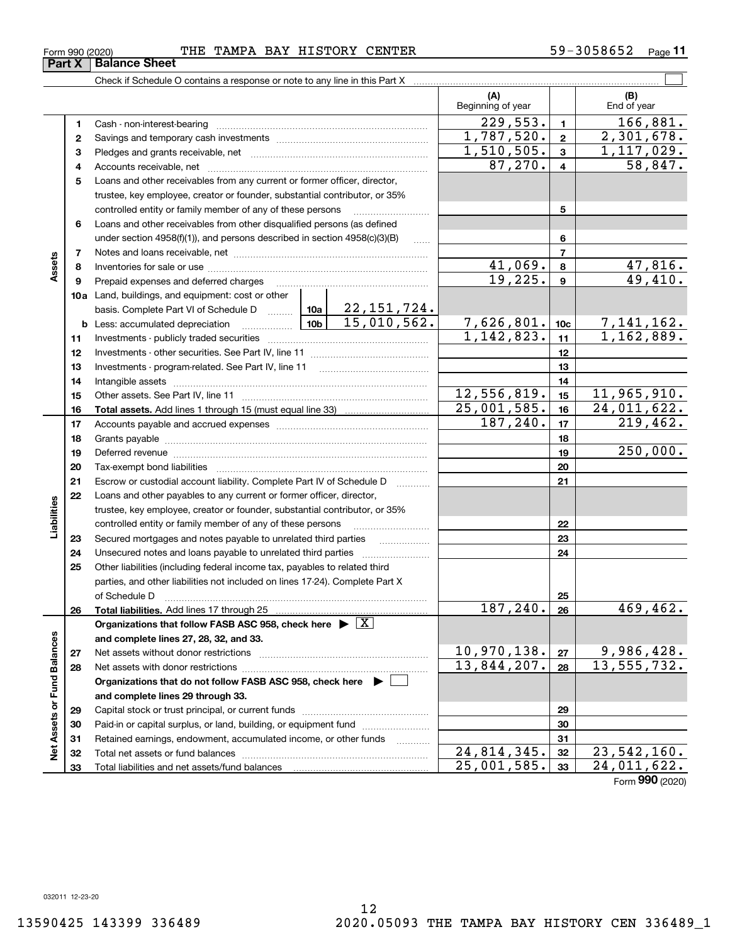**33**

**Net Assets or Fund Balances**

Net Assets or Fund Balances

Total liabilities and net assets/fund balances

## Form 990 (2020) Page THE TAMPA BAY HISTORY CENTER 59-3058652

Check if Schedule O contains a response or note to any line in this Part X

|    |                                                                                                                                                            |             | (A)<br>Beginning of year |                           | (B)<br>End of year           |
|----|------------------------------------------------------------------------------------------------------------------------------------------------------------|-------------|--------------------------|---------------------------|------------------------------|
| 1  |                                                                                                                                                            |             | 229,553.                 | $\mathbf{1}$              | 166,881.                     |
| 2  |                                                                                                                                                            |             | 1,787,520.               | $\mathbf{2}$              | 2,301,678.                   |
| 3  |                                                                                                                                                            |             | 1,510,505.               | $\mathbf{3}$              | 1,117,029.                   |
| 4  |                                                                                                                                                            |             | 87,270.                  | $\overline{4}$            | 58,847.                      |
| 5  | Loans and other receivables from any current or former officer, director,                                                                                  |             |                          |                           |                              |
|    | trustee, key employee, creator or founder, substantial contributor, or 35%                                                                                 |             |                          |                           |                              |
|    | controlled entity or family member of any of these persons                                                                                                 |             |                          | 5                         |                              |
| 6  | Loans and other receivables from other disqualified persons (as defined                                                                                    |             |                          |                           |                              |
|    | under section $4958(f)(1)$ , and persons described in section $4958(c)(3)(B)$                                                                              | $\ldots$    |                          | 6                         |                              |
| 7  |                                                                                                                                                            |             |                          | $\overline{7}$            |                              |
| 8  |                                                                                                                                                            |             | 41,069.                  | 8                         | <u>47,816.</u>               |
| 9  | Prepaid expenses and deferred charges                                                                                                                      |             | 19,225.                  | $\boldsymbol{9}$          | 49,410.                      |
|    | <b>10a</b> Land, buildings, and equipment: cost or other                                                                                                   |             |                          |                           |                              |
|    | basis. Complete Part VI of Schedule D  10a 22, 151, 724.                                                                                                   |             |                          |                           |                              |
|    | <b>b</b> Less: accumulated depreciation                                                                                                                    |             | 7,626,801.               | 10 <sub>c</sub>           | 7, 141, 162.<br>1, 162, 889. |
| 11 |                                                                                                                                                            |             | 1,142,823.               | 11                        |                              |
| 12 |                                                                                                                                                            |             |                          | 12                        |                              |
| 13 |                                                                                                                                                            |             |                          | 13                        |                              |
| 14 |                                                                                                                                                            |             |                          | 14                        |                              |
| 15 |                                                                                                                                                            |             | 12,556,819.              | 15                        | 11,965,910.                  |
| 16 |                                                                                                                                                            |             | 25,001,585.              | 16                        | 24,011,622.                  |
| 17 |                                                                                                                                                            |             | 187, 240.                | 17                        | 219, 462.                    |
| 18 |                                                                                                                                                            |             |                          | 18                        |                              |
| 19 |                                                                                                                                                            |             |                          | 19                        | 250,000.                     |
| 20 |                                                                                                                                                            |             |                          | 20                        |                              |
| 21 | Escrow or custodial account liability. Complete Part IV of Schedule D                                                                                      |             |                          | 21                        |                              |
| 22 | Loans and other payables to any current or former officer, director,                                                                                       |             |                          |                           |                              |
|    | trustee, key employee, creator or founder, substantial contributor, or 35%                                                                                 |             |                          |                           |                              |
|    | controlled entity or family member of any of these persons                                                                                                 |             |                          | 22                        |                              |
| 23 | Secured mortgages and notes payable to unrelated third parties                                                                                             |             |                          | 23                        |                              |
| 24 | Unsecured notes and loans payable to unrelated third parties                                                                                               |             |                          | 24                        |                              |
| 25 | Other liabilities (including federal income tax, payables to related third<br>parties, and other liabilities not included on lines 17-24). Complete Part X |             |                          |                           |                              |
|    | of Schedule D                                                                                                                                              |             |                          | 25                        |                              |
| 26 |                                                                                                                                                            |             | 187,240.                 | 26                        | 469,462.                     |
|    | Organizations that follow FASB ASC 958, check here $\blacktriangleright \boxed{X}$                                                                         |             |                          |                           |                              |
|    | and complete lines 27, 28, 32, and 33.                                                                                                                     |             |                          |                           |                              |
| 27 | Net assets without donor restrictions                                                                                                                      |             | <u>10,970,138.</u>       | 27                        | 9,986,428.                   |
| 28 |                                                                                                                                                            |             | 13,844,207.              | 28                        | 13, 555, 732.                |
|    | Organizations that do not follow FASB ASC 958, check here $\blacktriangleright$                                                                            |             |                          |                           |                              |
|    | and complete lines 29 through 33.                                                                                                                          |             |                          |                           |                              |
| 29 |                                                                                                                                                            |             |                          | 29                        |                              |
| 30 | Paid-in or capital surplus, or land, building, or equipment fund                                                                                           |             |                          | 30                        |                              |
| 31 | Retained earnings, endowment, accumulated income, or other funds                                                                                           | .           |                          | 31                        |                              |
| 32 | Total net assets or fund balances                                                                                                                          | 24,814,345. | 32                       | $\overline{23,542,160}$ . |                              |

Τ

12

 $\mathcal{L}^{\text{max}}$ 

**33**

25,001,585. 24,011,622.

Form (2020) **990**

**Part X** | Balance Sheet

**Assets**

**Liabilities**

Liabilities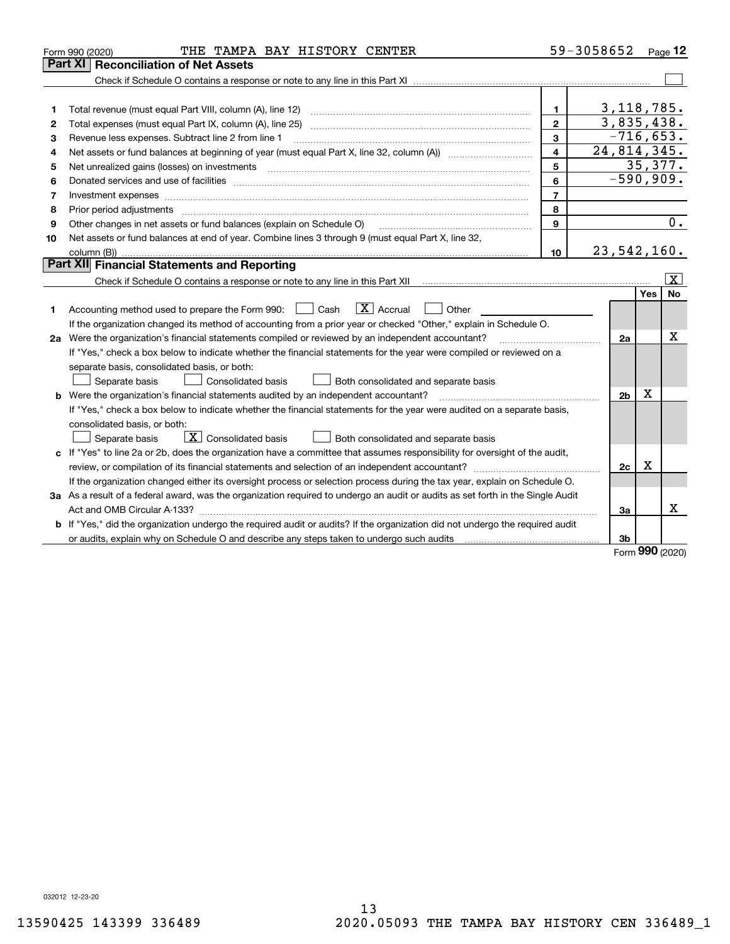|    | THE TAMPA BAY HISTORY CENTER<br>Form 990 (2020)                                                                                                                                                                                                                                                                                                                                                                                                                                             |                         | 59-3058652     |           | Page 12         |
|----|---------------------------------------------------------------------------------------------------------------------------------------------------------------------------------------------------------------------------------------------------------------------------------------------------------------------------------------------------------------------------------------------------------------------------------------------------------------------------------------------|-------------------------|----------------|-----------|-----------------|
|    | <b>Part XI Reconciliation of Net Assets</b>                                                                                                                                                                                                                                                                                                                                                                                                                                                 |                         |                |           |                 |
|    |                                                                                                                                                                                                                                                                                                                                                                                                                                                                                             |                         |                |           |                 |
|    |                                                                                                                                                                                                                                                                                                                                                                                                                                                                                             |                         |                |           |                 |
| 1  |                                                                                                                                                                                                                                                                                                                                                                                                                                                                                             | $\mathbf{1}$            | 3, 118, 785.   |           |                 |
| 2  |                                                                                                                                                                                                                                                                                                                                                                                                                                                                                             | $\overline{2}$          | 3,835,438.     |           |                 |
| 3  | Revenue less expenses. Subtract line 2 from line 1                                                                                                                                                                                                                                                                                                                                                                                                                                          | 3                       | $-716,653.$    |           |                 |
| 4  |                                                                                                                                                                                                                                                                                                                                                                                                                                                                                             | $\overline{\mathbf{4}}$ | 24,814,345.    |           |                 |
| 5  | Net unrealized gains (losses) on investments<br>$\begin{minipage}{0.5\textwidth} \begin{tabular}{ l l l } \hline \multicolumn{1}{ l l l } \hline \multicolumn{1}{ l l } \multicolumn{1}{ l } \multicolumn{1}{ l } \multicolumn{1}{ l } \multicolumn{1}{ l } \multicolumn{1}{ l } \multicolumn{1}{ l } \multicolumn{1}{ l } \multicolumn{1}{ l } \multicolumn{1}{ l } \multicolumn{1}{ l } \multicolumn{1}{ l } \multicolumn{1}{ l } \multicolumn{1}{ l } \multicolumn{1}{ l } \multicolumn$ | 5                       |                |           | 35,377.         |
| 6  | Donated services and use of facilities [111] matter contracts and the facilities in the matter of facilities [11] matter contracts and use of facilities [11] matter contracts and the service of the service of the service o                                                                                                                                                                                                                                                              | 6                       | $-590,909.$    |           |                 |
| 7  |                                                                                                                                                                                                                                                                                                                                                                                                                                                                                             | $\overline{7}$          |                |           |                 |
| 8  | Prior period adjustments                                                                                                                                                                                                                                                                                                                                                                                                                                                                    | 8                       |                |           |                 |
| 9  | Other changes in net assets or fund balances (explain on Schedule O)                                                                                                                                                                                                                                                                                                                                                                                                                        | 9                       |                |           | 0.              |
| 10 | Net assets or fund balances at end of year. Combine lines 3 through 9 (must equal Part X, line 32,                                                                                                                                                                                                                                                                                                                                                                                          |                         |                |           |                 |
|    |                                                                                                                                                                                                                                                                                                                                                                                                                                                                                             | 10                      | 23,542,160.    |           |                 |
|    | Part XII Financial Statements and Reporting                                                                                                                                                                                                                                                                                                                                                                                                                                                 |                         |                |           |                 |
|    |                                                                                                                                                                                                                                                                                                                                                                                                                                                                                             |                         |                |           | $\vert X \vert$ |
|    |                                                                                                                                                                                                                                                                                                                                                                                                                                                                                             |                         |                | Yes       | <b>No</b>       |
| 1  | $\boxed{\mathbf{X}}$ Accrual<br>Accounting method used to prepare the Form 990: <u>June</u> Cash<br>Other                                                                                                                                                                                                                                                                                                                                                                                   |                         |                |           |                 |
|    | If the organization changed its method of accounting from a prior year or checked "Other," explain in Schedule O.                                                                                                                                                                                                                                                                                                                                                                           |                         |                |           |                 |
|    | 2a Were the organization's financial statements compiled or reviewed by an independent accountant?                                                                                                                                                                                                                                                                                                                                                                                          |                         | 2a             |           | Χ               |
|    | If "Yes," check a box below to indicate whether the financial statements for the year were compiled or reviewed on a                                                                                                                                                                                                                                                                                                                                                                        |                         |                |           |                 |
|    | separate basis, consolidated basis, or both:                                                                                                                                                                                                                                                                                                                                                                                                                                                |                         |                |           |                 |
|    | Both consolidated and separate basis<br>Separate basis<br><b>Consolidated basis</b>                                                                                                                                                                                                                                                                                                                                                                                                         |                         |                |           |                 |
| b  | Were the organization's financial statements audited by an independent accountant?                                                                                                                                                                                                                                                                                                                                                                                                          |                         | 2 <sub>b</sub> | x         |                 |
|    | If "Yes," check a box below to indicate whether the financial statements for the year were audited on a separate basis,                                                                                                                                                                                                                                                                                                                                                                     |                         |                |           |                 |
|    | consolidated basis, or both:                                                                                                                                                                                                                                                                                                                                                                                                                                                                |                         |                |           |                 |
|    | $\boxed{\mathbf{X}}$ Consolidated basis<br>Both consolidated and separate basis<br>Separate basis                                                                                                                                                                                                                                                                                                                                                                                           |                         |                |           |                 |
|    | c If "Yes" to line 2a or 2b, does the organization have a committee that assumes responsibility for oversight of the audit,                                                                                                                                                                                                                                                                                                                                                                 |                         |                |           |                 |
|    |                                                                                                                                                                                                                                                                                                                                                                                                                                                                                             |                         | 2c             | X         |                 |
|    | If the organization changed either its oversight process or selection process during the tax year, explain on Schedule O.                                                                                                                                                                                                                                                                                                                                                                   |                         |                |           |                 |
|    | 3a As a result of a federal award, was the organization required to undergo an audit or audits as set forth in the Single Audit                                                                                                                                                                                                                                                                                                                                                             |                         |                |           |                 |
|    |                                                                                                                                                                                                                                                                                                                                                                                                                                                                                             |                         | 3a             |           | x               |
|    | b If "Yes," did the organization undergo the required audit or audits? If the organization did not undergo the required audit                                                                                                                                                                                                                                                                                                                                                               |                         |                |           |                 |
|    |                                                                                                                                                                                                                                                                                                                                                                                                                                                                                             |                         | 3b             | $000 - 1$ |                 |

Form (2020) **990**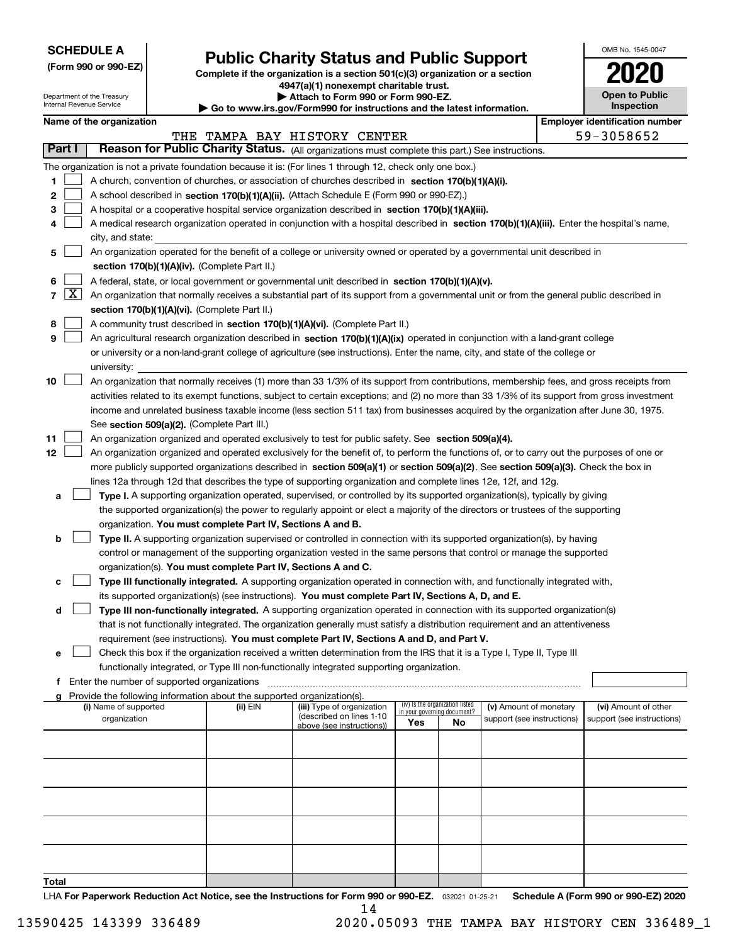| <b>SCHEDULE A</b> |  |
|-------------------|--|
|-------------------|--|

Department of the Treasury Internal Revenue Service

**(Form 990 or 990-EZ)**

## **Public Charity Status and Public Support**

**Complete if the organization is a section 501(c)(3) organization or a section 4947(a)(1) nonexempt charitable trust.**

| Attach to Form 990 or Form 990-EZ. |  |
|------------------------------------|--|
|------------------------------------|--|

**| Go to www.irs.gov/Form990 for instructions and the latest information.**

| OMB No. 1545-0047                   |
|-------------------------------------|
| 020                                 |
| <b>Open to Public</b><br>Inspection |

|       |                     | Name of the organization                                                                                                                                                                                                                             |          |                                                        |                                                                |    |                            | <b>Employer identification number</b> |
|-------|---------------------|------------------------------------------------------------------------------------------------------------------------------------------------------------------------------------------------------------------------------------------------------|----------|--------------------------------------------------------|----------------------------------------------------------------|----|----------------------------|---------------------------------------|
|       |                     |                                                                                                                                                                                                                                                      |          | THE TAMPA BAY HISTORY CENTER                           |                                                                |    |                            | 59-3058652                            |
|       | Part I              | Reason for Public Charity Status. (All organizations must complete this part.) See instructions.                                                                                                                                                     |          |                                                        |                                                                |    |                            |                                       |
|       |                     | The organization is not a private foundation because it is: (For lines 1 through 12, check only one box.)                                                                                                                                            |          |                                                        |                                                                |    |                            |                                       |
| 1     |                     | A church, convention of churches, or association of churches described in section $170(b)(1)(A)(i)$ .                                                                                                                                                |          |                                                        |                                                                |    |                            |                                       |
| 2     |                     | A school described in section 170(b)(1)(A)(ii). (Attach Schedule E (Form 990 or 990-EZ).)                                                                                                                                                            |          |                                                        |                                                                |    |                            |                                       |
| з     |                     | A hospital or a cooperative hospital service organization described in section $170(b)(1)(A)(iii)$ .                                                                                                                                                 |          |                                                        |                                                                |    |                            |                                       |
|       |                     | A medical research organization operated in conjunction with a hospital described in section 170(b)(1)(A)(iii). Enter the hospital's name,                                                                                                           |          |                                                        |                                                                |    |                            |                                       |
|       |                     | city, and state:                                                                                                                                                                                                                                     |          |                                                        |                                                                |    |                            |                                       |
| 5     |                     | An organization operated for the benefit of a college or university owned or operated by a governmental unit described in                                                                                                                            |          |                                                        |                                                                |    |                            |                                       |
|       |                     | section 170(b)(1)(A)(iv). (Complete Part II.)                                                                                                                                                                                                        |          |                                                        |                                                                |    |                            |                                       |
| 6     |                     | A federal, state, or local government or governmental unit described in section 170(b)(1)(A)(v).                                                                                                                                                     |          |                                                        |                                                                |    |                            |                                       |
| 7     | $\lfloor x \rfloor$ | An organization that normally receives a substantial part of its support from a governmental unit or from the general public described in                                                                                                            |          |                                                        |                                                                |    |                            |                                       |
|       |                     | section 170(b)(1)(A)(vi). (Complete Part II.)                                                                                                                                                                                                        |          |                                                        |                                                                |    |                            |                                       |
| 8     |                     | A community trust described in section 170(b)(1)(A)(vi). (Complete Part II.)                                                                                                                                                                         |          |                                                        |                                                                |    |                            |                                       |
| 9     |                     | An agricultural research organization described in section 170(b)(1)(A)(ix) operated in conjunction with a land-grant college                                                                                                                        |          |                                                        |                                                                |    |                            |                                       |
|       |                     | or university or a non-land-grant college of agriculture (see instructions). Enter the name, city, and state of the college or                                                                                                                       |          |                                                        |                                                                |    |                            |                                       |
|       |                     | university:                                                                                                                                                                                                                                          |          |                                                        |                                                                |    |                            |                                       |
| 10    |                     | An organization that normally receives (1) more than 33 1/3% of its support from contributions, membership fees, and gross receipts from                                                                                                             |          |                                                        |                                                                |    |                            |                                       |
|       |                     | activities related to its exempt functions, subject to certain exceptions; and (2) no more than 33 1/3% of its support from gross investment                                                                                                         |          |                                                        |                                                                |    |                            |                                       |
|       |                     | income and unrelated business taxable income (less section 511 tax) from businesses acquired by the organization after June 30, 1975.                                                                                                                |          |                                                        |                                                                |    |                            |                                       |
|       |                     | See section 509(a)(2). (Complete Part III.)                                                                                                                                                                                                          |          |                                                        |                                                                |    |                            |                                       |
| 11    |                     | An organization organized and operated exclusively to test for public safety. See section 509(a)(4).                                                                                                                                                 |          |                                                        |                                                                |    |                            |                                       |
| 12    |                     | An organization organized and operated exclusively for the benefit of, to perform the functions of, or to carry out the purposes of one or                                                                                                           |          |                                                        |                                                                |    |                            |                                       |
|       |                     | more publicly supported organizations described in section 509(a)(1) or section 509(a)(2). See section 509(a)(3). Check the box in<br>lines 12a through 12d that describes the type of supporting organization and complete lines 12e, 12f, and 12g. |          |                                                        |                                                                |    |                            |                                       |
| a     |                     | Type I. A supporting organization operated, supervised, or controlled by its supported organization(s), typically by giving                                                                                                                          |          |                                                        |                                                                |    |                            |                                       |
|       |                     | the supported organization(s) the power to regularly appoint or elect a majority of the directors or trustees of the supporting                                                                                                                      |          |                                                        |                                                                |    |                            |                                       |
|       |                     | organization. You must complete Part IV, Sections A and B.                                                                                                                                                                                           |          |                                                        |                                                                |    |                            |                                       |
| b     |                     | Type II. A supporting organization supervised or controlled in connection with its supported organization(s), by having                                                                                                                              |          |                                                        |                                                                |    |                            |                                       |
|       |                     | control or management of the supporting organization vested in the same persons that control or manage the supported                                                                                                                                 |          |                                                        |                                                                |    |                            |                                       |
|       |                     | organization(s). You must complete Part IV, Sections A and C.                                                                                                                                                                                        |          |                                                        |                                                                |    |                            |                                       |
| c     |                     | Type III functionally integrated. A supporting organization operated in connection with, and functionally integrated with,                                                                                                                           |          |                                                        |                                                                |    |                            |                                       |
|       |                     | its supported organization(s) (see instructions). You must complete Part IV, Sections A, D, and E.                                                                                                                                                   |          |                                                        |                                                                |    |                            |                                       |
| d     |                     | Type III non-functionally integrated. A supporting organization operated in connection with its supported organization(s)                                                                                                                            |          |                                                        |                                                                |    |                            |                                       |
|       |                     | that is not functionally integrated. The organization generally must satisfy a distribution requirement and an attentiveness                                                                                                                         |          |                                                        |                                                                |    |                            |                                       |
|       |                     | requirement (see instructions). You must complete Part IV, Sections A and D, and Part V.                                                                                                                                                             |          |                                                        |                                                                |    |                            |                                       |
|       |                     | Check this box if the organization received a written determination from the IRS that it is a Type I, Type II, Type III                                                                                                                              |          |                                                        |                                                                |    |                            |                                       |
|       |                     | functionally integrated, or Type III non-functionally integrated supporting organization.                                                                                                                                                            |          |                                                        |                                                                |    |                            |                                       |
|       |                     | f Enter the number of supported organizations                                                                                                                                                                                                        |          |                                                        |                                                                |    |                            |                                       |
|       |                     | g Provide the following information about the supported organization(s).                                                                                                                                                                             |          |                                                        |                                                                |    |                            |                                       |
|       |                     | (i) Name of supported                                                                                                                                                                                                                                | (ii) EIN | (iii) Type of organization<br>(described on lines 1-10 | (iv) Is the organization listed<br>in your governing document? |    | (v) Amount of monetary     | (vi) Amount of other                  |
|       |                     | organization                                                                                                                                                                                                                                         |          | above (see instructions))                              | Yes                                                            | No | support (see instructions) | support (see instructions)            |
|       |                     |                                                                                                                                                                                                                                                      |          |                                                        |                                                                |    |                            |                                       |
|       |                     |                                                                                                                                                                                                                                                      |          |                                                        |                                                                |    |                            |                                       |
|       |                     |                                                                                                                                                                                                                                                      |          |                                                        |                                                                |    |                            |                                       |
|       |                     |                                                                                                                                                                                                                                                      |          |                                                        |                                                                |    |                            |                                       |
|       |                     |                                                                                                                                                                                                                                                      |          |                                                        |                                                                |    |                            |                                       |
|       |                     |                                                                                                                                                                                                                                                      |          |                                                        |                                                                |    |                            |                                       |
|       |                     |                                                                                                                                                                                                                                                      |          |                                                        |                                                                |    |                            |                                       |
|       |                     |                                                                                                                                                                                                                                                      |          |                                                        |                                                                |    |                            |                                       |
|       |                     |                                                                                                                                                                                                                                                      |          |                                                        |                                                                |    |                            |                                       |
|       |                     |                                                                                                                                                                                                                                                      |          |                                                        |                                                                |    |                            |                                       |
| Total |                     |                                                                                                                                                                                                                                                      |          |                                                        |                                                                |    |                            |                                       |

LHA For Paperwork Reduction Act Notice, see the Instructions for Form 990 or 990-EZ. <sub>032021</sub> o1-25-21 Schedule A (Form 990 or 990-EZ) 2020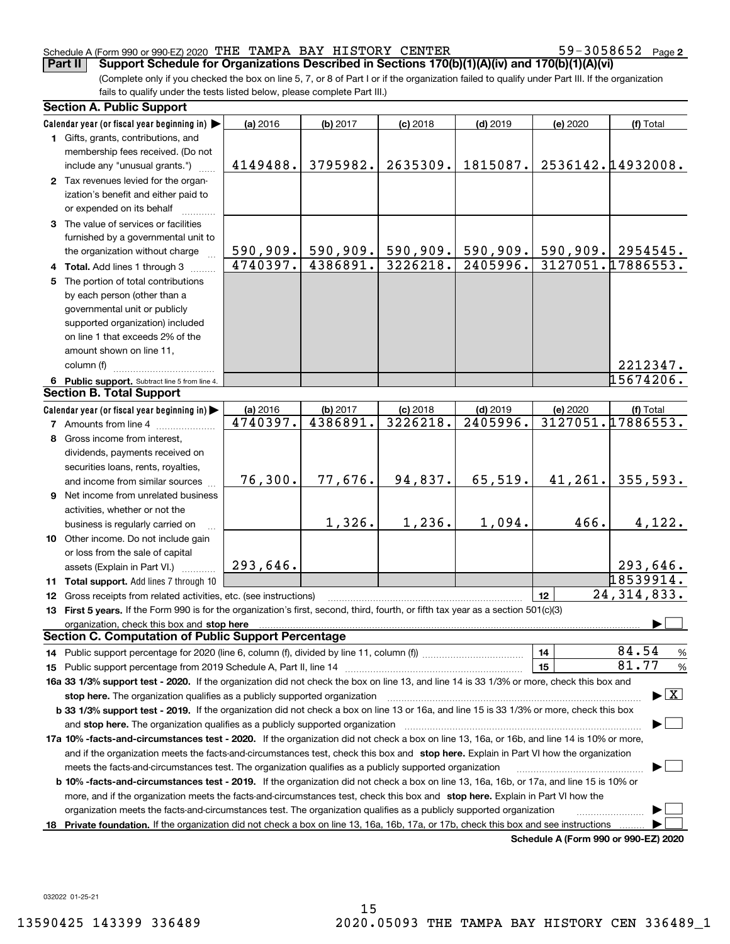## Schedule A (Form 990 or 990-EZ) 2020 Page THE TAMPA BAY HISTORY CENTER 59-3058652 **Part II Support Schedule for Organizations Described in Sections 170(b)(1)(A)(iv) and 170(b)(1)(A)(vi)**

59-3058652 Page 2

(Complete only if you checked the box on line 5, 7, or 8 of Part I or if the organization failed to qualify under Part III. If the organization fails to qualify under the tests listed below, please complete Part III.)

|    | <b>Section A. Public Support</b>                                                                                                                                                                                               |          |           |            |                        |                                      |                                          |
|----|--------------------------------------------------------------------------------------------------------------------------------------------------------------------------------------------------------------------------------|----------|-----------|------------|------------------------|--------------------------------------|------------------------------------------|
|    | Calendar year (or fiscal year beginning in)                                                                                                                                                                                    | (a) 2016 | (b) 2017  | $(c)$ 2018 | $(d)$ 2019             | (e) 2020                             | (f) Total                                |
|    | 1 Gifts, grants, contributions, and                                                                                                                                                                                            |          |           |            |                        |                                      |                                          |
|    | membership fees received. (Do not                                                                                                                                                                                              |          |           |            |                        |                                      |                                          |
|    | include any "unusual grants.")                                                                                                                                                                                                 | 4149488. | 3795982.  | 2635309.   | 1815087.               |                                      | 2536142.14932008.                        |
|    | 2 Tax revenues levied for the organ-                                                                                                                                                                                           |          |           |            |                        |                                      |                                          |
|    | ization's benefit and either paid to                                                                                                                                                                                           |          |           |            |                        |                                      |                                          |
|    | or expended on its behalf                                                                                                                                                                                                      |          |           |            |                        |                                      |                                          |
|    | 3 The value of services or facilities                                                                                                                                                                                          |          |           |            |                        |                                      |                                          |
|    | furnished by a governmental unit to                                                                                                                                                                                            |          |           |            |                        |                                      |                                          |
|    | the organization without charge                                                                                                                                                                                                | 590,909. | 590, 909. | 590,909.   | 590,909.               |                                      | 590,909. 2954545.                        |
|    | 4 Total. Add lines 1 through 3                                                                                                                                                                                                 | 4740397. | 4386891.  | 3226218.   | $\overline{2405996}$ . |                                      | 3127051.17886553.                        |
|    | 5 The portion of total contributions                                                                                                                                                                                           |          |           |            |                        |                                      |                                          |
|    | by each person (other than a                                                                                                                                                                                                   |          |           |            |                        |                                      |                                          |
|    | governmental unit or publicly                                                                                                                                                                                                  |          |           |            |                        |                                      |                                          |
|    | supported organization) included                                                                                                                                                                                               |          |           |            |                        |                                      |                                          |
|    | on line 1 that exceeds 2% of the                                                                                                                                                                                               |          |           |            |                        |                                      |                                          |
|    | amount shown on line 11,                                                                                                                                                                                                       |          |           |            |                        |                                      |                                          |
|    | column (f)                                                                                                                                                                                                                     |          |           |            |                        |                                      | 2212347.                                 |
|    | 6 Public support. Subtract line 5 from line 4.                                                                                                                                                                                 |          |           |            |                        |                                      | 15674206.                                |
|    | <b>Section B. Total Support</b>                                                                                                                                                                                                |          |           |            |                        |                                      |                                          |
|    | Calendar year (or fiscal year beginning in)                                                                                                                                                                                    | (a) 2016 | (b) 2017  | $(c)$ 2018 | $(d)$ 2019             | (e) 2020                             | (f) Total                                |
|    | <b>7</b> Amounts from line 4                                                                                                                                                                                                   | 4740397. | 4386891.  | 3226218.   | $\overline{2405996}$ . |                                      | 3127051.17886553.                        |
| 8  | Gross income from interest,                                                                                                                                                                                                    |          |           |            |                        |                                      |                                          |
|    | dividends, payments received on                                                                                                                                                                                                |          |           |            |                        |                                      |                                          |
|    | securities loans, rents, royalties,                                                                                                                                                                                            |          |           |            |                        |                                      |                                          |
|    | and income from similar sources                                                                                                                                                                                                | 76,300.  | 77,676.   | 94,837.    | 65,519.                | 41,261.                              | 355,593.                                 |
|    | 9 Net income from unrelated business                                                                                                                                                                                           |          |           |            |                        |                                      |                                          |
|    | activities, whether or not the                                                                                                                                                                                                 |          |           |            |                        |                                      |                                          |
|    | business is regularly carried on                                                                                                                                                                                               |          | 1,326.    | 1,236.     | 1,094.                 | 466.                                 | 4,122.                                   |
|    | 10 Other income. Do not include gain                                                                                                                                                                                           |          |           |            |                        |                                      |                                          |
|    | or loss from the sale of capital                                                                                                                                                                                               |          |           |            |                        |                                      |                                          |
|    | assets (Explain in Part VI.)                                                                                                                                                                                                   | 293,646. |           |            |                        |                                      | 293,646.                                 |
|    | 11 Total support. Add lines 7 through 10                                                                                                                                                                                       |          |           |            |                        |                                      | 18539914.                                |
|    | 12 Gross receipts from related activities, etc. (see instructions)                                                                                                                                                             |          |           |            |                        | 12                                   | 24, 314, 833.                            |
|    | 13 First 5 years. If the Form 990 is for the organization's first, second, third, fourth, or fifth tax year as a section 501(c)(3)                                                                                             |          |           |            |                        |                                      |                                          |
|    | organization, check this box and stop here manufactured and stop here are all the contractions of the state of the state of the contraction of the contract of the contract of the contract of the contract of the contract of |          |           |            |                        |                                      |                                          |
|    | <b>Section C. Computation of Public Support Percentage</b>                                                                                                                                                                     |          |           |            |                        |                                      |                                          |
|    |                                                                                                                                                                                                                                |          |           |            |                        | 14                                   | 84.54<br>$\frac{9}{6}$                   |
|    |                                                                                                                                                                                                                                |          |           |            |                        | 15                                   | 81.77<br>$\frac{9}{6}$                   |
|    | 16a 33 1/3% support test - 2020. If the organization did not check the box on line 13, and line 14 is 33 1/3% or more, check this box and                                                                                      |          |           |            |                        |                                      |                                          |
|    | stop here. The organization qualifies as a publicly supported organization                                                                                                                                                     |          |           |            |                        |                                      | $\blacktriangleright$ $\boxed{\text{X}}$ |
|    | b 33 1/3% support test - 2019. If the organization did not check a box on line 13 or 16a, and line 15 is 33 1/3% or more, check this box                                                                                       |          |           |            |                        |                                      |                                          |
|    | and stop here. The organization qualifies as a publicly supported organization                                                                                                                                                 |          |           |            |                        |                                      |                                          |
|    | 17a 10% -facts-and-circumstances test - 2020. If the organization did not check a box on line 13, 16a, or 16b, and line 14 is 10% or more,                                                                                     |          |           |            |                        |                                      |                                          |
|    | and if the organization meets the facts-and-circumstances test, check this box and stop here. Explain in Part VI how the organization                                                                                          |          |           |            |                        |                                      |                                          |
|    | meets the facts-and-circumstances test. The organization qualifies as a publicly supported organization                                                                                                                        |          |           |            |                        |                                      |                                          |
|    | <b>b 10% -facts-and-circumstances test - 2019.</b> If the organization did not check a box on line 13, 16a, 16b, or 17a, and line 15 is 10% or                                                                                 |          |           |            |                        |                                      |                                          |
|    | more, and if the organization meets the facts-and-circumstances test, check this box and stop here. Explain in Part VI how the                                                                                                 |          |           |            |                        |                                      |                                          |
|    | organization meets the facts-and-circumstances test. The organization qualifies as a publicly supported organization                                                                                                           |          |           |            |                        |                                      |                                          |
| 18 | Private foundation. If the organization did not check a box on line 13, 16a, 16b, 17a, or 17b, check this box and see instructions                                                                                             |          |           |            |                        |                                      |                                          |
|    |                                                                                                                                                                                                                                |          |           |            |                        | Schedule A (Form 990 or 990-F7) 2020 |                                          |

**Schedule A (Form 990 or 990-EZ) 2020**

032022 01-25-21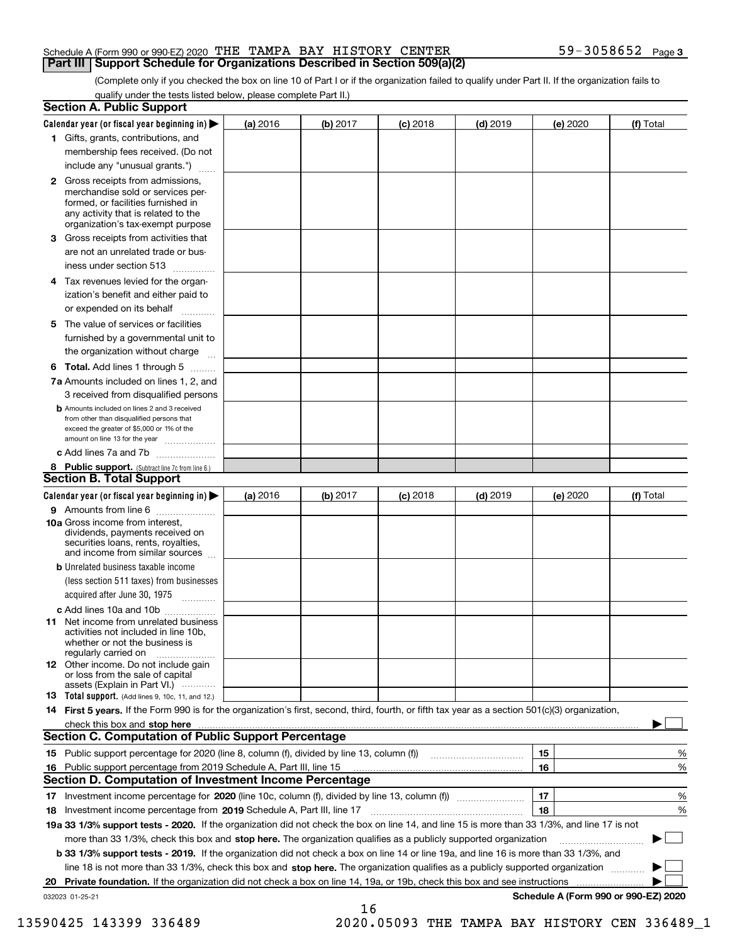| <b>Part III   Support Schedule for Organizations Described in Section 509(a)(2)</b> |  |                   |  |
|-------------------------------------------------------------------------------------|--|-------------------|--|
| Schedule A (Form 990 or 990-EZ) 2020 THE TAMPA BAY HISTORY CENTER                   |  | 59-3058652 Page 3 |  |

(Complete only if you checked the box on line 10 of Part I or if the organization failed to qualify under Part II. If the organization fails to qualify under the tests listed below, please complete Part II.)

| <b>Section A. Public Support</b>                                                                                                                                                                                               |          |          |            |            |          |                                      |
|--------------------------------------------------------------------------------------------------------------------------------------------------------------------------------------------------------------------------------|----------|----------|------------|------------|----------|--------------------------------------|
| Calendar year (or fiscal year beginning in) $\blacktriangleright$                                                                                                                                                              | (a) 2016 | (b) 2017 | $(c)$ 2018 | $(d)$ 2019 | (e) 2020 | (f) Total                            |
| 1 Gifts, grants, contributions, and                                                                                                                                                                                            |          |          |            |            |          |                                      |
| membership fees received. (Do not                                                                                                                                                                                              |          |          |            |            |          |                                      |
| include any "unusual grants.")                                                                                                                                                                                                 |          |          |            |            |          |                                      |
| 2 Gross receipts from admissions,<br>merchandise sold or services per-<br>formed, or facilities furnished in<br>any activity that is related to the<br>organization's tax-exempt purpose                                       |          |          |            |            |          |                                      |
| 3 Gross receipts from activities that<br>are not an unrelated trade or bus-                                                                                                                                                    |          |          |            |            |          |                                      |
| iness under section 513                                                                                                                                                                                                        |          |          |            |            |          |                                      |
| 4 Tax revenues levied for the organ-<br>ization's benefit and either paid to<br>or expended on its behalf                                                                                                                      |          |          |            |            |          |                                      |
| .<br>5 The value of services or facilities<br>furnished by a governmental unit to                                                                                                                                              |          |          |            |            |          |                                      |
| the organization without charge                                                                                                                                                                                                |          |          |            |            |          |                                      |
| <b>6 Total.</b> Add lines 1 through 5                                                                                                                                                                                          |          |          |            |            |          |                                      |
| 7a Amounts included on lines 1, 2, and<br>3 received from disqualified persons                                                                                                                                                 |          |          |            |            |          |                                      |
| <b>b</b> Amounts included on lines 2 and 3 received<br>from other than disqualified persons that<br>exceed the greater of \$5,000 or 1% of the<br>amount on line 13 for the year                                               |          |          |            |            |          |                                      |
| c Add lines 7a and 7b                                                                                                                                                                                                          |          |          |            |            |          |                                      |
| 8 Public support. (Subtract line 7c from line 6.)<br><b>Section B. Total Support</b>                                                                                                                                           |          |          |            |            |          |                                      |
| Calendar year (or fiscal year beginning in)                                                                                                                                                                                    | (a) 2016 | (b) 2017 | $(c)$ 2018 | $(d)$ 2019 | (e) 2020 | (f) Total                            |
| 9 Amounts from line 6                                                                                                                                                                                                          |          |          |            |            |          |                                      |
| 10a Gross income from interest,<br>dividends, payments received on<br>securities loans, rents, royalties,<br>and income from similar sources                                                                                   |          |          |            |            |          |                                      |
| <b>b</b> Unrelated business taxable income<br>(less section 511 taxes) from businesses<br>acquired after June 30, 1975                                                                                                         |          |          |            |            |          |                                      |
| c Add lines 10a and 10b                                                                                                                                                                                                        |          |          |            |            |          |                                      |
| <b>11</b> Net income from unrelated business<br>activities not included in line 10b,<br>whether or not the business is<br>regularly carried on                                                                                 |          |          |            |            |          |                                      |
| <b>12</b> Other income. Do not include gain<br>or loss from the sale of capital<br>assets (Explain in Part VI.)                                                                                                                |          |          |            |            |          |                                      |
| <b>13 Total support.</b> (Add lines 9, 10c, 11, and 12.)                                                                                                                                                                       |          |          |            |            |          |                                      |
| 14 First 5 years. If the Form 990 is for the organization's first, second, third, fourth, or fifth tax year as a section 501(c)(3) organization,                                                                               |          |          |            |            |          |                                      |
| check this box and stop here measurements and contact the contract of the contract of the contract of the contract of the contract of the contract of the contract of the contract of the contract of the contract of the cont |          |          |            |            |          |                                      |
| <b>Section C. Computation of Public Support Percentage</b>                                                                                                                                                                     |          |          |            |            |          |                                      |
|                                                                                                                                                                                                                                |          |          |            |            | 15       | %                                    |
| 16 Public support percentage from 2019 Schedule A, Part III, line 15                                                                                                                                                           |          |          |            |            | 16       | %                                    |
| <b>Section D. Computation of Investment Income Percentage</b>                                                                                                                                                                  |          |          |            |            |          |                                      |
| 17 Investment income percentage for 2020 (line 10c, column (f), divided by line 13, column (f))<br>18 Investment income percentage from 2019 Schedule A, Part III, line 17                                                     |          |          |            |            | 17<br>18 | %<br>%                               |
| 19a 33 1/3% support tests - 2020. If the organization did not check the box on line 14, and line 15 is more than 33 1/3%, and line 17 is not                                                                                   |          |          |            |            |          |                                      |
| more than 33 1/3%, check this box and stop here. The organization qualifies as a publicly supported organization                                                                                                               |          |          |            |            |          | ▶                                    |
| b 33 1/3% support tests - 2019. If the organization did not check a box on line 14 or line 19a, and line 16 is more than 33 1/3%, and                                                                                          |          |          |            |            |          |                                      |
| line 18 is not more than 33 1/3%, check this box and stop here. The organization qualifies as a publicly supported organization                                                                                                |          |          |            |            |          |                                      |
| 20 Private foundation. If the organization did not check a box on line 14, 19a, or 19b, check this box and see instructions                                                                                                    |          |          |            |            |          |                                      |
| 032023 01-25-21                                                                                                                                                                                                                |          |          |            |            |          | Schedule A (Form 990 or 990-EZ) 2020 |
|                                                                                                                                                                                                                                |          | 16       |            |            |          |                                      |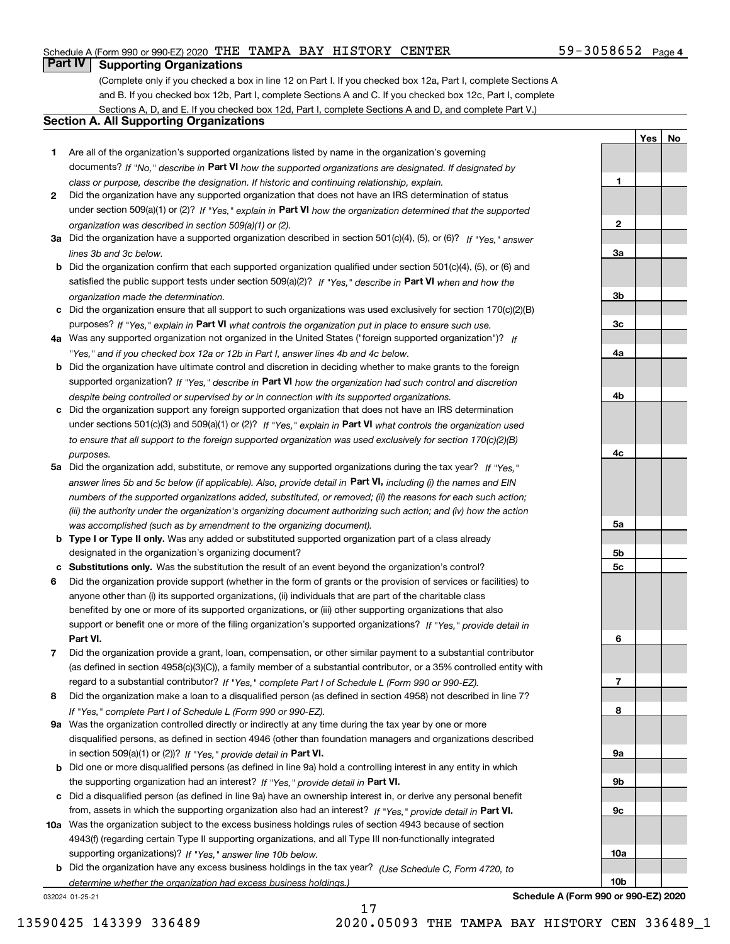## Schedule A (Form 990 or 990-EZ) 2020 Page THE TAMPA BAY HISTORY CENTER 59-3058652

(Complete only if you checked a box in line 12 on Part I. If you checked box 12a, Part I, complete Sections A and B. If you checked box 12b, Part I, complete Sections A and C. If you checked box 12c, Part I, complete Sections A, D, and E. If you checked box 12d, Part I, complete Sections A and D, and complete Part V.)

## **Section A. All Supporting Organizations**

- **1** Are all of the organization's supported organizations listed by name in the organization's governing documents? If "No," describe in **Part VI** how the supported organizations are designated. If designated by *class or purpose, describe the designation. If historic and continuing relationship, explain.*
- **2** Did the organization have any supported organization that does not have an IRS determination of status under section 509(a)(1) or (2)? If "Yes," explain in Part VI how the organization determined that the supported *organization was described in section 509(a)(1) or (2).*
- **3a** Did the organization have a supported organization described in section 501(c)(4), (5), or (6)? If "Yes," answer *lines 3b and 3c below.*
- **b** Did the organization confirm that each supported organization qualified under section 501(c)(4), (5), or (6) and satisfied the public support tests under section 509(a)(2)? If "Yes," describe in **Part VI** when and how the *organization made the determination.*
- **c**Did the organization ensure that all support to such organizations was used exclusively for section 170(c)(2)(B) purposes? If "Yes," explain in **Part VI** what controls the organization put in place to ensure such use.
- **4a***If* Was any supported organization not organized in the United States ("foreign supported organization")? *"Yes," and if you checked box 12a or 12b in Part I, answer lines 4b and 4c below.*
- **b** Did the organization have ultimate control and discretion in deciding whether to make grants to the foreign supported organization? If "Yes," describe in **Part VI** how the organization had such control and discretion *despite being controlled or supervised by or in connection with its supported organizations.*
- **c** Did the organization support any foreign supported organization that does not have an IRS determination under sections 501(c)(3) and 509(a)(1) or (2)? If "Yes," explain in **Part VI** what controls the organization used *to ensure that all support to the foreign supported organization was used exclusively for section 170(c)(2)(B) purposes.*
- **5a** Did the organization add, substitute, or remove any supported organizations during the tax year? If "Yes," answer lines 5b and 5c below (if applicable). Also, provide detail in **Part VI,** including (i) the names and EIN *numbers of the supported organizations added, substituted, or removed; (ii) the reasons for each such action; (iii) the authority under the organization's organizing document authorizing such action; and (iv) how the action was accomplished (such as by amendment to the organizing document).*
- **b** Type I or Type II only. Was any added or substituted supported organization part of a class already designated in the organization's organizing document?
- **cSubstitutions only.**  Was the substitution the result of an event beyond the organization's control?
- **6** Did the organization provide support (whether in the form of grants or the provision of services or facilities) to **Part VI.** *If "Yes," provide detail in* support or benefit one or more of the filing organization's supported organizations? anyone other than (i) its supported organizations, (ii) individuals that are part of the charitable class benefited by one or more of its supported organizations, or (iii) other supporting organizations that also
- **7**Did the organization provide a grant, loan, compensation, or other similar payment to a substantial contributor *If "Yes," complete Part I of Schedule L (Form 990 or 990-EZ).* regard to a substantial contributor? (as defined in section 4958(c)(3)(C)), a family member of a substantial contributor, or a 35% controlled entity with
- **8** Did the organization make a loan to a disqualified person (as defined in section 4958) not described in line 7? *If "Yes," complete Part I of Schedule L (Form 990 or 990-EZ).*
- **9a** Was the organization controlled directly or indirectly at any time during the tax year by one or more in section 509(a)(1) or (2))? If "Yes," *provide detail in* <code>Part VI.</code> disqualified persons, as defined in section 4946 (other than foundation managers and organizations described
- **b** Did one or more disqualified persons (as defined in line 9a) hold a controlling interest in any entity in which the supporting organization had an interest? If "Yes," provide detail in P**art VI**.
- **c**Did a disqualified person (as defined in line 9a) have an ownership interest in, or derive any personal benefit from, assets in which the supporting organization also had an interest? If "Yes," provide detail in P**art VI.**
- **10a** Was the organization subject to the excess business holdings rules of section 4943 because of section supporting organizations)? If "Yes," answer line 10b below. 4943(f) (regarding certain Type II supporting organizations, and all Type III non-functionally integrated
- **b** Did the organization have any excess business holdings in the tax year? (Use Schedule C, Form 4720, to *determine whether the organization had excess business holdings.)*

17

032024 01-25-21

**3b3c4a4b4c5a 5b5c6789a 9b9c10a**

59-3058652 Page 4

**1**

**2**

**3a**

**YesNo**

**Schedule A (Form 990 or 990-EZ) 2020**

**10b**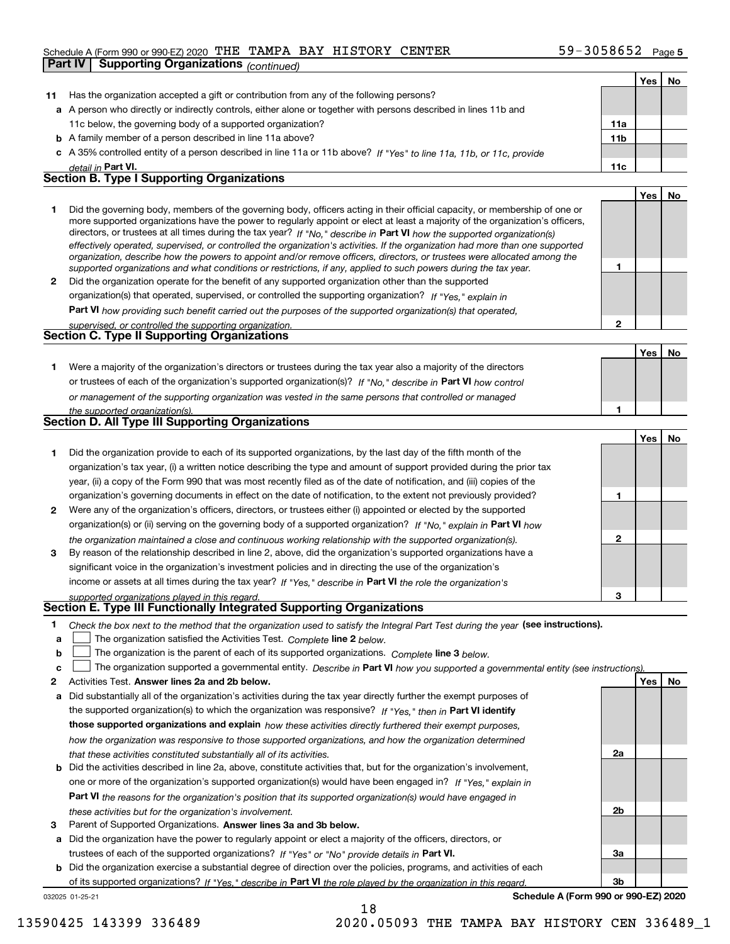## Schedule A (Form 990 or 990-EZ) 2020 Page THE TAMPA BAY HISTORY CENTER 59-3058652 **Part IV Supporting Organizations** *(continued)*

|    |                                                                                                                                   |              | Yes | No |
|----|-----------------------------------------------------------------------------------------------------------------------------------|--------------|-----|----|
| 11 | Has the organization accepted a gift or contribution from any of the following persons?                                           |              |     |    |
|    | a A person who directly or indirectly controls, either alone or together with persons described in lines 11b and                  |              |     |    |
|    | 11c below, the governing body of a supported organization?                                                                        | 11a          |     |    |
|    | <b>b</b> A family member of a person described in line 11a above?                                                                 | 11b          |     |    |
|    | c A 35% controlled entity of a person described in line 11a or 11b above? If "Yes" to line 11a, 11b, or 11c, provide              |              |     |    |
|    | detail in Part VI.                                                                                                                | 11c          |     |    |
|    | <b>Section B. Type I Supporting Organizations</b>                                                                                 |              |     |    |
|    |                                                                                                                                   |              | Yes | No |
| 1  | Did the governing body, members of the governing body, officers acting in their official capacity, or membership of one or        |              |     |    |
|    | more supported organizations have the power to regularly appoint or elect at least a majority of the organization's officers,     |              |     |    |
|    | directors, or trustees at all times during the tax year? If "No," describe in Part VI how the supported organization(s)           |              |     |    |
|    | effectively operated, supervised, or controlled the organization's activities. If the organization had more than one supported    |              |     |    |
|    | organization, describe how the powers to appoint and/or remove officers, directors, or trustees were allocated among the          | 1            |     |    |
|    | supported organizations and what conditions or restrictions, if any, applied to such powers during the tax year.                  |              |     |    |
| 2  | Did the organization operate for the benefit of any supported organization other than the supported                               |              |     |    |
|    | organization(s) that operated, supervised, or controlled the supporting organization? If "Yes," explain in                        |              |     |    |
|    | <b>Part VI</b> how providing such benefit carried out the purposes of the supported organization(s) that operated,                |              |     |    |
|    | supervised, or controlled the supporting organization.<br><b>Section C. Type II Supporting Organizations</b>                      | $\mathbf{2}$ |     |    |
|    |                                                                                                                                   |              |     |    |
|    |                                                                                                                                   |              | Yes | No |
| 1  | Were a majority of the organization's directors or trustees during the tax year also a majority of the directors                  |              |     |    |
|    | or trustees of each of the organization's supported organization(s)? If "No," describe in Part VI how control                     |              |     |    |
|    | or management of the supporting organization was vested in the same persons that controlled or managed                            |              |     |    |
|    | the supported organization(s).                                                                                                    | 1            |     |    |
|    | <b>Section D. All Type III Supporting Organizations</b>                                                                           |              |     |    |
|    |                                                                                                                                   |              | Yes | No |
| 1  | Did the organization provide to each of its supported organizations, by the last day of the fifth month of the                    |              |     |    |
|    | organization's tax year, (i) a written notice describing the type and amount of support provided during the prior tax             |              |     |    |
|    | year, (ii) a copy of the Form 990 that was most recently filed as of the date of notification, and (iii) copies of the            |              |     |    |
|    | organization's governing documents in effect on the date of notification, to the extent not previously provided?                  | 1            |     |    |
| 2  | Were any of the organization's officers, directors, or trustees either (i) appointed or elected by the supported                  |              |     |    |
|    | organization(s) or (ii) serving on the governing body of a supported organization? If "No," explain in Part VI how                |              |     |    |
|    | the organization maintained a close and continuous working relationship with the supported organization(s).                       | $\mathbf{2}$ |     |    |
| 3  | By reason of the relationship described in line 2, above, did the organization's supported organizations have a                   |              |     |    |
|    | significant voice in the organization's investment policies and in directing the use of the organization's                        |              |     |    |
|    | income or assets at all times during the tax year? If "Yes," describe in Part VI the role the organization's                      |              |     |    |
|    | supported organizations played in this regard.                                                                                    | 3            |     |    |
|    | Section E. Type III Functionally Integrated Supporting Organizations                                                              |              |     |    |
| 1  | Check the box next to the method that the organization used to satisfy the Integral Part Test during the year (see instructions). |              |     |    |
| a  | The organization satisfied the Activities Test. Complete line 2 below.                                                            |              |     |    |
| b  | The organization is the parent of each of its supported organizations. Complete line 3 below.                                     |              |     |    |
| c  | The organization supported a governmental entity. Describe in Part VI how you supported a governmental entity (see instructions). |              |     |    |
| 2  | Activities Test. Answer lines 2a and 2b below.                                                                                    |              | Yes | No |
| а  | Did substantially all of the organization's activities during the tax year directly further the exempt purposes of                |              |     |    |
|    | the supported organization(s) to which the organization was responsive? If "Yes." then in Part VI identify                        |              |     |    |
|    | those supported organizations and explain how these activities directly furthered their exempt purposes,                          |              |     |    |
|    | how the organization was responsive to those supported organizations, and how the organization determined                         |              |     |    |
|    | that these activities constituted substantially all of its activities.                                                            | 2a           |     |    |
| b  | Did the activities described in line 2a, above, constitute activities that, but for the organization's involvement,               |              |     |    |
|    | one or more of the organization's supported organization(s) would have been engaged in? If "Yes," explain in                      |              |     |    |
|    |                                                                                                                                   |              |     |    |
|    | Part VI the reasons for the organization's position that its supported organization(s) would have engaged in                      | 2b           |     |    |
|    | these activities but for the organization's involvement.                                                                          |              |     |    |
| з  | Parent of Supported Organizations. Answer lines 3a and 3b below.                                                                  |              |     |    |
| a  | Did the organization have the power to regularly appoint or elect a majority of the officers, directors, or                       |              |     |    |

trustees of each of the supported organizations? If "Yes" or "No" provide details in **Part VI.** 

032025 01-25-21 **b** Did the organization exercise a substantial degree of direction over the policies, programs, and activities of each of its supported organizations? If "Yes," describe in Part VI the role played by the organization in this regard.

**Schedule A (Form 990 or 990-EZ) 2020**

**3a**

**3b**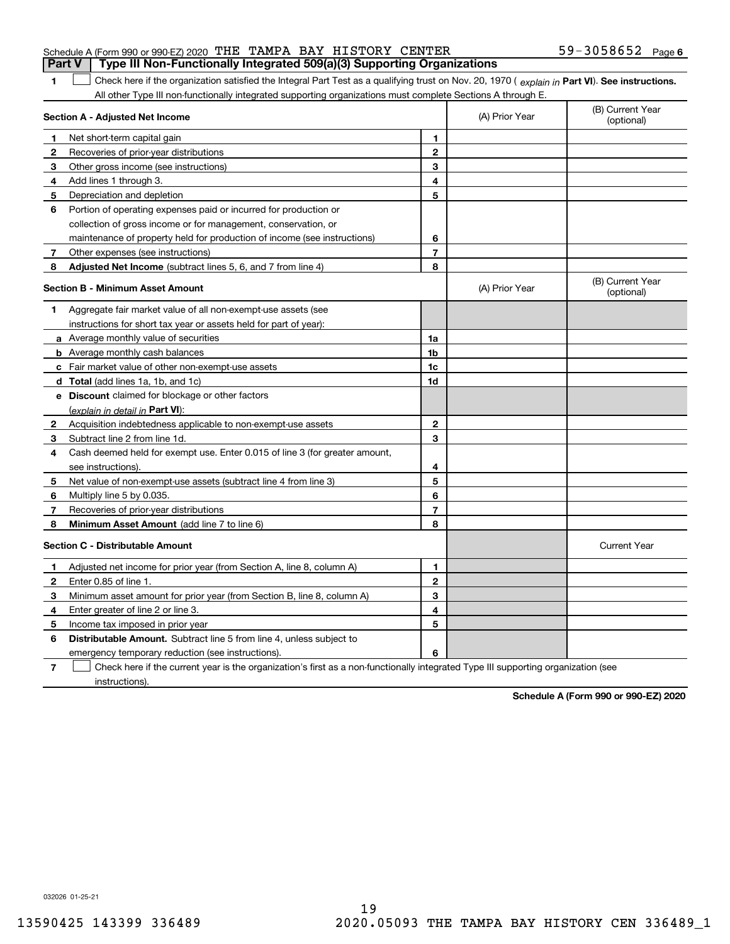**1**

## Schedule A (Form 990 or 990-EZ) 2020 Page THE TAMPA BAY HISTORY CENTER 59-3058652 **Part V Type III Non-Functionally Integrated 509(a)(3) Supporting Organizations**

1 Check here if the organization satisfied the Integral Part Test as a qualifying trust on Nov. 20, 1970 (explain in Part VI). See instructions. All other Type III non-functionally integrated supporting organizations must complete Sections A through E.

|              | Section A - Adjusted Net Income                                             |                | (A) Prior Year | (B) Current Year<br>(optional) |
|--------------|-----------------------------------------------------------------------------|----------------|----------------|--------------------------------|
| 1            | Net short-term capital gain                                                 | 1              |                |                                |
| 2            | Recoveries of prior-year distributions                                      | $\overline{2}$ |                |                                |
| 3            | Other gross income (see instructions)                                       | 3              |                |                                |
| 4            | Add lines 1 through 3.                                                      | 4              |                |                                |
| 5            | Depreciation and depletion                                                  | 5              |                |                                |
| 6            | Portion of operating expenses paid or incurred for production or            |                |                |                                |
|              | collection of gross income or for management, conservation, or              |                |                |                                |
|              | maintenance of property held for production of income (see instructions)    | 6              |                |                                |
| 7            | Other expenses (see instructions)                                           | $\overline{7}$ |                |                                |
| 8            | Adjusted Net Income (subtract lines 5, 6, and 7 from line 4)                | 8              |                |                                |
|              | <b>Section B - Minimum Asset Amount</b>                                     |                | (A) Prior Year | (B) Current Year<br>(optional) |
| 1            | Aggregate fair market value of all non-exempt-use assets (see               |                |                |                                |
|              | instructions for short tax year or assets held for part of year):           |                |                |                                |
|              | <b>a</b> Average monthly value of securities                                | 1a             |                |                                |
|              | <b>b</b> Average monthly cash balances                                      | 1b             |                |                                |
|              | c Fair market value of other non-exempt-use assets                          | 1c             |                |                                |
|              | d Total (add lines 1a, 1b, and 1c)                                          | 1d             |                |                                |
|              | <b>e</b> Discount claimed for blockage or other factors                     |                |                |                                |
|              | (explain in detail in Part VI):                                             |                |                |                                |
| 2            | Acquisition indebtedness applicable to non-exempt-use assets                | $\overline{2}$ |                |                                |
| 3            | Subtract line 2 from line 1d.                                               | 3              |                |                                |
| 4            | Cash deemed held for exempt use. Enter 0.015 of line 3 (for greater amount, |                |                |                                |
|              | see instructions).                                                          | 4              |                |                                |
| 5            | Net value of non-exempt-use assets (subtract line 4 from line 3)            | 5              |                |                                |
| 6            | Multiply line 5 by 0.035.                                                   | 6              |                |                                |
| 7            | Recoveries of prior-year distributions                                      | $\overline{7}$ |                |                                |
| 8            | Minimum Asset Amount (add line 7 to line 6)                                 | 8              |                |                                |
|              | <b>Section C - Distributable Amount</b>                                     |                |                | <b>Current Year</b>            |
| 1            | Adjusted net income for prior year (from Section A, line 8, column A)       | 1              |                |                                |
| $\mathbf{2}$ | Enter 0.85 of line 1.                                                       | $\mathbf{2}$   |                |                                |
| 3            | Minimum asset amount for prior year (from Section B, line 8, column A)      | 3              |                |                                |
| 4            | Enter greater of line 2 or line 3.                                          | 4              |                |                                |
| 5            | Income tax imposed in prior year                                            | 5              |                |                                |
| 6            | <b>Distributable Amount.</b> Subtract line 5 from line 4, unless subject to |                |                |                                |
|              | emergency temporary reduction (see instructions).                           | 6              |                |                                |
|              |                                                                             |                |                |                                |

**7**Check here if the current year is the organization's first as a non-functionally integrated Type III supporting organization (see instructions).

**Schedule A (Form 990 or 990-EZ) 2020**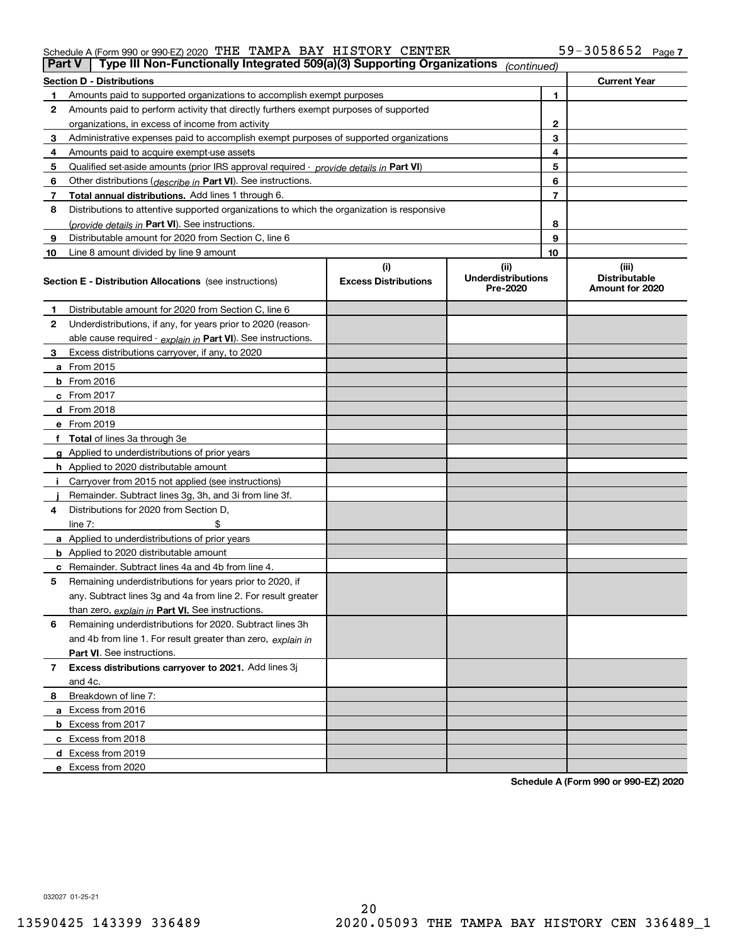## Schedule A (Form 990 or 990-EZ) 2020 Page THE TAMPA BAY HISTORY CENTER 59-3058652

| <b>Part V</b> | Type III Non-Functionally Integrated 509(a)(3) Supporting Organizations                    |                             | (continued)                           |    |                                         |
|---------------|--------------------------------------------------------------------------------------------|-----------------------------|---------------------------------------|----|-----------------------------------------|
|               | <b>Section D - Distributions</b>                                                           |                             |                                       |    | <b>Current Year</b>                     |
| 1             | Amounts paid to supported organizations to accomplish exempt purposes                      |                             |                                       | 1  |                                         |
| 2             | Amounts paid to perform activity that directly furthers exempt purposes of supported       |                             |                                       |    |                                         |
|               | organizations, in excess of income from activity                                           |                             | $\mathbf{2}$                          |    |                                         |
| 3             | Administrative expenses paid to accomplish exempt purposes of supported organizations      |                             |                                       | 3  |                                         |
| 4             | Amounts paid to acquire exempt-use assets                                                  |                             |                                       | 4  |                                         |
| 5             | Qualified set-aside amounts (prior IRS approval required - provide details in Part VI)     |                             |                                       | 5  |                                         |
| 6             | Other distributions ( <i>describe in</i> Part VI). See instructions.                       |                             |                                       | 6  |                                         |
| 7             | Total annual distributions. Add lines 1 through 6.                                         |                             |                                       | 7  |                                         |
| 8             | Distributions to attentive supported organizations to which the organization is responsive |                             |                                       |    |                                         |
|               | (provide details in Part VI). See instructions.                                            |                             |                                       | 8  |                                         |
| 9             | Distributable amount for 2020 from Section C, line 6                                       |                             |                                       | 9  |                                         |
| 10            | Line 8 amount divided by line 9 amount                                                     |                             |                                       | 10 |                                         |
|               |                                                                                            | (i)                         | (ii)                                  |    | (iii)                                   |
|               | Section E - Distribution Allocations (see instructions)                                    | <b>Excess Distributions</b> | <b>Underdistributions</b><br>Pre-2020 |    | <b>Distributable</b><br>Amount for 2020 |
| 1             | Distributable amount for 2020 from Section C, line 6                                       |                             |                                       |    |                                         |
| 2             | Underdistributions, if any, for years prior to 2020 (reason-                               |                             |                                       |    |                                         |
|               | able cause required - explain in Part VI). See instructions.                               |                             |                                       |    |                                         |
| 3             | Excess distributions carryover, if any, to 2020                                            |                             |                                       |    |                                         |
|               | <b>a</b> From 2015                                                                         |                             |                                       |    |                                         |
|               | <b>b</b> From 2016                                                                         |                             |                                       |    |                                         |
|               | c From 2017                                                                                |                             |                                       |    |                                         |
|               | <b>d</b> From 2018                                                                         |                             |                                       |    |                                         |
|               | e From 2019                                                                                |                             |                                       |    |                                         |
|               | f Total of lines 3a through 3e                                                             |                             |                                       |    |                                         |
|               | g Applied to underdistributions of prior years                                             |                             |                                       |    |                                         |
|               | <b>h</b> Applied to 2020 distributable amount                                              |                             |                                       |    |                                         |
|               | Carryover from 2015 not applied (see instructions)                                         |                             |                                       |    |                                         |
|               | Remainder. Subtract lines 3g, 3h, and 3i from line 3f.                                     |                             |                                       |    |                                         |
| 4             | Distributions for 2020 from Section D,                                                     |                             |                                       |    |                                         |
|               | line $7:$                                                                                  |                             |                                       |    |                                         |
|               | a Applied to underdistributions of prior years                                             |                             |                                       |    |                                         |
|               | <b>b</b> Applied to 2020 distributable amount                                              |                             |                                       |    |                                         |
|               | c Remainder. Subtract lines 4a and 4b from line 4.                                         |                             |                                       |    |                                         |
| 5             | Remaining underdistributions for years prior to 2020, if                                   |                             |                                       |    |                                         |
|               | any. Subtract lines 3g and 4a from line 2. For result greater                              |                             |                                       |    |                                         |
|               | than zero, explain in Part VI. See instructions.                                           |                             |                                       |    |                                         |
| 6             | Remaining underdistributions for 2020. Subtract lines 3h                                   |                             |                                       |    |                                         |
|               | and 4b from line 1. For result greater than zero, explain in                               |                             |                                       |    |                                         |
|               | Part VI. See instructions.                                                                 |                             |                                       |    |                                         |
| 7             | Excess distributions carryover to 2021. Add lines 3j                                       |                             |                                       |    |                                         |
|               | and 4c.                                                                                    |                             |                                       |    |                                         |
| 8             | Breakdown of line 7:                                                                       |                             |                                       |    |                                         |
|               | a Excess from 2016                                                                         |                             |                                       |    |                                         |
|               | <b>b</b> Excess from 2017                                                                  |                             |                                       |    |                                         |
|               | c Excess from 2018                                                                         |                             |                                       |    |                                         |
|               | d Excess from 2019                                                                         |                             |                                       |    |                                         |
|               | e Excess from 2020                                                                         |                             |                                       |    |                                         |

**Schedule A (Form 990 or 990-EZ) 2020**

032027 01-25-21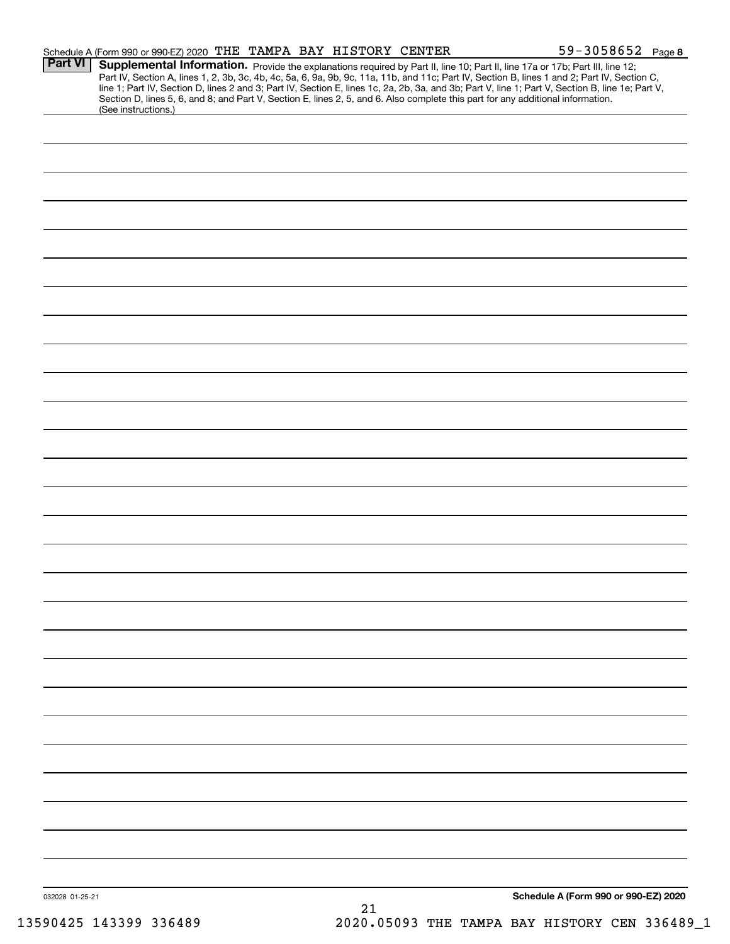|                 | Schedule A (Form 990 or 990-EZ) 2020 THE TAMPA BAY HISTORY CENTER                                                                                      |    | $59 - 3058652$ Page 8                                                                                                                                                                                                                                                                                                                                                                                                             |  |
|-----------------|--------------------------------------------------------------------------------------------------------------------------------------------------------|----|-----------------------------------------------------------------------------------------------------------------------------------------------------------------------------------------------------------------------------------------------------------------------------------------------------------------------------------------------------------------------------------------------------------------------------------|--|
| <b>Part VI</b>  | Section D, lines 5, 6, and 8; and Part V, Section E, lines 2, 5, and 6. Also complete this part for any additional information.<br>(See instructions.) |    | Supplemental Information. Provide the explanations required by Part II, line 10; Part II, line 17a or 17b; Part III, line 12;<br>Part IV, Section A, lines 1, 2, 3b, 3c, 4b, 4c, 5a, 6, 9a, 9b, 9c, 11a, 11b, and 11c; Part IV, Section B, lines 1 and 2; Part IV, Section C,<br>line 1; Part IV, Section D, lines 2 and 3; Part IV, Section E, lines 1c, 2a, 2b, 3a, and 3b; Part V, line 1; Part V, Section B, line 1e; Part V, |  |
|                 |                                                                                                                                                        |    |                                                                                                                                                                                                                                                                                                                                                                                                                                   |  |
|                 |                                                                                                                                                        |    |                                                                                                                                                                                                                                                                                                                                                                                                                                   |  |
|                 |                                                                                                                                                        |    |                                                                                                                                                                                                                                                                                                                                                                                                                                   |  |
|                 |                                                                                                                                                        |    |                                                                                                                                                                                                                                                                                                                                                                                                                                   |  |
|                 |                                                                                                                                                        |    |                                                                                                                                                                                                                                                                                                                                                                                                                                   |  |
|                 |                                                                                                                                                        |    |                                                                                                                                                                                                                                                                                                                                                                                                                                   |  |
|                 |                                                                                                                                                        |    |                                                                                                                                                                                                                                                                                                                                                                                                                                   |  |
|                 |                                                                                                                                                        |    |                                                                                                                                                                                                                                                                                                                                                                                                                                   |  |
|                 |                                                                                                                                                        |    |                                                                                                                                                                                                                                                                                                                                                                                                                                   |  |
|                 |                                                                                                                                                        |    |                                                                                                                                                                                                                                                                                                                                                                                                                                   |  |
|                 |                                                                                                                                                        |    |                                                                                                                                                                                                                                                                                                                                                                                                                                   |  |
|                 |                                                                                                                                                        |    |                                                                                                                                                                                                                                                                                                                                                                                                                                   |  |
|                 |                                                                                                                                                        |    |                                                                                                                                                                                                                                                                                                                                                                                                                                   |  |
|                 |                                                                                                                                                        |    |                                                                                                                                                                                                                                                                                                                                                                                                                                   |  |
|                 |                                                                                                                                                        |    |                                                                                                                                                                                                                                                                                                                                                                                                                                   |  |
|                 |                                                                                                                                                        |    |                                                                                                                                                                                                                                                                                                                                                                                                                                   |  |
|                 |                                                                                                                                                        |    |                                                                                                                                                                                                                                                                                                                                                                                                                                   |  |
|                 |                                                                                                                                                        |    |                                                                                                                                                                                                                                                                                                                                                                                                                                   |  |
|                 |                                                                                                                                                        |    |                                                                                                                                                                                                                                                                                                                                                                                                                                   |  |
|                 |                                                                                                                                                        |    |                                                                                                                                                                                                                                                                                                                                                                                                                                   |  |
|                 |                                                                                                                                                        |    |                                                                                                                                                                                                                                                                                                                                                                                                                                   |  |
|                 |                                                                                                                                                        |    |                                                                                                                                                                                                                                                                                                                                                                                                                                   |  |
|                 |                                                                                                                                                        |    |                                                                                                                                                                                                                                                                                                                                                                                                                                   |  |
|                 |                                                                                                                                                        |    |                                                                                                                                                                                                                                                                                                                                                                                                                                   |  |
|                 |                                                                                                                                                        |    |                                                                                                                                                                                                                                                                                                                                                                                                                                   |  |
|                 |                                                                                                                                                        |    |                                                                                                                                                                                                                                                                                                                                                                                                                                   |  |
|                 |                                                                                                                                                        |    |                                                                                                                                                                                                                                                                                                                                                                                                                                   |  |
|                 |                                                                                                                                                        |    |                                                                                                                                                                                                                                                                                                                                                                                                                                   |  |
|                 |                                                                                                                                                        |    |                                                                                                                                                                                                                                                                                                                                                                                                                                   |  |
|                 |                                                                                                                                                        |    |                                                                                                                                                                                                                                                                                                                                                                                                                                   |  |
|                 |                                                                                                                                                        |    |                                                                                                                                                                                                                                                                                                                                                                                                                                   |  |
| 032028 01-25-21 |                                                                                                                                                        | 21 | Schedule A (Form 990 or 990-EZ) 2020                                                                                                                                                                                                                                                                                                                                                                                              |  |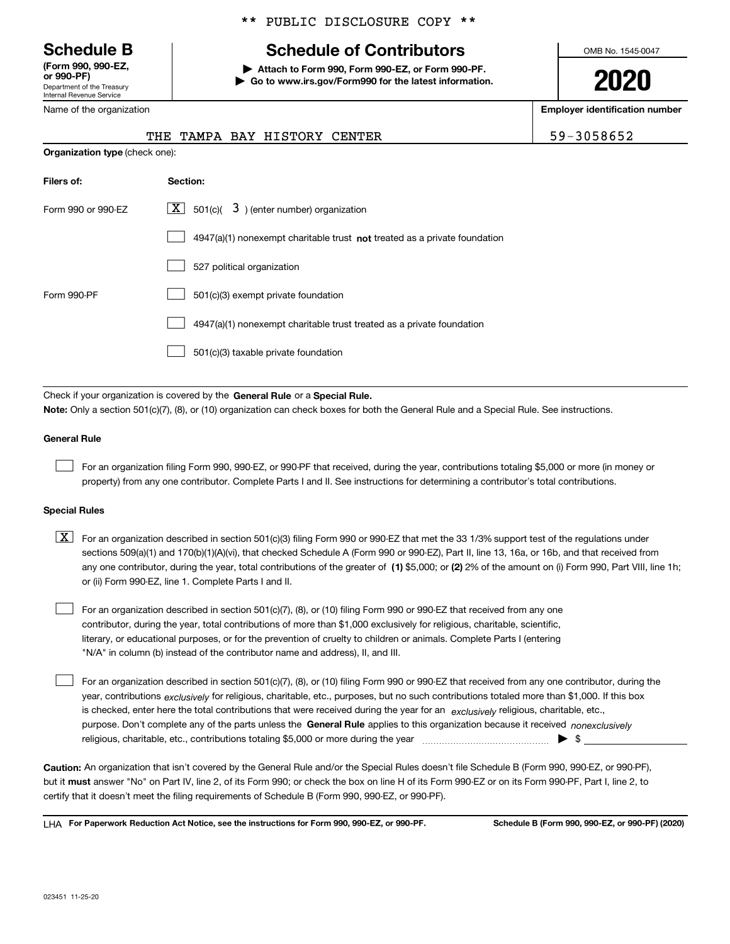Department of the Treasury Internal Revenue Service **(Form 990, 990-EZ, or 990-PF)**

Name of the organization

## \*\* PUBLIC DISCLOSURE COPY \*\*

# **Schedule B Schedule of Contributors**

**| Attach to Form 990, Form 990-EZ, or Form 990-PF. | Go to www.irs.gov/Form990 for the latest information.** OMB No. 1545-0047

**2020**

**Employer identification number**

| <b>CENTER</b> | 3058652 |
|---------------|---------|
|               |         |

| <b>INAITE OF LITE ORGANIZATION</b>    |  |                       |
|---------------------------------------|--|-----------------------|
|                                       |  | THE TAMPA BAY HISTORY |
| <b>Organization type (check one):</b> |  |                       |

| Filers of:         | Section:                                                                  |
|--------------------|---------------------------------------------------------------------------|
| Form 990 or 990-EZ | $\lfloor x \rfloor$ 501(c)( 3) (enter number) organization                |
|                    | 4947(a)(1) nonexempt charitable trust not treated as a private foundation |
|                    | 527 political organization                                                |
| Form 990-PF        | 501(c)(3) exempt private foundation                                       |
|                    | 4947(a)(1) nonexempt charitable trust treated as a private foundation     |
|                    | 501(c)(3) taxable private foundation                                      |

Check if your organization is covered by the **General Rule** or a **Special Rule. Note:**  Only a section 501(c)(7), (8), or (10) organization can check boxes for both the General Rule and a Special Rule. See instructions.

## **General Rule**

 $\mathcal{L}^{\text{max}}$ 

For an organization filing Form 990, 990-EZ, or 990-PF that received, during the year, contributions totaling \$5,000 or more (in money or property) from any one contributor. Complete Parts I and II. See instructions for determining a contributor's total contributions.

## **Special Rules**

any one contributor, during the year, total contributions of the greater of  $\,$  (1) \$5,000; or **(2)** 2% of the amount on (i) Form 990, Part VIII, line 1h;  $\boxed{\textbf{X}}$  For an organization described in section 501(c)(3) filing Form 990 or 990-EZ that met the 33 1/3% support test of the regulations under sections 509(a)(1) and 170(b)(1)(A)(vi), that checked Schedule A (Form 990 or 990-EZ), Part II, line 13, 16a, or 16b, and that received from or (ii) Form 990-EZ, line 1. Complete Parts I and II.

For an organization described in section 501(c)(7), (8), or (10) filing Form 990 or 990-EZ that received from any one contributor, during the year, total contributions of more than \$1,000 exclusively for religious, charitable, scientific, literary, or educational purposes, or for the prevention of cruelty to children or animals. Complete Parts I (entering "N/A" in column (b) instead of the contributor name and address), II, and III.  $\mathcal{L}^{\text{max}}$ 

purpose. Don't complete any of the parts unless the **General Rule** applies to this organization because it received *nonexclusively* year, contributions <sub>exclusively</sub> for religious, charitable, etc., purposes, but no such contributions totaled more than \$1,000. If this box is checked, enter here the total contributions that were received during the year for an  $\;$ exclusively religious, charitable, etc., For an organization described in section 501(c)(7), (8), or (10) filing Form 990 or 990-EZ that received from any one contributor, during the religious, charitable, etc., contributions totaling \$5,000 or more during the year  $\Box$ — $\Box$   $\Box$  $\mathcal{L}^{\text{max}}$ 

**Caution:**  An organization that isn't covered by the General Rule and/or the Special Rules doesn't file Schedule B (Form 990, 990-EZ, or 990-PF),  **must** but it answer "No" on Part IV, line 2, of its Form 990; or check the box on line H of its Form 990-EZ or on its Form 990-PF, Part I, line 2, to certify that it doesn't meet the filing requirements of Schedule B (Form 990, 990-EZ, or 990-PF).

**For Paperwork Reduction Act Notice, see the instructions for Form 990, 990-EZ, or 990-PF. Schedule B (Form 990, 990-EZ, or 990-PF) (2020)** LHA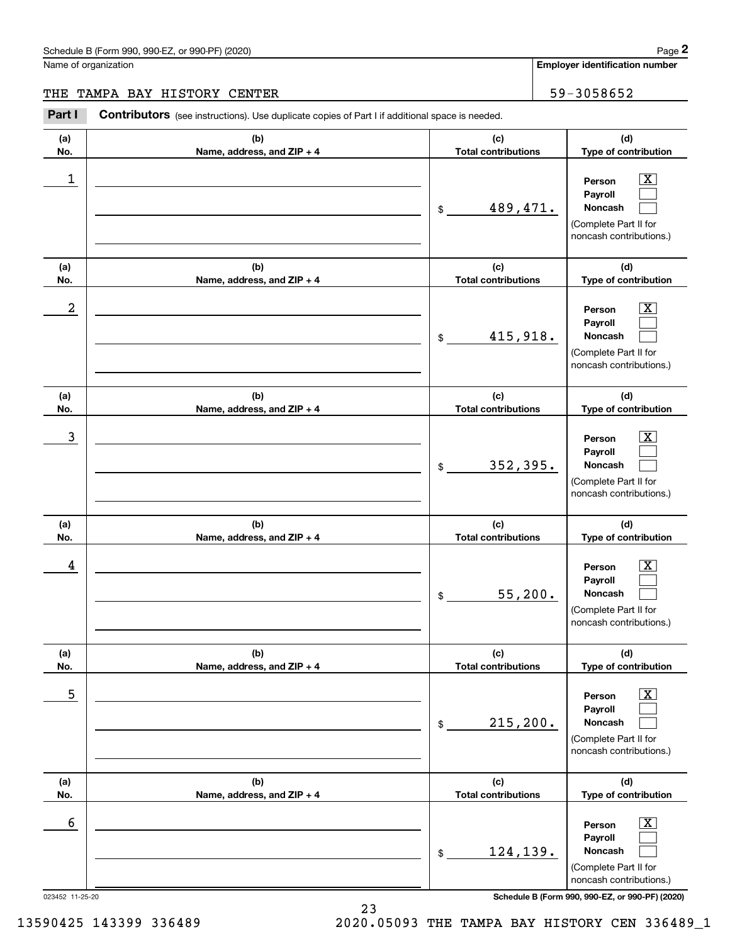Name of organization

**Employer identification number**

**(a)No.(b)Name, address, and ZIP + 4 (c)Total contributions (d)Type of contribution PersonPayrollNoncash (a)No.(b)Name, address, and ZIP + 4 (c)Total contributions (d)Type of contribution PersonPayrollNoncash (a)No.(b)Name, address, and ZIP + 4 (c)Total contributions (d)Type of contribution PersonPayrollNoncash (a) No.(b) Name, address, and ZIP + 4 (c) Total contributions (d) Type of contribution PersonPayrollNoncash (a) No.(b) Name, address, and ZIP + 4 (c) Total contributions (d) Type of contribution PersonPayrollNoncash (a) No.(b)Name, address, and ZIP + 4 (c) Total contributions (d)Type of contribution PersonPayrollNoncash** Contributors (see instructions). Use duplicate copies of Part I if additional space is needed. \$(Complete Part II for noncash contributions.) \$(Complete Part II for noncash contributions.) \$(Complete Part II for noncash contributions.) \$(Complete Part II for noncash contributions.) \$(Complete Part II for noncash contributions.) \$(Complete Part II for noncash contributions.) Chedule B (Form 990, 990-EZ, or 990-PF) (2020)<br> **2Page 2** Employer identification number<br>
2Part I Contributors (see instructions). Use duplicate copies of Part I if additional space is needed.<br>
2Part I Contributors (see in  $|X|$  $\mathcal{L}^{\text{max}}$  $\mathcal{L}^{\text{max}}$  $\boxed{\text{X}}$  $\mathcal{L}^{\text{max}}$  $\mathcal{L}^{\text{max}}$  $|X|$  $\mathcal{L}^{\text{max}}$  $\mathcal{L}^{\text{max}}$  $\boxed{\text{X}}$  $\mathcal{L}^{\text{max}}$  $\mathcal{L}^{\text{max}}$  $\boxed{\text{X}}$  $\mathcal{L}^{\text{max}}$  $\mathcal{L}^{\text{max}}$  $\boxed{\text{X}}$  $\mathcal{L}^{\text{max}}$  $\mathcal{L}^{\text{max}}$  $\begin{array}{c|c|c|c|c|c} 1 & \hspace{1.5cm} & \hspace{1.5cm} & \hspace{1.5cm} & \hspace{1.5cm} & \hspace{1.5cm} & \hspace{1.5cm} & \hspace{1.5cm} & \hspace{1.5cm} & \hspace{1.5cm} & \hspace{1.5cm} & \hspace{1.5cm} & \hspace{1.5cm} & \hspace{1.5cm} & \hspace{1.5cm} & \hspace{1.5cm} & \hspace{1.5cm} & \hspace{1.5cm} & \hspace{1.5cm} & \hspace{1.5cm} & \hspace{1.5cm} &$ 489,471.  $2$  | Person  $\overline{\text{X}}$ 415,918.  $\overline{3}$  | Person  $\overline{X}$ 352,395.  $4$  | Person  $\overline{\text{X}}$ 55,200.  $\sim$  5 | Person X 215,200.  $\sim$  6 | Person X 124,139. THE TAMPA BAY HISTORY CENTER THE SERVICE OF SALE SERVICE SERVICE SERVICE SERVICE SERVICE SERVICE SERVICE SERVICE

023452 11-25-20 **Schedule B (Form 990, 990-EZ, or 990-PF) (2020)**

13590425 143399 336489 2020.05093 THE TAMPA BAY HISTORY CEN 336489\_1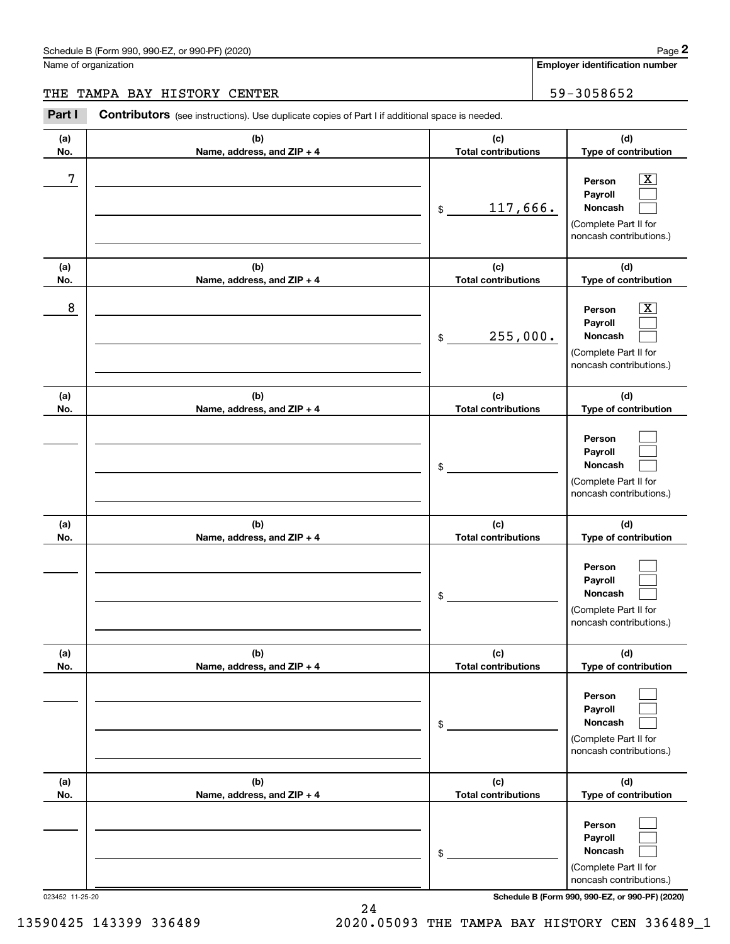Name of organization

**Employer identification number**

## THE TAMPA BAY HISTORY CENTER THE SERVICE OF SALE SERVICE SERVICE SERVICE SERVICE SERVICE SERVICE SERVICE SERVICE

**(a)No.(b)Name, address, and ZIP + 4 (c)Total contributions (d)Type of contribution PersonPayrollNoncash (a)No.(b)Name, address, and ZIP + 4 (c)Total contributions (d)Type of contribution PersonPayrollNoncash (a)No.(b)Name, address, and ZIP + 4 (c)Total contributions (d)Type of contribution PersonPayrollNoncash (a) No.(b) Name, address, and ZIP + 4 (c) Total contributions (d) Type of contribution PersonPayrollNoncash(a) No.(b) Name, address, and ZIP + 4 (c) Total contributions (d) Type of contribution PersonPayrollNoncash(a) No.(b)Name, address, and ZIP + 4 (c) Total contributions (d)Type of contribution PersonPayrollNoncash** Contributors (see instructions). Use duplicate copies of Part I if additional space is needed. \$(Complete Part II for noncash contributions.) \$(Complete Part II for noncash contributions.) \$(Complete Part II for noncash contributions.) \$(Complete Part II for noncash contributions.) \$(Complete Part II for noncash contributions.) \$(Complete Part II for noncash contributions.) Chedule B (Form 990, 990-EZ, or 990-PF) (2020)<br> **2Page 2** Employer identification number<br>
2Part I Contributors (see instructions). Use duplicate copies of Part I if additional space is needed.<br>
2Part I Contributors (see in  $|X|$  $\mathcal{L}^{\text{max}}$  $\mathcal{L}^{\text{max}}$  $\boxed{\text{X}}$  $\mathcal{L}^{\text{max}}$  $\mathcal{L}^{\text{max}}$  $\mathcal{L}^{\text{max}}$  $\mathcal{L}^{\text{max}}$  $\mathcal{L}^{\text{max}}$  $\mathcal{L}^{\text{max}}$  $\mathcal{L}^{\text{max}}$  $\mathcal{L}^{\text{max}}$  $\mathcal{L}^{\text{max}}$  $\mathcal{L}^{\text{max}}$  $\mathcal{L}^{\text{max}}$  $\mathcal{L}^{\text{max}}$  $\mathcal{L}^{\text{max}}$  $\mathcal{L}^{\text{max}}$ 7 X 117,666. 8 X 255,000.

023452 11-25-20 **Schedule B (Form 990, 990-EZ, or 990-PF) (2020)**

13590425 143399 336489 2020.05093 THE TAMPA BAY HISTORY CEN 336489\_1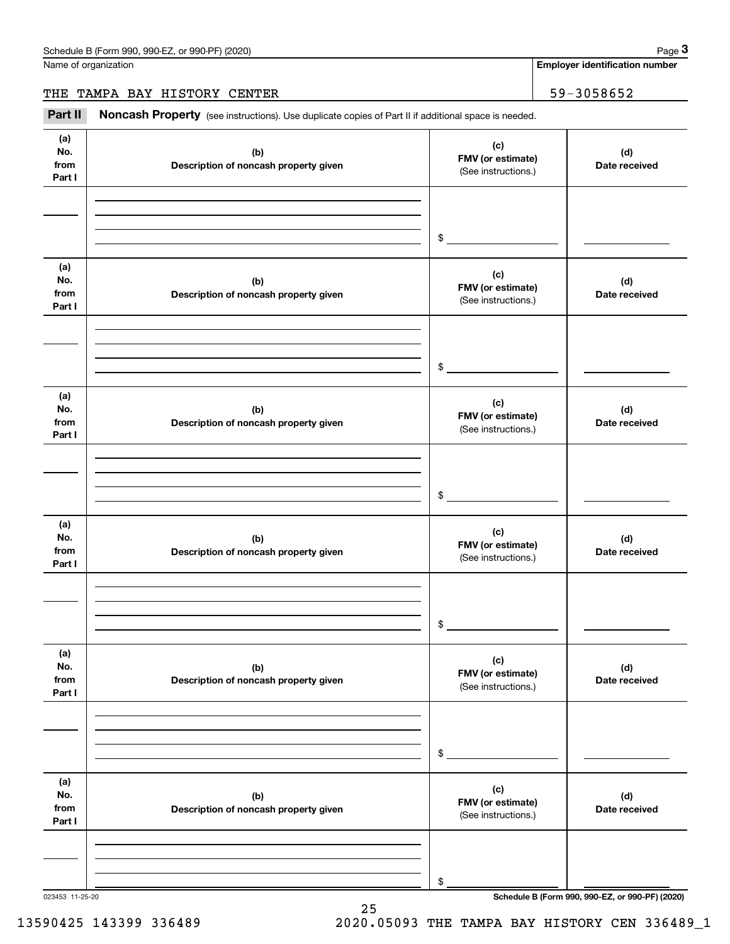Name of organization

**Employer identification number**

THE TAMPA BAY HISTORY CENTER | 59-3058652

(see instructions). Use duplicate copies of Part II if additional space is needed.<br> **2Part II Noncash Property** (see instructions). Use duplicate copies of Part II if additional space is needed.<br>
3Part II **Noncash Proper** 

| (a)<br>No.<br>from<br>Part I | (b)<br>Description of noncash property given | (c)<br>FMV (or estimate)<br>(See instructions.) | (d)<br>Date received                            |
|------------------------------|----------------------------------------------|-------------------------------------------------|-------------------------------------------------|
|                              |                                              |                                                 |                                                 |
|                              |                                              | $\frac{1}{\sqrt{2}}$                            |                                                 |
| (a)<br>No.                   | (b)                                          | (c)<br>FMV (or estimate)                        | (d)                                             |
| from<br>Part I               | Description of noncash property given        | (See instructions.)                             | Date received                                   |
|                              |                                              |                                                 |                                                 |
|                              |                                              | $\sim$                                          |                                                 |
|                              |                                              |                                                 |                                                 |
| (a)<br>No.<br>from<br>Part I | (b)<br>Description of noncash property given | (c)<br>FMV (or estimate)<br>(See instructions.) | (d)<br>Date received                            |
|                              |                                              |                                                 |                                                 |
|                              |                                              |                                                 |                                                 |
|                              |                                              |                                                 |                                                 |
|                              |                                              | $\mathfrak s$                                   |                                                 |
| (a)<br>No.<br>from           | (b)<br>Description of noncash property given | (c)<br>FMV (or estimate)                        | (d)<br>Date received                            |
| Part I                       |                                              | (See instructions.)                             |                                                 |
|                              |                                              |                                                 |                                                 |
|                              |                                              |                                                 |                                                 |
|                              |                                              |                                                 |                                                 |
|                              |                                              | \$                                              |                                                 |
|                              |                                              |                                                 |                                                 |
| (a)                          |                                              | (c)                                             |                                                 |
| No.<br>from                  | (b)                                          | FMV (or estimate)                               | (d)                                             |
| Part I                       | Description of noncash property given        | (See instructions.)                             | Date received                                   |
|                              |                                              |                                                 |                                                 |
|                              |                                              |                                                 |                                                 |
|                              |                                              |                                                 |                                                 |
|                              |                                              | $\$$                                            |                                                 |
|                              |                                              |                                                 |                                                 |
| (a)                          |                                              | (c)                                             |                                                 |
| No.                          | (b)                                          | FMV (or estimate)                               | (d)                                             |
| from                         | Description of noncash property given        | (See instructions.)                             | Date received                                   |
| Part I                       |                                              |                                                 |                                                 |
|                              |                                              |                                                 |                                                 |
|                              |                                              |                                                 |                                                 |
|                              |                                              | \$                                              |                                                 |
| 023453 11-25-20              |                                              |                                                 | Schedule B (Form 990, 990-EZ, or 990-PF) (2020) |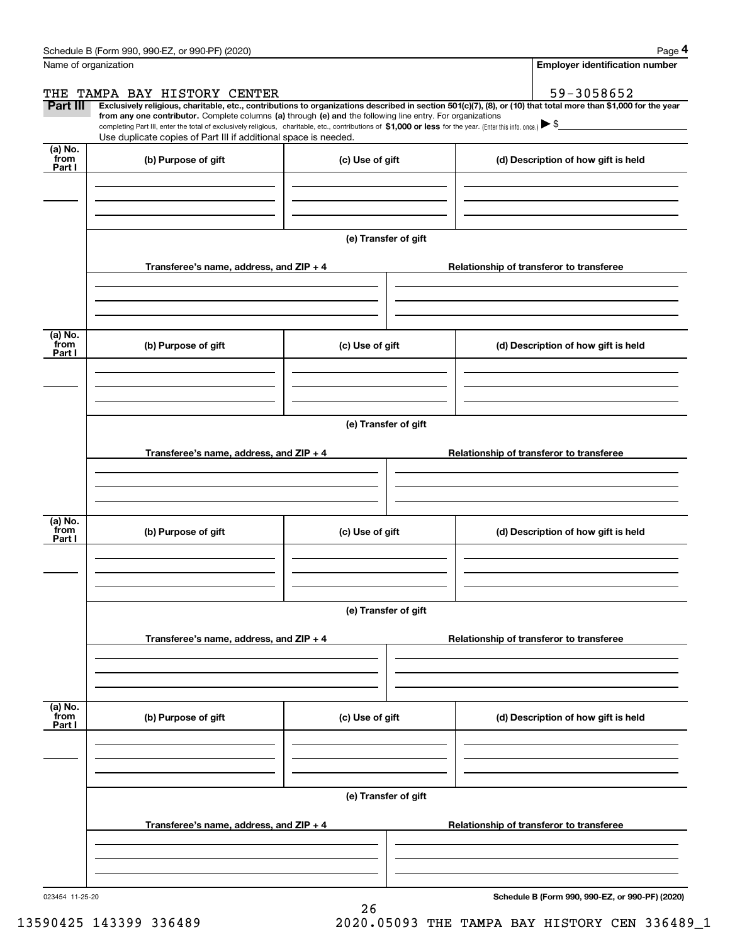|                 | Schedule B (Form 990, 990-EZ, or 990-PF) (2020)                                                                                                                                                                                                                              |                      |                                          | Page 4                                   |  |  |  |  |
|-----------------|------------------------------------------------------------------------------------------------------------------------------------------------------------------------------------------------------------------------------------------------------------------------------|----------------------|------------------------------------------|------------------------------------------|--|--|--|--|
|                 | Name of organization                                                                                                                                                                                                                                                         |                      |                                          | <b>Employer identification number</b>    |  |  |  |  |
| THE             | TAMPA BAY HISTORY CENTER                                                                                                                                                                                                                                                     |                      |                                          | 59-3058652                               |  |  |  |  |
| Part III        | Exclusively religious, charitable, etc., contributions to organizations described in section 501(c)(7), (8), or (10) that total more than \$1,000 for the year<br>from any one contributor. Complete columns (a) through (e) and the following line entry. For organizations |                      |                                          |                                          |  |  |  |  |
|                 | completing Part III, enter the total of exclusively religious, charitable, etc., contributions of \$1,000 or less for the year. (Enter this info. once.) $\blacktriangleright$ \$                                                                                            |                      |                                          |                                          |  |  |  |  |
| (a) No.         | Use duplicate copies of Part III if additional space is needed.                                                                                                                                                                                                              |                      |                                          |                                          |  |  |  |  |
| from<br>Part I  | (b) Purpose of gift                                                                                                                                                                                                                                                          | (c) Use of gift      |                                          | (d) Description of how gift is held      |  |  |  |  |
|                 |                                                                                                                                                                                                                                                                              |                      |                                          |                                          |  |  |  |  |
|                 |                                                                                                                                                                                                                                                                              |                      |                                          |                                          |  |  |  |  |
|                 |                                                                                                                                                                                                                                                                              |                      |                                          |                                          |  |  |  |  |
|                 |                                                                                                                                                                                                                                                                              | (e) Transfer of gift |                                          |                                          |  |  |  |  |
|                 |                                                                                                                                                                                                                                                                              |                      |                                          |                                          |  |  |  |  |
|                 | Transferee's name, address, and ZIP + 4                                                                                                                                                                                                                                      |                      |                                          | Relationship of transferor to transferee |  |  |  |  |
|                 |                                                                                                                                                                                                                                                                              |                      |                                          |                                          |  |  |  |  |
|                 |                                                                                                                                                                                                                                                                              |                      |                                          |                                          |  |  |  |  |
| (a) No.         |                                                                                                                                                                                                                                                                              |                      |                                          |                                          |  |  |  |  |
| from<br>Part I  | (b) Purpose of gift                                                                                                                                                                                                                                                          | (c) Use of gift      |                                          | (d) Description of how gift is held      |  |  |  |  |
|                 |                                                                                                                                                                                                                                                                              |                      |                                          |                                          |  |  |  |  |
|                 |                                                                                                                                                                                                                                                                              |                      |                                          |                                          |  |  |  |  |
|                 |                                                                                                                                                                                                                                                                              |                      |                                          |                                          |  |  |  |  |
|                 | (e) Transfer of gift                                                                                                                                                                                                                                                         |                      |                                          |                                          |  |  |  |  |
|                 |                                                                                                                                                                                                                                                                              |                      |                                          |                                          |  |  |  |  |
|                 | Transferee's name, address, and ZIP + 4                                                                                                                                                                                                                                      |                      |                                          | Relationship of transferor to transferee |  |  |  |  |
|                 |                                                                                                                                                                                                                                                                              |                      |                                          |                                          |  |  |  |  |
|                 |                                                                                                                                                                                                                                                                              |                      |                                          |                                          |  |  |  |  |
| (a) No.         |                                                                                                                                                                                                                                                                              |                      |                                          |                                          |  |  |  |  |
| from<br>Part I  | (b) Purpose of gift                                                                                                                                                                                                                                                          | (c) Use of gift      |                                          | (d) Description of how gift is held      |  |  |  |  |
|                 |                                                                                                                                                                                                                                                                              |                      |                                          |                                          |  |  |  |  |
|                 |                                                                                                                                                                                                                                                                              |                      |                                          |                                          |  |  |  |  |
|                 |                                                                                                                                                                                                                                                                              |                      |                                          |                                          |  |  |  |  |
|                 |                                                                                                                                                                                                                                                                              | (e) Transfer of gift |                                          |                                          |  |  |  |  |
|                 | Transferee's name, address, and $ZIP + 4$                                                                                                                                                                                                                                    |                      | Relationship of transferor to transferee |                                          |  |  |  |  |
|                 |                                                                                                                                                                                                                                                                              |                      |                                          |                                          |  |  |  |  |
|                 |                                                                                                                                                                                                                                                                              |                      |                                          |                                          |  |  |  |  |
|                 |                                                                                                                                                                                                                                                                              |                      |                                          |                                          |  |  |  |  |
| (a) No.<br>from |                                                                                                                                                                                                                                                                              |                      |                                          |                                          |  |  |  |  |
| Part I          | (b) Purpose of gift                                                                                                                                                                                                                                                          | (c) Use of gift      |                                          | (d) Description of how gift is held      |  |  |  |  |
|                 |                                                                                                                                                                                                                                                                              |                      |                                          |                                          |  |  |  |  |
|                 |                                                                                                                                                                                                                                                                              |                      |                                          |                                          |  |  |  |  |
|                 |                                                                                                                                                                                                                                                                              |                      |                                          |                                          |  |  |  |  |
|                 | (e) Transfer of gift                                                                                                                                                                                                                                                         |                      |                                          |                                          |  |  |  |  |
|                 | Transferee's name, address, and $ZIP + 4$                                                                                                                                                                                                                                    |                      |                                          | Relationship of transferor to transferee |  |  |  |  |
|                 |                                                                                                                                                                                                                                                                              |                      |                                          |                                          |  |  |  |  |
|                 |                                                                                                                                                                                                                                                                              |                      |                                          |                                          |  |  |  |  |
|                 |                                                                                                                                                                                                                                                                              |                      |                                          |                                          |  |  |  |  |
|                 |                                                                                                                                                                                                                                                                              |                      |                                          |                                          |  |  |  |  |

26

**Schedule B (Form 990, 990-EZ, or 990-PF) (2020)**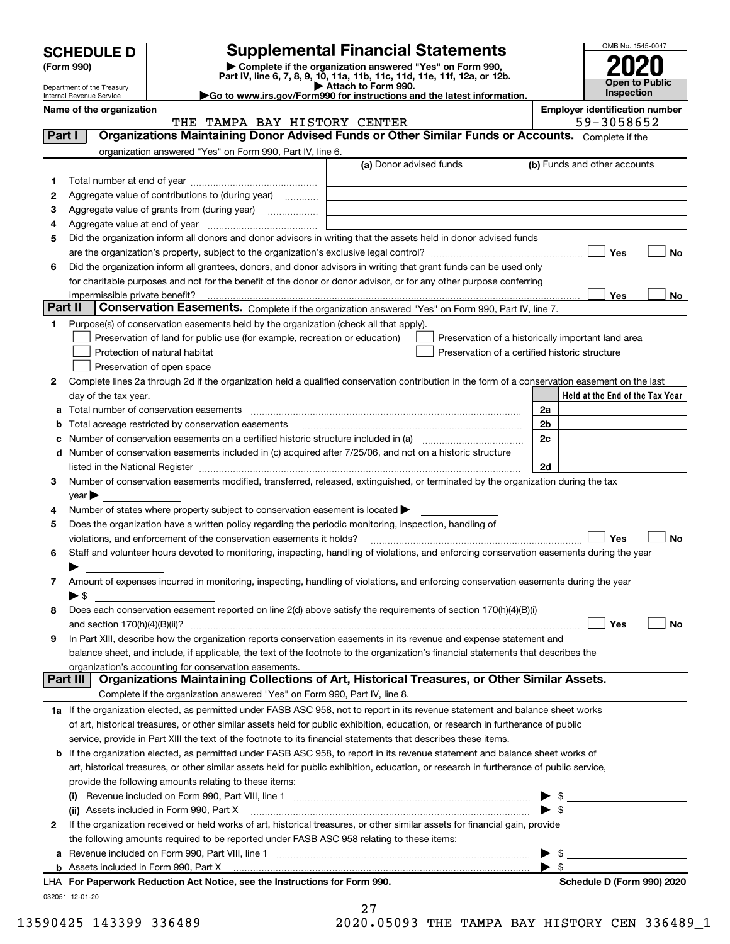| <b>SCHEDULE D</b> |  |
|-------------------|--|
|-------------------|--|

| (Form 990) |  |
|------------|--|
|------------|--|

## **SCHEDULE D Supplemental Financial Statements**

(Form 990)<br>
Pepartment of the Treasury<br>
Department of the Treasury<br>
Department of the Treasury<br>
Department of the Treasury<br> **Co to www.irs.gov/Form990 for instructions and the latest information.**<br> **Co to www.irs.gov/Form9** 

THE TAMPA BAY HISTORY CENTER 59-3058652

| OMB No. 1545-0047     |
|-----------------------|
| 2020                  |
|                       |
| <b>Open to Public</b> |
| Inspection            |

Department of the Treasury Internal Revenue Service **Name of the organization Employer identification number**

| <b>Part I</b> | Organizations Maintaining Donor Advised Funds or Other Similar Funds or Accounts. Complete if the                                                                 |                         |                                                                                                                      |
|---------------|-------------------------------------------------------------------------------------------------------------------------------------------------------------------|-------------------------|----------------------------------------------------------------------------------------------------------------------|
|               | organization answered "Yes" on Form 990, Part IV, line 6.                                                                                                         | (a) Donor advised funds | (b) Funds and other accounts                                                                                         |
| 1             |                                                                                                                                                                   |                         |                                                                                                                      |
| 2             | Aggregate value of contributions to (during year)                                                                                                                 |                         |                                                                                                                      |
| з             | Aggregate value of grants from (during year)                                                                                                                      |                         |                                                                                                                      |
| 4             | $\overline{\phantom{a}}$                                                                                                                                          |                         |                                                                                                                      |
| 5             | Did the organization inform all donors and donor advisors in writing that the assets held in donor advised funds                                                  |                         |                                                                                                                      |
|               |                                                                                                                                                                   |                         | Yes<br>No                                                                                                            |
| 6             | Did the organization inform all grantees, donors, and donor advisors in writing that grant funds can be used only                                                 |                         |                                                                                                                      |
|               | for charitable purposes and not for the benefit of the donor or donor advisor, or for any other purpose conferring                                                |                         |                                                                                                                      |
|               |                                                                                                                                                                   |                         | Yes                                                                                                                  |
| Part II       | Conservation Easements. Complete if the organization answered "Yes" on Form 990, Part IV, line 7.                                                                 |                         | No                                                                                                                   |
|               |                                                                                                                                                                   |                         |                                                                                                                      |
| 1.            | Purpose(s) of conservation easements held by the organization (check all that apply).                                                                             |                         |                                                                                                                      |
|               | Preservation of land for public use (for example, recreation or education)                                                                                        |                         | Preservation of a historically important land area                                                                   |
|               | Protection of natural habitat                                                                                                                                     |                         | Preservation of a certified historic structure                                                                       |
|               | Preservation of open space                                                                                                                                        |                         |                                                                                                                      |
| 2             | Complete lines 2a through 2d if the organization held a qualified conservation contribution in the form of a conservation easement on the last                    |                         |                                                                                                                      |
|               | day of the tax year.                                                                                                                                              |                         | Held at the End of the Tax Year                                                                                      |
|               | Total number of conservation easements                                                                                                                            |                         | 2a                                                                                                                   |
|               | Total acreage restricted by conservation easements                                                                                                                |                         | 2 <sub>b</sub>                                                                                                       |
| c             | Number of conservation easements on a certified historic structure included in (a) manu-conservation exercises                                                    |                         | 2c                                                                                                                   |
|               | Number of conservation easements included in (c) acquired after 7/25/06, and not on a historic structure                                                          |                         |                                                                                                                      |
|               | listed in the National Register [111] increases the National Property of the National Property of the National                                                    |                         | 2d                                                                                                                   |
| 3             | Number of conservation easements modified, transferred, released, extinguished, or terminated by the organization during the tax                                  |                         |                                                                                                                      |
|               | year                                                                                                                                                              |                         |                                                                                                                      |
| 4             | Number of states where property subject to conservation easement is located >                                                                                     |                         |                                                                                                                      |
| 5             | Does the organization have a written policy regarding the periodic monitoring, inspection, handling of                                                            |                         |                                                                                                                      |
|               | violations, and enforcement of the conservation easements it holds?                                                                                               |                         | Yes<br>No                                                                                                            |
| 6             | Staff and volunteer hours devoted to monitoring, inspecting, handling of violations, and enforcing conservation easements during the year                         |                         |                                                                                                                      |
|               |                                                                                                                                                                   |                         |                                                                                                                      |
| 7             | Amount of expenses incurred in monitoring, inspecting, handling of violations, and enforcing conservation easements during the year                               |                         |                                                                                                                      |
|               | $\blacktriangleright$ s                                                                                                                                           |                         |                                                                                                                      |
| 8             | Does each conservation easement reported on line 2(d) above satisfy the requirements of section 170(h)(4)(B)(i)                                                   |                         |                                                                                                                      |
|               |                                                                                                                                                                   |                         | Yes<br>No                                                                                                            |
| 9             | In Part XIII, describe how the organization reports conservation easements in its revenue and expense statement and                                               |                         |                                                                                                                      |
|               | balance sheet, and include, if applicable, the text of the footnote to the organization's financial statements that describes the                                 |                         |                                                                                                                      |
|               | organization's accounting for conservation easements.<br>Organizations Maintaining Collections of Art, Historical Treasures, or Other Similar Assets.<br>Part III |                         |                                                                                                                      |
|               | Complete if the organization answered "Yes" on Form 990, Part IV, line 8.                                                                                         |                         |                                                                                                                      |
|               | 1a If the organization elected, as permitted under FASB ASC 958, not to report in its revenue statement and balance sheet works                                   |                         |                                                                                                                      |
|               | of art, historical treasures, or other similar assets held for public exhibition, education, or research in furtherance of public                                 |                         |                                                                                                                      |
|               | service, provide in Part XIII the text of the footnote to its financial statements that describes these items.                                                    |                         |                                                                                                                      |
| b             | If the organization elected, as permitted under FASB ASC 958, to report in its revenue statement and balance sheet works of                                       |                         |                                                                                                                      |
|               | art, historical treasures, or other similar assets held for public exhibition, education, or research in furtherance of public service,                           |                         |                                                                                                                      |
|               | provide the following amounts relating to these items:                                                                                                            |                         |                                                                                                                      |
|               |                                                                                                                                                                   |                         |                                                                                                                      |
|               | (ii) Assets included in Form 990, Part X                                                                                                                          |                         | \$                                                                                                                   |
| 2             | If the organization received or held works of art, historical treasures, or other similar assets for financial gain, provide                                      |                         | <u> 1990 - Jan Jawa Barat, prima prima prima prima prima prima prima prima prima prima prima prima prima prima p</u> |
|               | the following amounts required to be reported under FASB ASC 958 relating to these items:                                                                         |                         |                                                                                                                      |
|               |                                                                                                                                                                   |                         | \$                                                                                                                   |
| а             |                                                                                                                                                                   |                         | -\$                                                                                                                  |
|               | LHA For Paperwork Reduction Act Notice, see the Instructions for Form 990.                                                                                        |                         | Schedule D (Form 990) 2020                                                                                           |
|               | 032051 12-01-20                                                                                                                                                   |                         |                                                                                                                      |
|               |                                                                                                                                                                   |                         |                                                                                                                      |

| 27 |                  |  |
|----|------------------|--|
|    | י הזזה כמח במ מנ |  |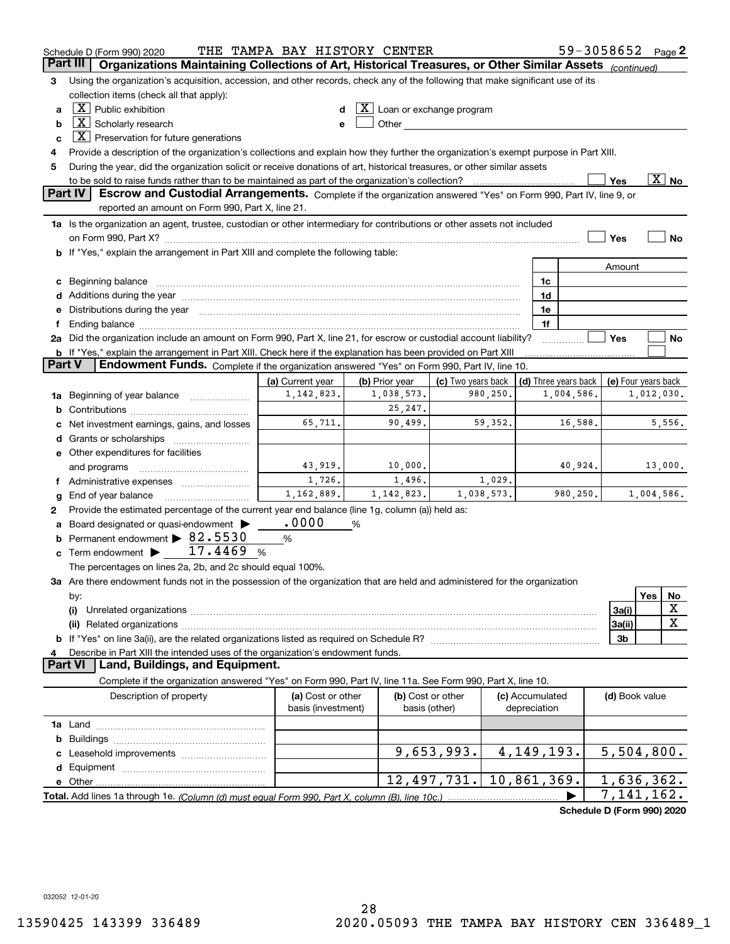|               | Schedule D (Form 990) 2020                                                                                                                                                                                                     | THE TAMPA BAY HISTORY CENTER            |                              |                                    |         |                                 |                            | 59-3058652          |     | Page 2                   |
|---------------|--------------------------------------------------------------------------------------------------------------------------------------------------------------------------------------------------------------------------------|-----------------------------------------|------------------------------|------------------------------------|---------|---------------------------------|----------------------------|---------------------|-----|--------------------------|
|               | Part III<br>Organizations Maintaining Collections of Art, Historical Treasures, or Other Similar Assets (continued)                                                                                                            |                                         |                              |                                    |         |                                 |                            |                     |     |                          |
| 3             | Using the organization's acquisition, accession, and other records, check any of the following that make significant use of its                                                                                                |                                         |                              |                                    |         |                                 |                            |                     |     |                          |
|               | collection items (check all that apply):                                                                                                                                                                                       |                                         |                              |                                    |         |                                 |                            |                     |     |                          |
| a             | $X$ Public exhibition                                                                                                                                                                                                          |                                         | $X$ Loan or exchange program |                                    |         |                                 |                            |                     |     |                          |
| b             | $\boxed{\text{X}}$ Scholarly research                                                                                                                                                                                          |                                         |                              |                                    |         |                                 |                            |                     |     |                          |
| c             | $X$ Preservation for future generations                                                                                                                                                                                        |                                         |                              |                                    |         |                                 |                            |                     |     |                          |
| 4             | Provide a description of the organization's collections and explain how they further the organization's exempt purpose in Part XIII.                                                                                           |                                         |                              |                                    |         |                                 |                            |                     |     |                          |
| 5             | During the year, did the organization solicit or receive donations of art, historical treasures, or other similar assets                                                                                                       |                                         |                              |                                    |         |                                 |                            |                     |     |                          |
|               | to be sold to raise funds rather than to be maintained as part of the organization's collection?                                                                                                                               |                                         |                              |                                    |         |                                 |                            | Yes                 |     | $\overline{\text{X}}$ No |
|               | <b>Part IV</b><br>Escrow and Custodial Arrangements. Complete if the organization answered "Yes" on Form 990, Part IV, line 9, or                                                                                              |                                         |                              |                                    |         |                                 |                            |                     |     |                          |
|               | reported an amount on Form 990, Part X, line 21.                                                                                                                                                                               |                                         |                              |                                    |         |                                 |                            |                     |     |                          |
|               | 1a Is the organization an agent, trustee, custodian or other intermediary for contributions or other assets not included                                                                                                       |                                         |                              |                                    |         |                                 |                            |                     |     |                          |
|               |                                                                                                                                                                                                                                |                                         |                              |                                    |         |                                 |                            | Yes                 |     | <b>No</b>                |
|               | b If "Yes," explain the arrangement in Part XIII and complete the following table:                                                                                                                                             |                                         |                              |                                    |         |                                 |                            |                     |     |                          |
|               |                                                                                                                                                                                                                                |                                         |                              |                                    |         |                                 |                            | Amount              |     |                          |
|               | c Beginning balance manufactured and the contract of Beginning balance manufactured and the contract of the contract of the contract of the contract of the contract of the contract of the contract of the contract of the co |                                         |                              |                                    |         | 1c                              |                            |                     |     |                          |
|               |                                                                                                                                                                                                                                |                                         |                              |                                    |         | 1d<br>1e                        |                            |                     |     |                          |
|               | e Distributions during the year manufactured and continuum and contained and the year manufactured and contained and the year manufactured and contained and contained and contained and contained and contained and contained |                                         |                              |                                    |         | 1f                              |                            |                     |     |                          |
|               | 2a Did the organization include an amount on Form 990, Part X, line 21, for escrow or custodial account liability?                                                                                                             |                                         |                              |                                    |         |                                 |                            | Yes                 |     | No                       |
|               | b If "Yes," explain the arrangement in Part XIII. Check here if the explanation has been provided on Part XIII                                                                                                                 |                                         |                              |                                    |         |                                 |                            |                     |     |                          |
| <b>Part V</b> | Endowment Funds. Complete if the organization answered "Yes" on Form 990, Part IV, line 10.                                                                                                                                    |                                         |                              |                                    |         |                                 |                            |                     |     |                          |
|               |                                                                                                                                                                                                                                | (a) Current year                        | (b) Prior year               | (c) Two years back                 |         | (d) Three years back            |                            | (e) Four years back |     |                          |
|               | 1a Beginning of year balance                                                                                                                                                                                                   | 1, 142, 823.                            | 1,038,573.                   | 980,250.                           |         |                                 | 1,004,586.                 |                     |     | 1,012,030.               |
| b             |                                                                                                                                                                                                                                |                                         | 25, 247.                     |                                    |         |                                 |                            |                     |     |                          |
| c             | Net investment earnings, gains, and losses                                                                                                                                                                                     | 65,711.                                 | 90,499.                      |                                    | 59,352. |                                 | 16,588.                    |                     |     | 5,556.                   |
|               |                                                                                                                                                                                                                                |                                         |                              |                                    |         |                                 |                            |                     |     |                          |
|               | e Other expenditures for facilities                                                                                                                                                                                            |                                         |                              |                                    |         |                                 |                            |                     |     |                          |
|               | and programs                                                                                                                                                                                                                   | 43,919.                                 | 10,000.                      |                                    |         |                                 | 40,924.                    |                     |     | 13,000.                  |
|               | f Administrative expenses                                                                                                                                                                                                      | 1,726.                                  | 1,496.                       |                                    | 1,029.  |                                 |                            |                     |     |                          |
| g             |                                                                                                                                                                                                                                | 1,162,889.                              | 1, 142, 823.                 | 1,038,573.                         |         |                                 | 980,250.                   |                     |     | 1,004,586.               |
| 2             | Provide the estimated percentage of the current year end balance (line 1g, column (a)) held as:                                                                                                                                |                                         |                              |                                    |         |                                 |                            |                     |     |                          |
| a             | Board designated or quasi-endowment                                                                                                                                                                                            | .0000                                   | %                            |                                    |         |                                 |                            |                     |     |                          |
|               | <b>b</b> Permanent endowment $\triangleright$ 82.5530                                                                                                                                                                          | %                                       |                              |                                    |         |                                 |                            |                     |     |                          |
|               | 17.4469<br>c Term endowment $\blacktriangleright$                                                                                                                                                                              | %                                       |                              |                                    |         |                                 |                            |                     |     |                          |
|               | The percentages on lines 2a, 2b, and 2c should equal 100%.                                                                                                                                                                     |                                         |                              |                                    |         |                                 |                            |                     |     |                          |
|               | 3a Are there endowment funds not in the possession of the organization that are held and administered for the organization                                                                                                     |                                         |                              |                                    |         |                                 |                            |                     |     |                          |
|               | by:                                                                                                                                                                                                                            |                                         |                              |                                    |         |                                 |                            |                     | Yes | No                       |
|               | (i)                                                                                                                                                                                                                            |                                         |                              |                                    |         |                                 |                            | 3a(i)               |     | х                        |
|               |                                                                                                                                                                                                                                |                                         |                              |                                    |         |                                 |                            | 3a(ii)              |     | X                        |
|               |                                                                                                                                                                                                                                |                                         |                              |                                    |         |                                 |                            | 3b                  |     |                          |
| 4             | Describe in Part XIII the intended uses of the organization's endowment funds.<br>Land, Buildings, and Equipment.<br><b>Part VI</b>                                                                                            |                                         |                              |                                    |         |                                 |                            |                     |     |                          |
|               | Complete if the organization answered "Yes" on Form 990, Part IV, line 11a. See Form 990, Part X, line 10.                                                                                                                     |                                         |                              |                                    |         |                                 |                            |                     |     |                          |
|               |                                                                                                                                                                                                                                |                                         |                              |                                    |         |                                 |                            |                     |     |                          |
|               | Description of property                                                                                                                                                                                                        | (a) Cost or other<br>basis (investment) |                              | (b) Cost or other<br>basis (other) |         | (c) Accumulated<br>depreciation |                            | (d) Book value      |     |                          |
|               |                                                                                                                                                                                                                                |                                         |                              |                                    |         |                                 |                            |                     |     |                          |
| b             |                                                                                                                                                                                                                                |                                         |                              |                                    |         |                                 |                            |                     |     |                          |
|               |                                                                                                                                                                                                                                |                                         |                              | 9,653,993.                         |         | 4, 149, 193.                    |                            | 5,504,800.          |     |                          |
|               |                                                                                                                                                                                                                                |                                         |                              |                                    |         |                                 |                            |                     |     |                          |
|               |                                                                                                                                                                                                                                |                                         |                              | 12,497,731.                        |         | $10,861,369$ .                  |                            | 1,636,362.          |     |                          |
|               |                                                                                                                                                                                                                                |                                         |                              |                                    |         |                                 |                            | 7,141,162.          |     |                          |
|               |                                                                                                                                                                                                                                |                                         |                              |                                    |         |                                 | Schedule D (Form 990) 2020 |                     |     |                          |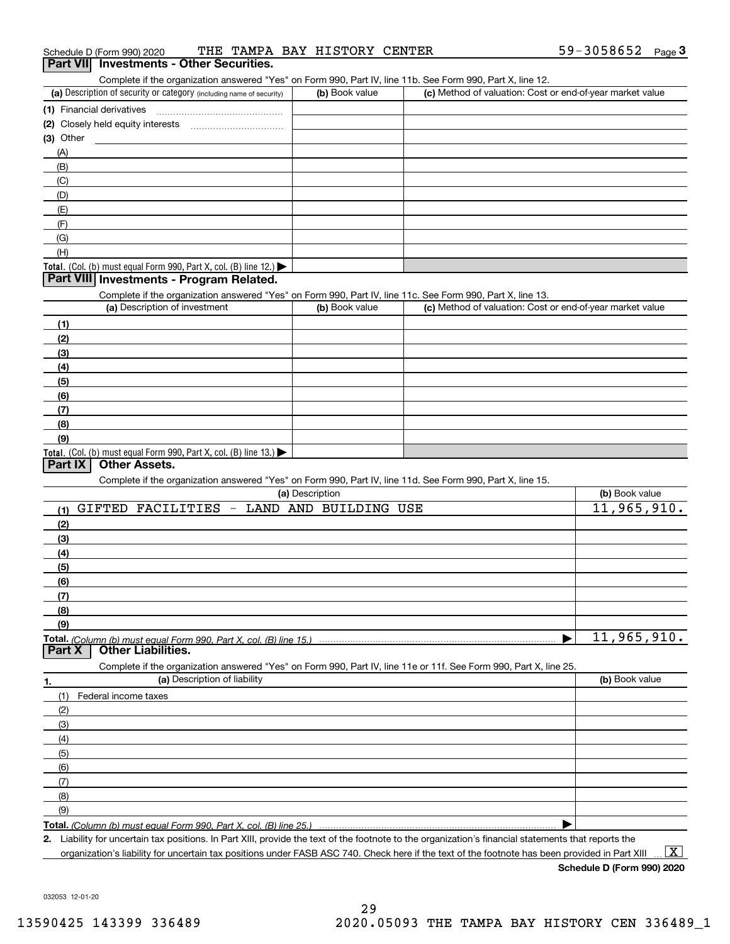| Schedule D (Form 990) 2020                                                                                 |  | THE TAMPA BAY HISTORY CENTER |  | $59 - 3058652$ Page 3 |  |
|------------------------------------------------------------------------------------------------------------|--|------------------------------|--|-----------------------|--|
| <b>Part VII</b> Investments - Other Securities.                                                            |  |                              |  |                       |  |
| Complete if the organization answered "Yes" on Form 990, Part IV, line 11b, See Form 990, Part X, line 12, |  |                              |  |                       |  |

| Complete if the organization answered "Yes" on Form 990, Part IV, line 11b. See Form 990, Part X, line 12. |                       |                                                           |                |
|------------------------------------------------------------------------------------------------------------|-----------------------|-----------------------------------------------------------|----------------|
| (a) Description of security or category (including name of security)                                       | (b) Book value        | (c) Method of valuation: Cost or end-of-year market value |                |
| (1) Financial derivatives                                                                                  |                       |                                                           |                |
| (2) Closely held equity interests                                                                          |                       |                                                           |                |
| (3) Other                                                                                                  |                       |                                                           |                |
| (A)                                                                                                        |                       |                                                           |                |
| (B)                                                                                                        |                       |                                                           |                |
| (C)                                                                                                        |                       |                                                           |                |
| (D)                                                                                                        |                       |                                                           |                |
| (E)                                                                                                        |                       |                                                           |                |
| (F)                                                                                                        |                       |                                                           |                |
| (G)                                                                                                        |                       |                                                           |                |
| (H)                                                                                                        |                       |                                                           |                |
| Total. (Col. (b) must equal Form 990, Part X, col. (B) line 12.) $\blacktriangleright$                     |                       |                                                           |                |
| Part VIII Investments - Program Related.                                                                   |                       |                                                           |                |
| Complete if the organization answered "Yes" on Form 990, Part IV, line 11c. See Form 990, Part X, line 13. |                       |                                                           |                |
| (a) Description of investment                                                                              | (b) Book value        | (c) Method of valuation: Cost or end-of-year market value |                |
| (1)                                                                                                        |                       |                                                           |                |
| (2)                                                                                                        |                       |                                                           |                |
| (3)                                                                                                        |                       |                                                           |                |
| (4)                                                                                                        |                       |                                                           |                |
| (5)                                                                                                        |                       |                                                           |                |
| (6)                                                                                                        |                       |                                                           |                |
| (7)                                                                                                        |                       |                                                           |                |
| (8)                                                                                                        |                       |                                                           |                |
| (9)                                                                                                        |                       |                                                           |                |
| <b>Total.</b> (Col. (b) must equal Form 990, Part X, col. (B) line 13.)                                    |                       |                                                           |                |
| Part IX<br><b>Other Assets.</b>                                                                            |                       |                                                           |                |
| Complete if the organization answered "Yes" on Form 990, Part IV, line 11d. See Form 990, Part X, line 15. |                       |                                                           |                |
|                                                                                                            | (a) Description       |                                                           | (b) Book value |
| GIFTED FACILITIES -<br>(1)                                                                                 | LAND AND BUILDING USE |                                                           | 11,965,910.    |
| (2)                                                                                                        |                       |                                                           |                |

| (2) |                                                                                                                   |                |
|-----|-------------------------------------------------------------------------------------------------------------------|----------------|
| (3) |                                                                                                                   |                |
| (4) |                                                                                                                   |                |
| (5) |                                                                                                                   |                |
| (6) |                                                                                                                   |                |
| (7) |                                                                                                                   |                |
| (8) |                                                                                                                   |                |
| (9) |                                                                                                                   |                |
|     | .                                                                                                                 | 11,965,910.    |
|     | Total. (Column (b) must equal Form 990, Part X, col. (B) line 15.)<br>  <b>Part X   Other Liabilities.</b>        |                |
|     | Complete if the organization answered "Yes" on Form 990, Part IV, line 11e or 11f. See Form 990, Part X, line 25. |                |
| 1.  | (a) Description of liability                                                                                      | (b) Book value |
| (1) | Federal income taxes                                                                                              |                |
| (2) |                                                                                                                   |                |
| (3) |                                                                                                                   |                |
| (4) |                                                                                                                   |                |
| (5) |                                                                                                                   |                |
| (6) |                                                                                                                   |                |
| (7) |                                                                                                                   |                |
| (8) |                                                                                                                   |                |
| (9) |                                                                                                                   |                |
|     | <b>Total.</b> (Column (b) must equal Form 990, Part X, col. (B) line 25.)                                         |                |

**Total.**  *(Column (b) must equal Form 990, Part X, col. (B) line 25.)*

**2.** Liability for uncertain tax positions. In Part XIII, provide the text of the footnote to the organization's financial statements that reports the organization's liability for uncertain tax positions under FASB ASC 740. Check here if the text of the footnote has been provided in Part XIII

**Schedule D (Form 990) 2020**

 $\boxed{\text{X}}$ 

032053 12-01-20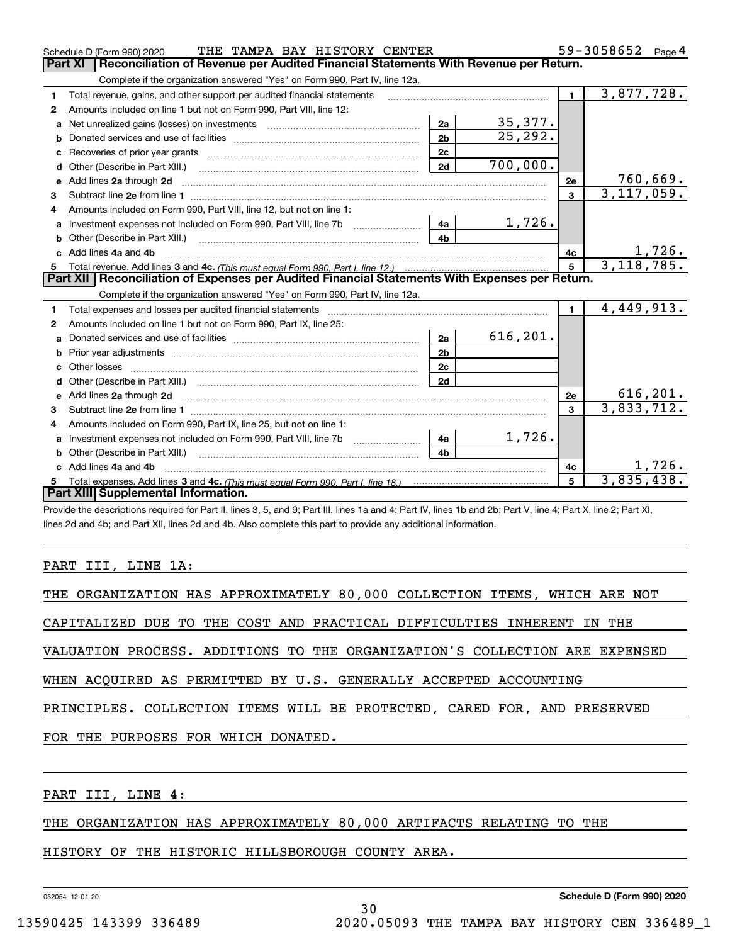|              | THE TAMPA BAY HISTORY CENTER<br>Schedule D (Form 990) 2020                                                                                                                                                                     |                |           |                         | 59-3058652<br>Page 4     |
|--------------|--------------------------------------------------------------------------------------------------------------------------------------------------------------------------------------------------------------------------------|----------------|-----------|-------------------------|--------------------------|
|              | Part XI<br>Reconciliation of Revenue per Audited Financial Statements With Revenue per Return.                                                                                                                                 |                |           |                         |                          |
|              | Complete if the organization answered "Yes" on Form 990, Part IV, line 12a.                                                                                                                                                    |                |           |                         |                          |
| 1            | Total revenue, gains, and other support per audited financial statements                                                                                                                                                       |                |           | $\blacksquare$          | 3,877,728.               |
| $\mathbf{2}$ | Amounts included on line 1 but not on Form 990, Part VIII, line 12:                                                                                                                                                            |                |           |                         |                          |
| a            | Net unrealized gains (losses) on investments [11] matter contracts and the unrealized gains (losses) on investments                                                                                                            | 2a             | 35,377.   |                         |                          |
|              |                                                                                                                                                                                                                                | 2 <sub>b</sub> | 25, 292.  |                         |                          |
|              |                                                                                                                                                                                                                                | 2c             |           |                         |                          |
| d            |                                                                                                                                                                                                                                | 2d             | 700,000.  |                         |                          |
| е            | Add lines 2a through 2d                                                                                                                                                                                                        |                |           | <b>2e</b>               | 760,669.                 |
| 3            |                                                                                                                                                                                                                                |                |           | 3                       | $\overline{3,117,059}$ . |
| 4            | Amounts included on Form 990, Part VIII, line 12, but not on line 1:                                                                                                                                                           |                |           |                         |                          |
|              | Investment expenses not included on Form 990, Part VIII, line 7b [148]                                                                                                                                                         |                | 1,726.    |                         |                          |
|              |                                                                                                                                                                                                                                | 4 <sub>b</sub> |           |                         |                          |
| c.           | Add lines 4a and 4b                                                                                                                                                                                                            |                |           | 4с                      | 1,726.                   |
|              |                                                                                                                                                                                                                                |                |           |                         |                          |
|              |                                                                                                                                                                                                                                |                |           | 5                       | 3, 118, 785.             |
|              | Part XII   Reconciliation of Expenses per Audited Financial Statements With Expenses per Return.                                                                                                                               |                |           |                         |                          |
|              | Complete if the organization answered "Yes" on Form 990, Part IV, line 12a.                                                                                                                                                    |                |           |                         |                          |
| 1            | Total expenses and losses per audited financial statements [11, 11] manuscription control expenses and losses per audited financial statements [11] manuscription of the statements [11] manuscription of the statements [11]  |                |           | $\mathbf{1}$            | 4,449,913.               |
| 2            | Amounts included on line 1 but not on Form 990, Part IX, line 25:                                                                                                                                                              |                |           |                         |                          |
| a            |                                                                                                                                                                                                                                | 2a             | 616, 201. |                         |                          |
| b            |                                                                                                                                                                                                                                | 2 <sub>b</sub> |           |                         |                          |
| C.           |                                                                                                                                                                                                                                | 2c             |           |                         |                          |
|              |                                                                                                                                                                                                                                | 2d             |           |                         |                          |
|              |                                                                                                                                                                                                                                |                |           | 2e                      | 616, 201.                |
| 3            |                                                                                                                                                                                                                                |                |           | $\overline{\mathbf{3}}$ | 3,833,712.               |
| 4            | Amounts included on Form 990, Part IX, line 25, but not on line 1:                                                                                                                                                             |                |           |                         |                          |
|              | Investment expenses not included on Form 990, Part VIII, line 7b [11, 111, 111, 121, 131, 148]                                                                                                                                 |                | 1,726.    |                         |                          |
| b            | Other (Describe in Part XIII.) [100] [200] [2010] [2010] [2010] [2010] [2010] [2010] [2010] [2010] [2010] [2010] [2010] [2010] [2010] [2010] [2010] [2010] [2010] [2010] [2010] [2010] [2010] [2010] [2010] [2010] [2010] [201 | 4 <sub>b</sub> |           |                         |                          |
|              | Add lines 4a and 4b                                                                                                                                                                                                            |                |           | 4c                      | 1,726.                   |
|              | Part XIII Supplemental Information.                                                                                                                                                                                            |                |           | 5                       | 3,835,438.               |

Provide the descriptions required for Part II, lines 3, 5, and 9; Part III, lines 1a and 4; Part IV, lines 1b and 2b; Part V, line 4; Part X, line 2; Part XI, lines 2d and 4b; and Part XII, lines 2d and 4b. Also complete this part to provide any additional information.

## PART III, LINE 1A:

|  |  |  |                                     |  |  | THE ORGANIZATION HAS APPROXIMATELY 80,000 COLLECTION ITEMS, WHICH ARE NOT  |  |  |  |
|--|--|--|-------------------------------------|--|--|----------------------------------------------------------------------------|--|--|--|
|  |  |  |                                     |  |  | CAPITALIZED DUE TO THE COST AND PRACTICAL DIFFICULTIES INHERENT IN THE     |  |  |  |
|  |  |  |                                     |  |  | VALUATION PROCESS. ADDITIONS TO THE ORGANIZATION'S COLLECTION ARE EXPENSED |  |  |  |
|  |  |  |                                     |  |  | WHEN ACOUIRED AS PERMITTED BY U.S. GENERALLY ACCEPTED ACCOUNTING           |  |  |  |
|  |  |  |                                     |  |  | PRINCIPLES. COLLECTION ITEMS WILL BE PROTECTED, CARED FOR, AND PRESERVED   |  |  |  |
|  |  |  | FOR THE PURPOSES FOR WHICH DONATED. |  |  |                                                                            |  |  |  |
|  |  |  |                                     |  |  |                                                                            |  |  |  |

PART III, LINE 4:

## THE ORGANIZATION HAS APPROXIMATELY 80,000 ARTIFACTS RELATING TO THE

HISTORY OF THE HISTORIC HILLSBOROUGH COUNTY AREA.

032054 12-01-20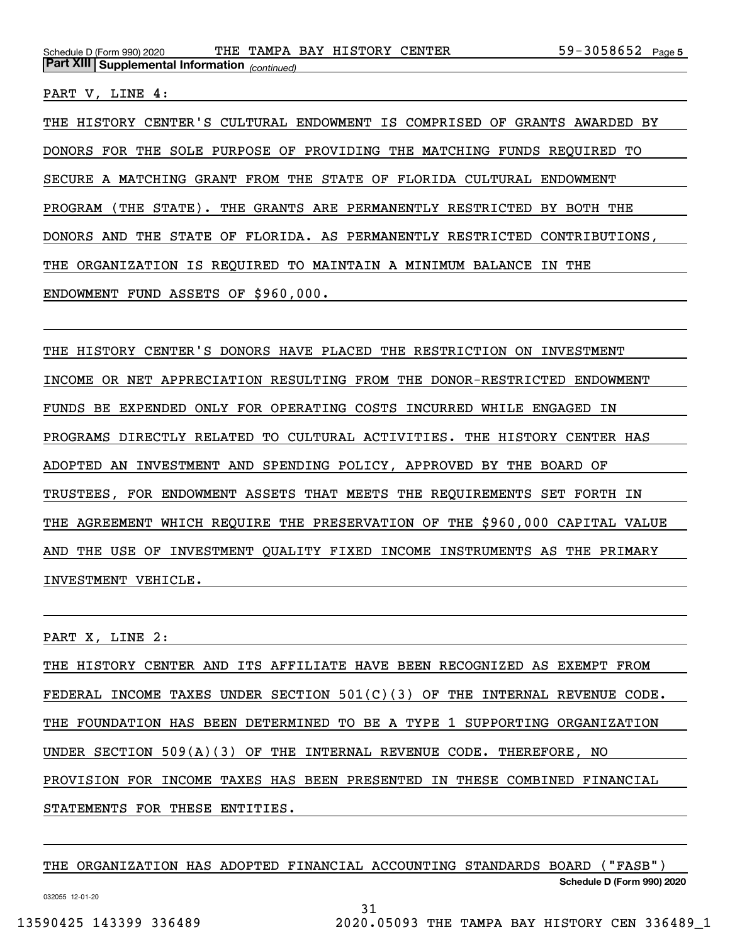PART V, LINE 4:

THE HISTORY CENTER'S CULTURAL ENDOWMENT IS COMPRISED OF GRANTS AWARDED BY DONORS FOR THE SOLE PURPOSE OF PROVIDING THE MATCHING FUNDS REQUIRED TO SECURE A MATCHING GRANT FROM THE STATE OF FLORIDA CULTURAL ENDOWMENT PROGRAM (THE STATE). THE GRANTS ARE PERMANENTLY RESTRICTED BY BOTH THE DONORS AND THE STATE OF FLORIDA. AS PERMANENTLY RESTRICTED CONTRIBUTIONS, THE ORGANIZATION IS REQUIRED TO MAINTAIN A MINIMUM BALANCE IN THE ENDOWMENT FUND ASSETS OF \$960,000.

THE HISTORY CENTER'S DONORS HAVE PLACED THE RESTRICTION ON INVESTMENT INCOME OR NET APPRECIATION RESULTING FROM THE DONOR-RESTRICTED ENDOWMENT FUNDS BE EXPENDED ONLY FOR OPERATING COSTS INCURRED WHILE ENGAGED IN PROGRAMS DIRECTLY RELATED TO CULTURAL ACTIVITIES. THE HISTORY CENTER HAS ADOPTED AN INVESTMENT AND SPENDING POLICY, APPROVED BY THE BOARD OF TRUSTEES, FOR ENDOWMENT ASSETS THAT MEETS THE REQUIREMENTS SET FORTH IN THE AGREEMENT WHICH REQUIRE THE PRESERVATION OF THE \$960,000 CAPITAL VALUE AND THE USE OF INVESTMENT QUALITY FIXED INCOME INSTRUMENTS AS THE PRIMARY INVESTMENT VEHICLE.

PART X, LINE 2:

THE HISTORY CENTER AND ITS AFFILIATE HAVE BEEN RECOGNIZED AS EXEMPT FROM FEDERAL INCOME TAXES UNDER SECTION 501(C)(3) OF THE INTERNAL REVENUE CODE. THE FOUNDATION HAS BEEN DETERMINED TO BE A TYPE 1 SUPPORTING ORGANIZATION UNDER SECTION 509(A)(3) OF THE INTERNAL REVENUE CODE. THEREFORE, NO PROVISION FOR INCOME TAXES HAS BEEN PRESENTED IN THESE COMBINED FINANCIAL STATEMENTS FOR THESE ENTITIES.

**Schedule D (Form 990) 2020** THE ORGANIZATION HAS ADOPTED FINANCIAL ACCOUNTING STANDARDS BOARD ("FASB")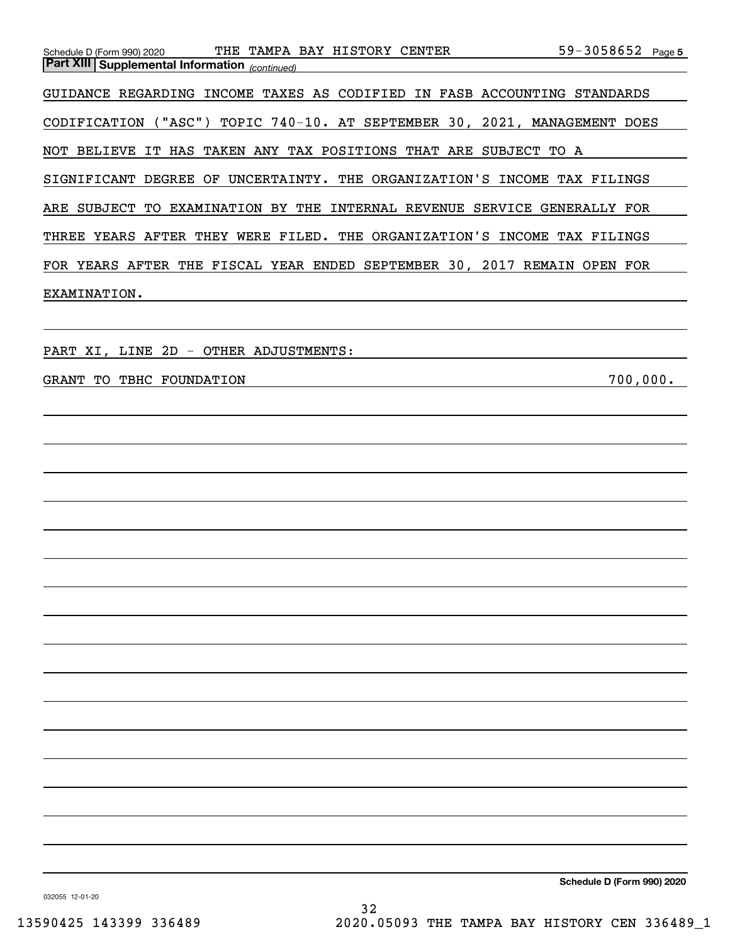| 59-3058652 Page 5<br>Schedule D (Form 990) 2020 THE TAMPA BAY HISTORY CENTER<br><b>Part XIII Supplemental Information</b> (continued) |  |
|---------------------------------------------------------------------------------------------------------------------------------------|--|
| GUIDANCE REGARDING INCOME TAXES AS CODIFIED IN FASB ACCOUNTING STANDARDS                                                              |  |
| CODIFICATION ("ASC") TOPIC 740-10. AT SEPTEMBER 30, 2021, MANAGEMENT DOES                                                             |  |
| NOT BELIEVE IT HAS TAKEN ANY TAX POSITIONS THAT ARE SUBJECT TO A                                                                      |  |
| SIGNIFICANT DEGREE OF UNCERTAINTY. THE ORGANIZATION'S INCOME TAX FILINGS                                                              |  |
| ARE SUBJECT TO EXAMINATION BY THE INTERNAL REVENUE SERVICE GENERALLY FOR                                                              |  |
| THREE YEARS AFTER THEY WERE FILED. THE ORGANIZATION'S INCOME TAX FILINGS                                                              |  |
| FOR YEARS AFTER THE FISCAL YEAR ENDED SEPTEMBER 30, 2017 REMAIN OPEN FOR                                                              |  |
| EXAMINATION.                                                                                                                          |  |
|                                                                                                                                       |  |
| PART XI, LINE 2D - OTHER ADJUSTMENTS:                                                                                                 |  |
| 700,000.<br>GRANT TO TBHC FOUNDATION                                                                                                  |  |
|                                                                                                                                       |  |
|                                                                                                                                       |  |
|                                                                                                                                       |  |
|                                                                                                                                       |  |
|                                                                                                                                       |  |
|                                                                                                                                       |  |
|                                                                                                                                       |  |
|                                                                                                                                       |  |
|                                                                                                                                       |  |
|                                                                                                                                       |  |
|                                                                                                                                       |  |
|                                                                                                                                       |  |
|                                                                                                                                       |  |
|                                                                                                                                       |  |
|                                                                                                                                       |  |
|                                                                                                                                       |  |
|                                                                                                                                       |  |

**Schedule D (Form 990) 2020**

032055 12-01-20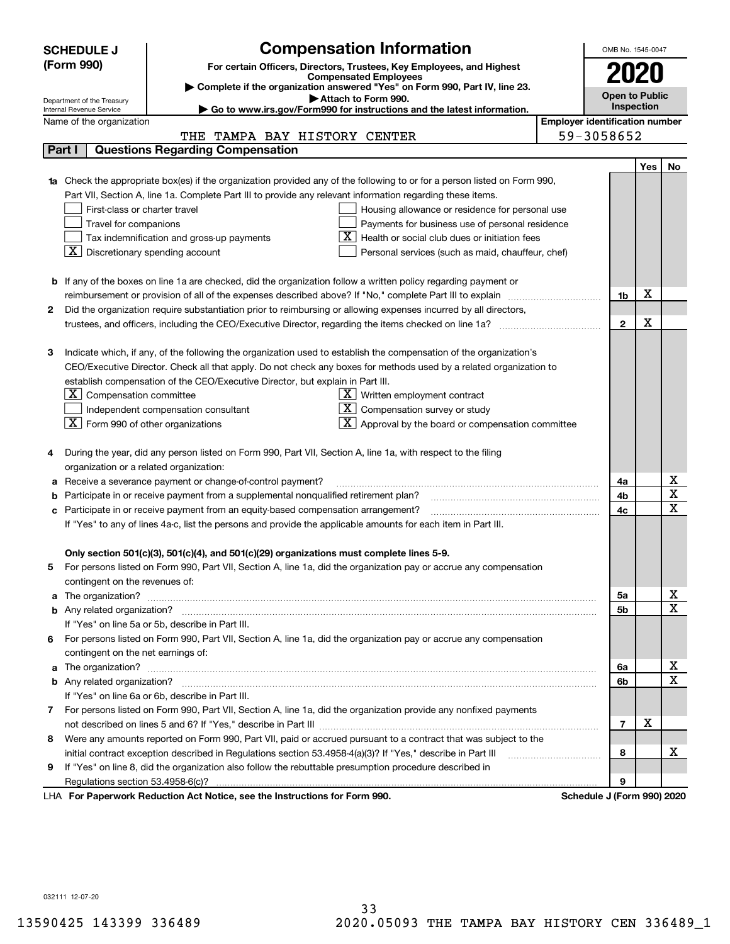|    | <b>SCHEDULE J</b>                                      | <b>Compensation Information</b>                                                                                                  |            |            | OMB No. 1545-0047                     |     |                            |  |  |
|----|--------------------------------------------------------|----------------------------------------------------------------------------------------------------------------------------------|------------|------------|---------------------------------------|-----|----------------------------|--|--|
|    | (Form 990)                                             | For certain Officers, Directors, Trustees, Key Employees, and Highest                                                            |            |            |                                       |     |                            |  |  |
|    |                                                        | <b>Compensated Employees</b>                                                                                                     |            |            |                                       |     |                            |  |  |
|    |                                                        | Complete if the organization answered "Yes" on Form 990, Part IV, line 23.<br>Attach to Form 990.                                |            |            | <b>Open to Public</b>                 |     |                            |  |  |
|    | Department of the Treasury<br>Internal Revenue Service | Go to www.irs.gov/Form990 for instructions and the latest information.                                                           |            | Inspection |                                       |     |                            |  |  |
|    | Name of the organization                               |                                                                                                                                  |            |            | <b>Employer identification number</b> |     |                            |  |  |
|    |                                                        | THE TAMPA BAY HISTORY CENTER                                                                                                     | 59-3058652 |            |                                       |     |                            |  |  |
|    | Part I                                                 | <b>Questions Regarding Compensation</b>                                                                                          |            |            |                                       |     |                            |  |  |
|    |                                                        |                                                                                                                                  |            |            |                                       | Yes | No                         |  |  |
|    |                                                        | <b>1a</b> Check the appropriate box(es) if the organization provided any of the following to or for a person listed on Form 990, |            |            |                                       |     |                            |  |  |
|    |                                                        | Part VII, Section A, line 1a. Complete Part III to provide any relevant information regarding these items.                       |            |            |                                       |     |                            |  |  |
|    | First-class or charter travel                          | Housing allowance or residence for personal use                                                                                  |            |            |                                       |     |                            |  |  |
|    | Travel for companions                                  | Payments for business use of personal residence                                                                                  |            |            |                                       |     |                            |  |  |
|    |                                                        | Health or social club dues or initiation fees<br>Tax indemnification and gross-up payments                                       |            |            |                                       |     |                            |  |  |
|    | X                                                      | Discretionary spending account<br>Personal services (such as maid, chauffeur, chef)                                              |            |            |                                       |     |                            |  |  |
|    |                                                        |                                                                                                                                  |            |            |                                       |     |                            |  |  |
|    |                                                        | <b>b</b> If any of the boxes on line 1a are checked, did the organization follow a written policy regarding payment or           |            |            |                                       | X   |                            |  |  |
| 2  |                                                        | Did the organization require substantiation prior to reimbursing or allowing expenses incurred by all directors,                 |            |            | 1b                                    |     |                            |  |  |
|    |                                                        |                                                                                                                                  |            |            | $\overline{2}$                        | Χ   |                            |  |  |
|    |                                                        |                                                                                                                                  |            |            |                                       |     |                            |  |  |
| з  |                                                        | Indicate which, if any, of the following the organization used to establish the compensation of the organization's               |            |            |                                       |     |                            |  |  |
|    |                                                        | CEO/Executive Director. Check all that apply. Do not check any boxes for methods used by a related organization to               |            |            |                                       |     |                            |  |  |
|    |                                                        | establish compensation of the CEO/Executive Director, but explain in Part III.                                                   |            |            |                                       |     |                            |  |  |
|    | $X$ Compensation committee                             | $X$ Written employment contract                                                                                                  |            |            |                                       |     |                            |  |  |
|    |                                                        | Compensation survey or study<br>Independent compensation consultant                                                              |            |            |                                       |     |                            |  |  |
|    | $ \mathbf{X} $ Form 990 of other organizations         | Approval by the board or compensation committee                                                                                  |            |            |                                       |     |                            |  |  |
|    |                                                        |                                                                                                                                  |            |            |                                       |     |                            |  |  |
|    |                                                        | During the year, did any person listed on Form 990, Part VII, Section A, line 1a, with respect to the filing                     |            |            |                                       |     |                            |  |  |
|    | organization or a related organization:                |                                                                                                                                  |            |            |                                       |     |                            |  |  |
| а  |                                                        | Receive a severance payment or change-of-control payment?                                                                        |            |            | 4a                                    |     | x                          |  |  |
|    |                                                        | Participate in or receive payment from a supplemental nonqualified retirement plan?                                              |            |            | 4b                                    |     | $\overline{\textbf{X}}$    |  |  |
|    |                                                        | c Participate in or receive payment from an equity-based compensation arrangement?                                               |            |            | 4c                                    |     | $\overline{\mathbf{x}}$    |  |  |
|    |                                                        | If "Yes" to any of lines 4a-c, list the persons and provide the applicable amounts for each item in Part III.                    |            |            |                                       |     |                            |  |  |
|    |                                                        |                                                                                                                                  |            |            |                                       |     |                            |  |  |
|    |                                                        | Only section 501(c)(3), 501(c)(4), and 501(c)(29) organizations must complete lines 5-9.                                         |            |            |                                       |     |                            |  |  |
| 5  |                                                        | For persons listed on Form 990, Part VII, Section A, line 1a, did the organization pay or accrue any compensation                |            |            |                                       |     |                            |  |  |
|    | contingent on the revenues of:                         |                                                                                                                                  |            |            |                                       |     | x                          |  |  |
|    |                                                        |                                                                                                                                  |            |            | 5a                                    |     | $\overline{\mathbf{x}}$    |  |  |
|    |                                                        | If "Yes" on line 5a or 5b, describe in Part III.                                                                                 |            |            | 5b                                    |     |                            |  |  |
|    |                                                        | 6 For persons listed on Form 990, Part VII, Section A, line 1a, did the organization pay or accrue any compensation              |            |            |                                       |     |                            |  |  |
|    | contingent on the net earnings of:                     |                                                                                                                                  |            |            |                                       |     |                            |  |  |
|    |                                                        |                                                                                                                                  |            |            | 6a                                    |     | х                          |  |  |
|    |                                                        |                                                                                                                                  |            |            | 6b                                    |     | $\overline{\mathbf{x}}$    |  |  |
|    |                                                        | If "Yes" on line 6a or 6b, describe in Part III.                                                                                 |            |            |                                       |     |                            |  |  |
|    |                                                        | 7 For persons listed on Form 990, Part VII, Section A, line 1a, did the organization provide any nonfixed payments               |            |            |                                       |     |                            |  |  |
|    |                                                        |                                                                                                                                  |            |            | $\overline{7}$                        | X   |                            |  |  |
| 8  |                                                        | Were any amounts reported on Form 990, Part VII, paid or accrued pursuant to a contract that was subject to the                  |            |            |                                       |     |                            |  |  |
|    |                                                        | initial contract exception described in Regulations section 53.4958-4(a)(3)? If "Yes," describe in Part III                      |            |            | 8                                     |     | х                          |  |  |
| 9. |                                                        | If "Yes" on line 8, did the organization also follow the rebuttable presumption procedure described in                           |            |            |                                       |     |                            |  |  |
|    |                                                        |                                                                                                                                  |            |            | 9                                     |     |                            |  |  |
|    |                                                        | exuerk Reduction Act Notice, see the Instructions for Form 000                                                                   |            |            |                                       |     | Pohodulo I (Form 000) 2020 |  |  |

LHA For Paperwork Reduction Act Notice, see the Instructions for Form 990. Schedule J (Form 990) 2020

032111 12-07-20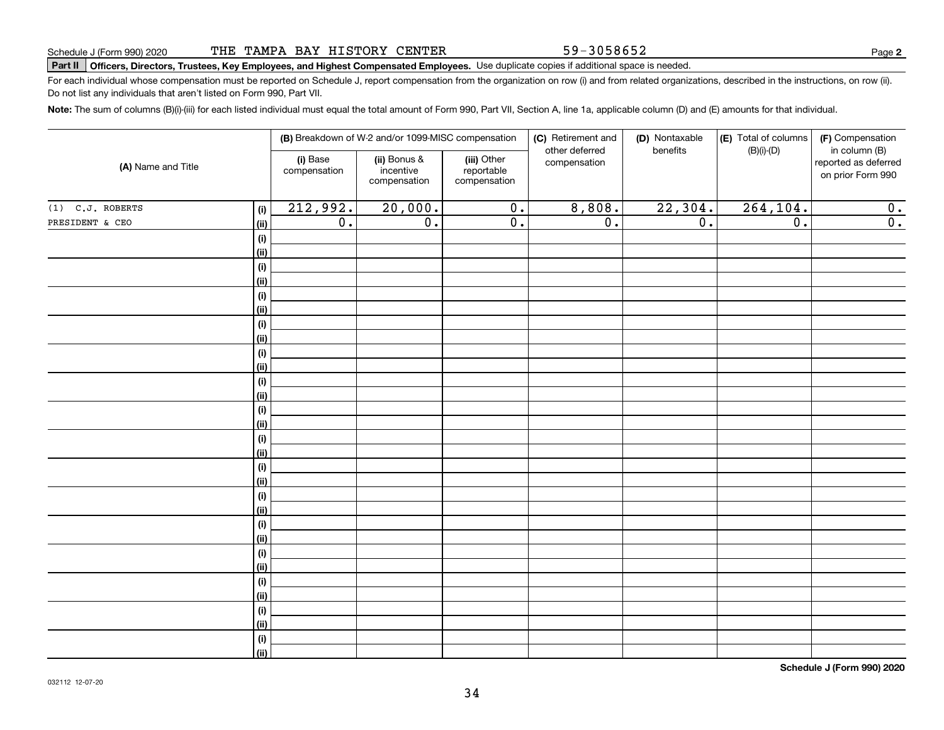59-3058652

**2**

# **Part II Officers, Directors, Trustees, Key Employees, and Highest Compensated Employees.**  Schedule J (Form 990) 2020 Page Use duplicate copies if additional space is needed.

For each individual whose compensation must be reported on Schedule J, report compensation from the organization on row (i) and from related organizations, described in the instructions, on row (ii). Do not list any individuals that aren't listed on Form 990, Part VII.

**Note:**  The sum of columns (B)(i)-(iii) for each listed individual must equal the total amount of Form 990, Part VII, Section A, line 1a, applicable column (D) and (E) amounts for that individual.

| (A) Name and Title |                |                          | (B) Breakdown of W-2 and/or 1099-MISC compensation |                                           | (C) Retirement and<br>other deferred | (D) Nontaxable<br>benefits | (E) Total of columns<br>$(B)(i)-(D)$ | (F) Compensation<br>in column (B)         |
|--------------------|----------------|--------------------------|----------------------------------------------------|-------------------------------------------|--------------------------------------|----------------------------|--------------------------------------|-------------------------------------------|
|                    |                | (i) Base<br>compensation | (ii) Bonus &<br>incentive<br>compensation          | (iii) Other<br>reportable<br>compensation | compensation                         |                            |                                      | reported as deferred<br>on prior Form 990 |
| $(1)$ C.J. ROBERTS | (i)            | 212,992.                 | 20,000.                                            | $\overline{0}$ .                          | 8,808.                               | 22,304.                    | 264, 104.                            | 0.                                        |
| PRESIDENT & CEO    | (ii)           | $\overline{0}$ .         | $\overline{0}$ .                                   | $\overline{0}$ .                          | $\overline{0}$ .                     | $\overline{0}$ .           | $\overline{0}$ .                     | $\overline{0}$ .                          |
|                    | (i)            |                          |                                                    |                                           |                                      |                            |                                      |                                           |
|                    | <u>(ii)</u>    |                          |                                                    |                                           |                                      |                            |                                      |                                           |
|                    | (i)            |                          |                                                    |                                           |                                      |                            |                                      |                                           |
|                    | <u>(ii)</u>    |                          |                                                    |                                           |                                      |                            |                                      |                                           |
|                    | (i)            |                          |                                                    |                                           |                                      |                            |                                      |                                           |
|                    | <u>(ii)</u>    |                          |                                                    |                                           |                                      |                            |                                      |                                           |
|                    | (i)            |                          |                                                    |                                           |                                      |                            |                                      |                                           |
|                    | <u>(ii)</u>    |                          |                                                    |                                           |                                      |                            |                                      |                                           |
|                    | (i)            |                          |                                                    |                                           |                                      |                            |                                      |                                           |
|                    | <u>(ii)</u>    |                          |                                                    |                                           |                                      |                            |                                      |                                           |
|                    | (i)            |                          |                                                    |                                           |                                      |                            |                                      |                                           |
|                    | (ii)           |                          |                                                    |                                           |                                      |                            |                                      |                                           |
|                    | (i)<br>(ii)    |                          |                                                    |                                           |                                      |                            |                                      |                                           |
|                    | (i)            |                          |                                                    |                                           |                                      |                            |                                      |                                           |
|                    | (ii)           |                          |                                                    |                                           |                                      |                            |                                      |                                           |
|                    | (i)            |                          |                                                    |                                           |                                      |                            |                                      |                                           |
|                    | (ii)           |                          |                                                    |                                           |                                      |                            |                                      |                                           |
|                    | (i)            |                          |                                                    |                                           |                                      |                            |                                      |                                           |
|                    | <u>(ii)</u>    |                          |                                                    |                                           |                                      |                            |                                      |                                           |
|                    | (i)            |                          |                                                    |                                           |                                      |                            |                                      |                                           |
|                    | <u>(ii)</u>    |                          |                                                    |                                           |                                      |                            |                                      |                                           |
|                    | (i)            |                          |                                                    |                                           |                                      |                            |                                      |                                           |
|                    | <u>(ii)</u>    |                          |                                                    |                                           |                                      |                            |                                      |                                           |
|                    | (i)            |                          |                                                    |                                           |                                      |                            |                                      |                                           |
|                    | <u>(ii)</u>    |                          |                                                    |                                           |                                      |                            |                                      |                                           |
|                    | (i)            |                          |                                                    |                                           |                                      |                            |                                      |                                           |
|                    | <u>(ii)</u>    |                          |                                                    |                                           |                                      |                            |                                      |                                           |
|                    | (i)            |                          |                                                    |                                           |                                      |                            |                                      |                                           |
|                    | $\overline{}}$ |                          |                                                    |                                           |                                      |                            |                                      |                                           |

**Schedule J (Form 990) 2020**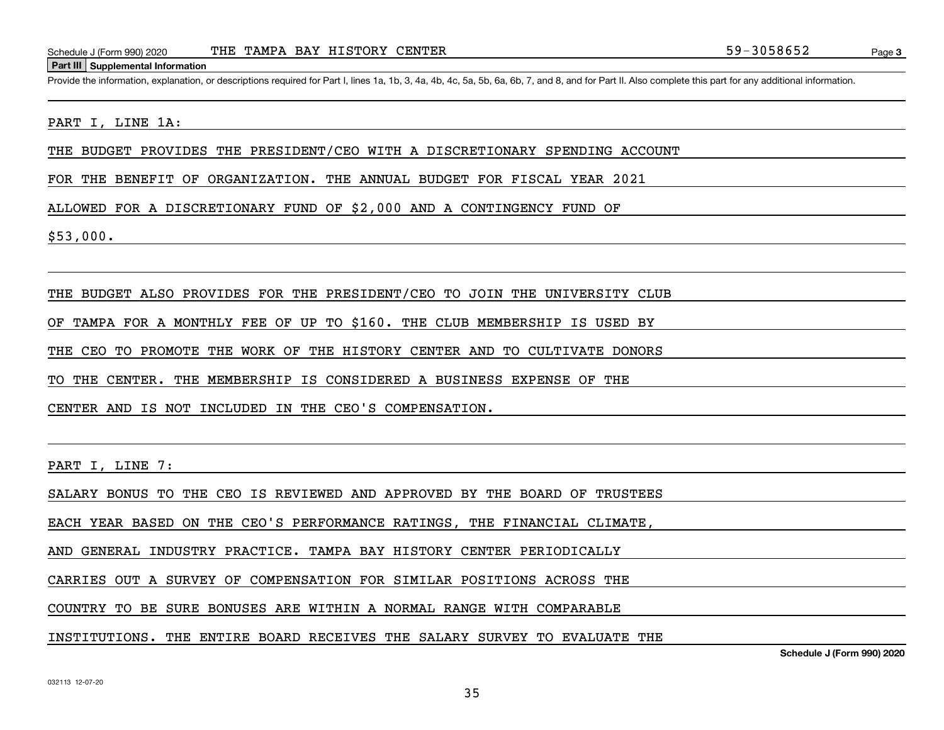### **Part III Supplemental Information**

Schedule J (Form 990) 2020 THE TAMPA BAY HISTORY CENTER<br>
Part III Supplemental Information<br>
Provide the information, explanation, or descriptions required for Part I. lines 1a, 1b, 3, 4a, 4b, 4c, 5a, 5b, 6a, 6b, 7, and 8,

### PART I, LINE 1A:

THE BUDGET PROVIDES THE PRESIDENT/CEO WITH A DISCRETIONARY SPENDING ACCOUNT

FOR THE BENEFIT OF ORGANIZATION. THE ANNUAL BUDGET FOR FISCAL YEAR 2021

ALLOWED FOR A DISCRETIONARY FUND OF \$2,000 AND A CONTINGENCY FUND OF

\$53,000.

THE BUDGET ALSO PROVIDES FOR THE PRESIDENT/CEO TO JOIN THE UNIVERSITY CLUB

OF TAMPA FOR A MONTHLY FEE OF UP TO \$160. THE CLUB MEMBERSHIP IS USED BY

THE CEO TO PROMOTE THE WORK OF THE HISTORY CENTER AND TO CULTIVATE DONORS

TO THE CENTER. THE MEMBERSHIP IS CONSIDERED A BUSINESS EXPENSE OF THE

CENTER AND IS NOT INCLUDED IN THE CEO'S COMPENSATION.

PART I, LINE 7:

SALARY BONUS TO THE CEO IS REVIEWED AND APPROVED BY THE BOARD OF TRUSTEES

EACH YEAR BASED ON THE CEO'S PERFORMANCE RATINGS, THE FINANCIAL CLIMATE,

AND GENERAL INDUSTRY PRACTICE. TAMPA BAY HISTORY CENTER PERIODICALLY

CARRIES OUT A SURVEY OF COMPENSATION FOR SIMILAR POSITIONS ACROSS THE

COUNTRY TO BE SURE BONUSES ARE WITHIN A NORMAL RANGE WITH COMPARABLE

INSTITUTIONS. THE ENTIRE BOARD RECEIVES THE SALARY SURVEY TO EVALUATE THE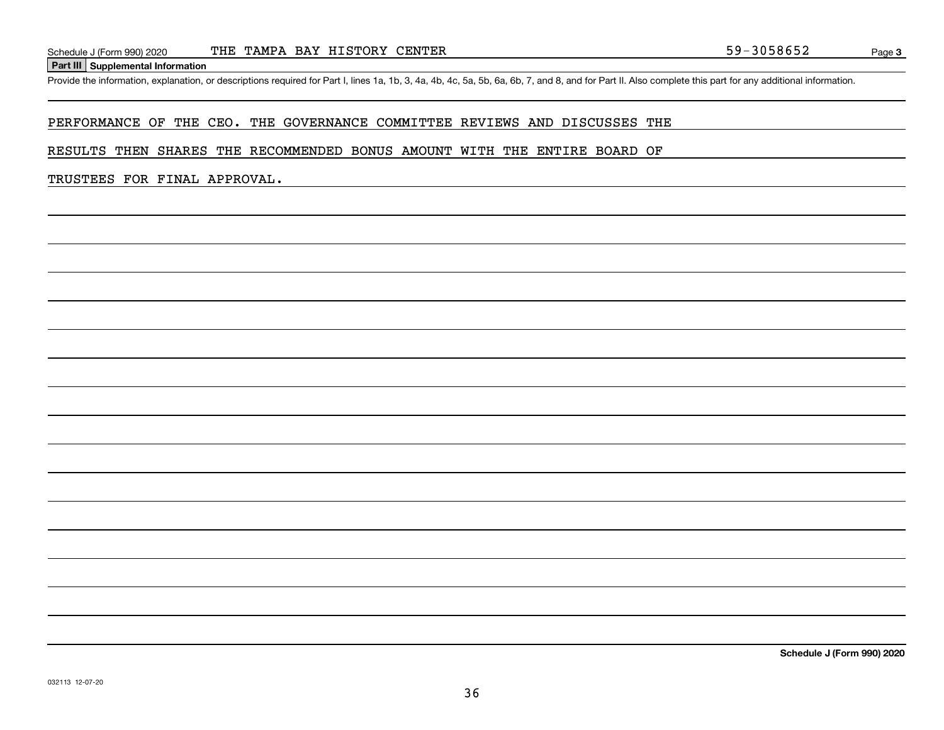#### **Part III Supplemental Information**

Schedule J (Form 990) 2020 THE TAMPA BAY HISTORY CENTER<br>Part III Supplemental Information<br>Provide the information, explanation, or descriptions required for Part I, lines 1a, 1b, 3, 4a, 4b, 4c, 5a, 5b, 6a, 6b, 7, and 8, an

#### PERFORMANCE OF THE CEO. THE GOVERNANCE COMMITTEE REVIEWS AND DISCUSSES THE

#### RESULTS THEN SHARES THE RECOMMENDED BONUS AMOUNT WITH THE ENTIRE BOARD OF

#### TRUSTEES FOR FINAL APPROVAL.

**Schedule J (Form 990) 2020**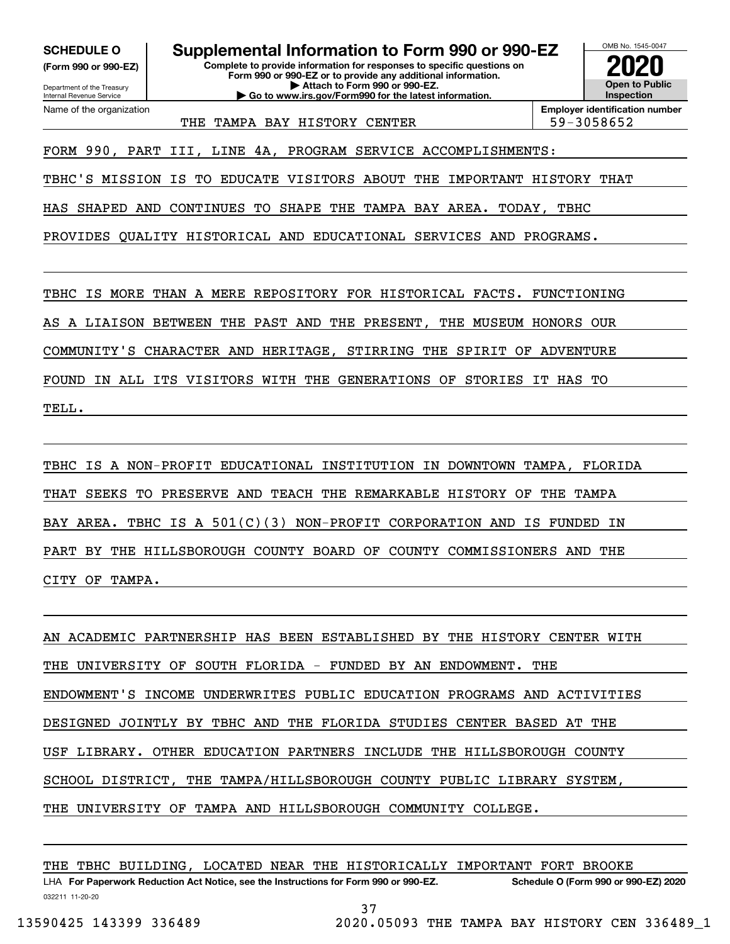**(Form 990 or 990-EZ)**

Department of the Treasury Internal Revenue Service Name of the organization

**SCHEDULE O Supplemental Information to Form 990 or 990-EZ**

**Complete to provide information for responses to specific questions on Form 990 or 990-EZ or to provide any additional information. | Attach to Form 990 or 990-EZ. | Go to www.irs.gov/Form990 for the latest information.**



THE TAMPA BAY HISTORY CENTER THE 59-3058652

**Employer identification number**

FORM 990, PART III, LINE 4A, PROGRAM SERVICE ACCOMPLISHMENTS:

TBHC'S MISSION IS TO EDUCATE VISITORS ABOUT THE IMPORTANT HISTORY THAT

HAS SHAPED AND CONTINUES TO SHAPE THE TAMPA BAY AREA. TODAY, TBHC

PROVIDES QUALITY HISTORICAL AND EDUCATIONAL SERVICES AND PROGRAMS.

TBHC IS MORE THAN A MERE REPOSITORY FOR HISTORICAL FACTS. FUNCTIONING

AS A LIAISON BETWEEN THE PAST AND THE PRESENT, THE MUSEUM HONORS OUR

COMMUNITY'S CHARACTER AND HERITAGE, STIRRING THE SPIRIT OF ADVENTURE

FOUND IN ALL ITS VISITORS WITH THE GENERATIONS OF STORIES IT HAS TO TELL.

TBHC IS A NON-PROFIT EDUCATIONAL INSTITUTION IN DOWNTOWN TAMPA, FLORIDA THAT SEEKS TO PRESERVE AND TEACH THE REMARKABLE HISTORY OF THE TAMPA BAY AREA. TBHC IS A 501(C)(3) NON-PROFIT CORPORATION AND IS FUNDED IN PART BY THE HILLSBOROUGH COUNTY BOARD OF COUNTY COMMISSIONERS AND THE CITY OF TAMPA.

AN ACADEMIC PARTNERSHIP HAS BEEN ESTABLISHED BY THE HISTORY CENTER WITH THE UNIVERSITY OF SOUTH FLORIDA - FUNDED BY AN ENDOWMENT. THE ENDOWMENT'S INCOME UNDERWRITES PUBLIC EDUCATION PROGRAMS AND ACTIVITIES DESIGNED JOINTLY BY TBHC AND THE FLORIDA STUDIES CENTER BASED AT THE USF LIBRARY. OTHER EDUCATION PARTNERS INCLUDE THE HILLSBOROUGH COUNTY SCHOOL DISTRICT, THE TAMPA/HILLSBOROUGH COUNTY PUBLIC LIBRARY SYSTEM, THE UNIVERSITY OF TAMPA AND HILLSBOROUGH COMMUNITY COLLEGE.

THE TBHC BUILDING, LOCATED NEAR THE HISTORICALLY IMPORTANT FORT BROOKE

032211 11-20-20 LHA For Paperwork Reduction Act Notice, see the Instructions for Form 990 or 990-EZ. Schedule O (Form 990 or 990-EZ) 2020 37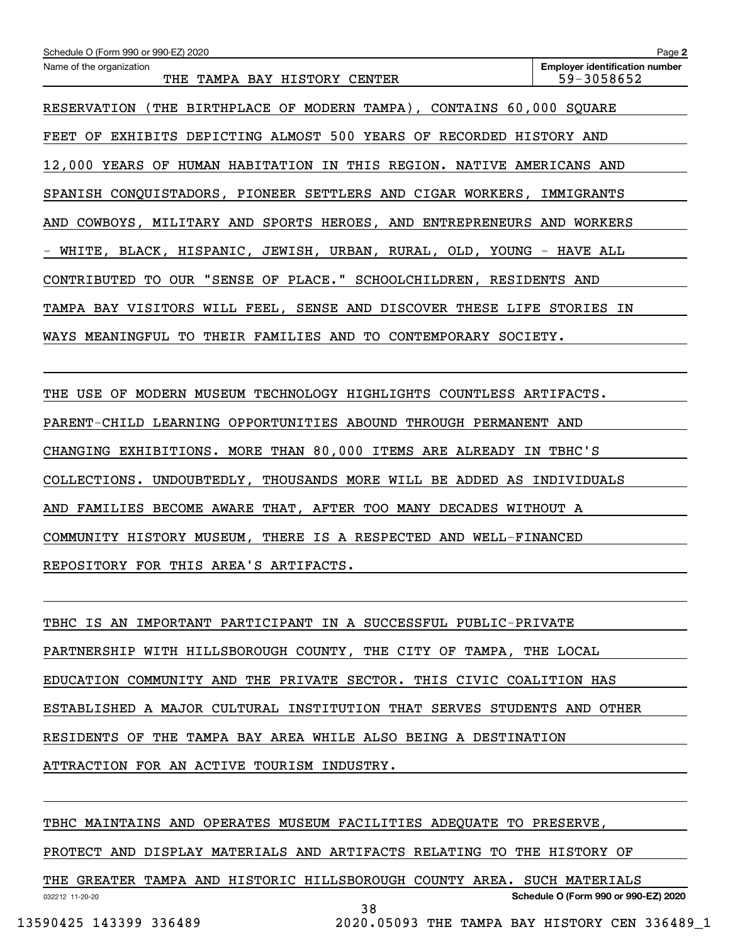| Schedule O (Form 990 or 990-EZ) 2020                                   | Page 2                                |
|------------------------------------------------------------------------|---------------------------------------|
| Name of the organization                                               | <b>Employer identification number</b> |
| THE TAMPA BAY HISTORY CENTER                                           | 59-3058652                            |
| RESERVATION (THE BIRTHPLACE OF MODERN TAMPA), CONTAINS 60,000 SQUARE   |                                       |
| FEET OF EXHIBITS DEPICTING ALMOST 500 YEARS OF RECORDED HISTORY AND    |                                       |
| 12,000 YEARS OF HUMAN HABITATION IN THIS REGION. NATIVE AMERICANS AND  |                                       |
| SPANISH CONQUISTADORS, PIONEER SETTLERS AND CIGAR WORKERS, IMMIGRANTS  |                                       |
| AND COWBOYS, MILITARY AND SPORTS HEROES, AND ENTREPRENEURS AND WORKERS |                                       |
| WHITE, BLACK, HISPANIC, JEWISH, URBAN, RURAL, OLD, YOUNG - HAVE ALL    |                                       |
| CONTRIBUTED TO OUR "SENSE OF PLACE." SCHOOLCHILDREN, RESIDENTS AND     |                                       |
| TAMPA BAY VISITORS WILL FEEL, SENSE AND DISCOVER THESE LIFE STORIES IN |                                       |
| WAYS MEANINGFUL TO THEIR FAMILIES AND TO CONTEMPORARY SOCIETY.         |                                       |
|                                                                        |                                       |
| THE USE OF MODERN MUSEUM TECHNOLOGY HIGHLIGHTS COUNTLESS ARTIFACTS.    |                                       |
| PARENT-CHILD LEARNING OPPORTUNITIES ABOUND THROUGH PERMANENT AND       |                                       |
| CHANGING EXHIBITIONS. MORE THAN 80,000 ITEMS ARE ALREADY IN TBHC'S     |                                       |
| COLLECTIONS. UNDOUBTEDLY, THOUSANDS MORE WILL BE ADDED AS INDIVIDUALS  |                                       |
| AND FAMILIES BECOME AWARE THAT, AFTER TOO MANY DECADES WITHOUT A       |                                       |

COMMUNITY HISTORY MUSEUM, THERE IS A RESPECTED AND WELL-FINANCED

REPOSITORY FOR THIS AREA'S ARTIFACTS.

TBHC IS AN IMPORTANT PARTICIPANT IN A SUCCESSFUL PUBLIC-PRIVATE PARTNERSHIP WITH HILLSBOROUGH COUNTY, THE CITY OF TAMPA, THE LOCAL EDUCATION COMMUNITY AND THE PRIVATE SECTOR. THIS CIVIC COALITION HAS ESTABLISHED A MAJOR CULTURAL INSTITUTION THAT SERVES STUDENTS AND OTHER RESIDENTS OF THE TAMPA BAY AREA WHILE ALSO BEING A DESTINATION ATTRACTION FOR AN ACTIVE TOURISM INDUSTRY.

TBHC MAINTAINS AND OPERATES MUSEUM FACILITIES ADEQUATE TO PRESERVE,

PROTECT AND DISPLAY MATERIALS AND ARTIFACTS RELATING TO THE HISTORY OF

032212 11-20-20 **Schedule O (Form 990 or 990-EZ) 2020** THE GREATER TAMPA AND HISTORIC HILLSBOROUGH COUNTY AREA. SUCH MATERIALS 38

13590425 143399 336489 2020.05093 THE TAMPA BAY HISTORY CEN 336489\_1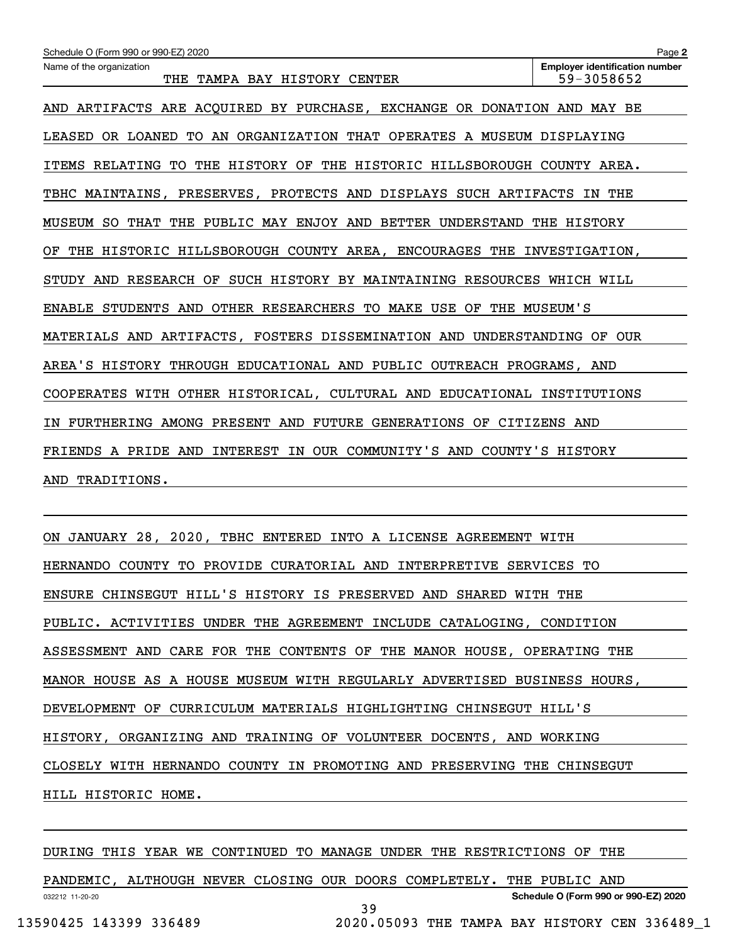| Schedule O (Form 990 or 990-EZ) 2020                                       | Page 2                                              |
|----------------------------------------------------------------------------|-----------------------------------------------------|
| Name of the organization<br>THE TAMPA BAY HISTORY CENTER                   | <b>Employer identification number</b><br>59-3058652 |
| AND ARTIFACTS ARE ACQUIRED BY PURCHASE, EXCHANGE OR DONATION AND MAY BE    |                                                     |
| LEASED OR LOANED TO AN ORGANIZATION THAT OPERATES A MUSEUM DISPLAYING      |                                                     |
| ITEMS RELATING TO THE HISTORY OF THE HISTORIC HILLSBOROUGH COUNTY AREA.    |                                                     |
| TBHC MAINTAINS, PRESERVES, PROTECTS AND DISPLAYS SUCH ARTIFACTS            | IN THE                                              |
| MUSEUM SO THAT THE PUBLIC MAY ENJOY AND BETTER UNDERSTAND THE HISTORY      |                                                     |
| THE HISTORIC HILLSBOROUGH COUNTY AREA, ENCOURAGES THE INVESTIGATION,<br>OF |                                                     |
| STUDY AND RESEARCH OF SUCH HISTORY BY MAINTAINING RESOURCES WHICH WILL     |                                                     |
| ENABLE STUDENTS AND OTHER RESEARCHERS TO MAKE USE OF THE MUSEUM'S          |                                                     |
| MATERIALS AND ARTIFACTS, FOSTERS DISSEMINATION AND UNDERSTANDING OF OUR    |                                                     |
| AREA'S HISTORY THROUGH EDUCATIONAL AND PUBLIC OUTREACH PROGRAMS, AND       |                                                     |
| COOPERATES WITH OTHER HISTORICAL, CULTURAL AND EDUCATIONAL INSTITUTIONS    |                                                     |
| IN FURTHERING AMONG PRESENT AND FUTURE GENERATIONS OF CITIZENS AND         |                                                     |
| FRIENDS A PRIDE AND INTEREST IN OUR COMMUNITY'S AND COUNTY'S HISTORY       |                                                     |
| TRADITIONS.<br>AND                                                         |                                                     |
|                                                                            |                                                     |

ON JANUARY 28, 2020, TBHC ENTERED INTO A LICENSE AGREEMENT WITH HERNANDO COUNTY TO PROVIDE CURATORIAL AND INTERPRETIVE SERVICES TO ENSURE CHINSEGUT HILL'S HISTORY IS PRESERVED AND SHARED WITH THE PUBLIC. ACTIVITIES UNDER THE AGREEMENT INCLUDE CATALOGING, CONDITION ASSESSMENT AND CARE FOR THE CONTENTS OF THE MANOR HOUSE, OPERATING THE MANOR HOUSE AS A HOUSE MUSEUM WITH REGULARLY ADVERTISED BUSINESS HOURS, DEVELOPMENT OF CURRICULUM MATERIALS HIGHLIGHTING CHINSEGUT HILL'S HISTORY, ORGANIZING AND TRAINING OF VOLUNTEER DOCENTS, AND WORKING CLOSELY WITH HERNANDO COUNTY IN PROMOTING AND PRESERVING THE CHINSEGUT HILL HISTORIC HOME.

032212 11-20-20 **Schedule O (Form 990 or 990-EZ) 2020** DURING THIS YEAR WE CONTINUED TO MANAGE UNDER THE RESTRICTIONS OF THE PANDEMIC, ALTHOUGH NEVER CLOSING OUR DOORS COMPLETELY. THE PUBLIC AND 39 13590425 143399 336489 2020.05093 THE TAMPA BAY HISTORY CEN 336489\_1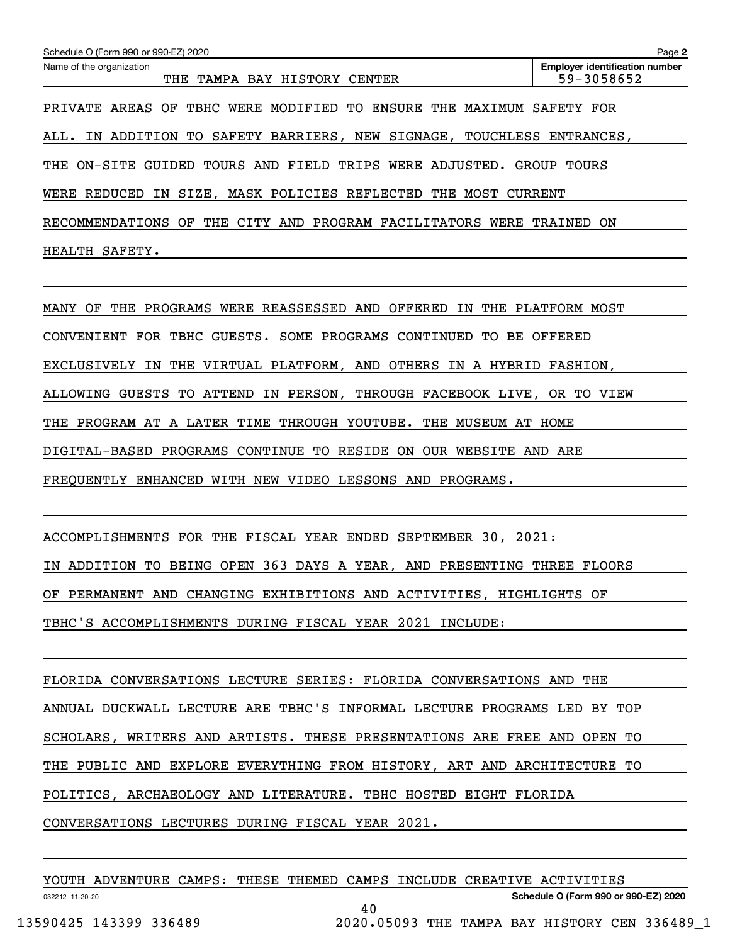| Schedule O (Form 990 or 990-EZ) 2020                                               | Page 2                                              |
|------------------------------------------------------------------------------------|-----------------------------------------------------|
| Name of the organization<br>TAMPA BAY HISTORY CENTER<br>THE                        | <b>Employer identification number</b><br>59-3058652 |
| PRIVATE AREAS OF TBHC WERE MODIFIED TO ENSURE THE MAXIMUM                          | SAFETY FOR                                          |
| SAFETY BARRIERS, NEW SIGNAGE, TOUCHLESS ENTRANCES,<br>ADDITION<br>TO<br>ALL.<br>IN |                                                     |
| TOURS AND FIELD TRIPS WERE ADJUSTED.<br>THE ON-SITE<br>GUIDED                      | GROUP TOURS                                         |
| IN SIZE, MASK POLICIES REFLECTED THE MOST CURRENT<br>WERE REDUCED                  |                                                     |
| THE CITY AND PROGRAM FACILITATORS<br>RECOMMENDATIONS<br>OF<br>WERE                 | TRAINED<br>ON                                       |
| SAFETY.<br>HEALTH                                                                  |                                                     |

MANY OF THE PROGRAMS WERE REASSESSED AND OFFERED IN THE PLATFORM MOST CONVENIENT FOR TBHC GUESTS. SOME PROGRAMS CONTINUED TO BE OFFERED EXCLUSIVELY IN THE VIRTUAL PLATFORM, AND OTHERS IN A HYBRID FASHION, ALLOWING GUESTS TO ATTEND IN PERSON, THROUGH FACEBOOK LIVE, OR TO VIEW THE PROGRAM AT A LATER TIME THROUGH YOUTUBE. THE MUSEUM AT HOME DIGITAL-BASED PROGRAMS CONTINUE TO RESIDE ON OUR WEBSITE AND ARE FREQUENTLY ENHANCED WITH NEW VIDEO LESSONS AND PROGRAMS.

ACCOMPLISHMENTS FOR THE FISCAL YEAR ENDED SEPTEMBER 30, 2021: IN ADDITION TO BEING OPEN 363 DAYS A YEAR, AND PRESENTING THREE FLOORS OF PERMANENT AND CHANGING EXHIBITIONS AND ACTIVITIES, HIGHLIGHTS OF TBHC'S ACCOMPLISHMENTS DURING FISCAL YEAR 2021 INCLUDE:

FLORIDA CONVERSATIONS LECTURE SERIES: FLORIDA CONVERSATIONS AND THE ANNUAL DUCKWALL LECTURE ARE TBHC'S INFORMAL LECTURE PROGRAMS LED BY TOP SCHOLARS, WRITERS AND ARTISTS. THESE PRESENTATIONS ARE FREE AND OPEN TO THE PUBLIC AND EXPLORE EVERYTHING FROM HISTORY, ART AND ARCHITECTURE TO POLITICS, ARCHAEOLOGY AND LITERATURE. TBHC HOSTED EIGHT FLORIDA CONVERSATIONS LECTURES DURING FISCAL YEAR 2021.

| YOUTH ADVENTURE CAMPS: THESE THEMED CAMPS INCLUDE CREATIVE ACTIVITIES |  |    |  |                                               |  |  |
|-----------------------------------------------------------------------|--|----|--|-----------------------------------------------|--|--|
| 032212 11-20-20                                                       |  |    |  | Schedule O (Form 990 or 990-EZ) 2020          |  |  |
|                                                                       |  | 40 |  |                                               |  |  |
| 13590425 143399 336489                                                |  |    |  | 2020.05093 THE TAMPA BAY HISTORY CEN 336489 1 |  |  |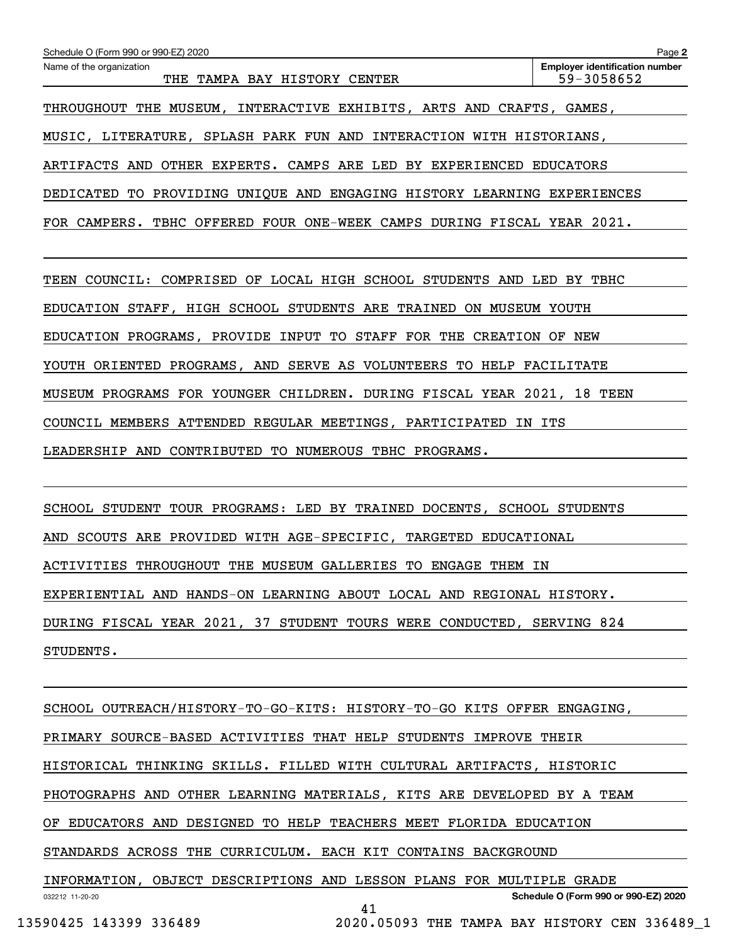| Schedule O (Form 990 or 990-EZ) 2020                                    | Page 2                                              |  |  |  |  |  |  |
|-------------------------------------------------------------------------|-----------------------------------------------------|--|--|--|--|--|--|
| Name of the organization<br>THE TAMPA BAY HISTORY CENTER                | <b>Employer identification number</b><br>59-3058652 |  |  |  |  |  |  |
| THROUGHOUT THE MUSEUM, INTERACTIVE EXHIBITS, ARTS AND CRAFTS, GAMES,    |                                                     |  |  |  |  |  |  |
| MUSIC, LITERATURE, SPLASH PARK FUN AND INTERACTION WITH HISTORIANS,     |                                                     |  |  |  |  |  |  |
| ARTIFACTS AND OTHER EXPERTS. CAMPS ARE LED BY EXPERIENCED EDUCATORS     |                                                     |  |  |  |  |  |  |
| DEDICATED TO PROVIDING UNIQUE AND ENGAGING HISTORY LEARNING EXPERIENCES |                                                     |  |  |  |  |  |  |
| FOR CAMPERS. TBHC OFFERED FOUR ONE-WEEK CAMPS DURING FISCAL YEAR 2021.  |                                                     |  |  |  |  |  |  |
|                                                                         |                                                     |  |  |  |  |  |  |
| TEEN COUNCIL: COMPRISED OF LOCAL HIGH SCHOOL STUDENTS AND LED BY TBHC   |                                                     |  |  |  |  |  |  |
| EDUCATION STAFF, HIGH SCHOOL STUDENTS ARE TRAINED ON MUSEUM YOUTH       |                                                     |  |  |  |  |  |  |
| EDUCATION PROGRAMS, PROVIDE INPUT TO STAFF FOR THE CREATION OF NEW      |                                                     |  |  |  |  |  |  |
| YOUTH ORIENTED PROGRAMS, AND SERVE AS VOLUNTEERS TO HELP FACILITATE     |                                                     |  |  |  |  |  |  |
| MUSEUM PROGRAMS FOR YOUNGER CHILDREN. DURING FISCAL YEAR 2021, 18 TEEN  |                                                     |  |  |  |  |  |  |
| COUNCIL MEMBERS ATTENDED REGULAR MEETINGS, PARTICIPATED IN ITS          |                                                     |  |  |  |  |  |  |
| LEADERSHIP AND CONTRIBUTED TO NUMEROUS TBHC PROGRAMS.                   |                                                     |  |  |  |  |  |  |
|                                                                         |                                                     |  |  |  |  |  |  |

SCHOOL STUDENT TOUR PROGRAMS: LED BY TRAINED DOCENTS, SCHOOL STUDENTS AND SCOUTS ARE PROVIDED WITH AGE-SPECIFIC, TARGETED EDUCATIONAL ACTIVITIES THROUGHOUT THE MUSEUM GALLERIES TO ENGAGE THEM IN EXPERIENTIAL AND HANDS-ON LEARNING ABOUT LOCAL AND REGIONAL HISTORY. DURING FISCAL YEAR 2021, 37 STUDENT TOURS WERE CONDUCTED, SERVING 824 STUDENTS.

032212 11-20-20 **Schedule O (Form 990 or 990-EZ) 2020** SCHOOL OUTREACH/HISTORY-TO-GO-KITS: HISTORY-TO-GO KITS OFFER ENGAGING, PRIMARY SOURCE-BASED ACTIVITIES THAT HELP STUDENTS IMPROVE THEIR HISTORICAL THINKING SKILLS. FILLED WITH CULTURAL ARTIFACTS, HISTORIC PHOTOGRAPHS AND OTHER LEARNING MATERIALS, KITS ARE DEVELOPED BY A TEAM OF EDUCATORS AND DESIGNED TO HELP TEACHERS MEET FLORIDA EDUCATION STANDARDS ACROSS THE CURRICULUM. EACH KIT CONTAINS BACKGROUND INFORMATION, OBJECT DESCRIPTIONS AND LESSON PLANS FOR MULTIPLE GRADE 41

13590425 143399 336489 2020.05093 THE TAMPA BAY HISTORY CEN 336489\_1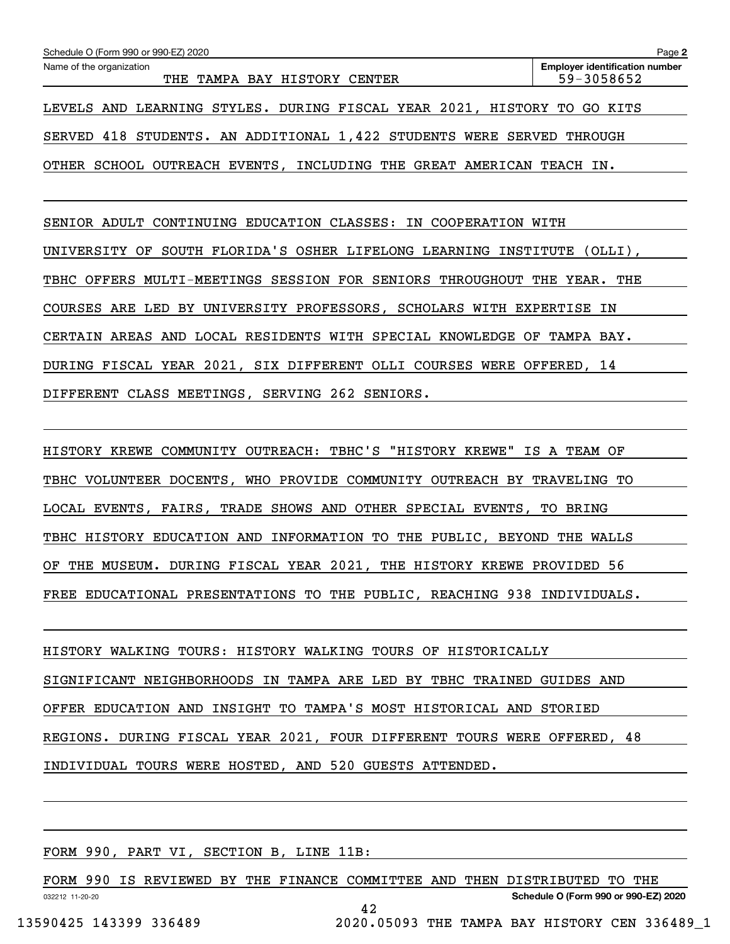| Schedule O (Form 990 or 990-EZ) 2020                                       | Page 2                                              |  |  |  |  |  |  |  |
|----------------------------------------------------------------------------|-----------------------------------------------------|--|--|--|--|--|--|--|
| Name of the organization<br>TAMPA BAY HISTORY CENTER<br>THE                | <b>Employer identification number</b><br>59-3058652 |  |  |  |  |  |  |  |
| LEVELS AND LEARNING STYLES. DURING FISCAL YEAR 2021, HISTORY TO            | GO KITS                                             |  |  |  |  |  |  |  |
| SERVED 418 STUDENTS. AN ADDITIONAL 1,422 STUDENTS WERE SERVED THROUGH      |                                                     |  |  |  |  |  |  |  |
| OTHER SCHOOL OUTREACH EVENTS, INCLUDING THE GREAT AMERICAN<br>TEACH IN.    |                                                     |  |  |  |  |  |  |  |
|                                                                            |                                                     |  |  |  |  |  |  |  |
| SENIOR ADULT CONTINUING EDUCATION CLASSES: IN COOPERATION WITH             |                                                     |  |  |  |  |  |  |  |
| SOUTH FLORIDA'S OSHER LIFELONG LEARNING INSTITUTE (OLLI),<br>UNIVERSITY OF |                                                     |  |  |  |  |  |  |  |
| MULTI-MEETINGS SESSION FOR SENIORS THROUGHOUT THE YEAR. THE<br>TBHC OFFERS |                                                     |  |  |  |  |  |  |  |
| COURSES ARE LED BY UNIVERSITY PROFESSORS, SCHOLARS WITH EXPERTISE          | ΙN                                                  |  |  |  |  |  |  |  |
| CERTAIN AREAS AND LOCAL RESIDENTS WITH SPECIAL KNOWLEDGE OF TAMPA BAY.     |                                                     |  |  |  |  |  |  |  |
| DURING FISCAL YEAR 2021, SIX DIFFERENT OLLI COURSES WERE OFFERED, 14       |                                                     |  |  |  |  |  |  |  |

DIFFERENT CLASS MEETINGS, SERVING 262 SENIORS.

HISTORY KREWE COMMUNITY OUTREACH: TBHC'S "HISTORY KREWE" IS A TEAM OF TBHC VOLUNTEER DOCENTS, WHO PROVIDE COMMUNITY OUTREACH BY TRAVELING TO LOCAL EVENTS, FAIRS, TRADE SHOWS AND OTHER SPECIAL EVENTS, TO BRING TBHC HISTORY EDUCATION AND INFORMATION TO THE PUBLIC, BEYOND THE WALLS OF THE MUSEUM. DURING FISCAL YEAR 2021, THE HISTORY KREWE PROVIDED 56 FREE EDUCATIONAL PRESENTATIONS TO THE PUBLIC, REACHING 938 INDIVIDUALS.

HISTORY WALKING TOURS: HISTORY WALKING TOURS OF HISTORICALLY SIGNIFICANT NEIGHBORHOODS IN TAMPA ARE LED BY TBHC TRAINED GUIDES AND OFFER EDUCATION AND INSIGHT TO TAMPA'S MOST HISTORICAL AND STORIED REGIONS. DURING FISCAL YEAR 2021, FOUR DIFFERENT TOURS WERE OFFERED, 48 INDIVIDUAL TOURS WERE HOSTED, AND 520 GUESTS ATTENDED.

FORM 990, PART VI, SECTION B, LINE 11B:

032212 11-20-20 **Schedule O (Form 990 or 990-EZ) 2020** FORM 990 IS REVIEWED BY THE FINANCE COMMITTEE AND THEN DISTRIBUTED TO THE 42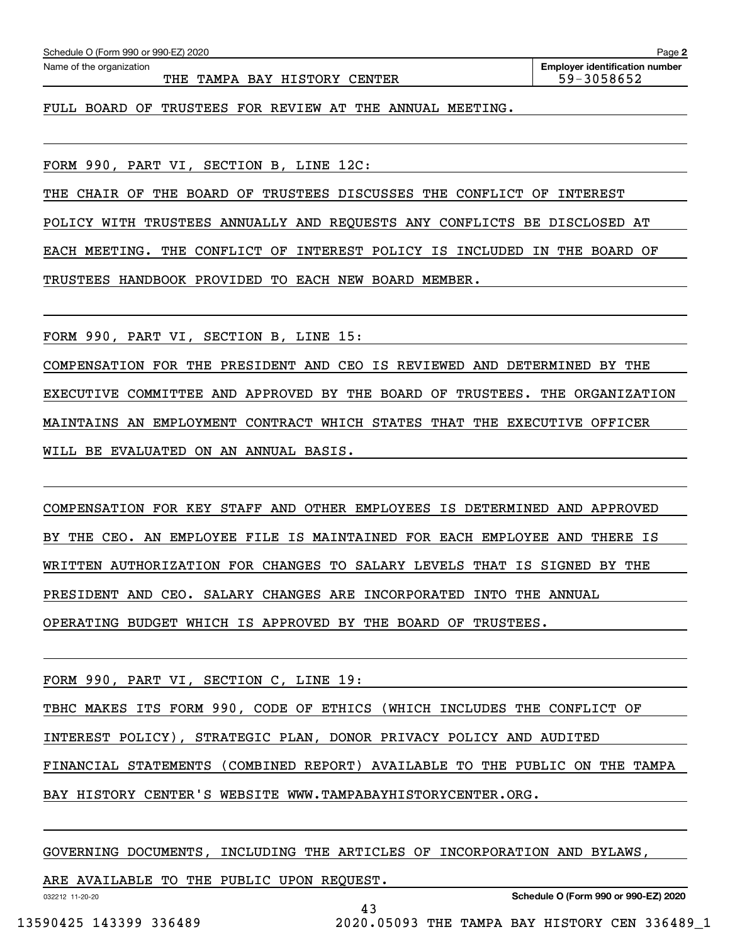| Name of the organization                                 | <b>Employer identification number</b><br>59-3058652 |  |
|----------------------------------------------------------|-----------------------------------------------------|--|
| FULL BOARD OF TRUSTEES FOR REVIEW AT THE ANNUAL MEETING. |                                                     |  |
|                                                          |                                                     |  |

FORM 990, PART VI, SECTION B, LINE 12C:

THE CHAIR OF THE BOARD OF TRUSTEES DISCUSSES THE CONFLICT OF INTEREST

POLICY WITH TRUSTEES ANNUALLY AND REQUESTS ANY CONFLICTS BE DISCLOSED AT

EACH MEETING. THE CONFLICT OF INTEREST POLICY IS INCLUDED IN THE BOARD OF

TRUSTEES HANDBOOK PROVIDED TO EACH NEW BOARD MEMBER.

FORM 990, PART VI, SECTION B, LINE 15:

COMPENSATION FOR THE PRESIDENT AND CEO IS REVIEWED AND DETERMINED BY THE EXECUTIVE COMMITTEE AND APPROVED BY THE BOARD OF TRUSTEES. THE ORGANIZATION MAINTAINS AN EMPLOYMENT CONTRACT WHICH STATES THAT THE EXECUTIVE OFFICER WILL BE EVALUATED ON AN ANNUAL BASIS.

COMPENSATION FOR KEY STAFF AND OTHER EMPLOYEES IS DETERMINED AND APPROVED BY THE CEO. AN EMPLOYEE FILE IS MAINTAINED FOR EACH EMPLOYEE AND THERE IS WRITTEN AUTHORIZATION FOR CHANGES TO SALARY LEVELS THAT IS SIGNED BY THE PRESIDENT AND CEO. SALARY CHANGES ARE INCORPORATED INTO THE ANNUAL OPERATING BUDGET WHICH IS APPROVED BY THE BOARD OF TRUSTEES.

FORM 990, PART VI, SECTION C, LINE 19:

TBHC MAKES ITS FORM 990, CODE OF ETHICS (WHICH INCLUDES THE CONFLICT OF

INTEREST POLICY), STRATEGIC PLAN, DONOR PRIVACY POLICY AND AUDITED

FINANCIAL STATEMENTS (COMBINED REPORT) AVAILABLE TO THE PUBLIC ON THE TAMPA

BAY HISTORY CENTER'S WEBSITE WWW.TAMPABAYHISTORYCENTER.ORG.

GOVERNING DOCUMENTS, INCLUDING THE ARTICLES OF INCORPORATION AND BYLAWS,

43

ARE AVAILABLE TO THE PUBLIC UPON REQUEST.

032212 11-20-20

**Page 2**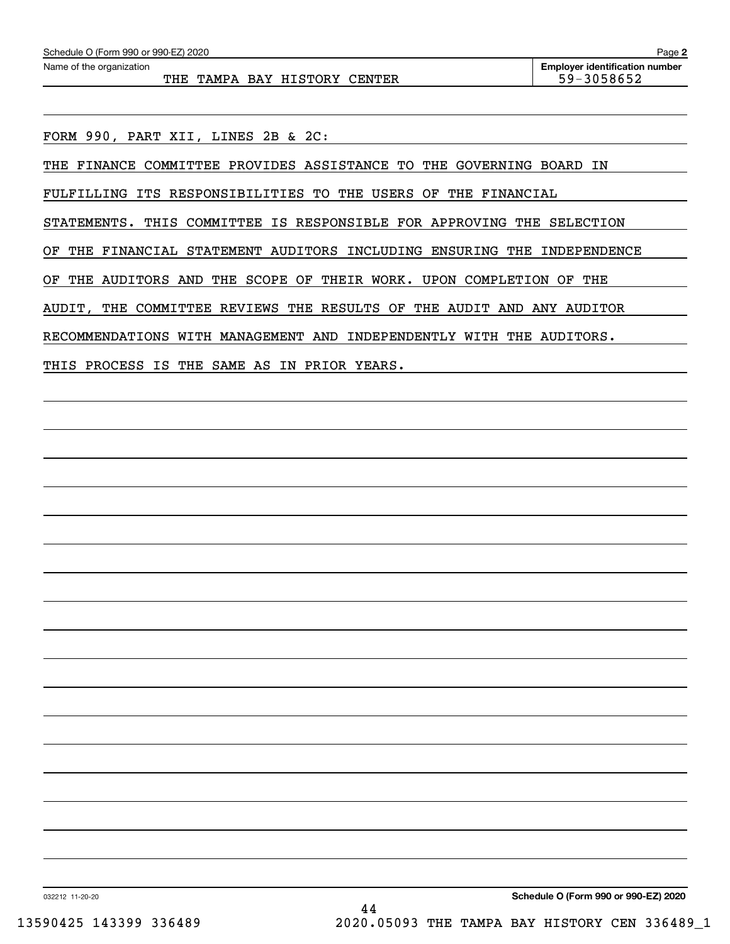FORM 990, PART XII, LINES 2B & 2C:

THE FINANCE COMMITTEE PROVIDES ASSISTANCE TO THE GOVERNING BOARD IN

FULFILLING ITS RESPONSIBILITIES TO THE USERS OF THE FINANCIAL

STATEMENTS. THIS COMMITTEE IS RESPONSIBLE FOR APPROVING THE SELECTION

OF THE FINANCIAL STATEMENT AUDITORS INCLUDING ENSURING THE INDEPENDENCE

OF THE AUDITORS AND THE SCOPE OF THEIR WORK. UPON COMPLETION OF THE

AUDIT, THE COMMITTEE REVIEWS THE RESULTS OF THE AUDIT AND ANY AUDITOR

RECOMMENDATIONS WITH MANAGEMENT AND INDEPENDENTLY WITH THE AUDITORS.

THIS PROCESS IS THE SAME AS IN PRIOR YEARS.

**Schedule O (Form 990 or 990-EZ) 2020**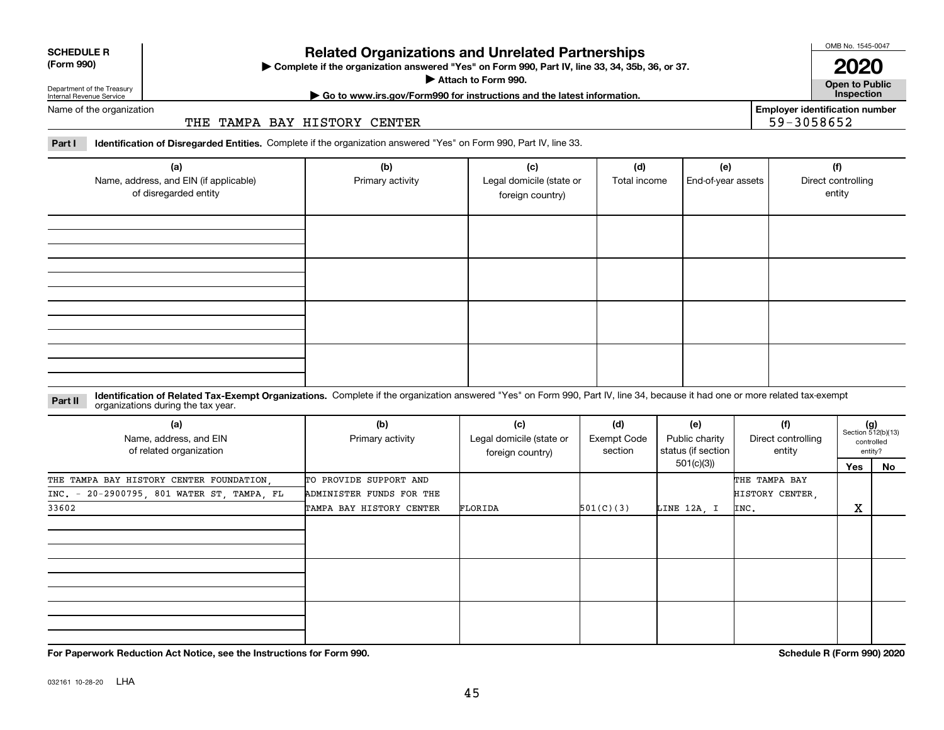| <b>SCHEDULE R</b>   |  |
|---------------------|--|
| $T_{\rm arm}$ $000$ |  |

#### **(Form 990)**

# **Related Organizations and Unrelated Partnerships**

**Complete if the organization answered "Yes" on Form 990, Part IV, line 33, 34, 35b, 36, or 37.** |

**Attach to Form 990.**  |

OMB No. 1545-0047

**Open to Public 2020**

**Employer identification number**

59-3058652

Department of the Treasury Internal Revenue Service

**| Go to www.irs.gov/Form990 for instructions and the latest information. Inspection**

Name of the organization

#### THE TAMPA BAY HISTORY CENTER

**Part I Identification of Disregarded Entities.**  Complete if the organization answered "Yes" on Form 990, Part IV, line 33.

| (a)<br>Name, address, and EIN (if applicable)<br>of disregarded entity | (b)<br>Primary activity | (c)<br>Legal domicile (state or<br>foreign country) | (d)<br>Total income | (e)<br>End-of-year assets | (f)<br>Direct controlling<br>entity |
|------------------------------------------------------------------------|-------------------------|-----------------------------------------------------|---------------------|---------------------------|-------------------------------------|
|                                                                        |                         |                                                     |                     |                           |                                     |
|                                                                        |                         |                                                     |                     |                           |                                     |
|                                                                        |                         |                                                     |                     |                           |                                     |
|                                                                        |                         |                                                     |                     |                           |                                     |

#### **Identification of Related Tax-Exempt Organizations.** Complete if the organization answered "Yes" on Form 990, Part IV, line 34, because it had one or more related tax-exempt **Part II** organizations during the tax year.

| (a)<br>Name, address, and EIN<br>of related organization | (b)<br>Primary activity  | (c)<br>Legal domicile (state or<br>foreign country) | (d)<br>Exempt Code<br>section | (e)<br>Public charity<br>status (if section | (f)<br>Direct controlling<br>entity |     | $(g)$<br>Section 512(b)(13)<br>controlled<br>entity? |
|----------------------------------------------------------|--------------------------|-----------------------------------------------------|-------------------------------|---------------------------------------------|-------------------------------------|-----|------------------------------------------------------|
|                                                          |                          |                                                     |                               | 501(c)(3))                                  |                                     | Yes | No                                                   |
| THE TAMPA BAY HISTORY CENTER FOUNDATION,                 | TO PROVIDE SUPPORT AND   |                                                     |                               |                                             | THE TAMPA BAY                       |     |                                                      |
| INC. - 20-2900795, 801 WATER ST, TAMPA, FL               | ADMINISTER FUNDS FOR THE |                                                     |                               |                                             | HISTORY CENTER,                     |     |                                                      |
| 33602                                                    | TAMPA BAY HISTORY CENTER | FLORIDA                                             | 501(C)(3)                     | LINE 12A, I                                 | INC.                                | X   |                                                      |
|                                                          |                          |                                                     |                               |                                             |                                     |     |                                                      |
|                                                          |                          |                                                     |                               |                                             |                                     |     |                                                      |
|                                                          |                          |                                                     |                               |                                             |                                     |     |                                                      |

**For Paperwork Reduction Act Notice, see the Instructions for Form 990. Schedule R (Form 990) 2020**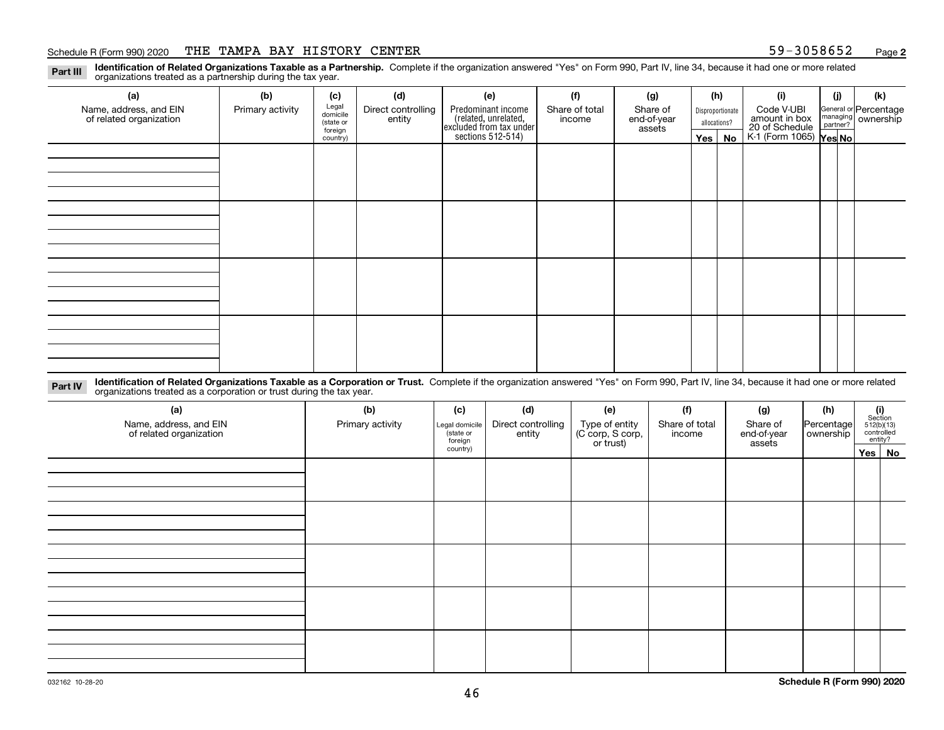#### Schedule R (Form 990) 2020 THE TAMPA BAY HISTORY CENTER 59-3058652 <sub>Page</sub>

**2**

**Identification of Related Organizations Taxable as a Partnership.** Complete if the organization answered "Yes" on Form 990, Part IV, line 34, because it had one or more related **Part III** organizations treated as a partnership during the tax year.

| (a)                                               | (b)              | (c)                  | (d)                          | (e)                                                                 | (f)                      | (g)                     |         | (h)              | (i)                                      | (j) | (k)                                                       |
|---------------------------------------------------|------------------|----------------------|------------------------------|---------------------------------------------------------------------|--------------------------|-------------------------|---------|------------------|------------------------------------------|-----|-----------------------------------------------------------|
| Name, address, and EIN<br>of related organization | Primary activity | Legal<br>domicile    | Direct controlling<br>entity | Predominant income                                                  | Share of total<br>income | Share of<br>end-of-year |         | Disproportionate | Code V-UBI<br>amount in box              |     | General or Percentage<br>managing<br>partner?<br>partner? |
|                                                   |                  | (state or<br>foreign |                              |                                                                     |                          | assets                  |         | allocations?     |                                          |     |                                                           |
|                                                   |                  | country)             |                              | related, unrelated,<br>excluded from tax under<br>sections 512-514) |                          |                         | Yes $ $ | No               | 20 of Schedule<br>K-1 (Form 1065) Yes No |     |                                                           |
|                                                   |                  |                      |                              |                                                                     |                          |                         |         |                  |                                          |     |                                                           |
|                                                   |                  |                      |                              |                                                                     |                          |                         |         |                  |                                          |     |                                                           |
|                                                   |                  |                      |                              |                                                                     |                          |                         |         |                  |                                          |     |                                                           |
|                                                   |                  |                      |                              |                                                                     |                          |                         |         |                  |                                          |     |                                                           |
|                                                   |                  |                      |                              |                                                                     |                          |                         |         |                  |                                          |     |                                                           |
|                                                   |                  |                      |                              |                                                                     |                          |                         |         |                  |                                          |     |                                                           |
|                                                   |                  |                      |                              |                                                                     |                          |                         |         |                  |                                          |     |                                                           |
|                                                   |                  |                      |                              |                                                                     |                          |                         |         |                  |                                          |     |                                                           |
|                                                   |                  |                      |                              |                                                                     |                          |                         |         |                  |                                          |     |                                                           |
|                                                   |                  |                      |                              |                                                                     |                          |                         |         |                  |                                          |     |                                                           |
|                                                   |                  |                      |                              |                                                                     |                          |                         |         |                  |                                          |     |                                                           |
|                                                   |                  |                      |                              |                                                                     |                          |                         |         |                  |                                          |     |                                                           |
|                                                   |                  |                      |                              |                                                                     |                          |                         |         |                  |                                          |     |                                                           |
|                                                   |                  |                      |                              |                                                                     |                          |                         |         |                  |                                          |     |                                                           |
|                                                   |                  |                      |                              |                                                                     |                          |                         |         |                  |                                          |     |                                                           |
|                                                   |                  |                      |                              |                                                                     |                          |                         |         |                  |                                          |     |                                                           |
|                                                   |                  |                      |                              |                                                                     |                          |                         |         |                  |                                          |     |                                                           |

**Identification of Related Organizations Taxable as a Corporation or Trust.** Complete if the organization answered "Yes" on Form 990, Part IV, line 34, because it had one or more related **Part IV** organizations treated as a corporation or trust during the tax year.

| (a)<br>Name, address, and EIN<br>of related organization | (b)<br>Primary activity | (c)<br>Legal domicile<br>state or<br>foreign | (d)<br>Direct controlling<br>entity | (e)<br>Type of entity<br>(C corp, S corp,<br>or trust) | (f)<br>Share of total<br>income | (g)<br>Share of<br>end-of-year<br>assets | (h)<br>Percentage<br>ownership | $(i)$ Section<br>512(b)(13)<br>controlled<br>entity? |  |  |
|----------------------------------------------------------|-------------------------|----------------------------------------------|-------------------------------------|--------------------------------------------------------|---------------------------------|------------------------------------------|--------------------------------|------------------------------------------------------|--|--|
|                                                          |                         | country)                                     |                                     |                                                        |                                 |                                          |                                | Yes No                                               |  |  |
|                                                          |                         |                                              |                                     |                                                        |                                 |                                          |                                |                                                      |  |  |
|                                                          |                         |                                              |                                     |                                                        |                                 |                                          |                                |                                                      |  |  |
|                                                          |                         |                                              |                                     |                                                        |                                 |                                          |                                |                                                      |  |  |
|                                                          |                         |                                              |                                     |                                                        |                                 |                                          |                                |                                                      |  |  |
|                                                          |                         |                                              |                                     |                                                        |                                 |                                          |                                |                                                      |  |  |
|                                                          |                         |                                              |                                     |                                                        |                                 |                                          |                                |                                                      |  |  |
|                                                          |                         |                                              |                                     |                                                        |                                 |                                          |                                |                                                      |  |  |
|                                                          |                         |                                              |                                     |                                                        |                                 |                                          |                                |                                                      |  |  |
|                                                          |                         |                                              |                                     |                                                        |                                 |                                          |                                |                                                      |  |  |
|                                                          |                         |                                              |                                     |                                                        |                                 |                                          |                                |                                                      |  |  |
|                                                          |                         |                                              |                                     |                                                        |                                 |                                          |                                |                                                      |  |  |
|                                                          |                         |                                              |                                     |                                                        |                                 |                                          |                                |                                                      |  |  |
|                                                          |                         |                                              |                                     |                                                        |                                 |                                          |                                |                                                      |  |  |
|                                                          |                         |                                              |                                     |                                                        |                                 |                                          |                                |                                                      |  |  |
|                                                          |                         |                                              |                                     |                                                        |                                 |                                          |                                |                                                      |  |  |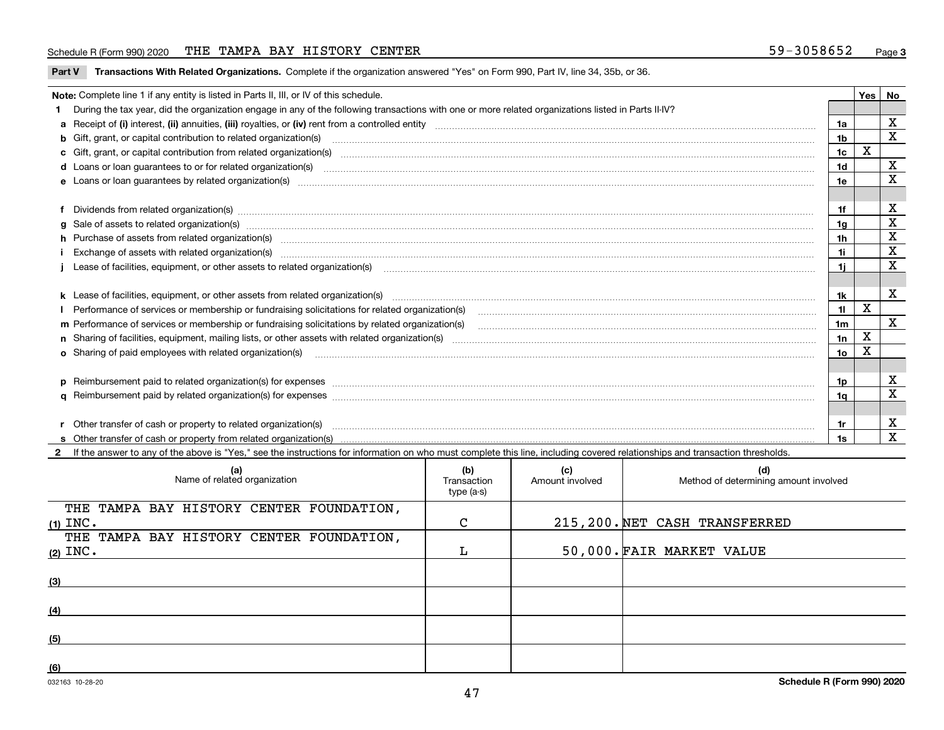#### Schedule R (Form 990) 2020 THE TAMPA BAY HISTORY CENTER 59-3058652 <sub>Page</sub>

|  | Part V Transactions With Related Organizations. Complete if the organization answered "Yes" on Form 990, Part IV, line 34, 35b, or 36. |  |  |
|--|----------------------------------------------------------------------------------------------------------------------------------------|--|--|
|--|----------------------------------------------------------------------------------------------------------------------------------------|--|--|

| Note: Complete line 1 if any entity is listed in Parts II, III, or IV of this schedule.                                                                                                                                        |                 |                         | Yes   No                |
|--------------------------------------------------------------------------------------------------------------------------------------------------------------------------------------------------------------------------------|-----------------|-------------------------|-------------------------|
| During the tax year, did the organization engage in any of the following transactions with one or more related organizations listed in Parts II-IV?                                                                            |                 |                         |                         |
|                                                                                                                                                                                                                                | 1a              |                         | X                       |
| b Gift, grant, or capital contribution to related organization(s) manufactured and contribution to related organization(s)                                                                                                     | 1 <sub>b</sub>  |                         | X                       |
| c Gift, grant, or capital contribution from related organization(s) material content and contribution from related organization(s) material content and content and contribution from related organization(s) material content | 1 <sub>c</sub>  | X                       |                         |
|                                                                                                                                                                                                                                | 1 <sub>d</sub>  |                         | х                       |
|                                                                                                                                                                                                                                | 1e              |                         | X                       |
|                                                                                                                                                                                                                                |                 |                         |                         |
| Dividends from related organization(s) www.andron.com/www.andron.com/www.andron.com/www.andron.com/www.andron.com/www.andron.com/www.andron.com/www.andron.com/www.andron.com/www.andron.com/www.andron.com/www.andron.com/www | 1f              |                         | X                       |
| g Sale of assets to related organization(s) www.assettion.com/www.assettion.com/www.assettion.com/www.assettion.com/www.assettion.com/www.assettion.com/www.assettion.com/www.assettion.com/www.assettion.com/www.assettion.co | 1 <sub>q</sub>  |                         | $\mathbf X$             |
| h Purchase of assets from related organization(s) manufactured and content to content the content of assets from related organization(s)                                                                                       | 1 <sub>h</sub>  |                         | X                       |
| Exchange of assets with related organization(s) www.wallen.com/www.wallen.com/www.wallen.com/www.wallen.com/www.wallen.com/www.wallen.com/www.wallen.com/www.wallen.com/www.wallen.com/www.wallen.com/www.wallen.com/www.walle | 1i              |                         | $\mathbf x$             |
| Lease of facilities, equipment, or other assets to related organization(s) contained and contained and contained and contained and contained and contained and contained and contained and contained and contained and contain | 11              |                         | X                       |
|                                                                                                                                                                                                                                |                 |                         |                         |
|                                                                                                                                                                                                                                | 1k              |                         | $\mathbf x$             |
|                                                                                                                                                                                                                                | 11              | x                       |                         |
|                                                                                                                                                                                                                                | 1 <sub>m</sub>  |                         | $\overline{\mathbf{x}}$ |
|                                                                                                                                                                                                                                | 1n              | $\overline{\mathbf{X}}$ |                         |
| <b>o</b> Sharing of paid employees with related organization(s)                                                                                                                                                                | 10 <sub>o</sub> | х                       |                         |
|                                                                                                                                                                                                                                |                 |                         |                         |
| p Reimbursement paid to related organization(s) for expenses [11111] and the content of the content of the content of the content of the content of the content of the content of the content of the content of the content of | 1p              |                         | X                       |
|                                                                                                                                                                                                                                | 1q              |                         | X                       |
|                                                                                                                                                                                                                                |                 |                         |                         |
| Other transfer of cash or property to related organization(s)                                                                                                                                                                  | 1r              |                         | X                       |
|                                                                                                                                                                                                                                | 1s              |                         | $\mathbf{x}$            |
| 2 If the answer to any of the above is "Yes," see the instructions for information on who must complete this line, including covered relationships and transaction thresholds.                                                 |                 |                         |                         |

| (a)<br>Name of related organization      | (b)<br>Transaction<br>type (a-s) | (c)<br>Amount involved | (d)<br>Method of determining amount involved |
|------------------------------------------|----------------------------------|------------------------|----------------------------------------------|
| THE TAMPA BAY HISTORY CENTER FOUNDATION, |                                  |                        |                                              |
| $(1)$ INC.                               | C                                |                        | 215, 200. NET CASH TRANSFERRED               |
| THE TAMPA BAY HISTORY CENTER FOUNDATION, |                                  |                        |                                              |
| $(2)$ INC.                               |                                  |                        | 50,000. FAIR MARKET VALUE                    |
| (3)                                      |                                  |                        |                                              |
| (4)                                      |                                  |                        |                                              |
| (5)                                      |                                  |                        |                                              |
| (6)                                      |                                  |                        |                                              |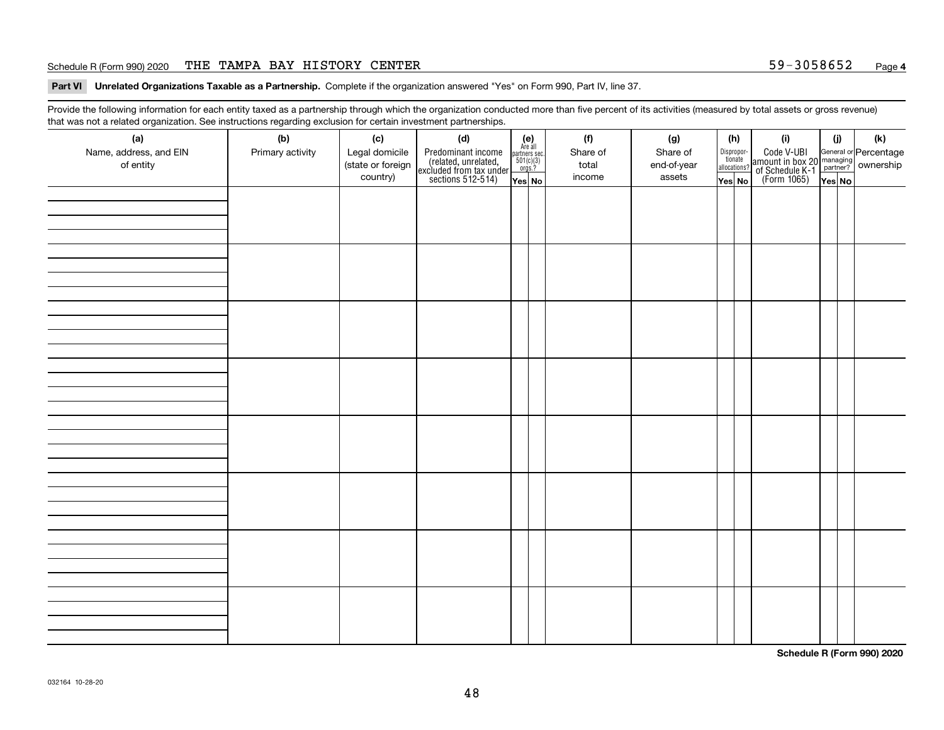#### Schedule R (Form 990) 2020 THE TAMPA BAY HISTORY CENTER 59-3058652 <sub>Page</sub>

**Part VI Unrelated Organizations Taxable as a Partnership. Complete if the organization answered "Yes" on Form 990, Part IV, line 37.** 

Provide the following information for each entity taxed as a partnership through which the organization conducted more than five percent of its activities (measured by total assets or gross revenue) that was not a related organization. See instructions regarding exclusion for certain investment partnerships.

| - - - - -<br>(a)<br>Name, address, and EIN<br>of entity | ----- <del>-</del> -------<br>(b)<br>Primary activity | (c)<br>Legal domicile<br>(state or foreign<br>country) | (d)<br>Predominant income<br>(related, unrelated,<br>excluded from tax under<br>sections 512-514) | (e)<br>Are all<br>partners sec.<br>$501(c)(3)$<br>orgs.?<br>Yes No | (f)<br>Share of<br>total<br>income | (g)<br>Share of<br>end-of-year<br>assets | allocations? | (h)<br>Dispropor-<br>tionate<br>Yes No | (i)<br>Code V-UBI<br>amount in box 20 managing<br>of Schedule K-1<br>(Form 1065)<br>$\overline{Yes}$ No | (i)<br>Yes No | (k) |
|---------------------------------------------------------|-------------------------------------------------------|--------------------------------------------------------|---------------------------------------------------------------------------------------------------|--------------------------------------------------------------------|------------------------------------|------------------------------------------|--------------|----------------------------------------|---------------------------------------------------------------------------------------------------------|---------------|-----|
|                                                         |                                                       |                                                        |                                                                                                   |                                                                    |                                    |                                          |              |                                        |                                                                                                         |               |     |
|                                                         |                                                       |                                                        |                                                                                                   |                                                                    |                                    |                                          |              |                                        |                                                                                                         |               |     |
|                                                         |                                                       |                                                        |                                                                                                   |                                                                    |                                    |                                          |              |                                        |                                                                                                         |               |     |
|                                                         |                                                       |                                                        |                                                                                                   |                                                                    |                                    |                                          |              |                                        |                                                                                                         |               |     |
|                                                         |                                                       |                                                        |                                                                                                   |                                                                    |                                    |                                          |              |                                        |                                                                                                         |               |     |
|                                                         |                                                       |                                                        |                                                                                                   |                                                                    |                                    |                                          |              |                                        |                                                                                                         |               |     |
|                                                         |                                                       |                                                        |                                                                                                   |                                                                    |                                    |                                          |              |                                        |                                                                                                         |               |     |
|                                                         |                                                       |                                                        |                                                                                                   |                                                                    |                                    |                                          |              |                                        |                                                                                                         |               |     |

**Schedule R (Form 990) 2020**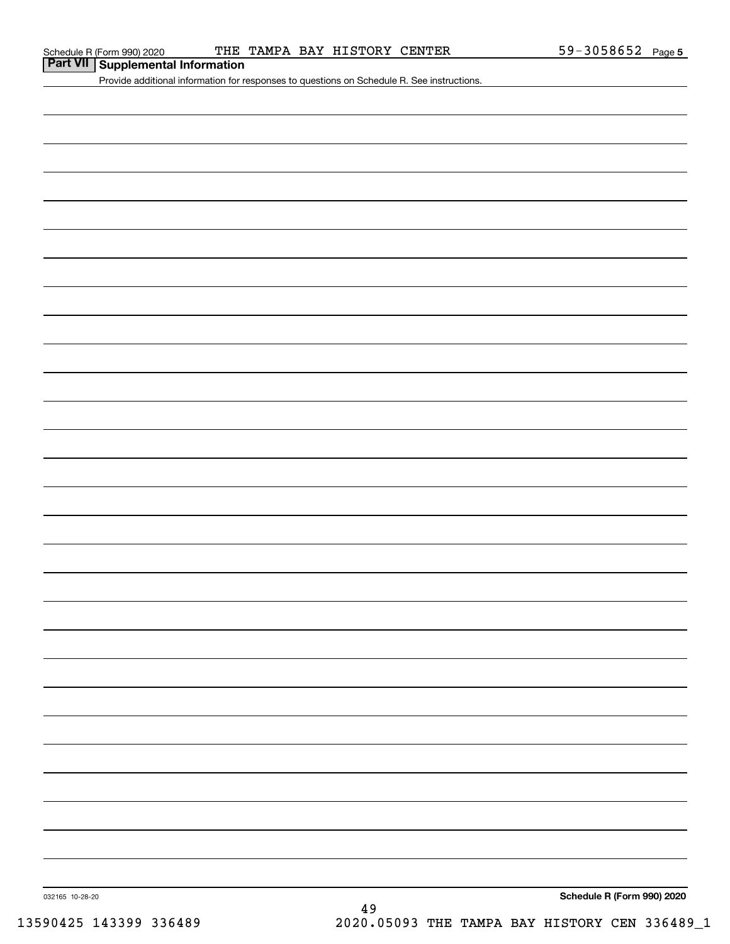# **Part VII Supplemental Information**

Provide additional information for responses to questions on Schedule R. See instructions.

**Schedule R (Form 990) 2020**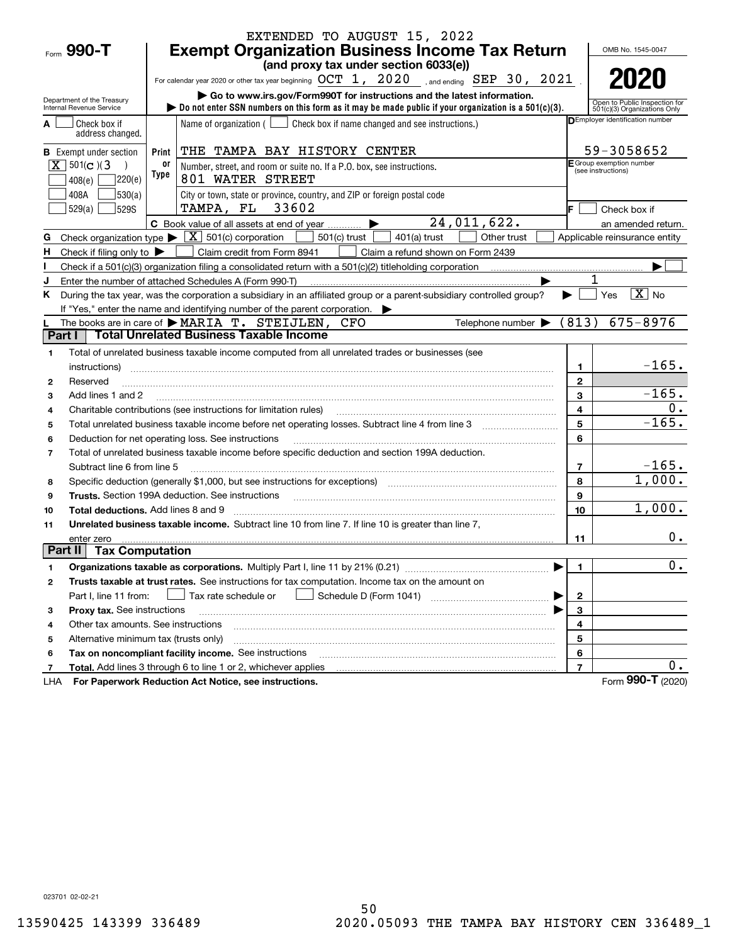|                |                                               |            | EXTENDED TO AUGUST 15, 2022                                                                                                                                                                                                    |                |                                                               |
|----------------|-----------------------------------------------|------------|--------------------------------------------------------------------------------------------------------------------------------------------------------------------------------------------------------------------------------|----------------|---------------------------------------------------------------|
| Form 990-T     |                                               |            | <b>Exempt Organization Business Income Tax Return</b>                                                                                                                                                                          |                | OMB No. 1545-0047                                             |
|                |                                               |            | (and proxy tax under section 6033(e))                                                                                                                                                                                          |                |                                                               |
|                |                                               |            | For calendar year 2020 or other tax year beginning $OCT$ 1, $2020$ , and ending SEP 30, $2021$                                                                                                                                 |                | 2020                                                          |
|                | Department of the Treasury                    |            | Go to www.irs.gov/Form990T for instructions and the latest information.                                                                                                                                                        |                |                                                               |
|                | Internal Revenue Service                      |            | bo not enter SSN numbers on this form as it may be made public if your organization is a 501(c)(3).                                                                                                                            |                | Open to Public Inspection for<br>501(c)(3) Organizations Only |
|                | Check box if<br>address changed.              |            | Name of organization $($ $\Box$ Check box if name changed and see instructions.)                                                                                                                                               |                | DEmployer identification number                               |
|                | <b>B</b> Exempt under section                 | Print      | THE TAMPA BAY HISTORY CENTER                                                                                                                                                                                                   |                | 59-3058652                                                    |
|                | $\boxed{\mathbf{X}}$ 501(c)(3                 | 0ľ<br>Type | Number, street, and room or suite no. If a P.O. box, see instructions.                                                                                                                                                         |                | E Group exemption number<br>(see instructions)                |
|                | 220(e)<br>408(e)                              |            | 801 WATER STREET                                                                                                                                                                                                               |                |                                                               |
|                | 530(a) <br>408A                               |            | City or town, state or province, country, and ZIP or foreign postal code                                                                                                                                                       |                |                                                               |
|                | 529S<br>529(a)                                |            | TAMPA, FL 33602                                                                                                                                                                                                                | IF.            | Check box if                                                  |
|                |                                               |            | 24,011,622.<br>C Book value of all assets at end of year                                                                                                                                                                       |                | an amended return.                                            |
| G              |                                               |            | Check organization type $\blacktriangleright \boxed{\textbf{X}}$ 501(c) corporation<br>$501(c)$ trust<br>Other trust<br>$401(a)$ trust                                                                                         |                | Applicable reinsurance entity                                 |
| H              | Check if filing only to $\blacktriangleright$ |            | Claim credit from Form 8941<br>Claim a refund shown on Form 2439                                                                                                                                                               |                |                                                               |
|                |                                               |            | Check if a 501(c)(3) organization filing a consolidated return with a 501(c)(2) titleholding corporation                                                                                                                       |                |                                                               |
|                |                                               |            | Enter the number of attached Schedules A (Form 990-T)                                                                                                                                                                          |                |                                                               |
| Κ              |                                               |            | During the tax year, was the corporation a subsidiary in an affiliated group or a parent-subsidiary controlled group?                                                                                                          |                | $\boxed{\text{X}}$ No<br>Yes                                  |
|                |                                               |            | If "Yes," enter the name and identifying number of the parent corporation.                                                                                                                                                     |                |                                                               |
| Part I         |                                               |            | Telephone number $\blacktriangleright$ (813)<br>The books are in care of MARIA T. STEIJLEN, CFO<br><b>Total Unrelated Business Taxable Income</b>                                                                              |                | $675 - 8976$                                                  |
|                |                                               |            |                                                                                                                                                                                                                                |                |                                                               |
| 1              |                                               |            | Total of unrelated business taxable income computed from all unrelated trades or businesses (see                                                                                                                               |                | $-165.$                                                       |
|                | instructions)                                 |            |                                                                                                                                                                                                                                | 1              |                                                               |
| 2              | Reserved                                      |            |                                                                                                                                                                                                                                | $\mathbf{2}$   | $-165.$                                                       |
| 3              | Add lines 1 and 2                             |            |                                                                                                                                                                                                                                | 3              | 0.                                                            |
| 4              |                                               |            | Charitable contributions (see instructions for limitation rules)                                                                                                                                                               | 4              | $-165.$                                                       |
| 5              |                                               |            |                                                                                                                                                                                                                                | 5              |                                                               |
| 6              |                                               |            | Deduction for net operating loss. See instructions                                                                                                                                                                             | 6              |                                                               |
| $\overline{7}$ | Subtract line 6 from line 5                   |            | Total of unrelated business taxable income before specific deduction and section 199A deduction.                                                                                                                               | $\overline{7}$ | $-165.$                                                       |
| 8              |                                               |            | Specific deduction (generally \$1,000, but see instructions for exceptions) manufactured controller and the set                                                                                                                | 8              | 1,000.                                                        |
| 9              |                                               |            | Trusts. Section 199A deduction. See instructions [11] material material material material material material material material material material material material material material material material material material materi | 9              |                                                               |
| 10             | <b>Total deductions.</b> Add lines 8 and 9    |            |                                                                                                                                                                                                                                | 10             | 1,000.                                                        |
| 11             |                                               |            | Unrelated business taxable income. Subtract line 10 from line 7. If line 10 is greater than line 7,                                                                                                                            |                |                                                               |
|                | enter zero                                    |            |                                                                                                                                                                                                                                | 11             | 0.                                                            |
| Part II        | <b>Tax Computation</b>                        |            |                                                                                                                                                                                                                                |                |                                                               |
| 1              |                                               |            |                                                                                                                                                                                                                                | 1.             | 0.                                                            |
| 2              |                                               |            | Trusts taxable at trust rates. See instructions for tax computation. Income tax on the amount on                                                                                                                               |                |                                                               |
|                | Part I, line 11 from:                         |            | Schedule D (Form 1041)<br>Tax rate schedule or<br>the contract of the contract of the contract of                                                                                                                              | $\mathbf{2}$   |                                                               |
| з              | Proxy tax. See instructions                   |            |                                                                                                                                                                                                                                | 3              |                                                               |
| 4              | Other tax amounts. See instructions           |            |                                                                                                                                                                                                                                | 4              |                                                               |
| 5              | Alternative minimum tax (trusts only)         |            |                                                                                                                                                                                                                                | 5              |                                                               |
| 6              |                                               |            | Tax on noncompliant facility income. See instructions                                                                                                                                                                          | 6              |                                                               |
| 7              |                                               |            | <b>Total.</b> Add lines 3 through 6 to line 1 or 2, whichever applies                                                                                                                                                          | $\overline{7}$ | 0.                                                            |
| LHA            |                                               |            | For Paperwork Reduction Act Notice, see instructions.                                                                                                                                                                          |                | Form 990-T (2020)                                             |

023701 02-02-21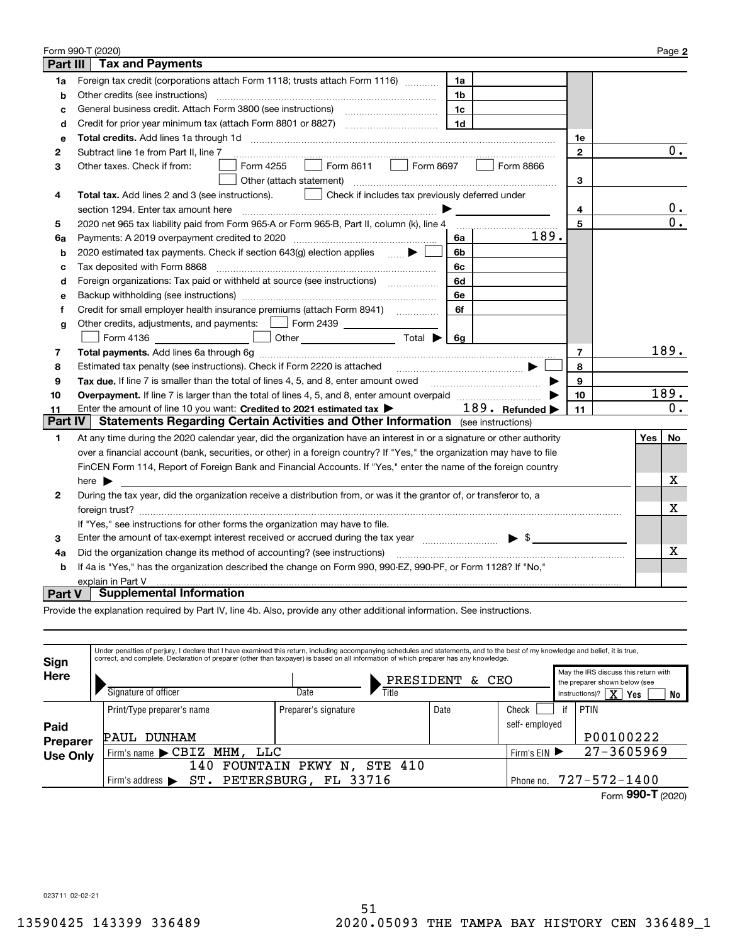|          | Form 990-T (2020)                                                                                                                                                       |                |     | Page 2         |
|----------|-------------------------------------------------------------------------------------------------------------------------------------------------------------------------|----------------|-----|----------------|
| Part III | <b>Tax and Payments</b>                                                                                                                                                 |                |     |                |
| 1a       | Foreign tax credit (corporations attach Form 1118; trusts attach Form 1116)<br>1a                                                                                       |                |     |                |
| b        | Other credits (see instructions)<br>1b                                                                                                                                  |                |     |                |
| c        | 1c                                                                                                                                                                      |                |     |                |
| d        | 1 <sub>d</sub>                                                                                                                                                          |                |     |                |
| е        |                                                                                                                                                                         | 1е             |     |                |
| 2        | Subtract line 1e from Part II, line 7                                                                                                                                   | $\mathbf{2}$   |     | $\mathbf{0}$ . |
| з        | Form 8611 $\Box$<br>Form 8697<br>Form 4255<br>Form 8866<br>Other taxes. Check if from:                                                                                  |                |     |                |
|          | Other (attach statement)                                                                                                                                                | 3              |     |                |
| 4        | Check if includes tax previously deferred under<br>Total tax. Add lines 2 and 3 (see instructions).                                                                     |                |     |                |
|          | section 1294. Enter tax amount here                                                                                                                                     | 4              |     | 0.             |
| 5        | 2020 net 965 tax liability paid from Form 965-A or Form 965-B, Part II, column (k), line 4                                                                              | 5              |     | 0.             |
| 6a       | 189.<br>Payments: A 2019 overpayment credited to 2020 [11] [12] maximum materials are Payments: A 2019 overpayment credited to 2020<br>6а                               |                |     |                |
| b        | 2020 estimated tax payments. Check if section 643(g) election applies<br>6b                                                                                             |                |     |                |
| с        | 6c<br>Tax deposited with Form 8868                                                                                                                                      |                |     |                |
| d        | Foreign organizations: Tax paid or withheld at source (see instructions) [<br>6d                                                                                        |                |     |                |
| е        | 6e                                                                                                                                                                      |                |     |                |
| f        | Credit for small employer health insurance premiums (attach Form 8941)<br>6f                                                                                            |                |     |                |
| g        | Other credits, adjustments, and payments:   Form 2439                                                                                                                   |                |     |                |
|          | $\overline{\phantom{a}}$ . The set of $\overline{\phantom{a}}$<br>Other $\overline{\hspace{1cm}}$ Total $\blacktriangleright$ $\overline{\hspace{1cm}}$ 6g<br>Form 4136 |                |     |                |
| 7        |                                                                                                                                                                         | $\overline{7}$ |     | 189.           |
| 8        | Estimated tax penalty (see instructions). Check if Form 2220 is attached manufactured tax nenative states and                                                           | 8              |     |                |
| 9        | Tax due. If line 7 is smaller than the total of lines 4, 5, and 8, enter amount owed <i>musicanal community conduction</i>                                              | 9              |     |                |
| 10       |                                                                                                                                                                         | 10             |     | 189.           |
| 11       | 189. Refunded $\blacktriangleright$<br>Enter the amount of line 10 you want: Credited to 2021 estimated tax                                                             | 11             |     | 0.             |
| Part IV  | <b>Statements Regarding Certain Activities and Other Information</b> (see instructions)                                                                                 |                |     |                |
| 1        | At any time during the 2020 calendar year, did the organization have an interest in or a signature or other authority                                                   |                | Yes | No             |
|          | over a financial account (bank, securities, or other) in a foreign country? If "Yes," the organization may have to file                                                 |                |     |                |
|          | FinCEN Form 114, Report of Foreign Bank and Financial Accounts. If "Yes," enter the name of the foreign country                                                         |                |     |                |
|          | here $\blacktriangleright$                                                                                                                                              |                |     | x              |
| 2        | During the tax year, did the organization receive a distribution from, or was it the grantor of, or transferor to, a                                                    |                |     |                |
|          |                                                                                                                                                                         |                |     | х              |
|          | If "Yes," see instructions for other forms the organization may have to file.                                                                                           |                |     |                |
| з        | Enter the amount of tax-exempt interest received or accrued during the tax year manufactured $\blacktriangleright$ \$                                                   |                |     |                |
| 4a       | Did the organization change its method of accounting? (see instructions)                                                                                                |                |     | Χ              |
| b        | If 4a is "Yes," has the organization described the change on Form 990, 990-EZ, 990-PF, or Form 1128? If "No,"                                                           |                |     |                |
|          | explain in Part V                                                                                                                                                       |                |     |                |
| Part V   | <b>Supplemental Information</b>                                                                                                                                         |                |     |                |

Provide the explanation required by Part IV, line 4b. Also, provide any other additional information. See instructions.

| Sign            | Under penalties of perjury, I declare that I have examined this return, including accompanying schedules and statements, and to the best of my knowledge and belief, it is true,<br>correct, and complete. Declaration of preparer (other than taxpayer) is based on all information of which preparer has any knowledge. |                                          |                    |               |    |                                                                                                                             |  |  |
|-----------------|---------------------------------------------------------------------------------------------------------------------------------------------------------------------------------------------------------------------------------------------------------------------------------------------------------------------------|------------------------------------------|--------------------|---------------|----|-----------------------------------------------------------------------------------------------------------------------------|--|--|
| Here            | Signature of officer                                                                                                                                                                                                                                                                                                      | Title<br>Date                            | PRESIDENT<br>& CEO |               |    | May the IRS discuss this return with<br>the preparer shown below (see<br>instructions)? $\boxed{\mathbf{X}}$<br>  Yes<br>No |  |  |
|                 | Print/Type preparer's name                                                                                                                                                                                                                                                                                                | Preparer's signature                     | Date               | Check         | if | PTIN                                                                                                                        |  |  |
| Paid            |                                                                                                                                                                                                                                                                                                                           |                                          |                    | self-employed |    |                                                                                                                             |  |  |
| <b>Preparer</b> | DUNHAM<br>PAUL                                                                                                                                                                                                                                                                                                            |                                          |                    |               |    | P00100222                                                                                                                   |  |  |
| <b>Use Only</b> | Firm's name CBIZ MHM,                                                                                                                                                                                                                                                                                                     | LLC<br>Firm's $EIN$                      |                    |               |    |                                                                                                                             |  |  |
|                 | 140                                                                                                                                                                                                                                                                                                                       | <b>STE 410</b><br>FOUNTAIN<br>PKWY<br>Ν. |                    |               |    |                                                                                                                             |  |  |
|                 | ST.<br>Firm's address $\blacktriangleright$                                                                                                                                                                                                                                                                               | PETERSBURG, FL 33716                     |                    | Phone no.     |    | $727 - 572 - 1400$                                                                                                          |  |  |
|                 |                                                                                                                                                                                                                                                                                                                           |                                          |                    |               |    | Form $990 - T$ (2020)                                                                                                       |  |  |

023711 02-02-21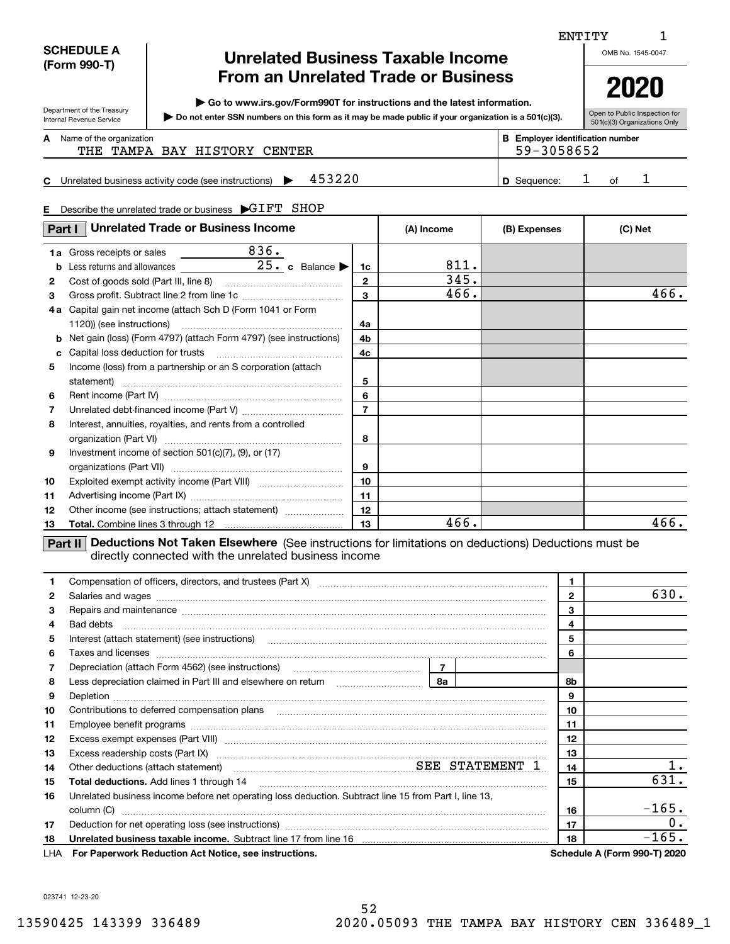#### **SCHEDULE A (Form 990-T)**

Department of the Treasury Internal Revenue Service

**C**

I

# **Unrelated Business Taxable Income From an Unrelated Trade or Business**

**| Go to www.irs.gov/Form990T for instructions and the latest information.**

**Do not enter SSN numbers on this form as it may be made public if your organization is a 501(c)(3). |** 

Open to Public Inspection for 501(c)(3) Organizations Only

**2020**

1

### **A**

| Name of the organization<br>THE TAMPA BAY HISTORY CENTER      | <b>B</b> Employer identification number<br>59-3058652 |    |  |
|---------------------------------------------------------------|-------------------------------------------------------|----|--|
| 453220<br>Unrelated business activity code (see instructions) | <b>D</b> Sequence:                                    | ∩f |  |

#### **E**Describe the unrelated trade or business  $\;\blacktriangleright\!\mathrm{GIFT}\;$   $\;$  SHOP

| Part I       | <b>Unrelated Trade or Business Income</b>                                                                    |                  | (A) Income | (B) Expenses | (C) Net |
|--------------|--------------------------------------------------------------------------------------------------------------|------------------|------------|--------------|---------|
| 1a           | 836.<br>Gross receipts or sales <b>contains the sales</b>                                                    |                  |            |              |         |
| b            | Less returns and allowances 25. c Balance                                                                    | 1c               | 811.       |              |         |
| $\mathbf{2}$ |                                                                                                              | $\mathbf{2}$     | 345.       |              |         |
| 3            |                                                                                                              | 3                | 466.       |              | 466.    |
| 4 a          | Capital gain net income (attach Sch D (Form 1041 or Form                                                     |                  |            |              |         |
|              | 1120)) (see instructions)                                                                                    | 4a               |            |              |         |
| b            | Net gain (loss) (Form 4797) (attach Form 4797) (see instructions)                                            | 4b               |            |              |         |
| c            |                                                                                                              | 4c               |            |              |         |
| 5            | Income (loss) from a partnership or an S corporation (attach                                                 |                  |            |              |         |
|              |                                                                                                              | 5                |            |              |         |
| 6            |                                                                                                              | 6                |            |              |         |
| 7            |                                                                                                              | $\overline{7}$   |            |              |         |
| 8            | Interest, annuities, royalties, and rents from a controlled                                                  |                  |            |              |         |
|              |                                                                                                              | 8                |            |              |         |
| 9            | Investment income of section $501(c)(7)$ , $(9)$ , or $(17)$                                                 |                  |            |              |         |
|              |                                                                                                              | 9                |            |              |         |
| 10           |                                                                                                              | 10 <sup>10</sup> |            |              |         |
| 11           |                                                                                                              | 11               |            |              |         |
| 12           | Other income (see instructions; attach statement)                                                            | 12               |            |              |         |
| 13           |                                                                                                              | l 13.            | 466.       |              | 466.    |
|              | Part II   Deductions Not Taken Elsewhere (See instructions for limitations on deductions) Deductions must be |                  |            |              |         |

directly connected with the unrelated business income

|     |                                                                                                                                                                                                                                      | $\mathbf{1}$ |                                     |
|-----|--------------------------------------------------------------------------------------------------------------------------------------------------------------------------------------------------------------------------------------|--------------|-------------------------------------|
| 2   | Salaries and wages with the continuum contract of the contract of the contract of the contract of the contract of the contract of the contract of the contract of the contract of the contract of the contract of the contract       | $\mathbf{2}$ | 630.                                |
| 3   |                                                                                                                                                                                                                                      | 3            |                                     |
| 4   | Bad debts                                                                                                                                                                                                                            | 4            |                                     |
| 5   |                                                                                                                                                                                                                                      | 5            |                                     |
| 6   |                                                                                                                                                                                                                                      | 6            |                                     |
|     |                                                                                                                                                                                                                                      |              |                                     |
| 8   |                                                                                                                                                                                                                                      | 8b.          |                                     |
| 9   |                                                                                                                                                                                                                                      | 9            |                                     |
| 10  | Contributions to deferred compensation plans                                                                                                                                                                                         | 10           |                                     |
| 11  |                                                                                                                                                                                                                                      | 11           |                                     |
| 12  | Excess exempt expenses (Part VIII) <b>manual contract and contract and contract and contract and contract and contract and contract and contract and contract and contract and contract and contract and contract and contract a</b> | 12           |                                     |
| 13  |                                                                                                                                                                                                                                      | 13           |                                     |
| 14  |                                                                                                                                                                                                                                      | 14           |                                     |
| 15  |                                                                                                                                                                                                                                      | 15           | 631.                                |
| 16  | Unrelated business income before net operating loss deduction. Subtract line 15 from Part I, line 13,                                                                                                                                |              |                                     |
|     | column (C)                                                                                                                                                                                                                           | 16           | $-165.$                             |
| 17  |                                                                                                                                                                                                                                      | 17           | $\overline{\phantom{a}}$ 0.         |
| 18  |                                                                                                                                                                                                                                      | 18           | $-165.$                             |
| LHA | For Paperwork Reduction Act Notice, see instructions.                                                                                                                                                                                |              | <b>Schedule A (Form 990-T) 2020</b> |

023741 12-23-20

ENTITY

OMB No. 1545-0047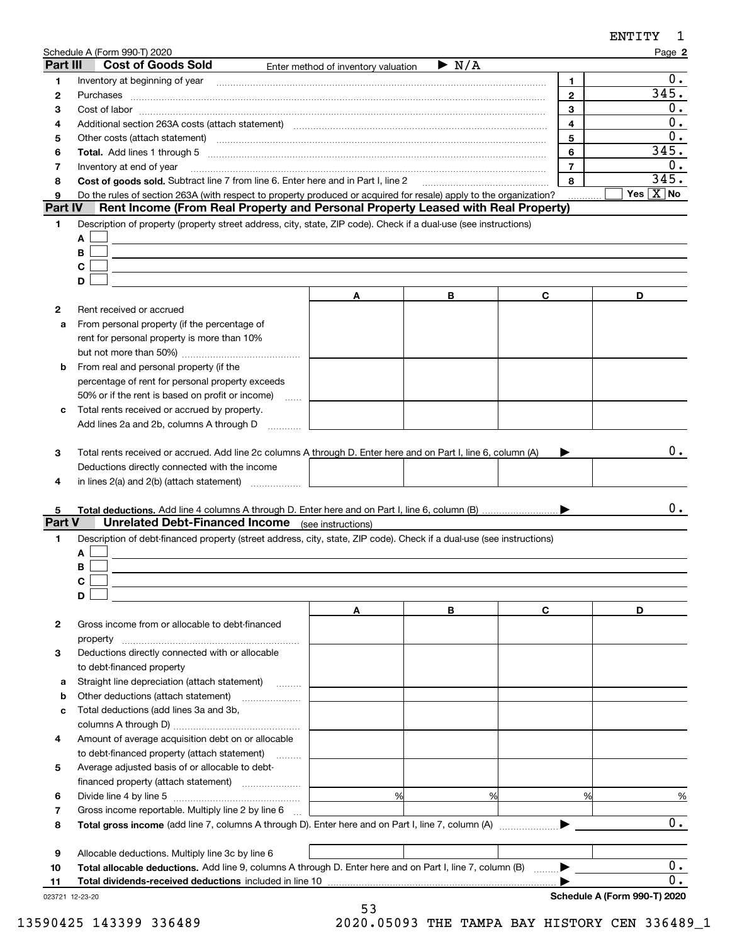|                 | Schedule A (Form 990-T) 2020                                                                                                                                                                           |                                     |                      |                | Page 2                            |
|-----------------|--------------------------------------------------------------------------------------------------------------------------------------------------------------------------------------------------------|-------------------------------------|----------------------|----------------|-----------------------------------|
| Part III        | <b>Cost of Goods Sold</b>                                                                                                                                                                              | Enter method of inventory valuation | $\triangleright$ N/A |                |                                   |
| 1               | Inventory at beginning of year                                                                                                                                                                         |                                     |                      | 1              | 0.                                |
| 2               | Purchases                                                                                                                                                                                              |                                     |                      | $\mathbf{2}$   | 345.                              |
| з               |                                                                                                                                                                                                        |                                     |                      | 3              | 0.                                |
| 4               | Additional section 263A costs (attach statement) material content and according to the Additional section 263A                                                                                         |                                     |                      | $\overline{4}$ | 0.                                |
| 5               | Other costs (attach statement) manufactured and according to the costs (attach statement) and according to the                                                                                         |                                     |                      | 5              | 0.                                |
| 6               |                                                                                                                                                                                                        |                                     |                      | 6              | 345.                              |
| 7               | Inventory at end of year                                                                                                                                                                               |                                     |                      | $\overline{7}$ | 0.                                |
| 8               | Cost of goods sold. Subtract line 7 from line 6. Enter here and in Part I, line 2 [11, 1111] Cost of goods sold. Subtract line 7 from line 6. Enter here and in Part I, line 2                         |                                     |                      | 8              | 345.<br>Yes $\boxed{\text{X}}$ No |
| 9<br>Part IV    | Do the rules of section 263A (with respect to property produced or acquired for resale) apply to the organization?<br>Rent Income (From Real Property and Personal Property Leased with Real Property) |                                     |                      |                |                                   |
|                 |                                                                                                                                                                                                        |                                     |                      |                |                                   |
| 1               | Description of property (property street address, city, state, ZIP code). Check if a dual-use (see instructions)                                                                                       |                                     |                      |                |                                   |
|                 | Α                                                                                                                                                                                                      |                                     |                      |                |                                   |
|                 | В<br>С                                                                                                                                                                                                 |                                     |                      |                |                                   |
|                 | D                                                                                                                                                                                                      |                                     |                      |                |                                   |
|                 |                                                                                                                                                                                                        |                                     | в                    | С              | D                                 |
|                 |                                                                                                                                                                                                        | A                                   |                      |                |                                   |
| 2               | Rent received or accrued                                                                                                                                                                               |                                     |                      |                |                                   |
| a               | From personal property (if the percentage of                                                                                                                                                           |                                     |                      |                |                                   |
|                 | rent for personal property is more than 10%                                                                                                                                                            |                                     |                      |                |                                   |
|                 | From real and personal property (if the                                                                                                                                                                |                                     |                      |                |                                   |
| b               |                                                                                                                                                                                                        |                                     |                      |                |                                   |
|                 | percentage of rent for personal property exceeds<br>50% or if the rent is based on profit or income)                                                                                                   |                                     |                      |                |                                   |
| с               | .<br>Total rents received or accrued by property.                                                                                                                                                      |                                     |                      |                |                                   |
|                 | Add lines 2a and 2b, columns A through D                                                                                                                                                               |                                     |                      |                |                                   |
|                 |                                                                                                                                                                                                        |                                     |                      |                |                                   |
| 3               | Total rents received or accrued. Add line 2c columns A through D. Enter here and on Part I, line 6, column (A)                                                                                         |                                     |                      |                | 0.                                |
|                 | Deductions directly connected with the income                                                                                                                                                          |                                     |                      |                |                                   |
| 4               |                                                                                                                                                                                                        |                                     |                      |                |                                   |
|                 |                                                                                                                                                                                                        |                                     |                      |                |                                   |
| 5               |                                                                                                                                                                                                        |                                     |                      |                | 0.                                |
| Part V          | <b>Unrelated Debt-Financed Income</b> (see instructions)                                                                                                                                               |                                     |                      |                |                                   |
| 1               | Description of debt-financed property (street address, city, state, ZIP code). Check if a dual-use (see instructions)                                                                                  |                                     |                      |                |                                   |
|                 | Α                                                                                                                                                                                                      |                                     |                      |                |                                   |
|                 | В                                                                                                                                                                                                      |                                     |                      |                |                                   |
|                 | С                                                                                                                                                                                                      |                                     |                      |                |                                   |
|                 | D                                                                                                                                                                                                      |                                     |                      |                |                                   |
|                 |                                                                                                                                                                                                        | Α                                   | в                    | С              | D                                 |
| $\mathbf{2}$    | Gross income from or allocable to debt-financed                                                                                                                                                        |                                     |                      |                |                                   |
|                 | property                                                                                                                                                                                               |                                     |                      |                |                                   |
| 3               | Deductions directly connected with or allocable                                                                                                                                                        |                                     |                      |                |                                   |
|                 | to debt-financed property                                                                                                                                                                              |                                     |                      |                |                                   |
| а               | Straight line depreciation (attach statement)<br>.                                                                                                                                                     |                                     |                      |                |                                   |
| b               | Other deductions (attach statement)                                                                                                                                                                    |                                     |                      |                |                                   |
| с               | Total deductions (add lines 3a and 3b,                                                                                                                                                                 |                                     |                      |                |                                   |
|                 |                                                                                                                                                                                                        |                                     |                      |                |                                   |
| 4               | Amount of average acquisition debt on or allocable                                                                                                                                                     |                                     |                      |                |                                   |
|                 | to debt-financed property (attach statement)                                                                                                                                                           |                                     |                      |                |                                   |
| 5               | Average adjusted basis of or allocable to debt-                                                                                                                                                        |                                     |                      |                |                                   |
|                 |                                                                                                                                                                                                        |                                     |                      |                |                                   |
| 6               |                                                                                                                                                                                                        | %                                   | %                    | %              | $\frac{9}{6}$                     |
| 7               | Gross income reportable. Multiply line 2 by line 6                                                                                                                                                     |                                     |                      |                |                                   |
| 8               |                                                                                                                                                                                                        |                                     |                      |                | $0$ .                             |
|                 |                                                                                                                                                                                                        |                                     |                      |                |                                   |
| 9               | Allocable deductions. Multiply line 3c by line 6                                                                                                                                                       |                                     |                      |                |                                   |
| 10              | Total allocable deductions. Add line 9, columns A through D. Enter here and on Part I, line 7, column (B) ▶                                                                                            |                                     |                      |                | 0.                                |
| 11              | Total dividends-received deductions included in line 10                                                                                                                                                |                                     |                      |                | 0.                                |
| 023721 12-23-20 |                                                                                                                                                                                                        |                                     |                      |                | Schedule A (Form 990-T) 2020      |
|                 |                                                                                                                                                                                                        | 53                                  |                      |                |                                   |

13590425 143399 336489 2020.05093 THE TAMPA BAY HISTORY CEN 336489\_1

ENTITY 1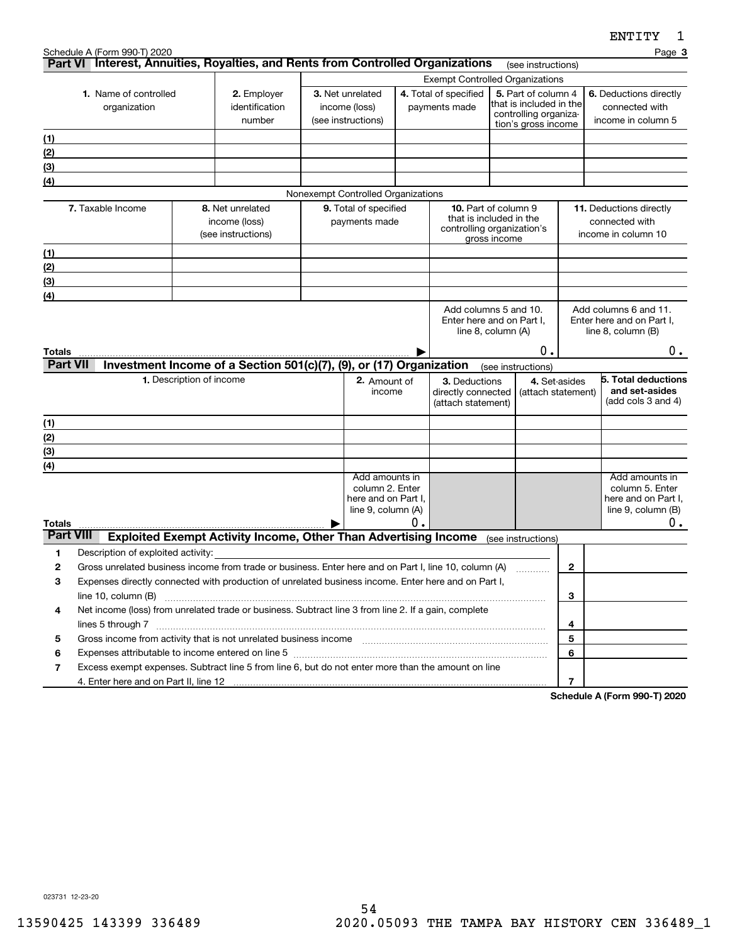|                  | Schedule A (Form 990-T) 2020                                                                                                                                                                                                                          |                          |                                                                        |                                    |    |                                                       |              |                                                |                | Page 3                                             |
|------------------|-------------------------------------------------------------------------------------------------------------------------------------------------------------------------------------------------------------------------------------------------------|--------------------------|------------------------------------------------------------------------|------------------------------------|----|-------------------------------------------------------|--------------|------------------------------------------------|----------------|----------------------------------------------------|
|                  | Part VI Interest, Annuities, Royalties, and Rents from Controlled Organizations                                                                                                                                                                       |                          |                                                                        |                                    |    |                                                       |              | (see instructions)                             |                |                                                    |
|                  |                                                                                                                                                                                                                                                       |                          |                                                                        |                                    |    | <b>Exempt Controlled Organizations</b>                |              |                                                |                |                                                    |
|                  | 1. Name of controlled                                                                                                                                                                                                                                 |                          | 2. Employer<br>identification                                          | 3. Net unrelated<br>income (loss)  |    | 4. Total of specified<br>payments made                |              | 5. Part of column 4<br>that is included in the |                | 6. Deductions directly<br>connected with           |
|                  | organization                                                                                                                                                                                                                                          |                          | number                                                                 | (see instructions)                 |    |                                                       |              | controlling organiza-                          |                | income in column 5                                 |
|                  |                                                                                                                                                                                                                                                       |                          |                                                                        |                                    |    |                                                       |              | tion's gross income                            |                |                                                    |
| (1)<br>(2)       |                                                                                                                                                                                                                                                       |                          |                                                                        |                                    |    |                                                       |              |                                                |                |                                                    |
| (3)              |                                                                                                                                                                                                                                                       |                          |                                                                        |                                    |    |                                                       |              |                                                |                |                                                    |
| (4)              |                                                                                                                                                                                                                                                       |                          |                                                                        |                                    |    |                                                       |              |                                                |                |                                                    |
|                  |                                                                                                                                                                                                                                                       |                          |                                                                        | Nonexempt Controlled Organizations |    |                                                       |              |                                                |                |                                                    |
|                  | 7. Taxable Income                                                                                                                                                                                                                                     |                          | 8. Net unrelated                                                       | 9. Total of specified              |    | <b>10.</b> Part of column 9                           |              |                                                |                | 11. Deductions directly                            |
|                  |                                                                                                                                                                                                                                                       |                          | income (loss)                                                          | payments made                      |    | that is included in the<br>controlling organization's |              |                                                |                | connected with                                     |
|                  |                                                                                                                                                                                                                                                       |                          | (see instructions)                                                     |                                    |    |                                                       | gross income |                                                |                | income in column 10                                |
| (1)              |                                                                                                                                                                                                                                                       |                          |                                                                        |                                    |    |                                                       |              |                                                |                |                                                    |
| (2)              |                                                                                                                                                                                                                                                       |                          |                                                                        |                                    |    |                                                       |              |                                                |                |                                                    |
| (3)              |                                                                                                                                                                                                                                                       |                          |                                                                        |                                    |    |                                                       |              |                                                |                |                                                    |
| (4)              |                                                                                                                                                                                                                                                       |                          |                                                                        |                                    |    |                                                       |              |                                                |                |                                                    |
|                  |                                                                                                                                                                                                                                                       |                          |                                                                        |                                    |    | Add columns 5 and 10.<br>Enter here and on Part I,    |              |                                                |                | Add columns 6 and 11.<br>Enter here and on Part I, |
|                  |                                                                                                                                                                                                                                                       |                          |                                                                        |                                    |    | line 8, column (A)                                    |              |                                                |                | line $8$ , column $(B)$                            |
| Totals           |                                                                                                                                                                                                                                                       |                          |                                                                        |                                    |    |                                                       |              | О.                                             |                | 0.                                                 |
| <b>Part VII</b>  |                                                                                                                                                                                                                                                       |                          | Investment Income of a Section 501(c)(7), (9), or (17) Organization    |                                    |    |                                                       |              | (see instructions)                             |                |                                                    |
|                  |                                                                                                                                                                                                                                                       | 1. Description of income |                                                                        | 2. Amount of                       |    | 3. Deductions                                         |              |                                                | 4. Set-asides  | 5. Total deductions                                |
|                  |                                                                                                                                                                                                                                                       |                          |                                                                        | income                             |    | directly connected                                    |              | (attach statement)                             |                | and set-asides                                     |
|                  |                                                                                                                                                                                                                                                       |                          |                                                                        |                                    |    | (attach statement)                                    |              |                                                |                | (add cols 3 and 4)                                 |
| (1)              |                                                                                                                                                                                                                                                       |                          |                                                                        |                                    |    |                                                       |              |                                                |                |                                                    |
| (2)              |                                                                                                                                                                                                                                                       |                          |                                                                        |                                    |    |                                                       |              |                                                |                |                                                    |
| (3)              |                                                                                                                                                                                                                                                       |                          |                                                                        |                                    |    |                                                       |              |                                                |                |                                                    |
| (4)              |                                                                                                                                                                                                                                                       |                          |                                                                        | Add amounts in                     |    |                                                       |              |                                                |                | Add amounts in                                     |
|                  |                                                                                                                                                                                                                                                       |                          |                                                                        | column 2. Enter                    |    |                                                       |              |                                                |                | column 5. Enter                                    |
|                  |                                                                                                                                                                                                                                                       |                          |                                                                        | here and on Part I,                |    |                                                       |              |                                                |                | here and on Part I,                                |
| Totals           |                                                                                                                                                                                                                                                       |                          |                                                                        | line 9, column (A)                 | О. |                                                       |              |                                                |                | line $9$ , column $(B)$<br>0.                      |
| <b>Part VIII</b> |                                                                                                                                                                                                                                                       |                          | <b>Exploited Exempt Activity Income, Other Than Advertising Income</b> |                                    |    |                                                       |              | (see instructions)                             |                |                                                    |
| 1                | Description of exploited activity:                                                                                                                                                                                                                    |                          |                                                                        |                                    |    |                                                       |              |                                                |                |                                                    |
| 2                | Gross unrelated business income from trade or business. Enter here and on Part I, line 10, column (A)                                                                                                                                                 |                          |                                                                        |                                    |    |                                                       |              |                                                | 2              |                                                    |
| 3                | Expenses directly connected with production of unrelated business income. Enter here and on Part I,                                                                                                                                                   |                          |                                                                        |                                    |    |                                                       |              |                                                |                |                                                    |
|                  | line 10, column (B)                                                                                                                                                                                                                                   |                          |                                                                        |                                    |    |                                                       |              |                                                | 3              |                                                    |
| 4                | Net income (loss) from unrelated trade or business. Subtract line 3 from line 2. If a gain, complete                                                                                                                                                  |                          |                                                                        |                                    |    |                                                       |              |                                                |                |                                                    |
|                  |                                                                                                                                                                                                                                                       |                          |                                                                        |                                    |    |                                                       |              |                                                | 4              |                                                    |
| 5                | Gross income from activity that is not unrelated business income [11] [11] content material content from activity that is not unrelated business income [11] [11] $\alpha$ [12] $\alpha$ [12] $\alpha$ [12] $\alpha$ [12] $\alpha$ [12] $\alpha$ [12] |                          |                                                                        |                                    |    |                                                       |              |                                                | 5              |                                                    |
| 6                | Expenses attributable to income entered on line 5 [[11] manufacture manufacture attributable to income entered on line 5 [[11] manufacture manufacture attributable to income entered on line 5 [[11] manufacture manufacture                         |                          |                                                                        |                                    |    |                                                       |              |                                                | 6              |                                                    |
| 7                | Excess exempt expenses. Subtract line 5 from line 6, but do not enter more than the amount on line                                                                                                                                                    |                          |                                                                        |                                    |    |                                                       |              |                                                |                |                                                    |
|                  |                                                                                                                                                                                                                                                       |                          |                                                                        |                                    |    |                                                       |              |                                                | $\overline{7}$ | 000T0000                                           |

**Schedule A (Form 990-T) 2020**

023731 12-23-20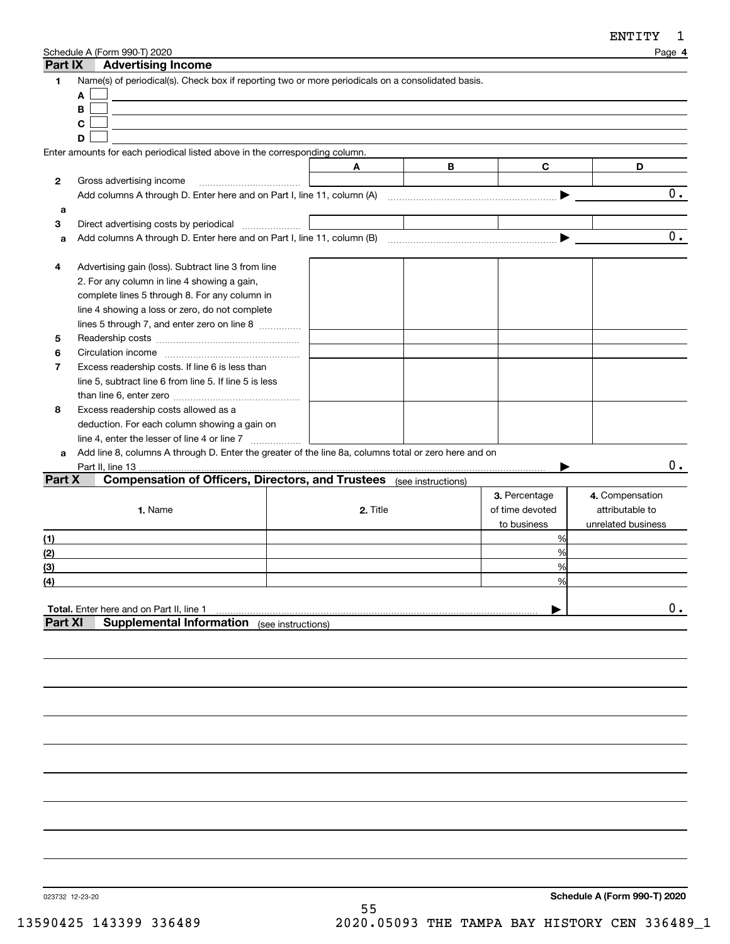| Part IX           | Schedule A (Form 990-T) 2020<br><b>Advertising Income</b>                                            |          |                    |                 | Page 4             |
|-------------------|------------------------------------------------------------------------------------------------------|----------|--------------------|-----------------|--------------------|
| 1                 | Name(s) of periodical(s). Check box if reporting two or more periodicals on a consolidated basis.    |          |                    |                 |                    |
|                   | A                                                                                                    |          |                    |                 |                    |
|                   | B                                                                                                    |          |                    |                 |                    |
|                   | C                                                                                                    |          |                    |                 |                    |
|                   | D                                                                                                    |          |                    |                 |                    |
|                   | Enter amounts for each periodical listed above in the corresponding column.                          |          |                    |                 |                    |
|                   |                                                                                                      | Α        | В                  | C               | D                  |
| $\mathbf{2}$      | Gross advertising income                                                                             |          |                    |                 |                    |
|                   | Add columns A through D. Enter here and on Part I, line 11, column (A)                               |          |                    |                 | 0.                 |
| a                 |                                                                                                      |          |                    |                 |                    |
| 3                 | Direct advertising costs by periodical                                                               |          |                    |                 |                    |
| a                 |                                                                                                      |          |                    |                 | 0.                 |
|                   |                                                                                                      |          |                    |                 |                    |
| 4                 | Advertising gain (loss). Subtract line 3 from line                                                   |          |                    |                 |                    |
|                   | 2. For any column in line 4 showing a gain,                                                          |          |                    |                 |                    |
|                   | complete lines 5 through 8. For any column in                                                        |          |                    |                 |                    |
|                   | line 4 showing a loss or zero, do not complete                                                       |          |                    |                 |                    |
|                   | lines 5 through 7, and enter zero on line 8                                                          |          |                    |                 |                    |
| 5                 |                                                                                                      |          |                    |                 |                    |
| 6                 |                                                                                                      |          |                    |                 |                    |
| 7                 | Excess readership costs. If line 6 is less than                                                      |          |                    |                 |                    |
|                   | line 5, subtract line 6 from line 5. If line 5 is less                                               |          |                    |                 |                    |
|                   |                                                                                                      |          |                    |                 |                    |
| 8                 | Excess readership costs allowed as a                                                                 |          |                    |                 |                    |
|                   | deduction. For each column showing a gain on                                                         |          |                    |                 |                    |
|                   | line 4, enter the lesser of line 4 or line 7                                                         |          |                    |                 |                    |
| a                 | Add line 8, columns A through D. Enter the greater of the line 8a, columns total or zero here and on |          |                    |                 |                    |
|                   | Part II, line 13.                                                                                    |          |                    |                 | $0$ .              |
| Part X            | <b>Compensation of Officers, Directors, and Trustees</b>                                             |          | (see instructions) |                 |                    |
|                   |                                                                                                      |          |                    | 3. Percentage   | 4. Compensation    |
|                   | 1. Name                                                                                              | 2. Title |                    | of time devoted | attributable to    |
|                   |                                                                                                      |          |                    | to business     | unrelated business |
| (1)               |                                                                                                      |          |                    | %               |                    |
| (2)               |                                                                                                      |          |                    | %               |                    |
| (3)               |                                                                                                      |          |                    | %               |                    |
| $\left( 4\right)$ |                                                                                                      |          |                    | $\frac{0}{0}$   |                    |
|                   |                                                                                                      |          |                    |                 |                    |
|                   | Total. Enter here and on Part II, line 1                                                             |          |                    |                 | 0.                 |
| Part XI           | <b>Supplemental Information</b> (see instructions)                                                   |          |                    |                 |                    |
|                   |                                                                                                      |          |                    |                 |                    |
|                   |                                                                                                      |          |                    |                 |                    |
|                   |                                                                                                      |          |                    |                 |                    |

023732 12-23-20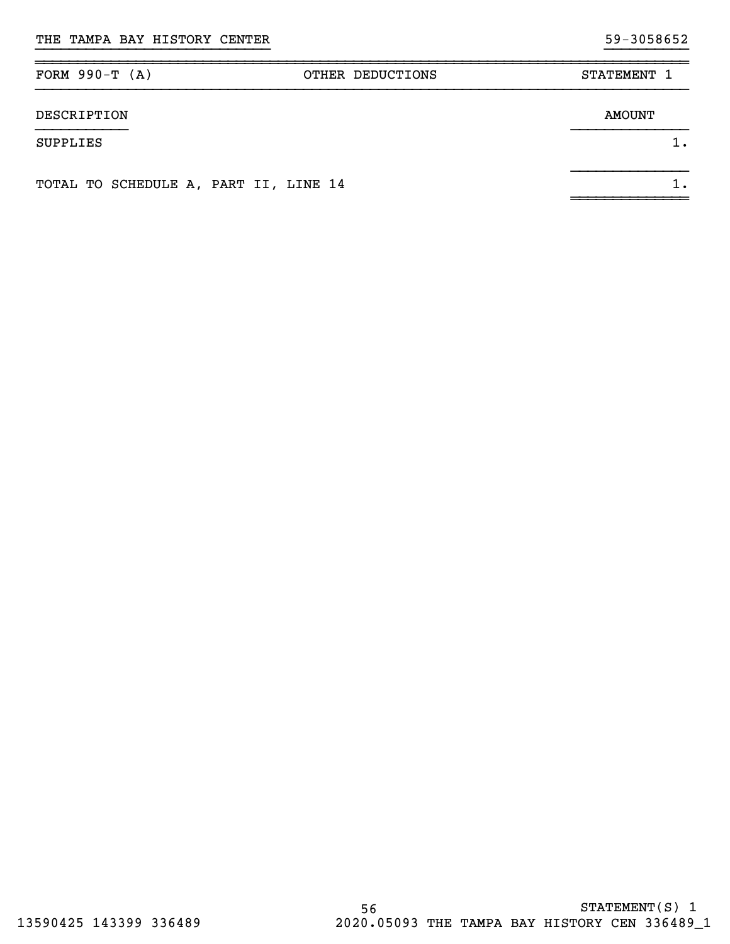| FORM $990-T (A)$                      | OTHER DEDUCTIONS | STATEMENT 1   |
|---------------------------------------|------------------|---------------|
| DESCRIPTION                           |                  | <b>AMOUNT</b> |
| SUPPLIES                              |                  | 1.            |
| TOTAL TO SCHEDULE A, PART II, LINE 14 |                  | 1.            |

}}}}}}}}}}}}}}}}}}}}}}}}}}}} }}}}}}}}}}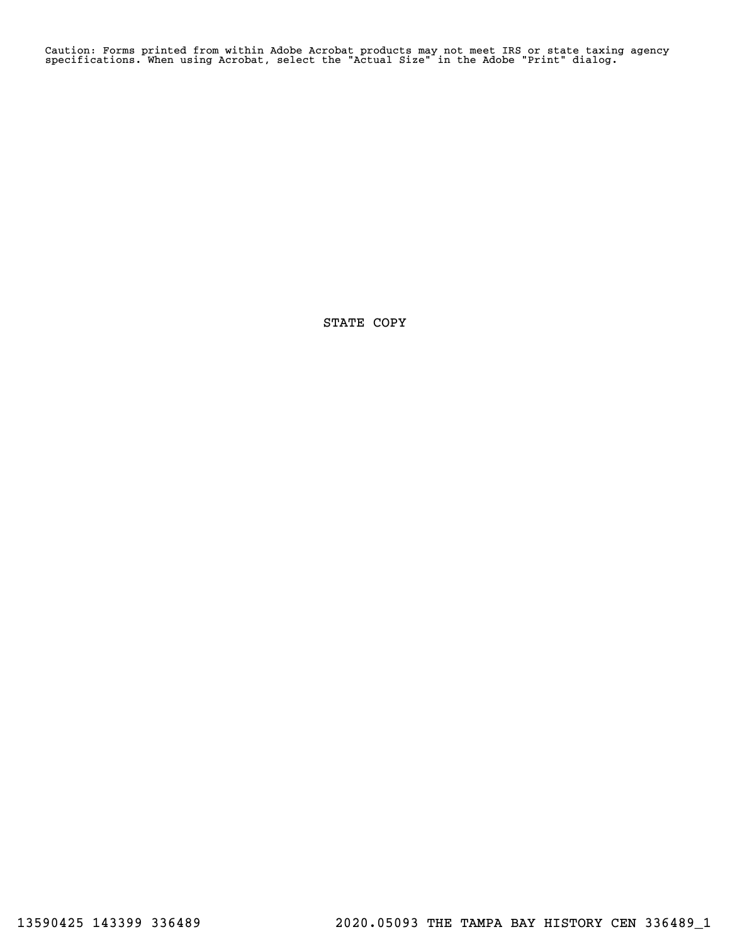Caution: Forms printed from within Adobe Acrobat products may not meet IRS or state taxing agency specifications. When using Acrobat, select the "Actual Size" in the Adobe "Print" dialog.

STATE COPY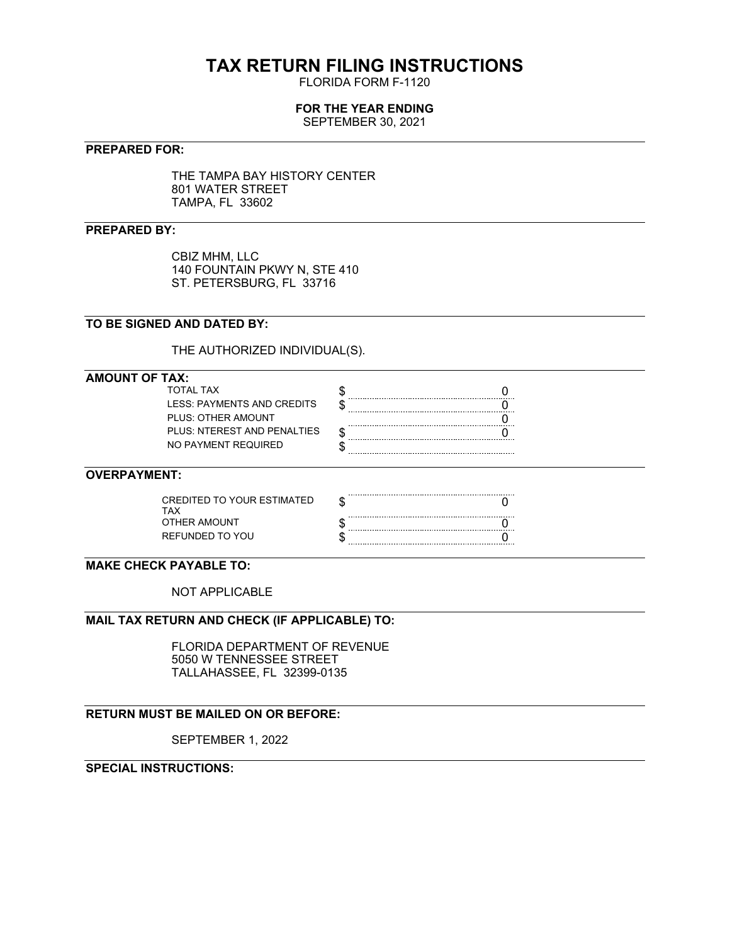# **TAX RETURN FILING INSTRUCTIONS**

FLORIDA FORM F-1120

# **FOR THE YEAR ENDING**

SEPTEMBER 30, 2021

# **PREPARED FOR:**

THE TAMPA BAY HISTORY CENTER 801 WATER STREET TAMPA, FL 33602

# **PREPARED BY:**

CBIZ MHM, LLC 140 FOUNTAIN PKWY N, STE 410 ST. PETERSBURG, FL 33716

# **TO BE SIGNED AND DATED BY:**

THE AUTHORIZED INDIVIDUAL(S).

## **AMOUNT OF TAX:**

| TOTAI TAX                   |  |
|-----------------------------|--|
| LESS: PAYMENTS AND CREDITS  |  |
| PLUS: OTHER AMOUNT          |  |
| PLUS: NTEREST AND PENALTIES |  |
| NO PAYMENT REQUIRED         |  |
|                             |  |

# **OVERPAYMENT:**

| CREDITED TO YOUR ESTIMATED<br>TAX |  |
|-----------------------------------|--|
| OTHER AMOUNT                      |  |
| REFUNDED TO YOU                   |  |

# **MAKE CHECK PAYABLE TO:**

NOT APPLICABLE

## **MAIL TAX RETURN AND CHECK (IF APPLICABLE) TO:**

FLORIDA DEPARTMENT OF REVENUE 5050 W TENNESSEE STREET TALLAHASSEE, FL 32399-0135

# **RETURN MUST BE MAILED ON OR BEFORE:**

SEPTEMBER 1, 2022

# **SPECIAL INSTRUCTIONS:**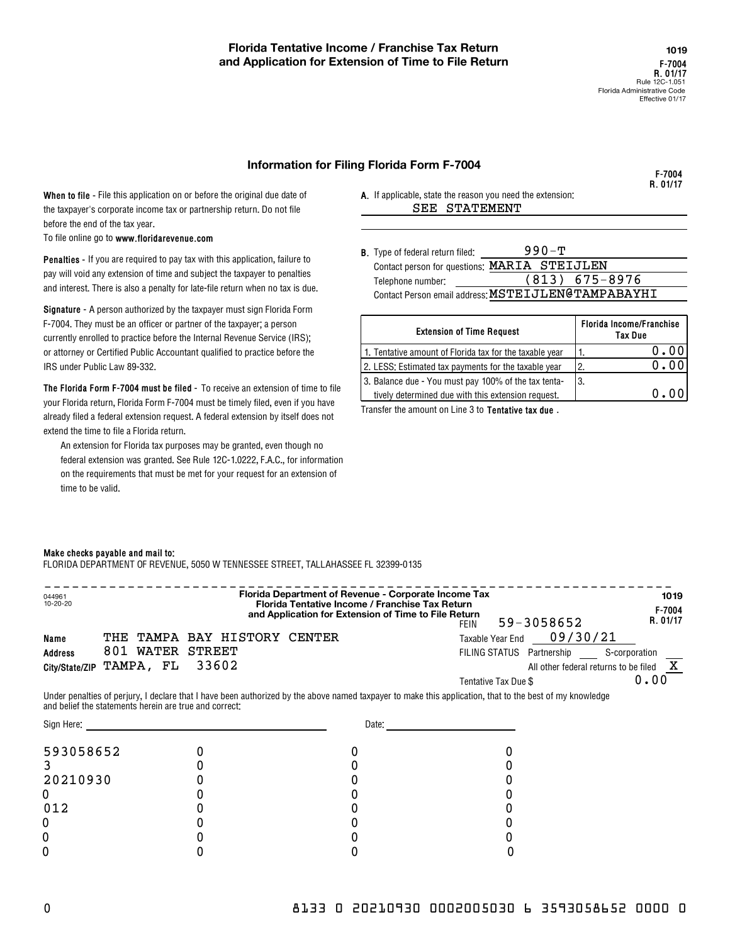**F-7004R. 01/17**

#### **Information for Filing Florida Form F-7004**

**When to file -** File this application on or before the original due date of the taxpayer's corporate income tax or partnership return. Do not file before the end of the tax year.

**www.floridarevenue.com** To file online go to

**Penalties -**  If you are required to pay tax with this application, failure to pay will void any extension of time and subject the taxpayer to penalties and interest. There is also a penalty for late-file return when no tax is due.

**Signature -**  A person authorized by the taxpayer must sign Florida Form F-7004. They must be an officer or partner of the taxpayer; a person currently enrolled to practice before the Internal Revenue Service (IRS); or attorney or Certified Public Accountant qualified to practice before the IRS under Public Law 89-332.

**The Florida Form F-7004 must be filed** - To receive an extension of time to file your Florida return, Florida Form F-7004 must be timely filed, even if you have already filed a federal extension request. A federal extension by itself does not extend the time to file a Florida return.

An extension for Florida tax purposes may be granted, even though no federal extension was granted. See Rule 12C-1.0222, F.A.C., for information on the requirements that must be met for your request for an extension of time to be valid.

**A.**  If applicable, state the reason you need the extension: SEE STATEMENT

| <b>B.</b> Type of federal return filed: | $990 - T$                                          |  |
|-----------------------------------------|----------------------------------------------------|--|
|                                         | Contact person for questions: MARIA STEIJLEN       |  |
| Telephone number:                       | $(813)$ 675-8976                                   |  |
|                                         | Contact Person email address: MSTEIJLEN@TAMPABAYHI |  |

| <b>Extension of Time Request</b>                        | Florida Income/Franchise<br>Tax Due |
|---------------------------------------------------------|-------------------------------------|
| 1. Tentative amount of Florida tax for the taxable year | 0.00                                |
| 2. LESS: Estimated tax payments for the taxable year    | 2.                                  |
| 3. Balance due - You must pay 100% of the tax tenta-    | 13.                                 |
| tively determined due with this extension request.      | 0. O                                |
|                                                         |                                     |

Transfer the amount on Line 3 to **Tentative tax due** .

#### **Make checks payable and mail to:**

FLORIDA DEPARTMENT OF REVENUE, 5050 W TENNESSEE STREET, TALLAHASSEE FL 32399-0135

| 044961<br>10-20-20                                     |                  |       |                 |                       |               | Florida Department of Revenue - Corporate Income Tax<br>Florida Tentative Income / Franchise Tax Return<br>and Application for Extension of Time to File Return | FFIN |                                          | 59-3058652                                                                     |               | 1019<br>$F - 7004$<br>R. 01/17 |
|--------------------------------------------------------|------------------|-------|-----------------|-----------------------|---------------|-----------------------------------------------------------------------------------------------------------------------------------------------------------------|------|------------------------------------------|--------------------------------------------------------------------------------|---------------|--------------------------------|
| Name<br><b>Address</b><br>City/State/ZIP               | 801<br>TAMPA, FL | WATER | STREET<br>33602 | THE TAMPA BAY HISTORY | <b>CENTER</b> |                                                                                                                                                                 |      | Taxable Year End<br>Tentative Tax Due \$ | 09/30/21<br>FILING STATUS Partnership<br>All other federal returns to be filed | S-corporation | 0.00                           |
| and belief the statements herein are true and correct: |                  |       |                 |                       |               | Under penalties of perjury, I declare that I have been authorized by the above named taxpayer to make this application, that to the best of my knowledge        |      |                                          |                                                                                |               |                                |

| Sign Here: | Date: |  |  |  |
|------------|-------|--|--|--|
| 593058652  |       |  |  |  |
|            |       |  |  |  |
| 20210930   |       |  |  |  |
|            |       |  |  |  |
| 012        |       |  |  |  |
|            |       |  |  |  |
|            |       |  |  |  |
|            |       |  |  |  |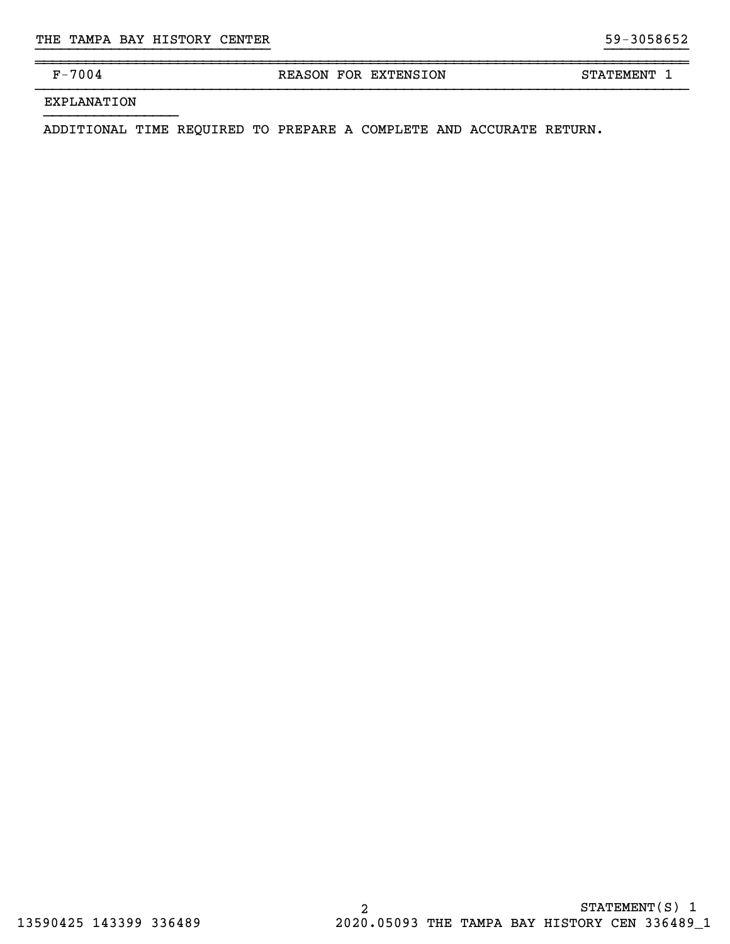~~~~~~~~~~~~~~~~~~~~~~~~~~~~~~~~~~~~~~~~~~~~~~~~~~~~~~~~~~~~~~~~~~~~~~~~~~~~~~

F-7004 REASON FOR EXTENSION STATEMENT 1

}}}}}}}}}}}}}}}}}}}}}}}}}}}} }}}}}}}}}}

EXPLANATION

}}}}}}}}}}}}}}}}

ADDITIONAL TIME REQUIRED TO PREPARE A COMPLETE AND ACCURATE RETURN.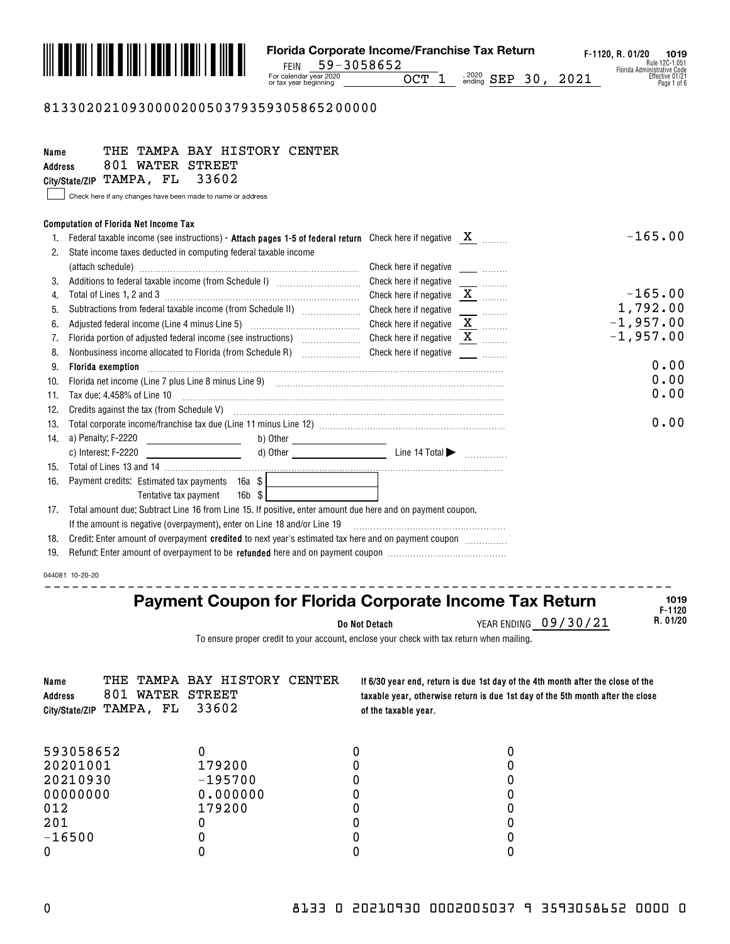

### 813302021093000020050379359305865200000

| Name<br><b>Address</b> | THE TAMPA BAY HISTORY CENTER<br>801 WATER STREET<br>City/State/ZIP TAMPA, FL<br>33602<br>Check here if any changes have been made to name or address                                               |                                         |                          |                                  |
|------------------------|----------------------------------------------------------------------------------------------------------------------------------------------------------------------------------------------------|-----------------------------------------|--------------------------|----------------------------------|
|                        | <b>Computation of Florida Net Income Tax</b>                                                                                                                                                       |                                         |                          |                                  |
|                        | Federal taxable income (see instructions) - Attach pages 1-5 of federal return Check here if negative $X$                                                                                          |                                         |                          | $-165.00$                        |
| 2.                     | State income taxes deducted in computing federal taxable income                                                                                                                                    |                                         |                          |                                  |
|                        |                                                                                                                                                                                                    | Check here if negative                  | $\overline{\phantom{a}}$ |                                  |
|                        | Additions to federal taxable income (from Schedule I) [11] [12] [12] Additions to federal taxable income (from Schedule I)                                                                         | Check here if negative                  |                          |                                  |
| 4.                     |                                                                                                                                                                                                    | Check here if negative $X$ <sub>1</sub> |                          | $-165.00$                        |
| 5.                     | Subtractions from federal taxable income (from Schedule II) [[[[[[[[[[[[[[[[[[[[[[[]]]]]]]]]]                                                                                                      | Check here if negative                  | <u>.</u>                 | 1,792.00                         |
| 6.                     | Adjusted federal income (Line 4 minus Line 5) [11] [2010] Check here if negative                                                                                                                   |                                         | $\overline{\mathbf{X}}$  | $-1,957.00$                      |
| 7.                     |                                                                                                                                                                                                    |                                         |                          | $-1,957.00$                      |
| 8.                     | Nonbusiness income allocated to Florida (from Schedule R) [10] [10] Check here if negative                                                                                                         |                                         |                          |                                  |
| 9.                     | <b>Florida exemption</b>                                                                                                                                                                           |                                         |                          | 0.00                             |
| 10.                    |                                                                                                                                                                                                    |                                         |                          | 0.00                             |
| 11.                    |                                                                                                                                                                                                    |                                         |                          | 0.00                             |
| 12.                    | Credits against the tax (from Schedule V) <b>manufacture and continuum contracts</b> against the tax (from Schedule V)                                                                             |                                         |                          |                                  |
| 13.                    |                                                                                                                                                                                                    |                                         |                          | 0.00                             |
|                        | 14. a) Penalty: F-2220<br><u> 1990 - Johann Barbara, politik eta politik eta politik eta politik eta politik eta politik eta politik eta p</u> oli                                                 |                                         |                          |                                  |
|                        | c) Interest: F-2220                                                                                                                                                                                |                                         |                          |                                  |
| 15.                    |                                                                                                                                                                                                    |                                         |                          |                                  |
| 16.                    | Payment credits: Estimated tax payments 16a \$                                                                                                                                                     |                                         |                          |                                  |
|                        | $16b$ \$<br>Tentative tax payment                                                                                                                                                                  |                                         |                          |                                  |
| 17.                    | Total amount due: Subtract Line 16 from Line 15. If positive, enter amount due here and on payment coupon.                                                                                         |                                         |                          |                                  |
| 18.                    | If the amount is negative (overpayment), enter on Line 18 and/or Line 19<br>Credit: Enter amount of overpayment credited to next year's estimated tax here and on payment coupon <i>management</i> |                                         |                          |                                  |
| 19.                    |                                                                                                                                                                                                    |                                         |                          |                                  |
|                        |                                                                                                                                                                                                    |                                         |                          |                                  |
|                        | 044081 10-20-20                                                                                                                                                                                    |                                         |                          |                                  |
|                        |                                                                                                                                                                                                    |                                         |                          | 1019                             |
|                        | <b>Payment Coupon for Florida Corporate Income Tax Return</b>                                                                                                                                      |                                         |                          | $F - 1120$                       |
|                        |                                                                                                                                                                                                    | Do Not Detach                           |                          | R. 01/20<br>YEAR ENDING 09/30/21 |
|                        | To apoura propor aradit to vour account, angless your sheek with toy return when moiling                                                                                                           |                                         |                          |                                  |

To ensure proper credit to your account, enclose your check with tax return when mailing.

| Name | <b>Address</b><br>City/State/ZIP | 801 WATER STREET<br>TAMPA, FL | THE TAMPA BAY HISTORY CENTER<br>33602 | of the taxable year. | If 6/30 year end, return is due 1st day of the 4th month after the close of the<br>taxable year, otherwise return is due 1st day of the 5th month after the close |
|------|----------------------------------|-------------------------------|---------------------------------------|----------------------|-------------------------------------------------------------------------------------------------------------------------------------------------------------------|
|      | 593058652                        |                               |                                       |                      |                                                                                                                                                                   |
|      | 20201001                         |                               | 179200                                |                      |                                                                                                                                                                   |
|      | 20210930                         |                               | $-195700$                             |                      |                                                                                                                                                                   |
|      | 00000000                         |                               | 0.000000                              |                      |                                                                                                                                                                   |
|      | 012                              |                               | 179200                                |                      |                                                                                                                                                                   |
|      | 201                              |                               |                                       |                      |                                                                                                                                                                   |
|      | $-16500$                         |                               |                                       |                      |                                                                                                                                                                   |
|      |                                  |                               |                                       |                      |                                                                                                                                                                   |
|      |                                  |                               |                                       |                      |                                                                                                                                                                   |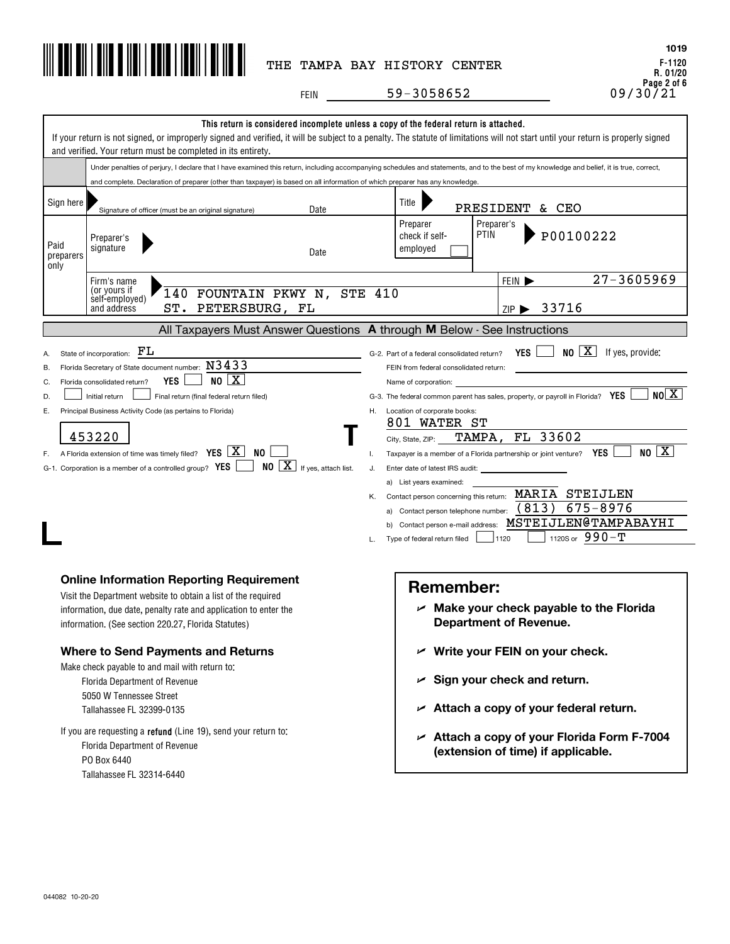

**F-1120 R. 01/20 Page 2 of 6 1019**

FEIN \_\_\_\_\_\_\_\_\_\_59-3058652 \_\_\_\_\_\_\_\_\_\_\_\_\_\_\_\_\_\_\_\_\_\_\_\_\_\_\_\_\_\_\_\_\_\_\_09/30/21

|                                                                                                                                                                                                                                                                                                                                                                                                                                                                                                                                                                                                                                                                                                                                                                                                                                                                                                                                                                                                                                                                                                                                                                                                                                                                                                             | and verified. Your return must be completed in its entirety.                                                                                                                                                                                | This return is considered incomplete unless a copy of the federal return is attached.<br>If your return is not signed, or improperly signed and verified, it will be subject to a penalty. The statute of limitations will not start until your return is properly signed |  |  |  |
|-------------------------------------------------------------------------------------------------------------------------------------------------------------------------------------------------------------------------------------------------------------------------------------------------------------------------------------------------------------------------------------------------------------------------------------------------------------------------------------------------------------------------------------------------------------------------------------------------------------------------------------------------------------------------------------------------------------------------------------------------------------------------------------------------------------------------------------------------------------------------------------------------------------------------------------------------------------------------------------------------------------------------------------------------------------------------------------------------------------------------------------------------------------------------------------------------------------------------------------------------------------------------------------------------------------|---------------------------------------------------------------------------------------------------------------------------------------------------------------------------------------------------------------------------------------------|---------------------------------------------------------------------------------------------------------------------------------------------------------------------------------------------------------------------------------------------------------------------------|--|--|--|
|                                                                                                                                                                                                                                                                                                                                                                                                                                                                                                                                                                                                                                                                                                                                                                                                                                                                                                                                                                                                                                                                                                                                                                                                                                                                                                             |                                                                                                                                                                                                                                             | Under penalties of perjury, I declare that I have examined this return, including accompanying schedules and statements, and to the best of my knowledge and belief, it is true, correct,                                                                                 |  |  |  |
|                                                                                                                                                                                                                                                                                                                                                                                                                                                                                                                                                                                                                                                                                                                                                                                                                                                                                                                                                                                                                                                                                                                                                                                                                                                                                                             | and complete. Declaration of preparer (other than taxpayer) is based on all information of which preparer has any knowledge.                                                                                                                |                                                                                                                                                                                                                                                                           |  |  |  |
| Sign here                                                                                                                                                                                                                                                                                                                                                                                                                                                                                                                                                                                                                                                                                                                                                                                                                                                                                                                                                                                                                                                                                                                                                                                                                                                                                                   | Date<br>Signature of officer (must be an original signature)                                                                                                                                                                                | Title  <br>PRESIDENT & CEO                                                                                                                                                                                                                                                |  |  |  |
| Paid<br>preparers<br>only                                                                                                                                                                                                                                                                                                                                                                                                                                                                                                                                                                                                                                                                                                                                                                                                                                                                                                                                                                                                                                                                                                                                                                                                                                                                                   | Preparer's<br>signature<br>Date                                                                                                                                                                                                             | Preparer<br>Preparer's<br><b>PTIN</b><br>P00100222<br>check if self-<br>employed                                                                                                                                                                                          |  |  |  |
|                                                                                                                                                                                                                                                                                                                                                                                                                                                                                                                                                                                                                                                                                                                                                                                                                                                                                                                                                                                                                                                                                                                                                                                                                                                                                                             | Firm's name                                                                                                                                                                                                                                 | $27 - 3605969$<br>FEIN $\blacktriangleright$                                                                                                                                                                                                                              |  |  |  |
|                                                                                                                                                                                                                                                                                                                                                                                                                                                                                                                                                                                                                                                                                                                                                                                                                                                                                                                                                                                                                                                                                                                                                                                                                                                                                                             | (or yours if<br>140 FOUNTAIN PKWY N, STE 410<br>self-employed)<br>ST. PETERSBURG, FL<br>and address                                                                                                                                         | 33716<br>ZIP                                                                                                                                                                                                                                                              |  |  |  |
|                                                                                                                                                                                                                                                                                                                                                                                                                                                                                                                                                                                                                                                                                                                                                                                                                                                                                                                                                                                                                                                                                                                                                                                                                                                                                                             |                                                                                                                                                                                                                                             | All Taxpayers Must Answer Questions A through M Below - See Instructions                                                                                                                                                                                                  |  |  |  |
| YES $\Box$ NO $\boxed{X}$<br>FL<br>If yes, provide:<br>State of incorporation:<br>G-2. Part of a federal consolidated return?<br>А.<br>Florida Secretary of State document number: $N3\overline{4}\overline{3}\overline{3}$<br>FEIN from federal consolidated return:<br>В.<br>NO   X<br><b>YES</b><br>Florida consolidated return?<br>C.<br>Name of corporation:<br>NO[X]<br>G-3. The federal common parent has sales, property, or payroll in Florida? YES<br>Initial return<br>Final return (final federal return filed)<br>D.<br>Principal Business Activity Code (as pertains to Florida)<br>H. Location of corporate books:<br>Е.<br>801 WATER ST<br>TAMPA, FL 33602<br>453220<br>City, State, ZIP:<br>NO   X<br>F. A Florida extension of time was timely filed? $YES \mid X$<br>NO.<br>Taxpayer is a member of a Florida partnership or joint venture? YES<br>Τ.<br>$NO \ \boxed{X}$ If yes, attach list.<br>G-1. Corporation is a member of a controlled group? $YES$<br>J.<br>Enter date of latest IRS audit:<br>a) List years examined:<br>Contact person concerning this return: MARIA STEIJLEN<br>Κ.<br>(813)<br>675-8976<br>a) Contact person telephone number:<br>b) Contact person e-mail address: MSTEIJLEN@TAMPABAYHI<br>1120S or $990 - T$<br>1120<br>Type of federal return filed<br>L. |                                                                                                                                                                                                                                             |                                                                                                                                                                                                                                                                           |  |  |  |
|                                                                                                                                                                                                                                                                                                                                                                                                                                                                                                                                                                                                                                                                                                                                                                                                                                                                                                                                                                                                                                                                                                                                                                                                                                                                                                             | <b>Online Information Reporting Requirement</b><br>Visit the Department website to obtain a list of the required<br>information, due date, penalty rate and application to enter the<br>information. (See section 220.27, Florida Statutes) | <b>Remember:</b><br>$\mathcal{L}$ Make your check payable to the Florida<br><b>Department of Revenue.</b>                                                                                                                                                                 |  |  |  |
|                                                                                                                                                                                                                                                                                                                                                                                                                                                                                                                                                                                                                                                                                                                                                                                                                                                                                                                                                                                                                                                                                                                                                                                                                                                                                                             | <b>Where to Send Payments and Returns</b>                                                                                                                                                                                                   | $\nu$ Write your FEIN on your check.                                                                                                                                                                                                                                      |  |  |  |
|                                                                                                                                                                                                                                                                                                                                                                                                                                                                                                                                                                                                                                                                                                                                                                                                                                                                                                                                                                                                                                                                                                                                                                                                                                                                                                             | Make check payable to and mail with return to:<br>Florida Department of Revenue<br>5050 W Tennessee Street                                                                                                                                  | $\mathcal{L}$ Sign your check and return.                                                                                                                                                                                                                                 |  |  |  |
|                                                                                                                                                                                                                                                                                                                                                                                                                                                                                                                                                                                                                                                                                                                                                                                                                                                                                                                                                                                                                                                                                                                                                                                                                                                                                                             | Tallahassee FL 32399-0135                                                                                                                                                                                                                   | $\angle$ Attach a copy of your federal return.                                                                                                                                                                                                                            |  |  |  |
|                                                                                                                                                                                                                                                                                                                                                                                                                                                                                                                                                                                                                                                                                                                                                                                                                                                                                                                                                                                                                                                                                                                                                                                                                                                                                                             | If you are requesting a refund (Line 19), send your return to:<br>Florida Department of Revenue<br>PO Box 6440                                                                                                                              | Attach a copy of your Florida Form F-7004<br>(extension of time) if applicable.                                                                                                                                                                                           |  |  |  |
|                                                                                                                                                                                                                                                                                                                                                                                                                                                                                                                                                                                                                                                                                                                                                                                                                                                                                                                                                                                                                                                                                                                                                                                                                                                                                                             | Tallahassee FL 32314-6440                                                                                                                                                                                                                   |                                                                                                                                                                                                                                                                           |  |  |  |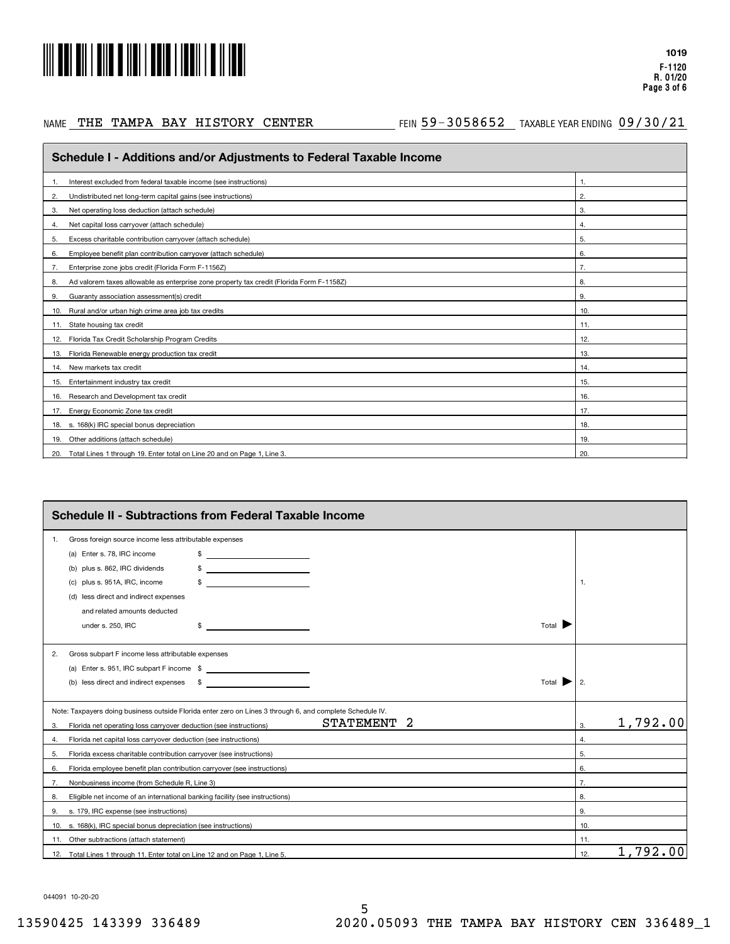

### NAME THE TAMPA BAY HISTORY CENTER

#### AE THE TAMPA BAY HISTORY CENTER THIN 59-3058652 TAXABLEYEARENDING 09/30/21

| Schedule I - Additions and/or Adjustments to Federal Taxable Income                            |              |  |  |  |  |  |
|------------------------------------------------------------------------------------------------|--------------|--|--|--|--|--|
| Interest excluded from federal taxable income (see instructions)                               | $\mathbf{1}$ |  |  |  |  |  |
| Undistributed net long-term capital gains (see instructions)<br>2.                             | 2.           |  |  |  |  |  |
| Net operating loss deduction (attach schedule)<br>3.                                           | 3.           |  |  |  |  |  |
| Net capital loss carryover (attach schedule)<br>4.                                             | 4.           |  |  |  |  |  |
| Excess charitable contribution carryover (attach schedule)<br>5.                               | 5.           |  |  |  |  |  |
| Employee benefit plan contribution carryover (attach schedule)<br>6.                           | 6.           |  |  |  |  |  |
| Enterprise zone jobs credit (Florida Form F-1156Z)<br>7.                                       | 7.           |  |  |  |  |  |
| Ad valorem taxes allowable as enterprise zone property tax credit (Florida Form F-1158Z)<br>8. | 8.           |  |  |  |  |  |
| Guaranty association assessment(s) credit<br>9.                                                | 9.           |  |  |  |  |  |
| Rural and/or urban high crime area job tax credits<br>10.                                      | 10.          |  |  |  |  |  |
| 11. State housing tax credit                                                                   | 11.          |  |  |  |  |  |
| 12. Florida Tax Credit Scholarship Program Credits                                             | 12.          |  |  |  |  |  |
| Florida Renewable energy production tax credit<br>13.                                          | 13.          |  |  |  |  |  |
| 14. New markets tax credit                                                                     | 14.          |  |  |  |  |  |
| 15. Entertainment industry tax credit                                                          | 15.          |  |  |  |  |  |
| Research and Development tax credit<br>16.                                                     | 16.          |  |  |  |  |  |
| Energy Economic Zone tax credit<br>17.                                                         | 17.          |  |  |  |  |  |
| 18. s. 168(k) IRC special bonus depreciation                                                   | 18.          |  |  |  |  |  |
| 19. Other additions (attach schedule)                                                          | 19.          |  |  |  |  |  |
| 20. Total Lines 1 through 19. Enter total on Line 20 and on Page 1, Line 3.                    | 20.          |  |  |  |  |  |

|    | <b>Schedule II - Subtractions from Federal Taxable Income</b>                                                                                             |     |          |  |  |  |
|----|-----------------------------------------------------------------------------------------------------------------------------------------------------------|-----|----------|--|--|--|
| 1. | Gross foreign source income less attributable expenses                                                                                                    |     |          |  |  |  |
|    | (a) Enter s. 78, IRC income<br>\$<br><u> 1980 - Jan Samuel Barbara, politik a postaj por objevan de la provincia de la provincia de la provincia de l</u> |     |          |  |  |  |
|    | <u> 1986 - John Stein, mars and de la popula</u><br>plus s. 862, IRC dividends<br>(b)                                                                     |     |          |  |  |  |
|    | plus s. 951A, IRC, income<br>(C)                                                                                                                          | 1.  |          |  |  |  |
|    | (d) less direct and indirect expenses                                                                                                                     |     |          |  |  |  |
|    | and related amounts deducted                                                                                                                              |     |          |  |  |  |
|    | Total $\blacksquare$<br>under s. 250, IRC<br>the control of the control of the control of<br>S                                                            |     |          |  |  |  |
| 2. | Gross subpart F income less attributable expenses                                                                                                         |     |          |  |  |  |
|    |                                                                                                                                                           |     |          |  |  |  |
|    | (b) less direct and indirect expenses \$<br><u> 1989 - Andrea State Barnett, amerikansk politiker (d. 1989)</u><br>Total                                  | 2.  |          |  |  |  |
|    | Note: Taxpayers doing business outside Florida enter zero on Lines 3 through 6, and complete Schedule IV.                                                 |     |          |  |  |  |
| 3. | 2<br><b>STATEMENT</b><br>Florida net operating loss carryover deduction (see instructions)                                                                | 3.  | 1,792.00 |  |  |  |
| 4. | Florida net capital loss carryover deduction (see instructions)                                                                                           | 4.  |          |  |  |  |
| 5. | Florida excess charitable contribution carryover (see instructions)                                                                                       | 5.  |          |  |  |  |
| 6. | Florida employee benefit plan contribution carryover (see instructions)                                                                                   | 6.  |          |  |  |  |
| 7. | Nonbusiness income (from Schedule R, Line 3)                                                                                                              | 7.  |          |  |  |  |
| 8. | Eligible net income of an international banking facility (see instructions)                                                                               | 8.  |          |  |  |  |
| 9. | s. 179, IRC expense (see instructions)                                                                                                                    | 9.  |          |  |  |  |
|    | 10. s. 168(k), IRC special bonus depreciation (see instructions)                                                                                          | 10. |          |  |  |  |
|    | 11. Other subtractions (attach statement)                                                                                                                 | 11. |          |  |  |  |
|    | 12. Total Lines 1 through 11. Enter total on Line 12 and on Page 1, Line 5.                                                                               | 12. | 1,792.00 |  |  |  |

044091 10-20-20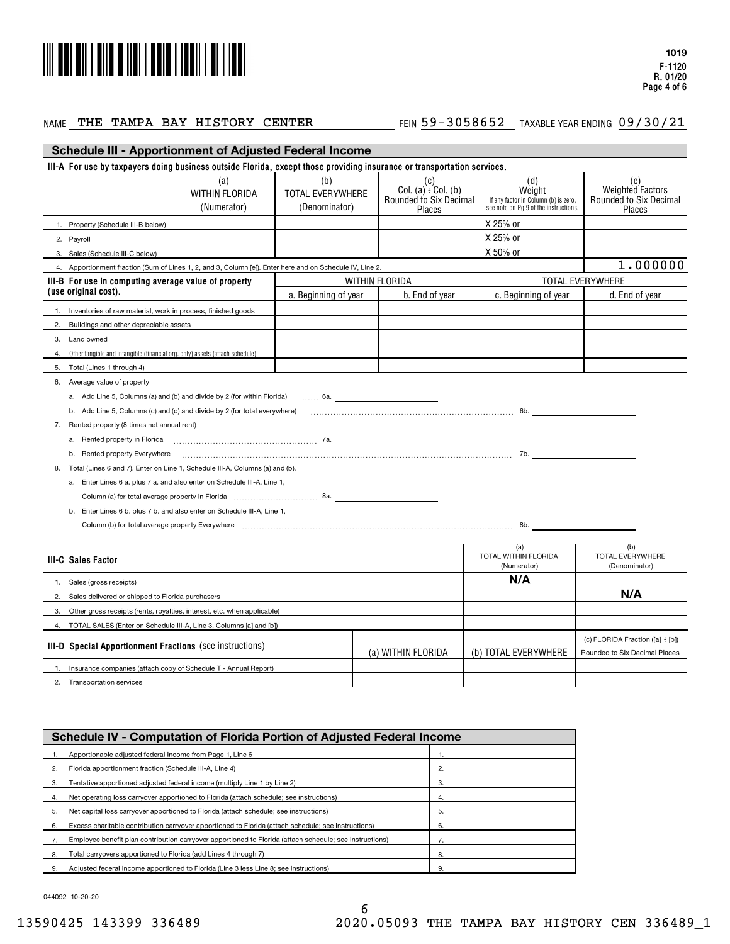

#### NAME THE TAMPA BAY HISTORY CENTER

#### AE THE TAMPA BAY HISTORY CENTER THIN 59-3058652 TAXABLEYEARENDING 09/30/21

| <b>Schedule III - Apportionment of Adjusted Federal Income</b>                                                          |                                                                           |                                          |                                                                               |                                                                                                |                                                                   |
|-------------------------------------------------------------------------------------------------------------------------|---------------------------------------------------------------------------|------------------------------------------|-------------------------------------------------------------------------------|------------------------------------------------------------------------------------------------|-------------------------------------------------------------------|
| III-A For use by taxpayers doing business outside Florida, except those providing insurance or transportation services. |                                                                           |                                          |                                                                               |                                                                                                |                                                                   |
|                                                                                                                         | (a)<br>WITHIN FLORIDA<br>(Numerator)                                      | (b)<br>TOTAL EVERYWHERE<br>(Denominator) | (c)<br>Col. $(a)$ <sup>:</sup> Col. $(b)$<br>Rounded to Six Decimal<br>Places | (d)<br>Weight<br>If any factor in Column (b) is zero.<br>see note on Pg 9 of the instructions. | (e)<br>Weighted Factors<br>Rounded to Six Decimal<br>Places       |
| 1. Property (Schedule III-B below)                                                                                      |                                                                           |                                          |                                                                               | X 25% or                                                                                       |                                                                   |
| Payroll<br>2.                                                                                                           |                                                                           |                                          |                                                                               | X 25% or                                                                                       |                                                                   |
| Sales (Schedule III-C below)<br>3.                                                                                      |                                                                           |                                          |                                                                               | X 50% or                                                                                       |                                                                   |
| Apportionment fraction (Sum of Lines 1, 2, and 3, Column [e]). Enter here and on Schedule IV, Line 2.<br>$\Delta$       |                                                                           |                                          |                                                                               |                                                                                                | 1.000000                                                          |
| III-B For use in computing average value of property                                                                    |                                                                           |                                          | WITHIN FLORIDA                                                                |                                                                                                | <b>TOTAL EVERYWHERE</b>                                           |
| (use original cost).                                                                                                    |                                                                           | a. Beginning of year                     | b. End of year                                                                | c. Beginning of year                                                                           | d. End of year                                                    |
| Inventories of raw material, work in process, finished goods                                                            |                                                                           |                                          |                                                                               |                                                                                                |                                                                   |
| Buildings and other depreciable assets<br>2.                                                                            |                                                                           |                                          |                                                                               |                                                                                                |                                                                   |
| Land owned<br>3.                                                                                                        |                                                                           |                                          |                                                                               |                                                                                                |                                                                   |
| Other tangible and intangible (financial org. only) assets (attach schedule)<br>4.                                      |                                                                           |                                          |                                                                               |                                                                                                |                                                                   |
| Total (Lines 1 through 4)<br>5.                                                                                         |                                                                           |                                          |                                                                               |                                                                                                |                                                                   |
| Average value of property<br>6.                                                                                         |                                                                           |                                          |                                                                               |                                                                                                |                                                                   |
|                                                                                                                         | a. Add Line 5, Columns (a) and (b) and divide by 2 (for within Florida)   | $\sim$ 6a.                               |                                                                               |                                                                                                |                                                                   |
|                                                                                                                         | b. Add Line 5, Columns (c) and (d) and divide by 2 (for total everywhere) |                                          |                                                                               |                                                                                                |                                                                   |
| Rented property (8 times net annual rent)<br>7.                                                                         |                                                                           |                                          |                                                                               |                                                                                                |                                                                   |
| a. Rented property in Florida                                                                                           | $7a$ .                                                                    |                                          |                                                                               |                                                                                                |                                                                   |
| b. Rented property Everywhere                                                                                           |                                                                           |                                          |                                                                               |                                                                                                |                                                                   |
| Total (Lines 6 and 7). Enter on Line 1, Schedule III-A, Columns (a) and (b).<br>8.                                      |                                                                           |                                          |                                                                               |                                                                                                |                                                                   |
|                                                                                                                         | a. Enter Lines 6 a. plus 7 a. and also enter on Schedule III-A, Line 1,   |                                          |                                                                               |                                                                                                |                                                                   |
|                                                                                                                         |                                                                           |                                          |                                                                               |                                                                                                |                                                                   |
|                                                                                                                         | b. Enter Lines 6 b. plus 7 b. and also enter on Schedule III-A, Line 1,   |                                          |                                                                               |                                                                                                |                                                                   |
|                                                                                                                         |                                                                           |                                          |                                                                               |                                                                                                |                                                                   |
|                                                                                                                         |                                                                           |                                          |                                                                               |                                                                                                |                                                                   |
| III-C Sales Factor                                                                                                      |                                                                           |                                          |                                                                               | (a)<br>TOTAL WITHIN FLORIDA<br>(Numerator)                                                     | (b)<br>TOTAL EVERYWHERE<br>(Denominator)                          |
| Sales (gross receipts)                                                                                                  |                                                                           |                                          |                                                                               | N/A                                                                                            |                                                                   |
| 2.<br>Sales delivered or shipped to Florida purchasers                                                                  |                                                                           |                                          |                                                                               |                                                                                                | N/A                                                               |
| 3.                                                                                                                      | Other gross receipts (rents, royalties, interest, etc. when applicable)   |                                          |                                                                               |                                                                                                |                                                                   |
| $\overline{4}$                                                                                                          | TOTAL SALES (Enter on Schedule III-A, Line 3, Columns [a] and [b])        |                                          |                                                                               |                                                                                                |                                                                   |
| III-D Special Apportionment Fractions (see instructions)                                                                |                                                                           |                                          | (a) WITHIN FLORIDA                                                            | (b) TOTAL EVERYWHERE                                                                           | (c) FLORIDA Fraction ([a] ÷ [b])<br>Rounded to Six Decimal Places |
|                                                                                                                         | Insurance companies (attach copy of Schedule T - Annual Report)           |                                          |                                                                               |                                                                                                |                                                                   |
| Transportation services<br>2.                                                                                           |                                                                           |                                          |                                                                               |                                                                                                |                                                                   |

|    | Schedule IV - Computation of Florida Portion of Adjusted Federal Income                                 |    |  |  |  |
|----|---------------------------------------------------------------------------------------------------------|----|--|--|--|
|    | Apportionable adjusted federal income from Page 1, Line 6                                               |    |  |  |  |
|    | Florida apportionment fraction (Schedule III-A, Line 4)                                                 | 2. |  |  |  |
| 3. | Tentative apportioned adjusted federal income (multiply Line 1 by Line 2)                               | 3. |  |  |  |
| 4. | Net operating loss carryover apportioned to Florida (attach schedule: see instructions)                 | 4. |  |  |  |
| 5. | Net capital loss carryover apportioned to Florida (attach schedule: see instructions)                   | 5. |  |  |  |
| 6. | Excess charitable contribution carryover apportioned to Florida (attach schedule; see instructions)     | 6. |  |  |  |
|    | Employee benefit plan contribution carryover apportioned to Florida (attach schedule; see instructions) |    |  |  |  |
| 8. | Total carrvovers apportioned to Florida (add Lines 4 through 7)                                         | 8. |  |  |  |
|    | Adjusted federal income apportioned to Florida (Line 3 less Line 8: see instructions)                   | 9. |  |  |  |
|    |                                                                                                         |    |  |  |  |

044092 10-20-20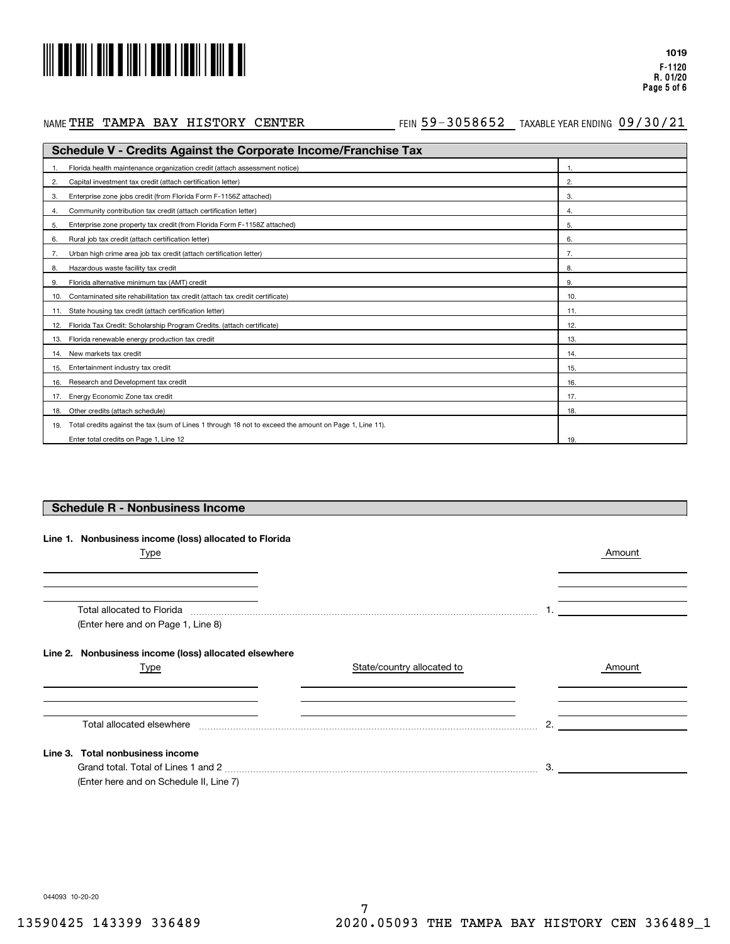

## NAME THE TAMPA BAY HISTORY CENTER

#### AETHE TAMPA BAY HISTORY CENTER THING 59-3058652 TAXABLE YEAR ENDING 09/30/21

| <b>Schedule V - Credits Against the Corporate Income/Franchise Tax</b>                                        |     |  |  |  |
|---------------------------------------------------------------------------------------------------------------|-----|--|--|--|
| Florida health maintenance organization credit (attach assessment notice)                                     |     |  |  |  |
| Capital investment tax credit (attach certification letter)<br>2.                                             | 2.  |  |  |  |
| Enterprise zone jobs credit (from Florida Form F-1156Z attached)<br>3.                                        | 3.  |  |  |  |
| Community contribution tax credit (attach certification letter)<br>4.                                         | 4.  |  |  |  |
| Enterprise zone property tax credit (from Florida Form F-1158Z attached)<br>5.                                | 5.  |  |  |  |
| Rural job tax credit (attach certification letter)<br>6.                                                      | 6.  |  |  |  |
| Urban high crime area job tax credit (attach certification letter)                                            | 7.  |  |  |  |
| Hazardous waste facility tax credit<br>8.                                                                     | 8.  |  |  |  |
| Florida alternative minimum tax (AMT) credit<br>9.                                                            | 9.  |  |  |  |
| Contaminated site rehabilitation tax credit (attach tax credit certificate)<br>10.                            | 10. |  |  |  |
| State housing tax credit (attach certification letter)<br>11.                                                 | 11. |  |  |  |
| Florida Tax Credit: Scholarship Program Credits. (attach certificate)<br>12.                                  | 12. |  |  |  |
| Florida renewable energy production tax credit<br>13.                                                         | 13. |  |  |  |
| New markets tax credit<br>14.                                                                                 | 14. |  |  |  |
| Entertainment industry tax credit<br>15.                                                                      | 15. |  |  |  |
| Research and Development tax credit<br>16.                                                                    | 16. |  |  |  |
| Energy Economic Zone tax credit<br>17.                                                                        | 17. |  |  |  |
| Other credits (attach schedule)<br>18.                                                                        | 18. |  |  |  |
| Total credits against the tax (sum of Lines 1 through 18 not to exceed the amount on Page 1, Line 11).<br>19. |     |  |  |  |
| Enter total credits on Page 1, Line 12                                                                        | 19. |  |  |  |

## **Schedule R - Nonbusiness Income**

|  | Line 1. Nonbusiness income (loss) allocated to Florida |  |  |  |  |
|--|--------------------------------------------------------|--|--|--|--|
|--|--------------------------------------------------------|--|--|--|--|

| Type                                                  |                            |              | Amount |
|-------------------------------------------------------|----------------------------|--------------|--------|
|                                                       |                            |              |        |
| Total allocated to Florida                            |                            |              |        |
| (Enter here and on Page 1, Line 8)                    |                            |              |        |
| Line 2. Nonbusiness income (loss) allocated elsewhere |                            |              |        |
| Type                                                  | State/country allocated to |              | Amount |
|                                                       |                            |              |        |
| Total allocated elsewhere                             |                            | $\mathbf{2}$ |        |
| Line 3. Total nonbusiness income                      |                            |              |        |
|                                                       |                            | 3.           |        |
| (Enter here and on Schedule II, Line 7)               |                            |              |        |

044093 10-20-20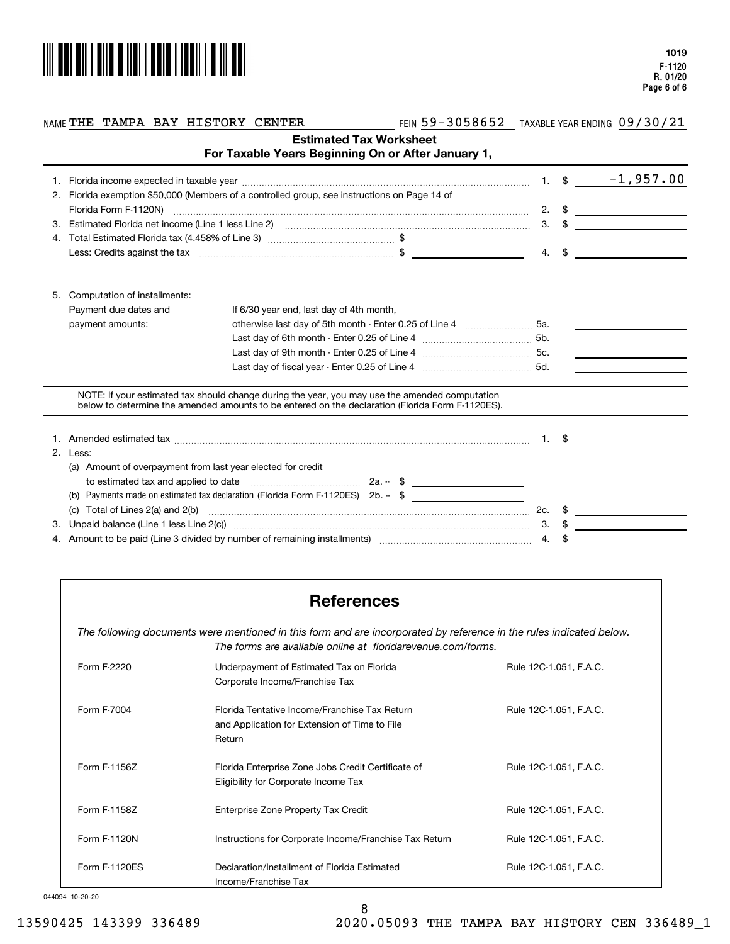

#### NAME **THE TAMPA BAY HISTORY CENTER FEIN 59-3058652 TAXABLE YEAR ENDING**

THE TAMPA BARY TREE TAMPA BAR ENDING  $\frac{09/30/21}{2}$ 

|    |                                                             | For Taxable Years Beginning On or After January 1,                                                                                                                                                                                                                                                                                                                                                                                               | <b>Estimated Tax Worksheet</b> |    |               |                                                                                                                       |
|----|-------------------------------------------------------------|--------------------------------------------------------------------------------------------------------------------------------------------------------------------------------------------------------------------------------------------------------------------------------------------------------------------------------------------------------------------------------------------------------------------------------------------------|--------------------------------|----|---------------|-----------------------------------------------------------------------------------------------------------------------|
|    |                                                             |                                                                                                                                                                                                                                                                                                                                                                                                                                                  |                                |    |               |                                                                                                                       |
| 2. |                                                             | Florida exemption \$50,000 (Members of a controlled group, see instructions on Page 14 of                                                                                                                                                                                                                                                                                                                                                        |                                |    |               |                                                                                                                       |
|    |                                                             |                                                                                                                                                                                                                                                                                                                                                                                                                                                  |                                |    |               | 2. $\sqrt[3]{}$ $\qquad \qquad$                                                                                       |
| З. |                                                             |                                                                                                                                                                                                                                                                                                                                                                                                                                                  |                                |    |               | $3. \quad$ $\frac{1}{2}$                                                                                              |
|    |                                                             |                                                                                                                                                                                                                                                                                                                                                                                                                                                  |                                |    |               |                                                                                                                       |
|    |                                                             | Less: Credits against the tax material content content of the test of the content of the content of the content of the content of the content of the content of the content of the content of the content of the content of th                                                                                                                                                                                                                   |                                |    | $4. \quad$ \$ | <u> 1980 - Jan Barbara Barbara, prima popula</u>                                                                      |
| 5. | Computation of installments:                                |                                                                                                                                                                                                                                                                                                                                                                                                                                                  |                                |    |               |                                                                                                                       |
|    | Payment due dates and                                       | If 6/30 year end, last day of 4th month,                                                                                                                                                                                                                                                                                                                                                                                                         |                                |    |               |                                                                                                                       |
|    | payment amounts:                                            | otherwise last day of 5th month - Enter 0.25 of Line 4 [100] [100] Sa.                                                                                                                                                                                                                                                                                                                                                                           |                                |    |               |                                                                                                                       |
|    |                                                             |                                                                                                                                                                                                                                                                                                                                                                                                                                                  |                                |    |               | <u> 1989 - Johann Barn, mars and de Brasilia (b. 1918)</u>                                                            |
|    |                                                             |                                                                                                                                                                                                                                                                                                                                                                                                                                                  |                                |    |               | <u> 1999 - Johann Barn, mars and de Branch Barn, mars and de Branch Barn, mars and de Branch Barn, mars and de Br</u> |
|    |                                                             |                                                                                                                                                                                                                                                                                                                                                                                                                                                  |                                |    |               |                                                                                                                       |
|    |                                                             | NOTE: If your estimated tax should change during the year, you may use the amended computation<br>below to determine the amended amounts to be entered on the declaration (Florida Form F-1120ES).                                                                                                                                                                                                                                               |                                |    |               |                                                                                                                       |
|    |                                                             |                                                                                                                                                                                                                                                                                                                                                                                                                                                  |                                |    |               | $1. \tS$                                                                                                              |
| 2. | Less:                                                       |                                                                                                                                                                                                                                                                                                                                                                                                                                                  |                                |    |               |                                                                                                                       |
|    | (a) Amount of overpayment from last year elected for credit |                                                                                                                                                                                                                                                                                                                                                                                                                                                  |                                |    |               |                                                                                                                       |
|    |                                                             |                                                                                                                                                                                                                                                                                                                                                                                                                                                  |                                |    |               |                                                                                                                       |
|    |                                                             | Payments made on estimated tax declaration (Florida Form F-1120ES) 2b. -- \$                                                                                                                                                                                                                                                                                                                                                                     |                                |    |               |                                                                                                                       |
|    | Total of Lines 2(a) and 2(b)<br>(C)                         | $\begin{minipage}{0.5\textwidth} \begin{tabular}{ l l l } \hline \multicolumn{1}{ l l l } \hline \multicolumn{1}{ l l } \hline \multicolumn{1}{ l } \multicolumn{1}{ l } \hline \multicolumn{1}{ l } \multicolumn{1}{ l } \multicolumn{1}{ l } \hline \multicolumn{1}{ l } \multicolumn{1}{ l } \multicolumn{1}{ l } \hline \multicolumn{1}{ l } \multicolumn{1}{ l } \hline \multicolumn{1}{ l } \multicolumn{1}{ l } \hline \multicolumn{1}{ $ |                                |    |               | $2c.$ \$                                                                                                              |
| 3. |                                                             |                                                                                                                                                                                                                                                                                                                                                                                                                                                  |                                |    | $3. \quad$ \$ |                                                                                                                       |
|    |                                                             | 4. Amount to be paid (Line 3 divided by number of remaining installments) manufactured contains an annumental                                                                                                                                                                                                                                                                                                                                    |                                | 4. |               |                                                                                                                       |

# **References**

*The following documents were mentioned in this form and are incorporated by reference in the rules indicated below. The forms are available online at floridarevenue.com/forms.*

| Form F-2220   | Underpayment of Estimated Tax on Florida<br>Corporate Income/Franchise Tax                               | Rule 12C-1.051, F.A.C. |
|---------------|----------------------------------------------------------------------------------------------------------|------------------------|
| Form F-7004   | Florida Tentative Income/Franchise Tax Return<br>and Application for Extension of Time to File<br>Return | Rule 12C-1.051, F.A.C. |
| Form F-1156Z  | Florida Enterprise Zone Jobs Credit Certificate of<br>Eligibility for Corporate Income Tax               | Rule 12C-1.051, F.A.C. |
| Form F-1158Z  | Enterprise Zone Property Tax Credit                                                                      | Rule 12C-1.051, F.A.C. |
| Form F-1120N  | Instructions for Corporate Income/Franchise Tax Return                                                   | Rule 12C-1.051, F.A.C. |
| Form F-1120ES | Declaration/Installment of Florida Estimated<br>Income/Franchise Tax                                     | Rule 12C-1.051, F.A.C. |

#### 044094 10-20-20

13590425 143399 336489 2020.05093 THE TAMPA BAY HISTORY CEN 336489\_1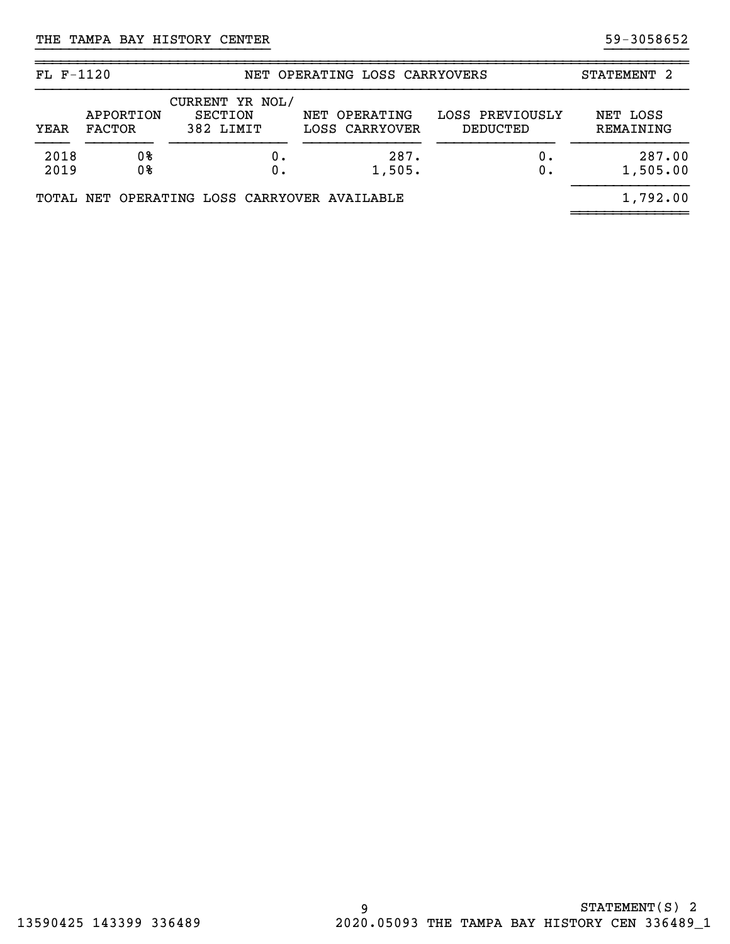| $FL F-1120$  |                            |                                                | NET OPERATING LOSS CARRYOVERS   |                             | STATEMENT 2           |
|--------------|----------------------------|------------------------------------------------|---------------------------------|-----------------------------|-----------------------|
| YEAR         | APPORTION<br><b>FACTOR</b> | CURRENT YR NOL/<br><b>SECTION</b><br>382 LIMIT | NET OPERATING<br>LOSS CARRYOVER | LOSS PREVIOUSLY<br>DEDUCTED | NET LOSS<br>REMAINING |
| 2018<br>2019 | 0%<br>0%                   |                                                | 287.<br>1,505.                  | $0$ .<br>0.                 | 287.00<br>1,505.00    |
|              |                            | TOTAL NET OPERATING LOSS CARRYOVER AVAILABLE   |                                 |                             | 1,792.00              |

}}}}}}}}}}}}}}}}}}}}}}}}}}}} }}}}}}}}}}

~~~~~~~~~~~~~~~~~~~~~~~~~~~~~~~~~~~~~~~~~~~~~~~~~~~~~~~~~~~~~~~~~~~~~~~~~~~~~~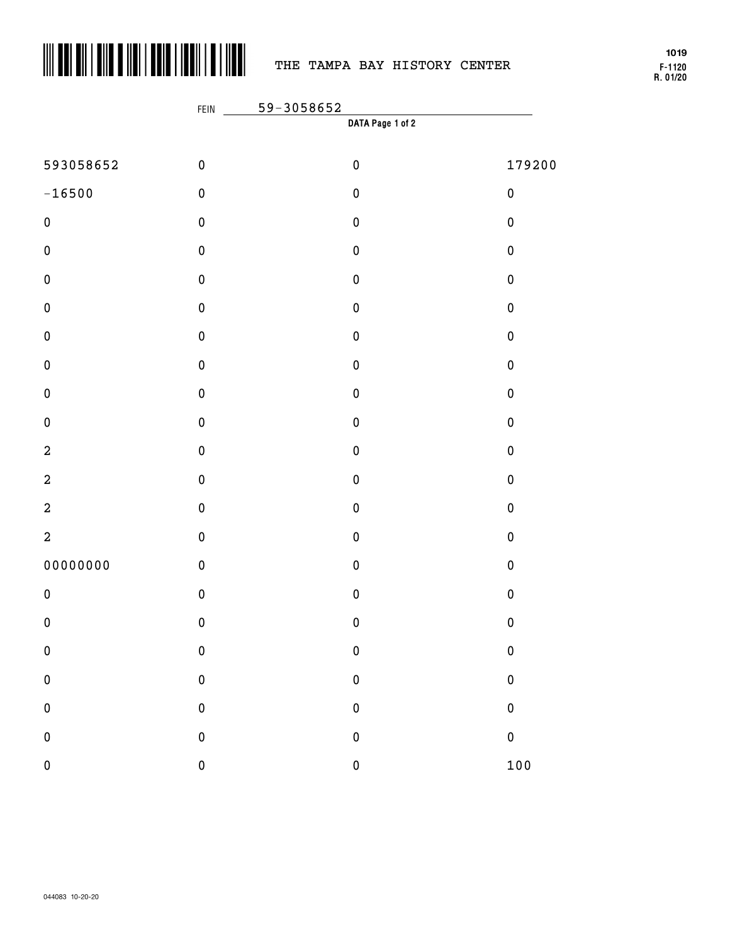

# THE TAMPA BAY HISTORY CENTER

**F-1120 R. 01/20 1019**

|                  | FEIN        | 59-3058652       |           |
|------------------|-------------|------------------|-----------|
|                  |             | DATA Page 1 of 2 |           |
| 593058652        | $\pmb{0}$   | $\pmb{0}$        | 179200    |
| $-16500$         | $\pmb{0}$   | $\pmb{0}$        | $\pmb{0}$ |
| $\pmb{0}$        | $\pmb{0}$   | $\pmb{0}$        | $\pmb{0}$ |
| $\pmb{0}$        | $\pmb{0}$   | $\pmb{0}$        | $\pmb{0}$ |
| $\pmb{0}$        | $\pmb{0}$   | $\pmb{0}$        | $\pmb{0}$ |
| $\pmb{0}$        | $\pmb{0}$   | $\pmb{0}$        | $\pmb{0}$ |
| $\pmb{0}$        | $\pmb{0}$   | $\pmb{0}$        | $\pmb{0}$ |
| $\pmb{0}$        | $\pmb{0}$   | $\pmb{0}$        | $\pmb{0}$ |
| $\pmb{0}$        | $\pmb{0}$   | $\pmb{0}$        | $\pmb{0}$ |
| $\pmb{0}$        | $\pmb{0}$   | $\pmb{0}$        | $\pmb{0}$ |
| $\boldsymbol{2}$ | $\pmb{0}$   | $\pmb{0}$        | $\pmb{0}$ |
| $\boldsymbol{2}$ | $\pmb{0}$   | $\pmb{0}$        | $\pmb{0}$ |
| $\boldsymbol{2}$ | $\pmb{0}$   | $\pmb{0}$        | $\pmb{0}$ |
| $\overline{a}$   | $\pmb{0}$   | $\pmb{0}$        | $\pmb{0}$ |
| 00000000         | $\pmb{0}$   | $\pmb{0}$        | $\pmb{0}$ |
| $\pmb{0}$        | $\pmb{0}$   | $\pmb{0}$        | $\pmb{0}$ |
| $\pmb{0}$        | $\pmb{0}$   | $\pmb{0}$        | $\pmb{0}$ |
| $\pmb{0}$        | $\mathbf 0$ | $\pmb{0}$        | $\bf{0}$  |
| $\pmb{0}$        | $\pmb{0}$   | $\pmb{0}$        | $\bf{0}$  |
| $\pmb{0}$        | $\pmb{0}$   | $\bf{0}$         | $\bf{0}$  |
| $\pmb{0}$        | $\mathbf 0$ | $\bf{0}$         | $\pmb{0}$ |
| $\pmb{0}$        | $\pmb{0}$   | $\pmb{0}$        | 100       |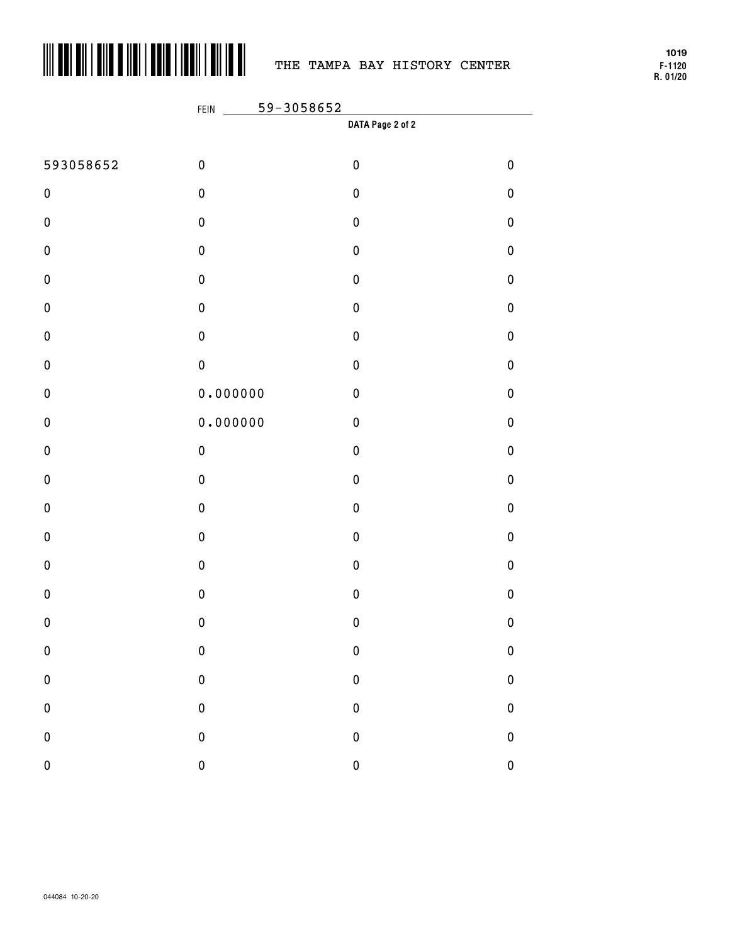

# THE TAMPA BAY HISTORY CENTER

**F-1120 R. 01/20 1019**

|           | 59-3058652<br>FEIN |                  |             |  |  |
|-----------|--------------------|------------------|-------------|--|--|
|           |                    | DATA Page 2 of 2 |             |  |  |
| 593058652 | $\pmb{0}$          | $\pmb{0}$        | $\pmb{0}$   |  |  |
| $\pmb{0}$ | $\pmb{0}$          | $\pmb{0}$        | $\pmb{0}$   |  |  |
| $\pmb{0}$ | $\mathbf 0$        | $\pmb{0}$        | $\pmb{0}$   |  |  |
| $\pmb{0}$ | $\pmb{0}$          | $\pmb{0}$        | $\pmb{0}$   |  |  |
| $\pmb{0}$ | $\pmb{0}$          | $\pmb{0}$        | $\pmb{0}$   |  |  |
| $\pmb{0}$ | $\pmb{0}$          | $\pmb{0}$        | $\pmb{0}$   |  |  |
| $\pmb{0}$ | $\pmb{0}$          | $\pmb{0}$        | $\pmb{0}$   |  |  |
| $\pmb{0}$ | $\pmb{0}$          | $\pmb{0}$        | $\pmb{0}$   |  |  |
| $\pmb{0}$ | 0.000000           | $\pmb{0}$        | $\pmb{0}$   |  |  |
| $\pmb{0}$ | 0.000000           | $\pmb{0}$        | $\pmb{0}$   |  |  |
| $\pmb{0}$ | $\pmb{0}$          | $\pmb{0}$        | $\pmb{0}$   |  |  |
| $\pmb{0}$ | $\pmb{0}$          | $\pmb{0}$        | $\pmb{0}$   |  |  |
| $\pmb{0}$ | $\pmb{0}$          | $\pmb{0}$        | $\pmb{0}$   |  |  |
| $\pmb{0}$ | $\pmb{0}$          | $\pmb{0}$        | $\pmb{0}$   |  |  |
| $\pmb{0}$ | $\pmb{0}$          | $\pmb{0}$        | $\pmb{0}$   |  |  |
| $\pmb{0}$ | $\mathbf 0$        | $\pmb{0}$        | $\pmb{0}$   |  |  |
| $\pmb{0}$ | $\mathbf 0$        | $\pmb{0}$        | $\pmb{0}$   |  |  |
| $\pmb{0}$ | $\bf{0}$           | $\pmb{0}$        | $\bf{0}$    |  |  |
| ${\bf 0}$ | $\mathbf 0$        | $\pmb{0}$        | $\pmb{0}$   |  |  |
| $\pmb{0}$ | $\mathbf{0}$       | $\pmb{0}$        | $\pmb{0}$   |  |  |
| ${\bf 0}$ | $\mathbf{0}$       | $\pmb{0}$        | $\mathbf 0$ |  |  |
| $\pmb{0}$ | $\overline{0}$     | $\pmb{0}$        | $\mathbf 0$ |  |  |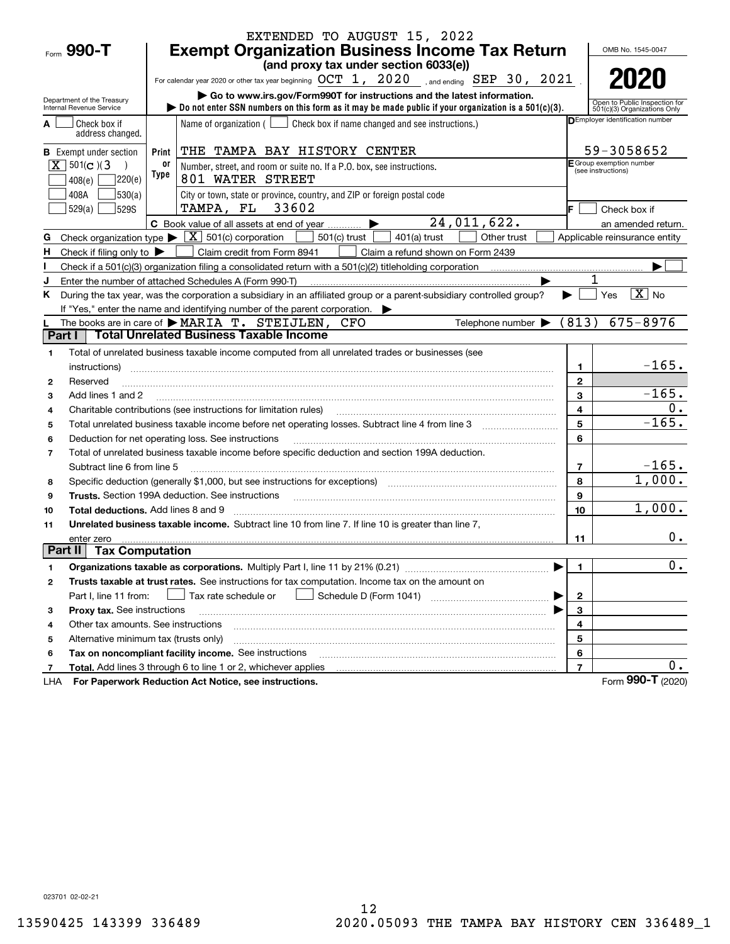|                |                                            |       | EXTENDED TO AUGUST 15, 2022                                                                                                                                                                                                    |                         |                                                               |
|----------------|--------------------------------------------|-------|--------------------------------------------------------------------------------------------------------------------------------------------------------------------------------------------------------------------------------|-------------------------|---------------------------------------------------------------|
| Form 990-T     |                                            |       | <b>Exempt Organization Business Income Tax Return</b>                                                                                                                                                                          |                         | OMB No. 1545-0047                                             |
|                |                                            |       | (and proxy tax under section 6033(e))                                                                                                                                                                                          |                         |                                                               |
|                |                                            |       | For calendar year 2020 or other tax year beginning OCT 1, 2020 , and ending SEP 30, 2021                                                                                                                                       |                         | 2020                                                          |
|                | Department of the Treasury                 |       | Go to www.irs.gov/Form990T for instructions and the latest information.                                                                                                                                                        |                         |                                                               |
|                | Internal Revenue Service                   |       | bo not enter SSN numbers on this form as it may be made public if your organization is a $501(c)(3)$ .                                                                                                                         |                         | Open to Public Inspection for<br>501(c)(3) Organizations Only |
|                | Check box if<br>address changed.           |       | Name of organization ( $\Box$ Check box if name changed and see instructions.)                                                                                                                                                 |                         | <b>DEmployer identification number</b>                        |
|                | <b>B</b> Exempt under section              | Print | THE TAMPA BAY HISTORY CENTER                                                                                                                                                                                                   |                         | 59-3058652                                                    |
|                | $X \ 501(c)$ (3                            | 0r    | Number, street, and room or suite no. If a P.O. box, see instructions.                                                                                                                                                         |                         | E Group exemption number<br>(see instructions)                |
|                | 7220(e)<br>408(e)                          | Type  | 801 WATER STREET                                                                                                                                                                                                               |                         |                                                               |
|                | 530(a) <br>408A                            |       | City or town, state or province, country, and ZIP or foreign postal code                                                                                                                                                       |                         |                                                               |
|                | 529S<br>529(a)                             |       | TAMPA, FL 33602                                                                                                                                                                                                                | F.                      | Check box if                                                  |
|                |                                            |       | 24,011,622.<br>C Book value of all assets at end of year $\ldots$                                                                                                                                                              |                         | an amended return.                                            |
| G              |                                            |       | Check organization type $\blacktriangleright \boxed{X}$ 501(c) corporation<br>$501(c)$ trust<br>Other trust<br>401(a) trust                                                                                                    |                         | Applicable reinsurance entity                                 |
| H              | Check if filing only to                    |       | Claim credit from Form 8941<br>Claim a refund shown on Form 2439                                                                                                                                                               |                         |                                                               |
|                |                                            |       | Check if a 501(c)(3) organization filing a consolidated return with a 501(c)(2) titleholding corporation                                                                                                                       |                         |                                                               |
| J              |                                            |       | Enter the number of attached Schedules A (Form 990-T)                                                                                                                                                                          |                         |                                                               |
| Κ              |                                            |       | During the tax year, was the corporation a subsidiary in an affiliated group or a parent-subsidiary controlled group?                                                                                                          |                         | $\overline{\mathbf{X}}$ No<br>Yes                             |
|                |                                            |       | If "Yes," enter the name and identifying number of the parent corporation.                                                                                                                                                     |                         |                                                               |
|                |                                            |       | Telephone number $\blacktriangleright$ (813)<br>The books are in care of $\blacktriangleright$ MARIA $T$ . STEIJLEN,<br>CFO                                                                                                    |                         | $675 - 8976$                                                  |
| Part I         |                                            |       | <b>Total Unrelated Business Taxable Income</b>                                                                                                                                                                                 |                         |                                                               |
| 1              |                                            |       | Total of unrelated business taxable income computed from all unrelated trades or businesses (see                                                                                                                               |                         |                                                               |
|                | instructions)                              |       |                                                                                                                                                                                                                                | 1                       | $-165.$                                                       |
| 2              | Reserved                                   |       |                                                                                                                                                                                                                                | $\mathbf{2}$            |                                                               |
| 3              | Add lines 1 and 2                          |       |                                                                                                                                                                                                                                | 3                       | $-165.$                                                       |
| 4              |                                            |       | Charitable contributions (see instructions for limitation rules)                                                                                                                                                               | 4                       | 0.                                                            |
| 5              |                                            |       | Total unrelated business taxable income before net operating losses. Subtract line 4 from line 3                                                                                                                               | 5                       | $-165.$                                                       |
| 6              |                                            |       | Deduction for net operating loss. See instructions                                                                                                                                                                             | 6                       |                                                               |
| $\overline{7}$ |                                            |       | Total of unrelated business taxable income before specific deduction and section 199A deduction.                                                                                                                               |                         | $-165.$                                                       |
|                | Subtract line 6 from line 5                |       |                                                                                                                                                                                                                                | $\overline{7}$          | 1,000.                                                        |
| 8              |                                            |       | Specific deduction (generally \$1,000, but see instructions for exceptions) manufactured controller and the set                                                                                                                | 8                       |                                                               |
| 9              |                                            |       | Trusts. Section 199A deduction. See instructions [11] material content in the section 199A deduction. See instructions [11] material content in the section of the section of the section of the section of the section of the | 9                       | 1,000.                                                        |
| 10             | <b>Total deductions.</b> Add lines 8 and 9 |       |                                                                                                                                                                                                                                | 10                      |                                                               |
| 11             |                                            |       | Unrelated business taxable income. Subtract line 10 from line 7. If line 10 is greater than line 7,                                                                                                                            |                         | $0$ .                                                         |
| Part II        | enter zero<br><b>Tax Computation</b>       |       |                                                                                                                                                                                                                                | 11                      |                                                               |
| 1              |                                            |       |                                                                                                                                                                                                                                | 1                       | 0.                                                            |
| 2              |                                            |       | Trusts taxable at trust rates. See instructions for tax computation. Income tax on the amount on                                                                                                                               |                         |                                                               |
|                | Part I, line 11 from:                      |       | Tax rate schedule or                                                                                                                                                                                                           | $\mathbf{2}$            |                                                               |
| з              | Proxy tax. See instructions                |       |                                                                                                                                                                                                                                | 3                       |                                                               |
| 4              | Other tax amounts. See instructions        |       |                                                                                                                                                                                                                                | 4                       |                                                               |
| 5              | Alternative minimum tax (trusts only)      |       |                                                                                                                                                                                                                                | 5                       |                                                               |
| 6              |                                            |       | Tax on noncompliant facility income. See instructions                                                                                                                                                                          | 6                       |                                                               |
| 7              |                                            |       | <b>Total.</b> Add lines 3 through 6 to line 1 or 2, whichever applies                                                                                                                                                          | $\overline{\mathbf{r}}$ | 0.                                                            |
| LHA            |                                            |       | For Paperwork Reduction Act Notice, see instructions.                                                                                                                                                                          |                         | Form 990-T (2020)                                             |

023701 02-02-21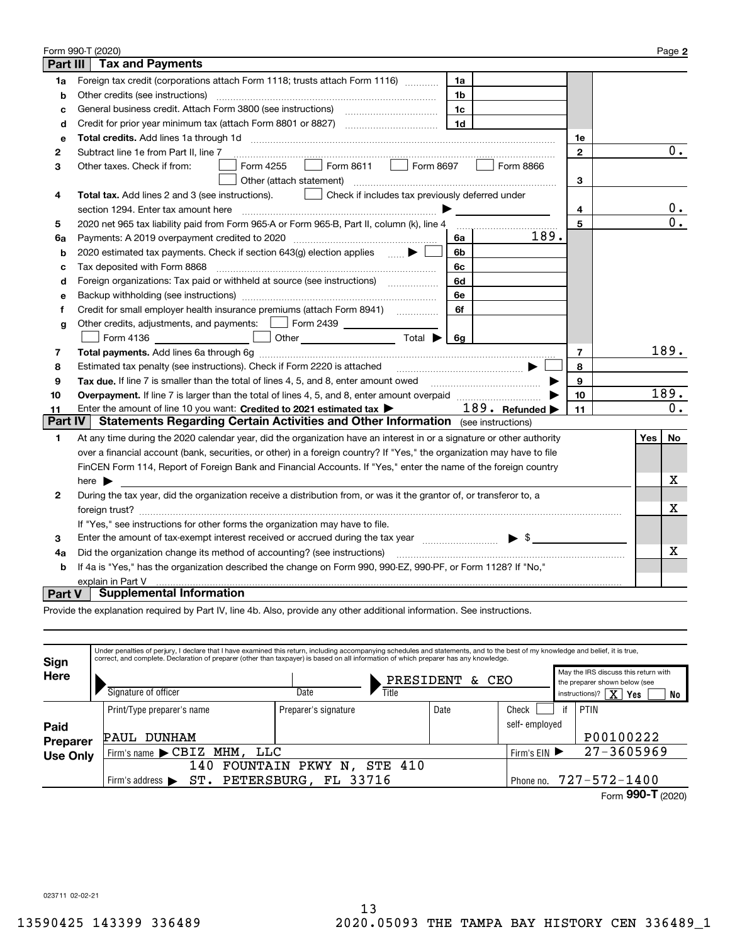| Form 990-T (2020)<br>Page 2                                                                               |                                                                                                                                                                                  |              |                  |  |  |  |  |  |  |
|-----------------------------------------------------------------------------------------------------------|----------------------------------------------------------------------------------------------------------------------------------------------------------------------------------|--------------|------------------|--|--|--|--|--|--|
| Part III<br><b>Tax and Payments</b>                                                                       |                                                                                                                                                                                  |              |                  |  |  |  |  |  |  |
| 1a                                                                                                        | Foreign tax credit (corporations attach Form 1118; trusts attach Form 1116)<br>1a                                                                                                |              |                  |  |  |  |  |  |  |
| b                                                                                                         | Other credits (see instructions)<br>1b                                                                                                                                           |              |                  |  |  |  |  |  |  |
| c                                                                                                         | 1c                                                                                                                                                                               |              |                  |  |  |  |  |  |  |
| d                                                                                                         | 1 <sub>d</sub>                                                                                                                                                                   |              |                  |  |  |  |  |  |  |
| е                                                                                                         |                                                                                                                                                                                  | 1е           |                  |  |  |  |  |  |  |
| 2                                                                                                         | Subtract line 1e from Part II, line 7                                                                                                                                            | $\mathbf{2}$ | $\overline{0}$ . |  |  |  |  |  |  |
| з                                                                                                         | Form 8611 $\Box$<br>Form 8697<br>Form 4255<br>Form 8866<br>Other taxes. Check if from:<br>$\mathbf{L}$                                                                           |              |                  |  |  |  |  |  |  |
|                                                                                                           | Other (attach statement)                                                                                                                                                         | 3            |                  |  |  |  |  |  |  |
| 4                                                                                                         | Total tax. Add lines 2 and 3 (see instructions).<br>Check if includes tax previously deferred under                                                                              |              |                  |  |  |  |  |  |  |
|                                                                                                           | section 1294. Enter tax amount here                                                                                                                                              | 4            | 0.               |  |  |  |  |  |  |
| 5                                                                                                         | 2020 net 965 tax liability paid from Form 965-A or Form 965-B, Part II, column (k), line 4                                                                                       | 5            | $\overline{0}$ . |  |  |  |  |  |  |
| 6a                                                                                                        | 189.<br>Payments: A 2019 overpayment credited to 2020 [11] [11] maximum materials and Payments: A 2019 overpayment credited to 2020 [11] maximum materials and Payments: A<br>6a |              |                  |  |  |  |  |  |  |
| b                                                                                                         | 2020 estimated tax payments. Check if section 643(g) election applies $\qquad \qquad \bullet$<br>6b                                                                              |              |                  |  |  |  |  |  |  |
| c                                                                                                         | Tax deposited with Form 8868<br>6с                                                                                                                                               |              |                  |  |  |  |  |  |  |
| d                                                                                                         | Foreign organizations: Tax paid or withheld at source (see instructions) [<br>6d                                                                                                 |              |                  |  |  |  |  |  |  |
| e                                                                                                         | 6e                                                                                                                                                                               |              |                  |  |  |  |  |  |  |
| f                                                                                                         | 6f                                                                                                                                                                               |              |                  |  |  |  |  |  |  |
| g                                                                                                         | Other credits, adjustments, and payments:   Form 2439                                                                                                                            |              |                  |  |  |  |  |  |  |
|                                                                                                           | Other $\overline{\hspace{1cm}}$ Total $\blacktriangleright$ $\overline{\hspace{1cm}}$ 6g<br>Form 4136                                                                            |              |                  |  |  |  |  |  |  |
| 7                                                                                                         | $\overline{7}$                                                                                                                                                                   |              |                  |  |  |  |  |  |  |
| 8                                                                                                         | Estimated tax penalty (see instructions). Check if Form 2220 is attached manufactured tax nenative states<br>8                                                                   |              |                  |  |  |  |  |  |  |
| 9                                                                                                         | Tax due, If line 7 is smaller than the total of lines 4, 5, and 8, enter amount owed<br>9                                                                                        |              |                  |  |  |  |  |  |  |
| 10                                                                                                        |                                                                                                                                                                                  | 10           | 189.             |  |  |  |  |  |  |
| 11                                                                                                        | 189. Refunded<br>Enter the amount of line 10 you want: Credited to 2021 estimated tax >                                                                                          | 11           | 0.               |  |  |  |  |  |  |
| <b>Part IV</b><br><b>Statements Regarding Certain Activities and Other Information</b> (see instructions) |                                                                                                                                                                                  |              |                  |  |  |  |  |  |  |
| 1                                                                                                         | At any time during the 2020 calendar year, did the organization have an interest in or a signature or other authority                                                            |              | No<br>Yes        |  |  |  |  |  |  |
|                                                                                                           | over a financial account (bank, securities, or other) in a foreign country? If "Yes," the organization may have to file                                                          |              |                  |  |  |  |  |  |  |
|                                                                                                           | FinCEN Form 114, Report of Foreign Bank and Financial Accounts. If "Yes," enter the name of the foreign country                                                                  |              |                  |  |  |  |  |  |  |
|                                                                                                           | here $\blacktriangleright$                                                                                                                                                       |              |                  |  |  |  |  |  |  |
| 2                                                                                                         | During the tax vear, did the organization receive a distribution from, or was it the grantor of, or transferor to, a                                                             |              |                  |  |  |  |  |  |  |
|                                                                                                           |                                                                                                                                                                                  |              |                  |  |  |  |  |  |  |
|                                                                                                           | If "Yes," see instructions for other forms the organization may have to file.                                                                                                    |              |                  |  |  |  |  |  |  |
| з                                                                                                         | Enter the amount of tax-exempt interest received or accrued during the tax year manufactured $\bullet$ \$                                                                        |              |                  |  |  |  |  |  |  |
| 4a                                                                                                        | Did the organization change its method of accounting? (see instructions)                                                                                                         |              |                  |  |  |  |  |  |  |
| b                                                                                                         | If 4a is "Yes," has the organization described the change on Form 990, 990-EZ, 990-PF, or Form 1128? If "No,"                                                                    |              |                  |  |  |  |  |  |  |
| explain in Part V                                                                                         |                                                                                                                                                                                  |              |                  |  |  |  |  |  |  |
| <b>Part V</b>                                                                                             | <b>Supplemental Information</b>                                                                                                                                                  |              |                  |  |  |  |  |  |  |

Provide the explanation required by Part IV, line 4b. Also, provide any other additional information. See instructions.

| Sign             | Under penalties of perjury, I declare that I have examined this return, including accompanying schedules and statements, and to the best of my knowledge and belief, it is true,<br>correct, and complete. Declaration of preparer (other than taxpayer) is based on all information of which preparer has any knowledge. |                      |                    |               |                                                                                                          |                   |  |
|------------------|---------------------------------------------------------------------------------------------------------------------------------------------------------------------------------------------------------------------------------------------------------------------------------------------------------------------------|----------------------|--------------------|---------------|----------------------------------------------------------------------------------------------------------|-------------------|--|
| Here             | Signature of officer                                                                                                                                                                                                                                                                                                      | Date<br>Title        | PRESIDENT<br>& CEO |               | May the IRS discuss this return with<br>the preparer shown below (see<br>$X$ Yes<br>instructions)?<br>No |                   |  |
|                  | Print/Type preparer's name                                                                                                                                                                                                                                                                                                | Preparer's signature | Date               | Check         |                                                                                                          | <b>PTIN</b>       |  |
| Paid<br>Preparer | DUNHAM<br><b>PAUL</b>                                                                                                                                                                                                                                                                                                     |                      |                    | self-employed |                                                                                                          | P00100222         |  |
| <b>Use Only</b>  | Firm's name $\blacktriangleright$ $\texttt{CBIZ}$<br>MHM ,<br>LLC                                                                                                                                                                                                                                                         |                      |                    | Firm's $EIN$  |                                                                                                          | $27 - 3605969$    |  |
|                  | <b>STE 410</b><br>FOUNTAIN<br>PKWY<br>140<br>Ν.                                                                                                                                                                                                                                                                           |                      |                    |               |                                                                                                          |                   |  |
|                  | ST.<br>Firm's address $\blacktriangleright$                                                                                                                                                                                                                                                                               | PETERSBURG, FL 33716 |                    | Phone no.     |                                                                                                          | 727-572-1400      |  |
|                  |                                                                                                                                                                                                                                                                                                                           |                      |                    |               |                                                                                                          | Form 990-T (2020) |  |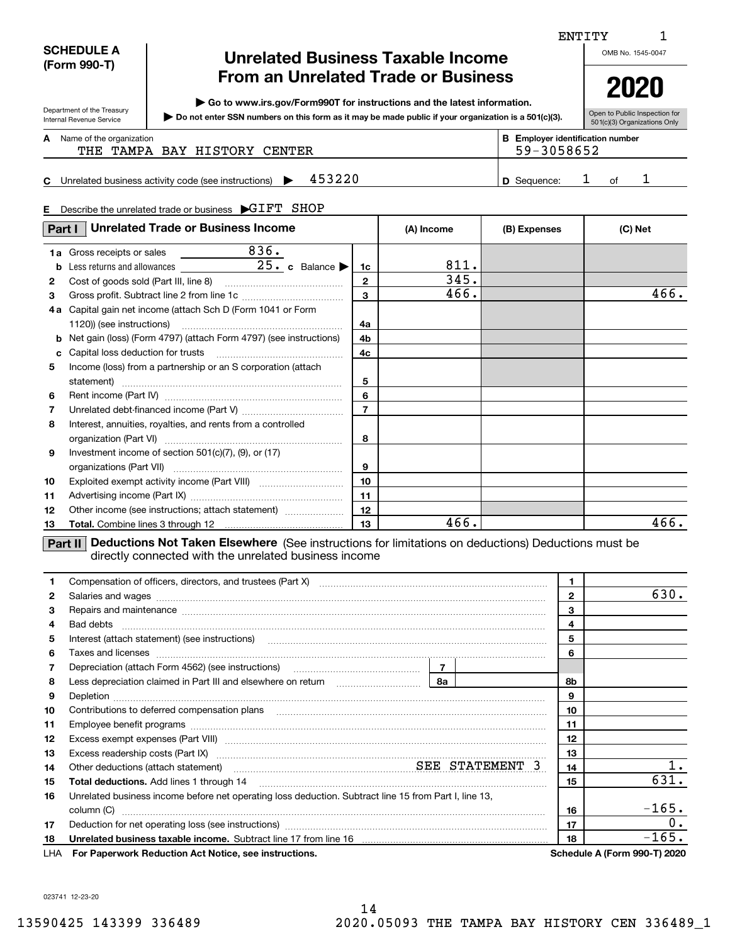## **SCHEDULE A (Form 990-T)**

Department of the Treasury Internal Revenue Service

**E**

## **Unrelated Business Taxable Income From an Unrelated Trade or Business**

**| Go to www.irs.gov/Form990T for instructions and the latest information.**

**Do not enter SSN numbers on this form as it may be made public if your organization is a 501(c)(3). |** 

Open to Public Inspection for 501(c)(3) Organizations Only

| А<br>Name of the organization |  |
|-------------------------------|--|
|-------------------------------|--|

Name of the organization **mumber and the organization number contracts the organization number BEEnployer identification number** THE TAMPA BAY HISTORY CENTER THE SEPTEMBER THE SP-3058652

## **C** Unrelated business activity code (see instructions)  $\rightarrow$  453220  $\mid$  **D** Sequence: 1 of **D**453220 1 1

| Describe the unrelated trade or business GIFT SHOP |  |
|----------------------------------------------------|--|
|                                                    |  |

| Part I       | <b>Unrelated Trade or Business Income</b>                                                                      |                | (A) Income | (B) Expenses | (C) Net |
|--------------|----------------------------------------------------------------------------------------------------------------|----------------|------------|--------------|---------|
|              | 836.<br>1a Gross receipts or sales                                                                             |                |            |              |         |
| b            | Less returns and allowances $25 \cdot c$ Balance                                                               | 1c             | 811.       |              |         |
| $\mathbf{2}$ |                                                                                                                | $\overline{2}$ | 345.       |              |         |
| 3            |                                                                                                                | 3              | 466.       |              | 466.    |
| 4а           | Capital gain net income (attach Sch D (Form 1041 or Form                                                       |                |            |              |         |
|              |                                                                                                                | 4a             |            |              |         |
| b            | Net gain (loss) (Form 4797) (attach Form 4797) (see instructions)                                              | 4b             |            |              |         |
| c            |                                                                                                                | 4c             |            |              |         |
| 5            | Income (loss) from a partnership or an S corporation (attach                                                   |                |            |              |         |
|              |                                                                                                                | 5              |            |              |         |
| 6            |                                                                                                                | 6              |            |              |         |
| 7            |                                                                                                                | $\overline{7}$ |            |              |         |
| 8            | Interest, annuities, royalties, and rents from a controlled                                                    |                |            |              |         |
|              |                                                                                                                | 8              |            |              |         |
| 9            | Investment income of section $501(c)(7)$ , (9), or (17)                                                        |                |            |              |         |
|              |                                                                                                                | 9              |            |              |         |
| 10           |                                                                                                                | 10             |            |              |         |
| 11           |                                                                                                                | 11             |            |              |         |
| 12           | Other income (see instructions; attach statement)                                                              | 12             |            |              |         |
| 13           |                                                                                                                | 13             | 466.       |              | 466.    |
|              | La conference de la conference de la conference de la conference de la conference de la conference de la confe |                |            |              |         |

**Part II** Deductions Not Taken Elsewhere (See instructions for limitations on deductions) Deductions must be directly connected with the unrelated business income

| 1.           |                                                                                                       | 1            |      |                                     |
|--------------|-------------------------------------------------------------------------------------------------------|--------------|------|-------------------------------------|
| $\mathbf{2}$ |                                                                                                       | $\mathbf{2}$ | 630. |                                     |
| з            |                                                                                                       |              | 3    |                                     |
| 4            | Bad debts                                                                                             |              | 4    |                                     |
| 5            | Interest (attach statement) (see instructions)                                                        |              | 5    |                                     |
| 6            |                                                                                                       |              | 6    |                                     |
| 7            |                                                                                                       |              |      |                                     |
| 8            |                                                                                                       |              | 8b   |                                     |
| 9            |                                                                                                       | 9            |      |                                     |
| 10           |                                                                                                       |              | 10   |                                     |
| 11           |                                                                                                       |              | 11   |                                     |
| 12           |                                                                                                       |              | 12   |                                     |
| 13           |                                                                                                       |              | 13   |                                     |
| 14           | Other deductions (attach statement) manufactured SEE STATEMENT 3                                      | 14           |      |                                     |
| 15           | <b>Total deductions.</b> Add lines 1 through 14                                                       | 15           | 631. |                                     |
| 16           | Unrelated business income before net operating loss deduction. Subtract line 15 from Part I, line 13, |              |      |                                     |
|              | column (C)                                                                                            |              | 16   | $-165.$                             |
| 17           |                                                                                                       | 17           | 0.   |                                     |
| 18           |                                                                                                       |              | 18   | $-165.$                             |
| LHA          | For Paperwork Reduction Act Notice, see instructions.                                                 |              |      | <b>Schedule A (Form 990-T) 2020</b> |

023741 12-23-20

ENTITY

OMB No. 1545-0047



1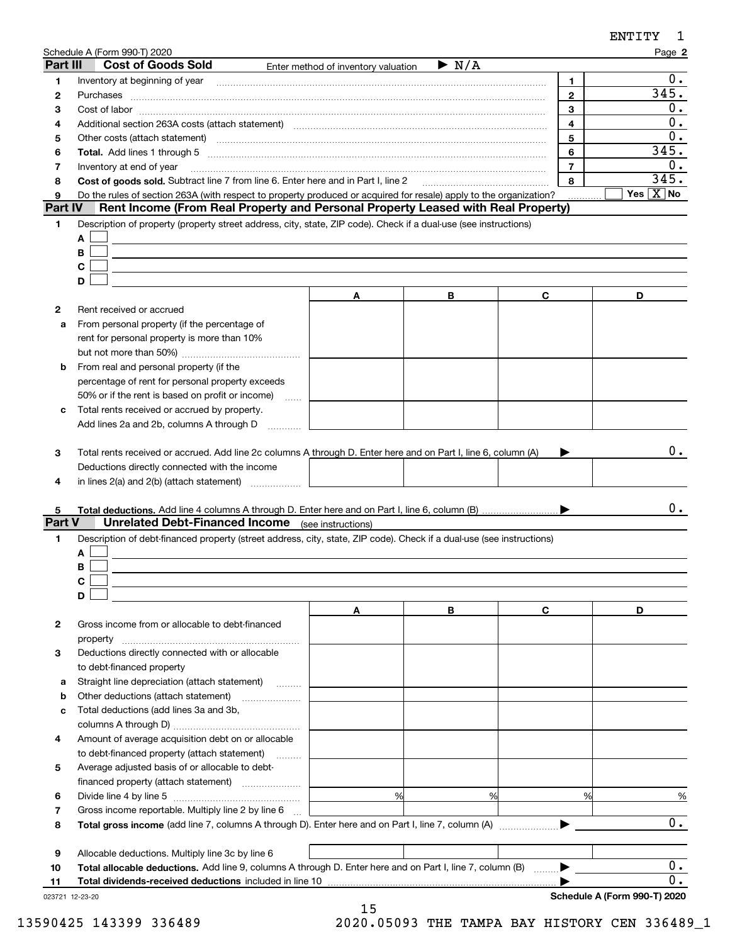|                 | Schedule A (Form 990-T) 2020                                                                                                                                                                           |                                     |                      |                | Page 2                            |
|-----------------|--------------------------------------------------------------------------------------------------------------------------------------------------------------------------------------------------------|-------------------------------------|----------------------|----------------|-----------------------------------|
| Part III        | <b>Cost of Goods Sold</b>                                                                                                                                                                              | Enter method of inventory valuation | $\triangleright$ N/A |                |                                   |
| 1               | Inventory at beginning of year                                                                                                                                                                         |                                     |                      | 1              | 0.                                |
| 2               | Purchases                                                                                                                                                                                              |                                     |                      | $\mathbf{2}$   | 345.                              |
| з               |                                                                                                                                                                                                        |                                     |                      | 3              | 0.                                |
| 4               | Additional section 263A costs (attach statement) material content and according to the Additional section 263A                                                                                         |                                     |                      | $\overline{4}$ | 0.                                |
| 5               | Other costs (attach statement) manufactured and according to the costs (attach statement) and according to the                                                                                         |                                     |                      | 5              | 0.                                |
| 6               |                                                                                                                                                                                                        |                                     |                      | 6              | 345.                              |
| 7               | Inventory at end of year                                                                                                                                                                               |                                     |                      | $\overline{7}$ | 0.                                |
| 8               | Cost of goods sold. Subtract line 7 from line 6. Enter here and in Part I, line 2 [11, 1111] Cost of goods sold. Subtract line 7 from line 6. Enter here and in Part I, line 2                         |                                     |                      | 8              | 345.<br>Yes $\boxed{\text{X}}$ No |
| 9<br>Part IV    | Do the rules of section 263A (with respect to property produced or acquired for resale) apply to the organization?<br>Rent Income (From Real Property and Personal Property Leased with Real Property) |                                     |                      |                |                                   |
|                 |                                                                                                                                                                                                        |                                     |                      |                |                                   |
| 1               | Description of property (property street address, city, state, ZIP code). Check if a dual-use (see instructions)                                                                                       |                                     |                      |                |                                   |
|                 | Α                                                                                                                                                                                                      |                                     |                      |                |                                   |
|                 | В<br>С                                                                                                                                                                                                 |                                     |                      |                |                                   |
|                 | D                                                                                                                                                                                                      |                                     |                      |                |                                   |
|                 |                                                                                                                                                                                                        |                                     | в                    | С              | D                                 |
|                 |                                                                                                                                                                                                        | A                                   |                      |                |                                   |
| 2               | Rent received or accrued<br>From personal property (if the percentage of                                                                                                                               |                                     |                      |                |                                   |
| a               |                                                                                                                                                                                                        |                                     |                      |                |                                   |
|                 | rent for personal property is more than 10%                                                                                                                                                            |                                     |                      |                |                                   |
|                 | From real and personal property (if the                                                                                                                                                                |                                     |                      |                |                                   |
| b               |                                                                                                                                                                                                        |                                     |                      |                |                                   |
|                 | percentage of rent for personal property exceeds<br>50% or if the rent is based on profit or income)                                                                                                   |                                     |                      |                |                                   |
| с               | .<br>Total rents received or accrued by property.                                                                                                                                                      |                                     |                      |                |                                   |
|                 | Add lines 2a and 2b, columns A through D                                                                                                                                                               |                                     |                      |                |                                   |
|                 |                                                                                                                                                                                                        |                                     |                      |                |                                   |
| 3               | Total rents received or accrued. Add line 2c columns A through D. Enter here and on Part I, line 6, column (A)                                                                                         |                                     |                      |                | 0.                                |
|                 | Deductions directly connected with the income                                                                                                                                                          |                                     |                      |                |                                   |
| 4               |                                                                                                                                                                                                        |                                     |                      |                |                                   |
|                 |                                                                                                                                                                                                        |                                     |                      |                |                                   |
| 5               |                                                                                                                                                                                                        |                                     |                      |                | 0.                                |
| Part V          | <b>Unrelated Debt-Financed Income</b> (see instructions)                                                                                                                                               |                                     |                      |                |                                   |
| 1               | Description of debt-financed property (street address, city, state, ZIP code). Check if a dual-use (see instructions)                                                                                  |                                     |                      |                |                                   |
|                 | Α                                                                                                                                                                                                      |                                     |                      |                |                                   |
|                 | В                                                                                                                                                                                                      |                                     |                      |                |                                   |
|                 | С                                                                                                                                                                                                      |                                     |                      |                |                                   |
|                 | D                                                                                                                                                                                                      |                                     |                      |                |                                   |
|                 |                                                                                                                                                                                                        | Α                                   | в                    | С              | D                                 |
| $\mathbf{2}$    | Gross income from or allocable to debt-financed                                                                                                                                                        |                                     |                      |                |                                   |
|                 | property                                                                                                                                                                                               |                                     |                      |                |                                   |
| 3               | Deductions directly connected with or allocable                                                                                                                                                        |                                     |                      |                |                                   |
|                 | to debt-financed property                                                                                                                                                                              |                                     |                      |                |                                   |
| а               | Straight line depreciation (attach statement)<br>.                                                                                                                                                     |                                     |                      |                |                                   |
| b               | Other deductions (attach statement)                                                                                                                                                                    |                                     |                      |                |                                   |
| с               | Total deductions (add lines 3a and 3b,                                                                                                                                                                 |                                     |                      |                |                                   |
|                 |                                                                                                                                                                                                        |                                     |                      |                |                                   |
| 4               | Amount of average acquisition debt on or allocable                                                                                                                                                     |                                     |                      |                |                                   |
|                 | to debt-financed property (attach statement)                                                                                                                                                           |                                     |                      |                |                                   |
| 5               | Average adjusted basis of or allocable to debt-                                                                                                                                                        |                                     |                      |                |                                   |
|                 |                                                                                                                                                                                                        |                                     |                      |                |                                   |
| 6               |                                                                                                                                                                                                        | %                                   | %                    | %              | $\frac{9}{6}$                     |
| 7               | Gross income reportable. Multiply line 2 by line 6                                                                                                                                                     |                                     |                      |                |                                   |
| 8               |                                                                                                                                                                                                        |                                     |                      |                | $0$ .                             |
|                 |                                                                                                                                                                                                        |                                     |                      |                |                                   |
| 9               | Allocable deductions. Multiply line 3c by line 6                                                                                                                                                       |                                     |                      |                |                                   |
| 10              | Total allocable deductions. Add line 9, columns A through D. Enter here and on Part I, line 7, column $(B)$                                                                                            |                                     |                      |                | 0.                                |
| 11              | Total dividends-received deductions included in line 10                                                                                                                                                |                                     |                      |                | 0.                                |
| 023721 12-23-20 |                                                                                                                                                                                                        |                                     |                      |                | Schedule A (Form 990-T) 2020      |
|                 |                                                                                                                                                                                                        | 15                                  |                      |                |                                   |

13590425 143399 336489 2020.05093 THE TAMPA BAY HISTORY CEN 336489\_1

ENTITY 1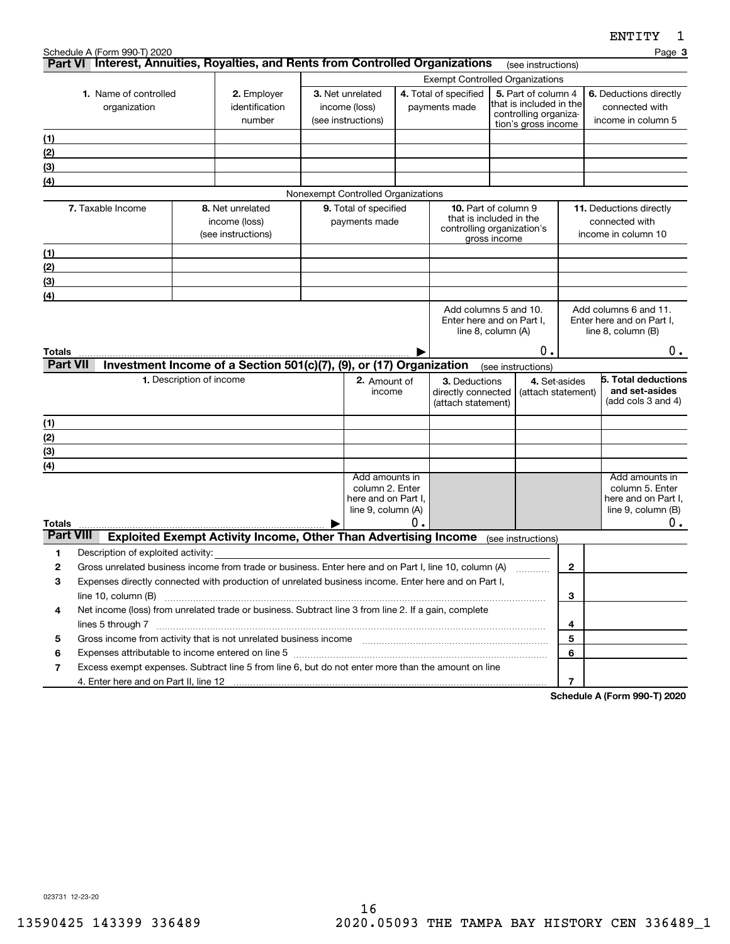|                  | Schedule A (Form 990-T) 2020                                                                                                                                                                                                                          |                          |                                                                        |                                    |    |                                                       |              |                                                |                | Page 3                                             |
|------------------|-------------------------------------------------------------------------------------------------------------------------------------------------------------------------------------------------------------------------------------------------------|--------------------------|------------------------------------------------------------------------|------------------------------------|----|-------------------------------------------------------|--------------|------------------------------------------------|----------------|----------------------------------------------------|
|                  | Part VI Interest, Annuities, Royalties, and Rents from Controlled Organizations                                                                                                                                                                       |                          |                                                                        |                                    |    |                                                       |              | (see instructions)                             |                |                                                    |
|                  |                                                                                                                                                                                                                                                       |                          |                                                                        |                                    |    | <b>Exempt Controlled Organizations</b>                |              |                                                |                |                                                    |
|                  | 1. Name of controlled<br>organization                                                                                                                                                                                                                 |                          | 2. Employer<br>identification                                          | 3. Net unrelated<br>income (loss)  |    | 4. Total of specified<br>payments made                |              | 5. Part of column 4<br>that is included in the |                | 6. Deductions directly<br>connected with           |
|                  |                                                                                                                                                                                                                                                       |                          | number                                                                 | (see instructions)                 |    |                                                       |              | controlling organiza-                          |                | income in column 5                                 |
|                  |                                                                                                                                                                                                                                                       |                          |                                                                        |                                    |    | tion's gross income                                   |              |                                                |                |                                                    |
| (1)<br>(2)       |                                                                                                                                                                                                                                                       |                          |                                                                        |                                    |    |                                                       |              |                                                |                |                                                    |
| (3)              |                                                                                                                                                                                                                                                       |                          |                                                                        |                                    |    |                                                       |              |                                                |                |                                                    |
| (4)              |                                                                                                                                                                                                                                                       |                          |                                                                        |                                    |    |                                                       |              |                                                |                |                                                    |
|                  |                                                                                                                                                                                                                                                       |                          |                                                                        | Nonexempt Controlled Organizations |    |                                                       |              |                                                |                |                                                    |
|                  | 7. Taxable Income                                                                                                                                                                                                                                     |                          | 8. Net unrelated                                                       | 9. Total of specified              |    | <b>10.</b> Part of column 9                           |              |                                                |                | 11. Deductions directly                            |
|                  |                                                                                                                                                                                                                                                       |                          | income (loss)                                                          | payments made                      |    | that is included in the<br>controlling organization's |              |                                                |                | connected with                                     |
|                  |                                                                                                                                                                                                                                                       |                          | (see instructions)                                                     |                                    |    |                                                       | gross income |                                                |                | income in column 10                                |
| (1)              |                                                                                                                                                                                                                                                       |                          |                                                                        |                                    |    |                                                       |              |                                                |                |                                                    |
| (2)              |                                                                                                                                                                                                                                                       |                          |                                                                        |                                    |    |                                                       |              |                                                |                |                                                    |
| (3)              |                                                                                                                                                                                                                                                       |                          |                                                                        |                                    |    |                                                       |              |                                                |                |                                                    |
| (4)              |                                                                                                                                                                                                                                                       |                          |                                                                        |                                    |    |                                                       |              |                                                |                |                                                    |
|                  |                                                                                                                                                                                                                                                       |                          |                                                                        |                                    |    | Add columns 5 and 10.<br>Enter here and on Part I,    |              |                                                |                | Add columns 6 and 11.<br>Enter here and on Part I, |
|                  |                                                                                                                                                                                                                                                       |                          |                                                                        |                                    |    | line 8, column (A)                                    |              |                                                |                | line $8$ , column $(B)$                            |
| Totals           |                                                                                                                                                                                                                                                       |                          |                                                                        |                                    |    |                                                       |              | Ο.                                             |                | 0.                                                 |
| <b>Part VII</b>  |                                                                                                                                                                                                                                                       |                          | Investment Income of a Section 501(c)(7), (9), or (17) Organization    |                                    |    |                                                       |              | (see instructions)                             |                |                                                    |
|                  |                                                                                                                                                                                                                                                       | 1. Description of income |                                                                        | 2. Amount of                       |    | 3. Deductions                                         |              |                                                | 4. Set-asides  | 5. Total deductions                                |
|                  |                                                                                                                                                                                                                                                       |                          |                                                                        | income                             |    | directly connected                                    |              | (attach statement)                             |                | and set-asides                                     |
|                  |                                                                                                                                                                                                                                                       |                          |                                                                        |                                    |    | (attach statement)                                    |              |                                                |                | (add cols 3 and 4)                                 |
| (1)              |                                                                                                                                                                                                                                                       |                          |                                                                        |                                    |    |                                                       |              |                                                |                |                                                    |
| (2)              |                                                                                                                                                                                                                                                       |                          |                                                                        |                                    |    |                                                       |              |                                                |                |                                                    |
| (3)              |                                                                                                                                                                                                                                                       |                          |                                                                        |                                    |    |                                                       |              |                                                |                |                                                    |
| (4)              |                                                                                                                                                                                                                                                       |                          |                                                                        | Add amounts in                     |    |                                                       |              |                                                |                | Add amounts in                                     |
|                  |                                                                                                                                                                                                                                                       |                          |                                                                        | column 2. Enter                    |    |                                                       |              |                                                |                | column 5. Enter                                    |
|                  |                                                                                                                                                                                                                                                       |                          |                                                                        | here and on Part I,                |    |                                                       |              |                                                |                | here and on Part I,                                |
| Totals           |                                                                                                                                                                                                                                                       |                          |                                                                        | line 9, column (A)                 | О. |                                                       |              |                                                |                | line $9$ , column $(B)$<br>0.                      |
| <b>Part VIII</b> |                                                                                                                                                                                                                                                       |                          | <b>Exploited Exempt Activity Income, Other Than Advertising Income</b> |                                    |    |                                                       |              | (see instructions)                             |                |                                                    |
| 1                | Description of exploited activity:                                                                                                                                                                                                                    |                          |                                                                        |                                    |    |                                                       |              |                                                |                |                                                    |
| 2                | Gross unrelated business income from trade or business. Enter here and on Part I, line 10, column (A)                                                                                                                                                 |                          |                                                                        |                                    |    |                                                       |              |                                                | 2              |                                                    |
| 3                | Expenses directly connected with production of unrelated business income. Enter here and on Part I,                                                                                                                                                   |                          |                                                                        |                                    |    |                                                       |              |                                                |                |                                                    |
|                  | line 10, column (B)                                                                                                                                                                                                                                   |                          |                                                                        |                                    |    |                                                       |              |                                                | 3              |                                                    |
| 4                | Net income (loss) from unrelated trade or business. Subtract line 3 from line 2. If a gain, complete                                                                                                                                                  |                          |                                                                        |                                    |    |                                                       |              |                                                |                |                                                    |
|                  |                                                                                                                                                                                                                                                       |                          |                                                                        |                                    |    |                                                       |              |                                                | 4              |                                                    |
| 5                | Gross income from activity that is not unrelated business income [11] [11] content material content from activity that is not unrelated business income [11] [11] [11] $\alpha$ [11] $\alpha$ [11] $\alpha$ [11] $\alpha$ [11] $\alpha$ [11] $\alpha$ |                          |                                                                        |                                    |    |                                                       |              |                                                | 5              |                                                    |
| 6                | Expenses attributable to income entered on line 5 [[11] manufacture manufacture attributable to income entered on line 5 [[11] manufacture manufacture attributable to income entered on line 5 [[11] manufacture manufacture                         |                          |                                                                        |                                    |    |                                                       |              |                                                | 6              |                                                    |
| 7                | Excess exempt expenses. Subtract line 5 from line 6, but do not enter more than the amount on line                                                                                                                                                    |                          |                                                                        |                                    |    |                                                       |              |                                                |                |                                                    |
|                  |                                                                                                                                                                                                                                                       |                          |                                                                        |                                    |    |                                                       |              |                                                | $\overline{7}$ | 000T0000                                           |

**Schedule A (Form 990-T) 2020**

023731 12-23-20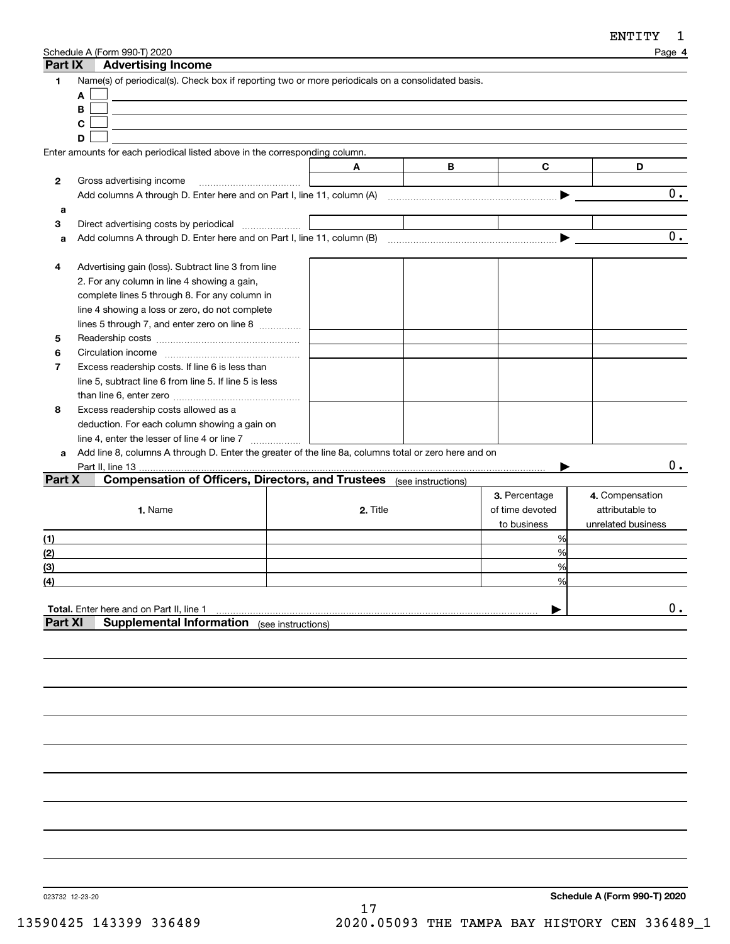| Part IX        | Schedule A (Form 990-T) 2020<br><b>Advertising Income</b>                                                   |          |   |                 | Page 4             |
|----------------|-------------------------------------------------------------------------------------------------------------|----------|---|-----------------|--------------------|
| 1              | Name(s) of periodical(s). Check box if reporting two or more periodicals on a consolidated basis.<br>A<br>B |          |   |                 |                    |
|                | C                                                                                                           |          |   |                 |                    |
|                | D                                                                                                           |          |   |                 |                    |
|                | Enter amounts for each periodical listed above in the corresponding column.                                 |          |   |                 |                    |
|                |                                                                                                             | A        | В | C               | D                  |
| $\mathbf{2}$   | Gross advertising income                                                                                    |          |   |                 |                    |
|                | Add columns A through D. Enter here and on Part I, line 11, column (A)                                      |          |   |                 | $0$ .              |
| a              |                                                                                                             |          |   |                 |                    |
| 3              | Direct advertising costs by periodical                                                                      |          |   |                 |                    |
| a              |                                                                                                             |          |   |                 | $\overline{0}$ .   |
|                |                                                                                                             |          |   |                 |                    |
| 4              | Advertising gain (loss). Subtract line 3 from line                                                          |          |   |                 |                    |
|                | 2. For any column in line 4 showing a gain,                                                                 |          |   |                 |                    |
|                | complete lines 5 through 8. For any column in                                                               |          |   |                 |                    |
|                | line 4 showing a loss or zero, do not complete                                                              |          |   |                 |                    |
|                | lines 5 through 7, and enter zero on line 8                                                                 |          |   |                 |                    |
| 5              |                                                                                                             |          |   |                 |                    |
| 6              |                                                                                                             |          |   |                 |                    |
| 7              | Excess readership costs. If line 6 is less than                                                             |          |   |                 |                    |
|                | line 5, subtract line 6 from line 5. If line 5 is less                                                      |          |   |                 |                    |
|                |                                                                                                             |          |   |                 |                    |
| 8              | Excess readership costs allowed as a                                                                        |          |   |                 |                    |
|                | deduction. For each column showing a gain on                                                                |          |   |                 |                    |
|                |                                                                                                             |          |   |                 |                    |
| a              | Add line 8, columns A through D. Enter the greater of the line 8a, columns total or zero here and on        |          |   |                 |                    |
|                | Part II, line 13                                                                                            |          |   |                 | 0.                 |
| Part X         | <b>Compensation of Officers, Directors, and Trustees</b> (see instructions)                                 |          |   |                 |                    |
|                |                                                                                                             |          |   | 3. Percentage   | 4. Compensation    |
|                | 1. Name                                                                                                     | 2. Title |   | of time devoted | attributable to    |
|                |                                                                                                             |          |   | to business     | unrelated business |
| (1)            |                                                                                                             |          |   | %               |                    |
| (2)            |                                                                                                             |          |   | %               |                    |
| (3)            |                                                                                                             |          |   | %               |                    |
| (4)            |                                                                                                             |          |   | %               |                    |
|                |                                                                                                             |          |   |                 |                    |
|                | Total. Enter here and on Part II, line 1                                                                    |          |   |                 | 0.                 |
| <b>Part XI</b> | <b>Supplemental Information</b> (see instructions)                                                          |          |   |                 |                    |
|                |                                                                                                             |          |   |                 |                    |
|                |                                                                                                             |          |   |                 |                    |
|                |                                                                                                             |          |   |                 |                    |

023732 12-23-20

**Schedule A (Form 990-T) 2020**